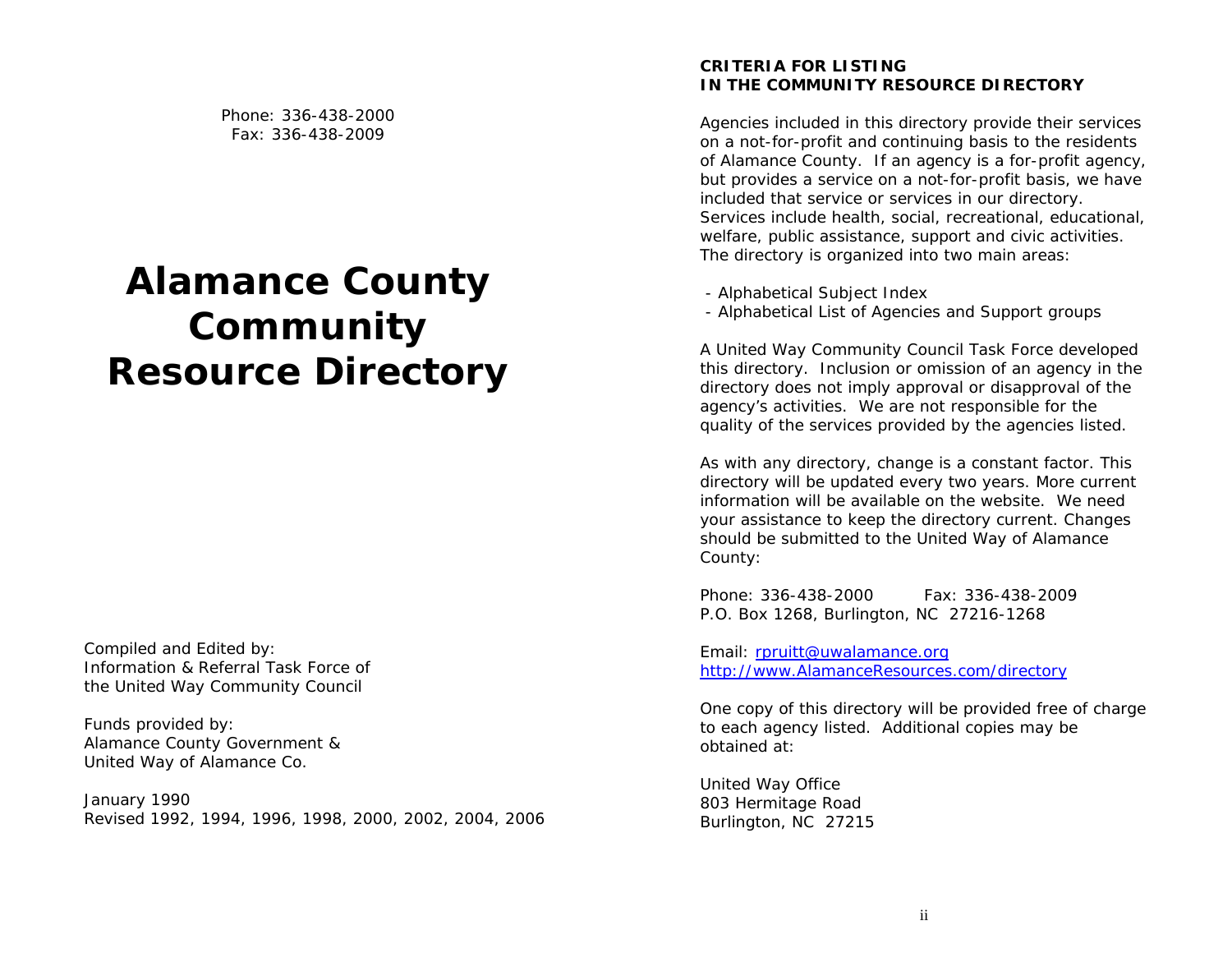Phone: 336-438-2000 Fax: 336-438-2009

# **Alamance County Community Resource Directory**

Compiled and Edited by: Information & Referral Task Force of the United Way Community Council

Funds provided by: Alamance County Government & United Way of Alamance Co.

January 1990 Revised 1992, 1994, 1996, 1998, 2000, 2002, 2004, 2006

# **CRITERIA FOR LISTING IN THE COMMUNITY RESOURCE DIRECTORY**

Agencies included in this directory provide their services on a not-for-profit and continuing basis to the residents of Alamance County. If an agency is a for-profit agency, but provides a service on a not-for-profit basis, we have included that service or services in our directory. Services include health, social, recreational, educational, welfare, public assistance, support and civic activities. The directory is organized into two main areas:

- Alphabetical Subject Index
- Alphabetical List of Agencies and Support groups

A United Way Community Council Task Force developed this directory. Inclusion or omission of an agency in the directory does not imply approval or disapproval of the agency's activities. We are not responsible for the quality of the services provided by the agencies listed.

As with any directory, change is a constant factor. This directory will be updated every two years. More current information will be available on the website. We need your assistance to keep the directory current. Changes should be submitted to the United Way of Alamance County:

Phone: 336-438-2000 Fax: 336-438-2009 P.O. Box 1268, Burlington, NC 27216-1268

Email: rpruitt@uwalamance.org http://www.AlamanceResources.com/directory

One copy of this directory will be provided free of charge to each agency listed. Additional copies may be obtained at:

United Way Office 803 Hermitage Road Burlington, NC 27215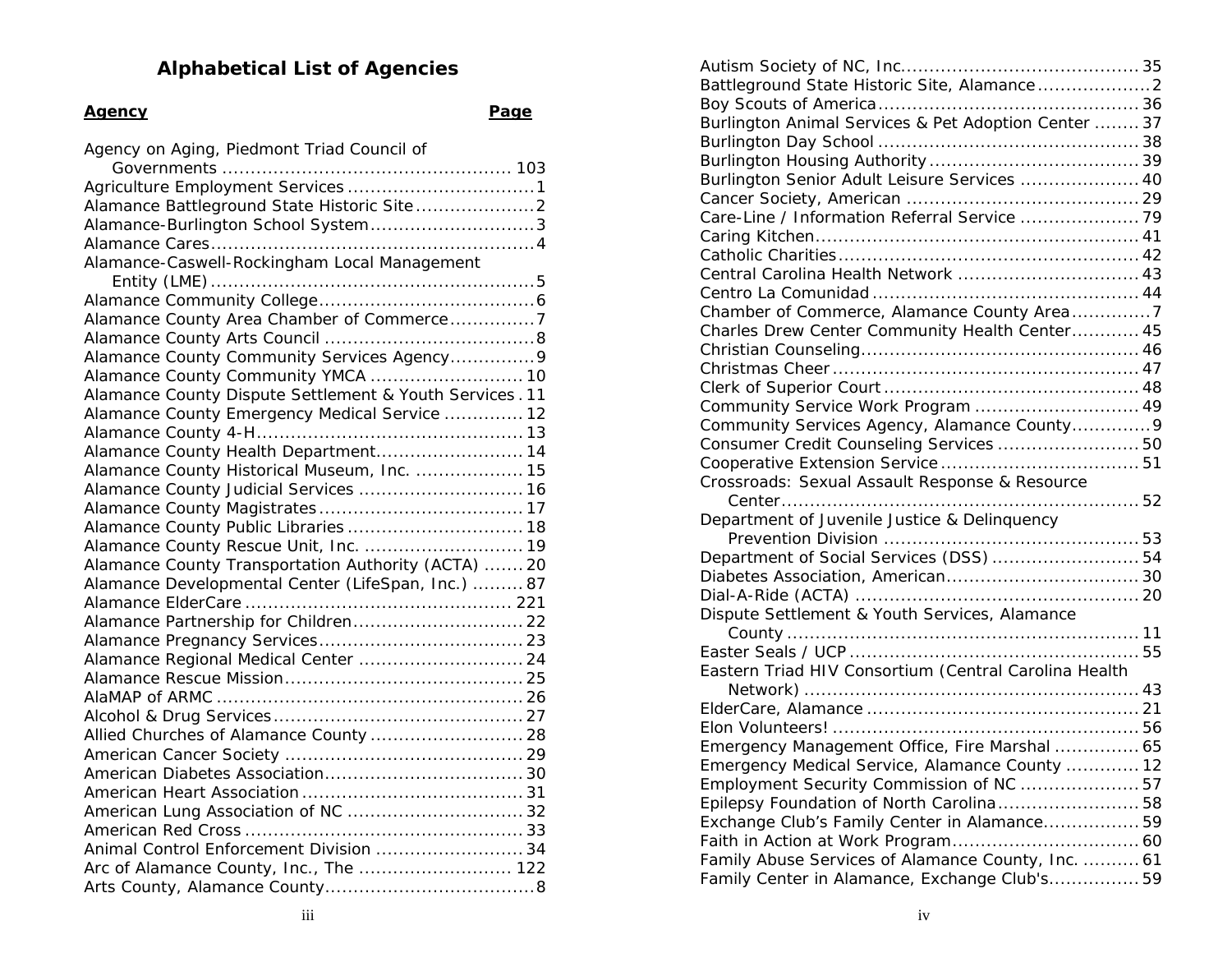# **Alphabetical List of Agencies**

# **Agency Page**

| Agency on Aging, Piedmont Triad Council of              |
|---------------------------------------------------------|
|                                                         |
|                                                         |
|                                                         |
| Alamance-Burlington School System3                      |
|                                                         |
| Alamance-Caswell-Rockingham Local Management            |
|                                                         |
|                                                         |
| Alamance County Area Chamber of Commerce7               |
|                                                         |
| Alamance County Community Services Agency 9             |
| Alamance County Community YMCA  10                      |
| Alamance County Dispute Settlement & Youth Services. 11 |
| Alamance County Emergency Medical Service  12           |
|                                                         |
| Alamance County Health Department 14                    |
| Alamance County Historical Museum, Inc.  15             |
| Alamance County Judicial Services  16                   |
|                                                         |
|                                                         |
| Alamance County Rescue Unit, Inc.  19                   |
| Alamance County Transportation Authority (ACTA)  20     |
| Alamance Developmental Center (LifeSpan, Inc.)  87      |
|                                                         |
| Alamance Partnership for Children 22                    |
|                                                         |
| Alamance Regional Medical Center  24                    |
|                                                         |
|                                                         |
|                                                         |
| Allied Churches of Alamance County  28                  |
|                                                         |
|                                                         |
|                                                         |
|                                                         |
|                                                         |
| Animal Control Enforcement Division  34                 |
| Arc of Alamance County, Inc., The  122                  |
|                                                         |

| Burlington Animal Services & Pet Adoption Center  37  |  |
|-------------------------------------------------------|--|
|                                                       |  |
|                                                       |  |
| Burlington Senior Adult Leisure Services  40          |  |
|                                                       |  |
| Care-Line / Information Referral Service  79          |  |
|                                                       |  |
|                                                       |  |
| Central Carolina Health Network  43                   |  |
|                                                       |  |
| Chamber of Commerce, Alamance County Area7            |  |
| Charles Drew Center Community Health Center 45        |  |
|                                                       |  |
|                                                       |  |
|                                                       |  |
| Community Service Work Program  49                    |  |
| Community Services Agency, Alamance County9           |  |
| Consumer Credit Counseling Services  50               |  |
|                                                       |  |
| Crossroads: Sexual Assault Response & Resource        |  |
|                                                       |  |
| Department of Juvenile Justice & Delinquency          |  |
|                                                       |  |
| Department of Social Services (DSS)  54               |  |
|                                                       |  |
|                                                       |  |
| Dispute Settlement & Youth Services, Alamance         |  |
|                                                       |  |
|                                                       |  |
| Eastern Triad HIV Consortium (Central Carolina Health |  |
|                                                       |  |
|                                                       |  |
|                                                       |  |
| Emergency Management Office, Fire Marshal  65         |  |
| Emergency Medical Service, Alamance County  12        |  |
| Employment Security Commission of NC  57              |  |
| Epilepsy Foundation of North Carolina58               |  |
| Exchange Club's Family Center in Alamance 59          |  |
|                                                       |  |
| Family Abuse Services of Alamance County, Inc.  61    |  |
| Family Center in Alamance, Exchange Club's 59         |  |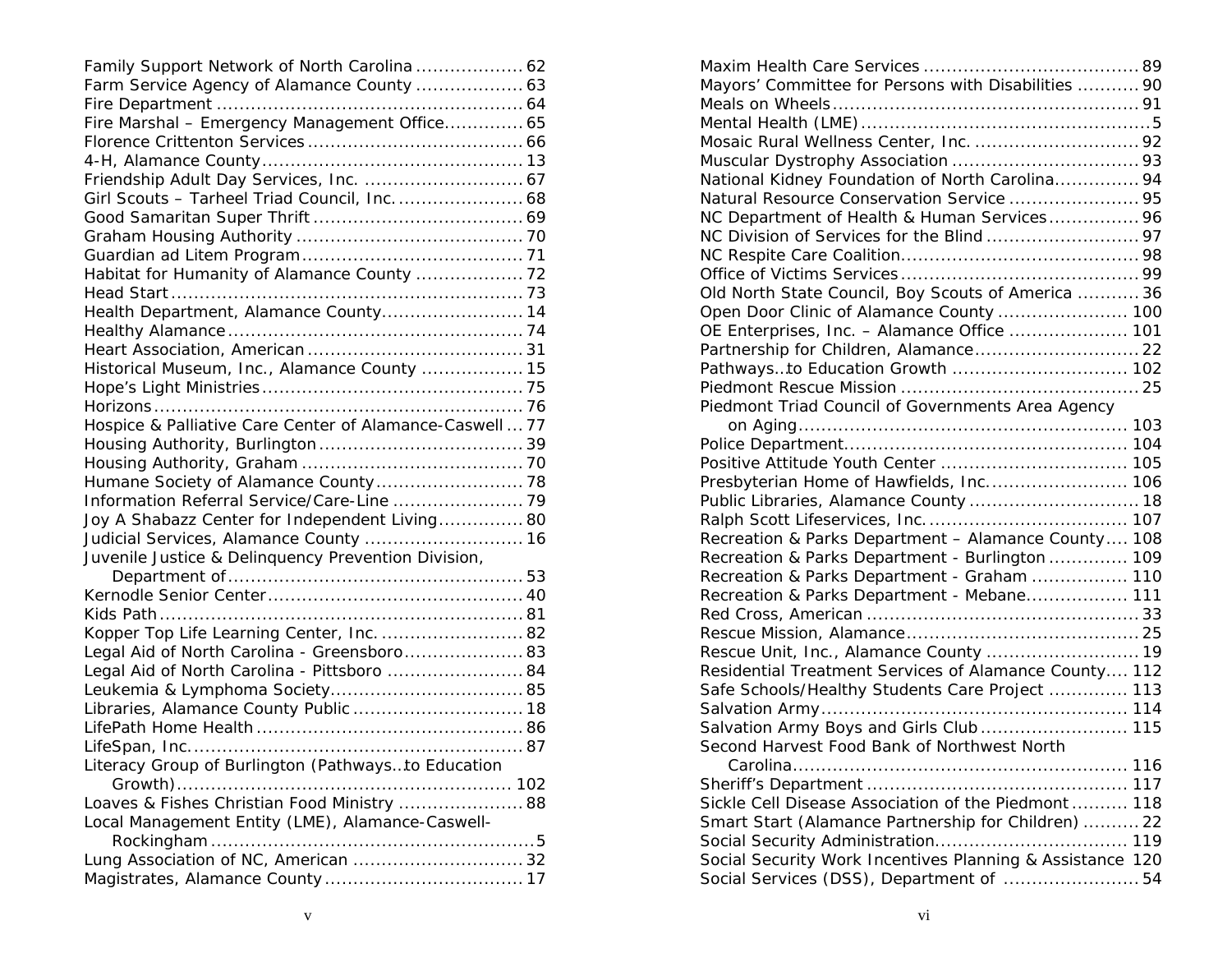| Family Support Network of North Carolina  62             |  |
|----------------------------------------------------------|--|
| Farm Service Agency of Alamance County  63               |  |
|                                                          |  |
| Fire Marshal - Emergency Management Office 65            |  |
|                                                          |  |
|                                                          |  |
|                                                          |  |
| Girl Scouts - Tarheel Triad Council, Inc.  68            |  |
|                                                          |  |
|                                                          |  |
|                                                          |  |
| Habitat for Humanity of Alamance County  72              |  |
|                                                          |  |
| Health Department, Alamance County 14                    |  |
|                                                          |  |
|                                                          |  |
| Historical Museum, Inc., Alamance County  15             |  |
|                                                          |  |
|                                                          |  |
| Hospice & Palliative Care Center of Alamance-Caswell  77 |  |
|                                                          |  |
|                                                          |  |
|                                                          |  |
| Information Referral Service/Care-Line  79               |  |
| Joy A Shabazz Center for Independent Living 80           |  |
| Judicial Services, Alamance County  16                   |  |
| Juvenile Justice & Delinquency Prevention Division,      |  |
|                                                          |  |
|                                                          |  |
|                                                          |  |
| Kopper Top Life Learning Center, Inc.  82                |  |
| Legal Aid of North Carolina - Greensboro 83              |  |
| Legal Aid of North Carolina - Pittsboro  84              |  |
|                                                          |  |
| Libraries, Alamance County Public  18                    |  |
|                                                          |  |
|                                                          |  |
| Literacy Group of Burlington (Pathwaysto Education       |  |
|                                                          |  |
| Loaves & Fishes Christian Food Ministry  88              |  |
| Local Management Entity (LME), Alamance-Caswell-         |  |
|                                                          |  |
| Lung Association of NC, American  32                     |  |
|                                                          |  |

| Mayors' Committee for Persons with Disabilities  90       |
|-----------------------------------------------------------|
|                                                           |
|                                                           |
|                                                           |
|                                                           |
| National Kidney Foundation of North Carolina 94           |
| Natural Resource Conservation Service  95                 |
| NC Department of Health & Human Services 96               |
|                                                           |
|                                                           |
|                                                           |
| Old North State Council, Boy Scouts of America  36        |
| Open Door Clinic of Alamance County  100                  |
| OE Enterprises, Inc. - Alamance Office  101               |
| Partnership for Children, Alamance 22                     |
| Pathwaysto Education Growth  102                          |
|                                                           |
| Piedmont Triad Council of Governments Area Agency         |
|                                                           |
|                                                           |
| Positive Attitude Youth Center  105                       |
| Presbyterian Home of Hawfields, Inc 106                   |
| Public Libraries, Alamance County  18                     |
|                                                           |
| Recreation & Parks Department - Alamance County 108       |
| Recreation & Parks Department - Burlington  109           |
| Recreation & Parks Department - Graham  110               |
| Recreation & Parks Department - Mebane 111                |
|                                                           |
|                                                           |
| Rescue Unit, Inc., Alamance County  19                    |
| Residential Treatment Services of Alamance County 112     |
| Safe Schools/Healthy Students Care Project  113           |
|                                                           |
| Salvation Army Boys and Girls Club 115                    |
| Second Harvest Food Bank of Northwest North               |
|                                                           |
|                                                           |
| Sickle Cell Disease Association of the Piedmont  118      |
| Smart Start (Alamance Partnership for Children)  22       |
|                                                           |
| Social Security Work Incentives Planning & Assistance 120 |
| Social Services (DSS), Department of  54                  |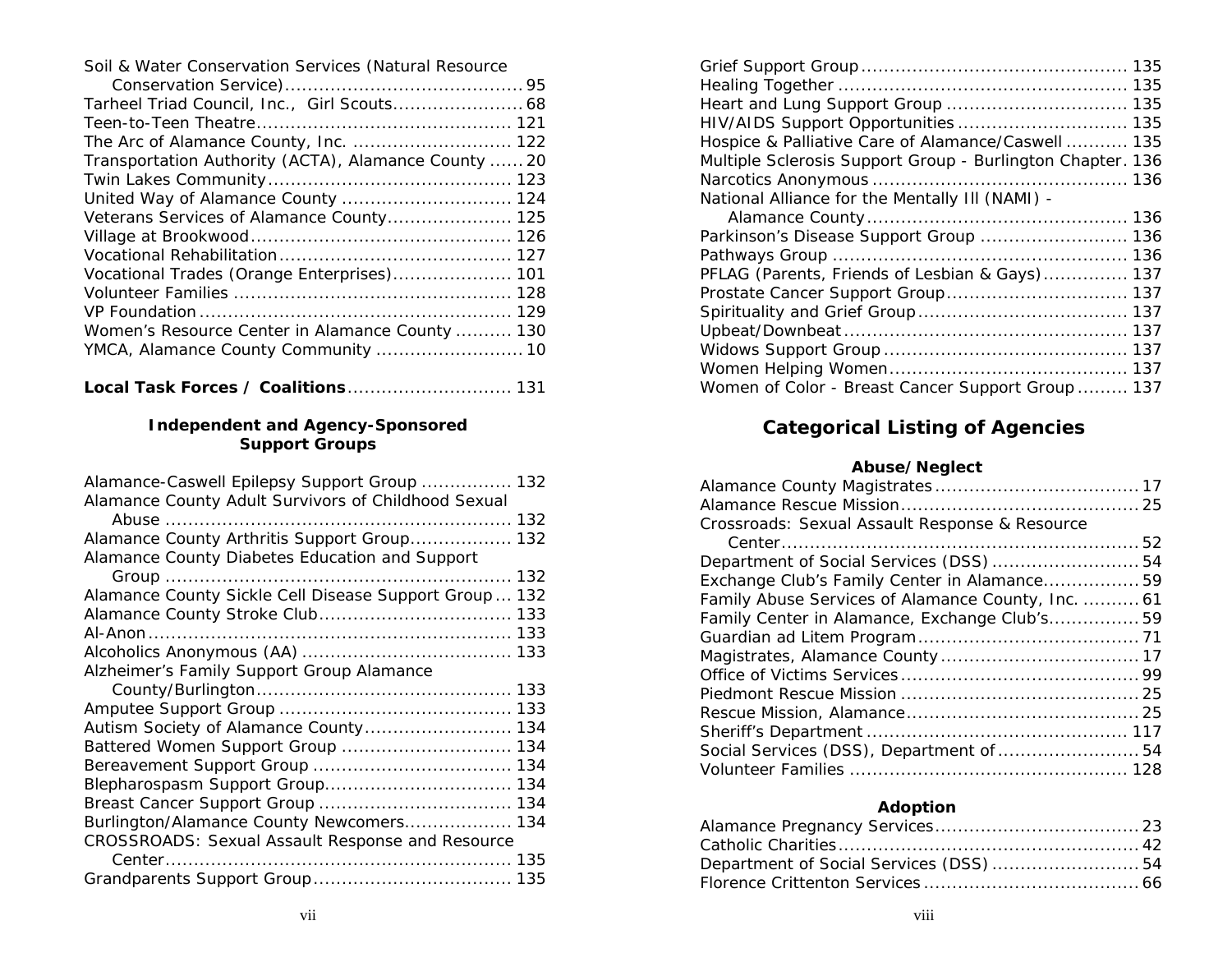| Soil & Water Conservation Services (Natural Resource |  |  |  |  |  |  |
|------------------------------------------------------|--|--|--|--|--|--|
|------------------------------------------------------|--|--|--|--|--|--|

| Tarheel Triad Council, Inc., Girl Scouts 68          |  |
|------------------------------------------------------|--|
|                                                      |  |
| The Arc of Alamance County, Inc.  122                |  |
| Transportation Authority (ACTA), Alamance County  20 |  |
|                                                      |  |
| United Way of Alamance County  124                   |  |
| Veterans Services of Alamance County 125             |  |
|                                                      |  |
|                                                      |  |
| Vocational Trades (Orange Enterprises) 101           |  |
|                                                      |  |
|                                                      |  |
| Women's Resource Center in Alamance County  130      |  |
|                                                      |  |
|                                                      |  |

## **Independent and Agency-Sponsored Support Groups**

| Alamance-Caswell Epilepsy Support Group  132           |     |
|--------------------------------------------------------|-----|
| Alamance County Adult Survivors of Childhood Sexual    |     |
|                                                        |     |
| Alamance County Arthritis Support Group 132            |     |
| Alamance County Diabetes Education and Support         |     |
|                                                        |     |
| Alamance County Sickle Cell Disease Support Group  132 |     |
|                                                        |     |
|                                                        |     |
|                                                        |     |
| Alzheimer's Family Support Group Alamance              |     |
|                                                        |     |
|                                                        |     |
|                                                        | 134 |
| Battered Women Support Group  134                      |     |
|                                                        |     |
|                                                        |     |
|                                                        |     |
| Burlington/Alamance County Newcomers 134               |     |
| CROSSROADS: Sexual Assault Response and Resource       |     |
|                                                        |     |
|                                                        |     |
|                                                        |     |

| Hospice & Palliative Care of Alamance/Caswell  135         |
|------------------------------------------------------------|
| Multiple Sclerosis Support Group - Burlington Chapter. 136 |
|                                                            |
| National Alliance for the Mentally III (NAMI) -            |
|                                                            |
| Parkinson's Disease Support Group  136                     |
|                                                            |
| PFLAG (Parents, Friends of Lesbian & Gays)<br>137          |
|                                                            |
|                                                            |
|                                                            |
|                                                            |
|                                                            |
| Women of Color - Breast Cancer Support Group  137          |
|                                                            |

# **Categorical Listing of Agencies**

# **Abuse/Neglect**

| Crossroads: Sexual Assault Response & Resource     |  |
|----------------------------------------------------|--|
|                                                    |  |
|                                                    |  |
| Exchange Club's Family Center in Alamance 59       |  |
| Family Abuse Services of Alamance County, Inc.  61 |  |
| Family Center in Alamance, Exchange Club's 59      |  |
|                                                    |  |
|                                                    |  |
|                                                    |  |
|                                                    |  |
|                                                    |  |
|                                                    |  |
|                                                    |  |
|                                                    |  |

# **Adoption**

| Department of Social Services (DSS) 54 |  |
|----------------------------------------|--|
|                                        |  |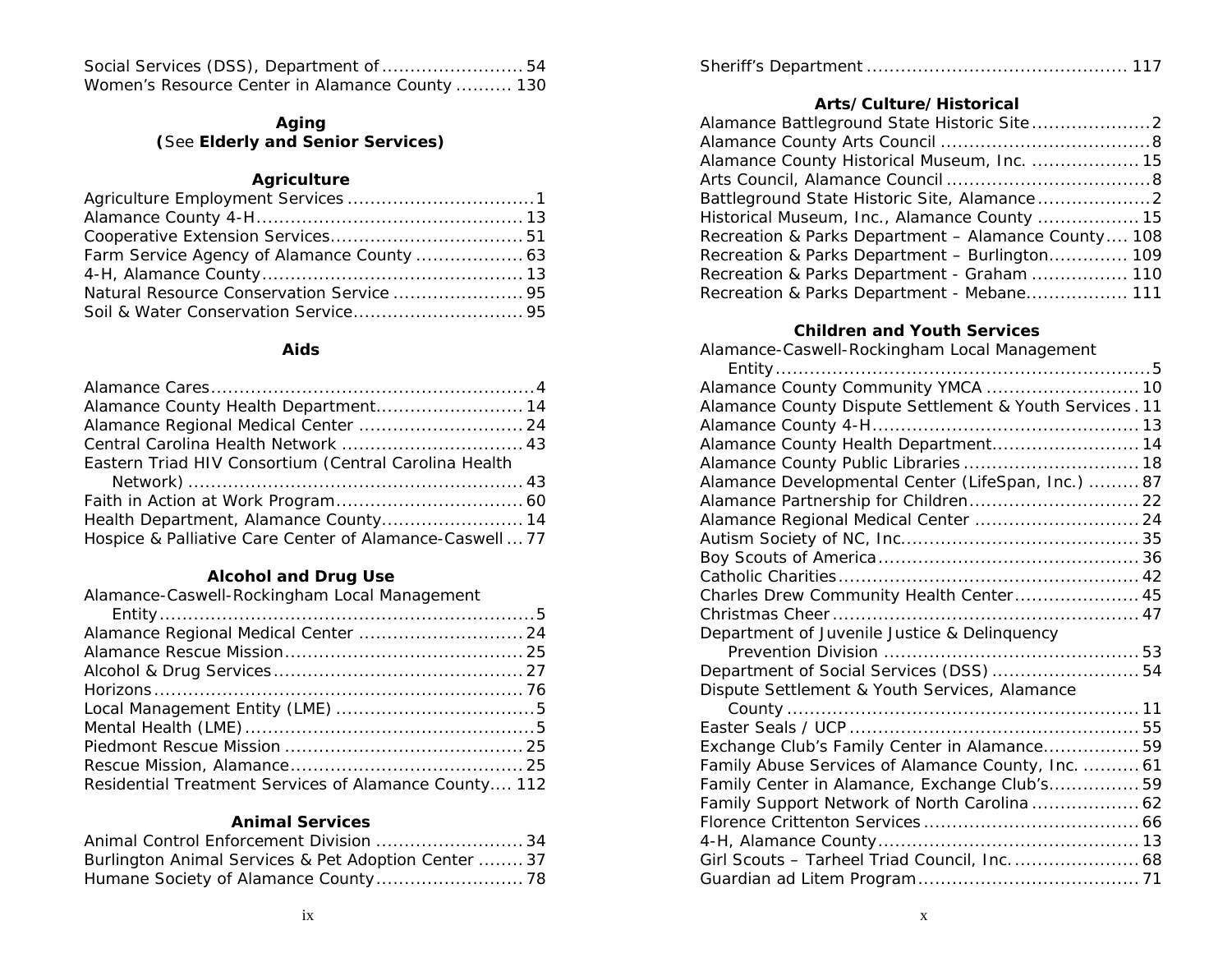| Women's Resource Center in Alamance County  130 |  |
|-------------------------------------------------|--|

# **Aging (**See **Elderly and Senior Services)**

# **Agriculture**

| Natural Resource Conservation Service  95 |  |
|-------------------------------------------|--|
|                                           |  |

### **Aids**

| Alamance County Health Department 14                     |
|----------------------------------------------------------|
|                                                          |
|                                                          |
| Eastern Triad HIV Consortium (Central Carolina Health    |
|                                                          |
|                                                          |
| Health Department, Alamance County 14                    |
| Hospice & Palliative Care Center of Alamance-Caswell  77 |

# **Alcohol and Drug Use**

| Alamance-Caswell-Rockingham Local Management          |
|-------------------------------------------------------|
|                                                       |
|                                                       |
|                                                       |
|                                                       |
|                                                       |
|                                                       |
|                                                       |
|                                                       |
|                                                       |
| Residential Treatment Services of Alamance County 112 |

#### **Animal Services**

| Animal Control Enforcement Division  34              |  |
|------------------------------------------------------|--|
| Burlington Animal Services & Pet Adoption Center  37 |  |
|                                                      |  |

|--|--|--|--|

## **Arts/Culture/Historical**

| Alamance County Historical Museum, Inc.  15         |  |
|-----------------------------------------------------|--|
|                                                     |  |
|                                                     |  |
| Historical Museum, Inc., Alamance County  15        |  |
| Recreation & Parks Department - Alamance County 108 |  |
| Recreation & Parks Department - Burlington 109      |  |
| Recreation & Parks Department - Graham  110         |  |
| Recreation & Parks Department - Mebane 111          |  |

### **Children and Youth Services**

Alamance-Caswell-Rockingham Local Management

| Alamance County Dispute Settlement & Youth Services. 11 |  |
|---------------------------------------------------------|--|
|                                                         |  |
| Alamance County Health Department 14                    |  |
| Alamance County Public Libraries  18                    |  |
| Alamance Developmental Center (LifeSpan, Inc.)  87      |  |
| Alamance Partnership for Children 22                    |  |
| Alamance Regional Medical Center  24                    |  |
|                                                         |  |
|                                                         |  |
|                                                         |  |
| Charles Drew Community Health Center 45                 |  |
|                                                         |  |
| Department of Juvenile Justice & Delinquency            |  |
|                                                         |  |
| Department of Social Services (DSS)  54                 |  |
| Dispute Settlement & Youth Services, Alamance           |  |
|                                                         |  |
|                                                         |  |
| Exchange Club's Family Center in Alamance 59            |  |
| Family Abuse Services of Alamance County, Inc.  61      |  |
| Family Center in Alamance, Exchange Club's 59           |  |
| Family Support Network of North Carolina  62            |  |
|                                                         |  |
|                                                         |  |
| Girl Scouts - Tarheel Triad Council, Inc.  68           |  |
|                                                         |  |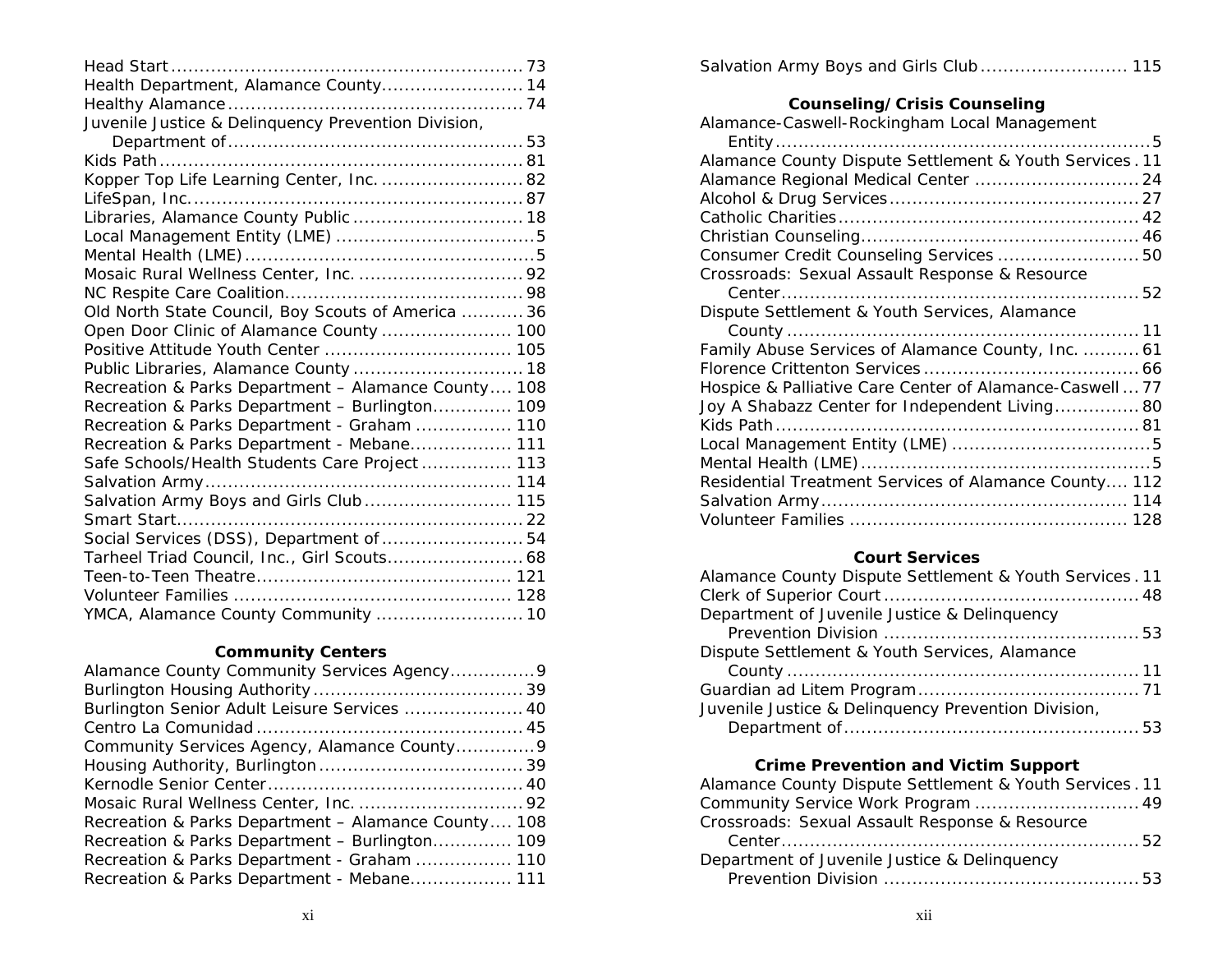| Health Department, Alamance County 14               |  |
|-----------------------------------------------------|--|
|                                                     |  |
| Juvenile Justice & Delinquency Prevention Division, |  |
|                                                     |  |
|                                                     |  |
| Kopper Top Life Learning Center, Inc.  82           |  |
|                                                     |  |
| Libraries, Alamance County Public  18               |  |
|                                                     |  |
|                                                     |  |
| Mosaic Rural Wellness Center, Inc.  92              |  |
|                                                     |  |
| Old North State Council, Boy Scouts of America  36  |  |
| Open Door Clinic of Alamance County  100            |  |
| Positive Attitude Youth Center  105                 |  |
| Public Libraries, Alamance County  18               |  |
| Recreation & Parks Department - Alamance County 108 |  |
| Recreation & Parks Department - Burlington 109      |  |
| Recreation & Parks Department - Graham  110         |  |
| Recreation & Parks Department - Mebane 111          |  |
| Safe Schools/Health Students Care Project  113      |  |
|                                                     |  |
| Salvation Army Boys and Girls Club  115             |  |
|                                                     |  |
| Social Services (DSS), Department of  54            |  |
| Tarheel Triad Council, Inc., Girl Scouts 68         |  |
|                                                     |  |
|                                                     |  |
| YMCA, Alamance County Community  10                 |  |
|                                                     |  |

# **Community Centers**

Salvation Army Boys and Girls Club ............................ 115

# **Counseling/Crisis Counseling**

| Alamance-Caswell-Rockingham Local Management             |
|----------------------------------------------------------|
|                                                          |
| Alamance County Dispute Settlement & Youth Services. 11  |
| Alamance Regional Medical Center  24                     |
|                                                          |
|                                                          |
|                                                          |
| Consumer Credit Counseling Services  50                  |
| Crossroads: Sexual Assault Response & Resource           |
|                                                          |
| Dispute Settlement & Youth Services, Alamance            |
|                                                          |
| Family Abuse Services of Alamance County, Inc.  61       |
|                                                          |
| Hospice & Palliative Care Center of Alamance-Caswell  77 |
| Joy A Shabazz Center for Independent Living 80           |
|                                                          |
|                                                          |
|                                                          |
| Residential Treatment Services of Alamance County 112    |
|                                                          |
|                                                          |

#### **Court Services**

| Alamance County Dispute Settlement & Youth Services. 11 |  |
|---------------------------------------------------------|--|
|                                                         |  |
| Department of Juvenile Justice & Delinquency            |  |
|                                                         |  |
| Dispute Settlement & Youth Services, Alamance           |  |
|                                                         |  |
|                                                         |  |
| Juvenile Justice & Delinquency Prevention Division,     |  |
|                                                         |  |

# **Crime Prevention and Victim Support**

| Alamance County Dispute Settlement & Youth Services. 11 |  |
|---------------------------------------------------------|--|
| Community Service Work Program  49                      |  |
| Crossroads: Sexual Assault Response & Resource          |  |
|                                                         |  |
| Department of Juvenile Justice & Delinquency            |  |
|                                                         |  |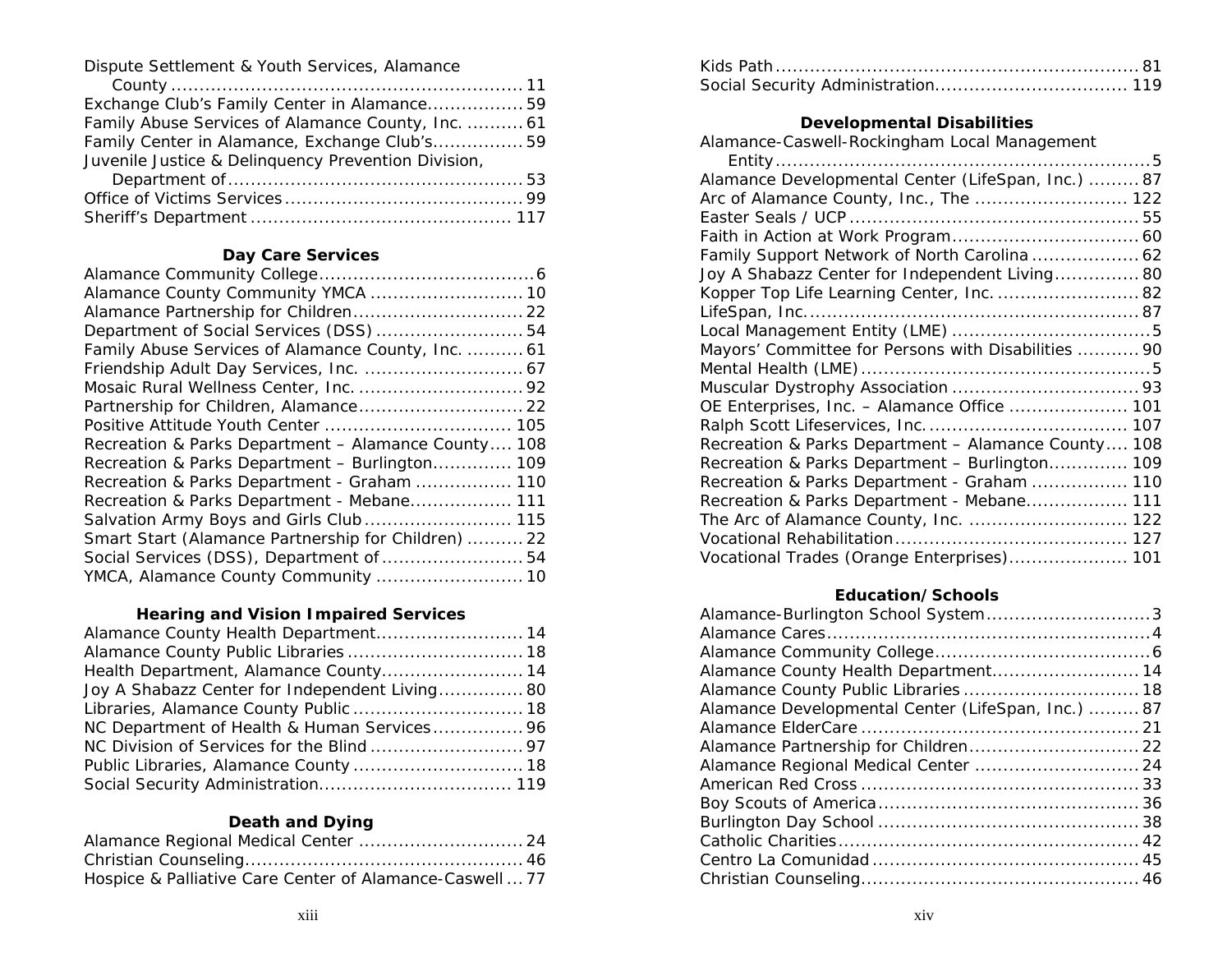Dispute Settlement & Youth Services, Alamance

| Exchange Club's Family Center in Alamance 59        |  |
|-----------------------------------------------------|--|
| Family Abuse Services of Alamance County, Inc.  61  |  |
| Family Center in Alamance, Exchange Club's 59       |  |
| Juvenile Justice & Delinquency Prevention Division, |  |
| Demontant of                                        |  |

# **Day Care Services**

| Alamance County Community YMCA  10                  |
|-----------------------------------------------------|
| Alamance Partnership for Children 22                |
| Department of Social Services (DSS)  54             |
| Family Abuse Services of Alamance County, Inc.  61  |
|                                                     |
|                                                     |
| Partnership for Children, Alamance 22               |
|                                                     |
| Recreation & Parks Department - Alamance County 108 |
| Recreation & Parks Department - Burlington 109      |
| Recreation & Parks Department - Graham  110         |
| Recreation & Parks Department - Mebane 111          |
| Salvation Army Boys and Girls Club 115              |
| Smart Start (Alamance Partnership for Children)  22 |
| Social Services (DSS), Department of  54            |
| YMCA, Alamance County Community  10                 |
|                                                     |

# **Hearing and Vision Impaired Services**

| Alamance County Health Department 14           |  |
|------------------------------------------------|--|
|                                                |  |
| Health Department, Alamance County 14          |  |
| Joy A Shabazz Center for Independent Living 80 |  |
| Libraries, Alamance County Public  18          |  |
| NC Department of Health & Human Services 96    |  |
|                                                |  |
| Public Libraries, Alamance County  18          |  |
|                                                |  |

# **Death and Dying**

| Hospice & Palliative Care Center of Alamance-Caswell  77 |  |
|----------------------------------------------------------|--|

# **Developmental Disabilities**

| Alamance Developmental Center (LifeSpan, Inc.)  87  |
|-----------------------------------------------------|
| Arc of Alamance County, Inc., The  122              |
|                                                     |
|                                                     |
| Family Support Network of North Carolina  62        |
| Joy A Shabazz Center for Independent Living 80      |
| Kopper Top Life Learning Center, Inc.  82           |
|                                                     |
|                                                     |
| Mayors' Committee for Persons with Disabilities  90 |
|                                                     |
|                                                     |
| OE Enterprises, Inc. - Alamance Office  101         |
|                                                     |
| Recreation & Parks Department - Alamance County 108 |
| Recreation & Parks Department - Burlington 109      |
| Recreation & Parks Department - Graham  110         |
| Recreation & Parks Department - Mebane 111          |
| The Arc of Alamance County, Inc.  122               |
|                                                     |
| Vocational Trades (Orange Enterprises) 101          |
|                                                     |

# **Education/Schools**

| Alamance-Burlington School System3                 |  |
|----------------------------------------------------|--|
|                                                    |  |
|                                                    |  |
| Alamance County Health Department 14               |  |
|                                                    |  |
| Alamance Developmental Center (LifeSpan, Inc.)  87 |  |
|                                                    |  |
| Alamance Partnership for Children 22               |  |
| Alamance Regional Medical Center  24               |  |
|                                                    |  |
|                                                    |  |
|                                                    |  |
|                                                    |  |
|                                                    |  |
|                                                    |  |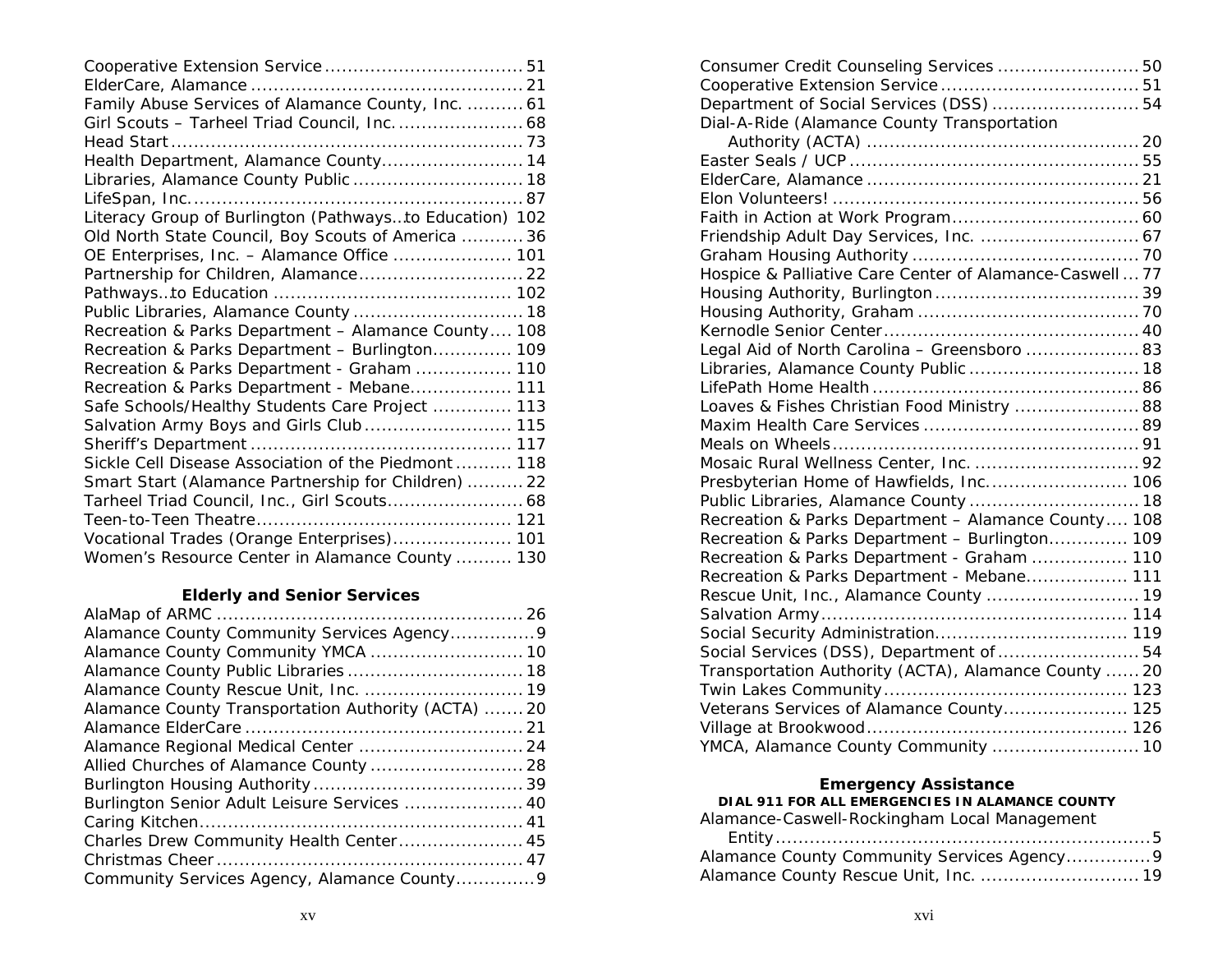# **Elderly and Senior Services**

| Alamance County Community Services Agency 9        |  |
|----------------------------------------------------|--|
| Alamance County Community YMCA  10                 |  |
|                                                    |  |
|                                                    |  |
| Alamance County Transportation Authority (ACTA) 20 |  |
|                                                    |  |
|                                                    |  |
| Allied Churches of Alamance County  28             |  |
|                                                    |  |
| Burlington Senior Adult Leisure Services  40       |  |
|                                                    |  |
| Charles Drew Community Health Center 45            |  |
|                                                    |  |
|                                                    |  |
|                                                    |  |

| Consumer Credit Counseling Services  50                  |  |
|----------------------------------------------------------|--|
|                                                          |  |
| Department of Social Services (DSS)  54                  |  |
| Dial-A-Ride (Alamance County Transportation              |  |
|                                                          |  |
|                                                          |  |
|                                                          |  |
|                                                          |  |
|                                                          |  |
| Friendship Adult Day Services, Inc.  67                  |  |
|                                                          |  |
| Hospice & Palliative Care Center of Alamance-Caswell  77 |  |
|                                                          |  |
|                                                          |  |
|                                                          |  |
| Legal Aid of North Carolina - Greensboro  83             |  |
| Libraries, Alamance County Public  18                    |  |
|                                                          |  |
| Loaves & Fishes Christian Food Ministry  88              |  |
|                                                          |  |
|                                                          |  |
| Mosaic Rural Wellness Center, Inc.  92                   |  |
| Presbyterian Home of Hawfields, Inc 106                  |  |
| Public Libraries, Alamance County  18                    |  |
| Recreation & Parks Department - Alamance County 108      |  |
| Recreation & Parks Department - Burlington 109           |  |
| Recreation & Parks Department - Graham  110              |  |
| Recreation & Parks Department - Mebane 111               |  |
| Rescue Unit, Inc., Alamance County  19                   |  |
|                                                          |  |
|                                                          |  |
| Social Services (DSS), Department of  54                 |  |
| Transportation Authority (ACTA), Alamance County  20     |  |
|                                                          |  |
| Veterans Services of Alamance County 125                 |  |
|                                                          |  |
| YMCA, Alamance County Community  10                      |  |
|                                                          |  |

# **Emergency Assistance<br>DIAL 911 FOR ALL EMERGENCIES IN ALAMANCE COUNTY<br>Alamance-Caswell-Rockingham Local Management**

| Alamance-Caswell-Rockingham Local Management |  |  |
|----------------------------------------------|--|--|
|                                              |  |  |

| Alamance County Community Services Agency9 |  |
|--------------------------------------------|--|
| Alamance County Rescue Unit, Inc.  19      |  |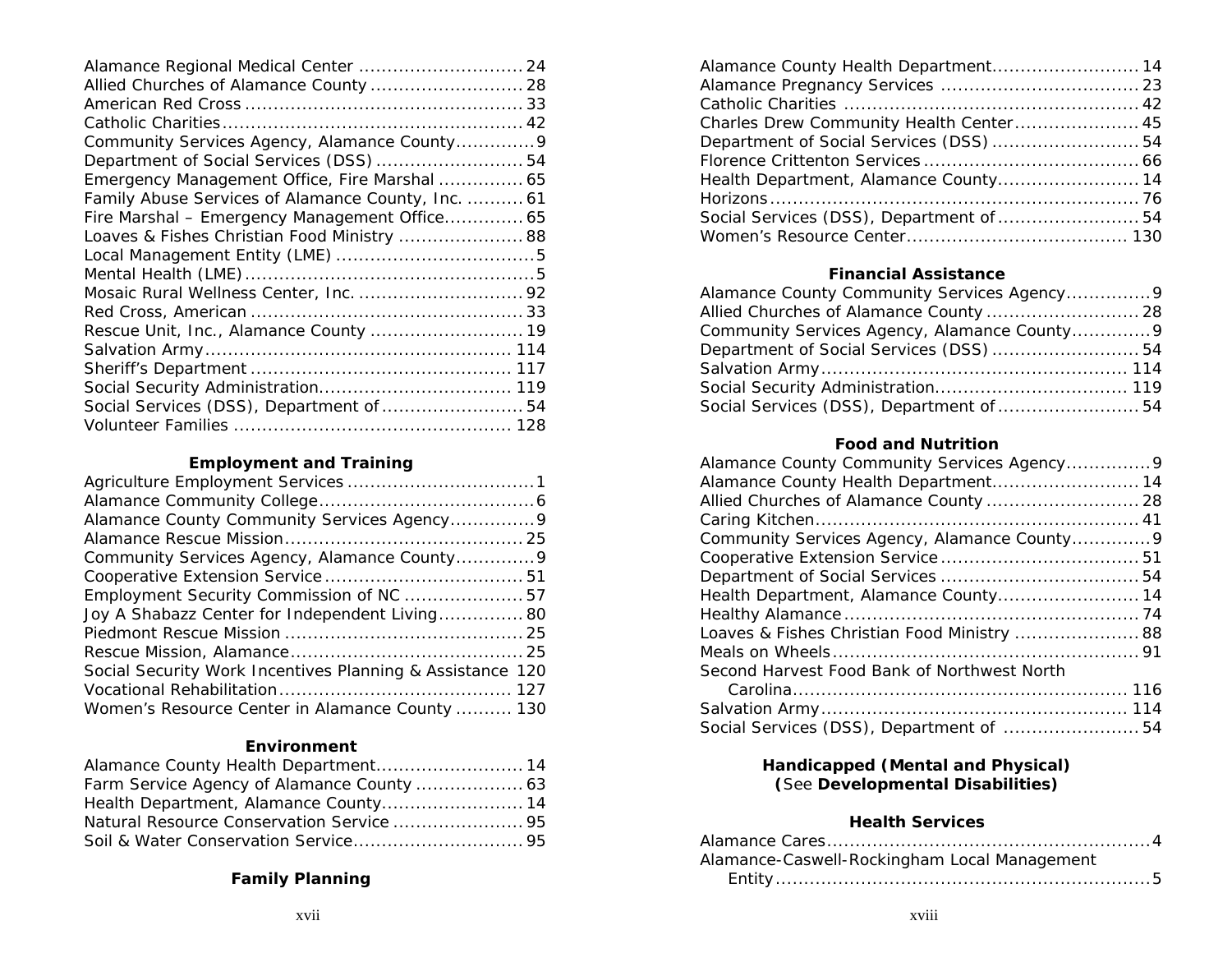| Alamance Regional Medical Center  24               |  |
|----------------------------------------------------|--|
| Allied Churches of Alamance County  28             |  |
|                                                    |  |
|                                                    |  |
| Community Services Agency, Alamance County9        |  |
| Department of Social Services (DSS)  54            |  |
| Emergency Management Office, Fire Marshal  65      |  |
| Family Abuse Services of Alamance County, Inc.  61 |  |
| Fire Marshal - Emergency Management Office 65      |  |
| Loaves & Fishes Christian Food Ministry  88        |  |
|                                                    |  |
|                                                    |  |
|                                                    |  |
|                                                    |  |
| Rescue Unit, Inc., Alamance County  19             |  |
|                                                    |  |
|                                                    |  |
|                                                    |  |
| Social Services (DSS), Department of  54           |  |
|                                                    |  |

# **Employment and Training**

| Alamance County Community Services Agency 9               |  |
|-----------------------------------------------------------|--|
|                                                           |  |
| Community Services Agency, Alamance County9               |  |
|                                                           |  |
|                                                           |  |
| Joy A Shabazz Center for Independent Living 80            |  |
|                                                           |  |
|                                                           |  |
| Social Security Work Incentives Planning & Assistance 120 |  |
|                                                           |  |
| Women's Resource Center in Alamance County  130           |  |

# **Environment**

| Alamance County Health Department 14  |  |
|---------------------------------------|--|
|                                       |  |
| Health Department, Alamance County 14 |  |
|                                       |  |
|                                       |  |

# **Family Planning**

| Alamance County Health Department 14     |  |
|------------------------------------------|--|
|                                          |  |
|                                          |  |
| Charles Drew Community Health Center 45  |  |
| Department of Social Services (DSS)  54  |  |
|                                          |  |
| Health Department, Alamance County 14    |  |
|                                          |  |
| Social Services (DSS), Department of  54 |  |
|                                          |  |

## **Financial Assistance**

| Alamance County Community Services Agency9  |  |
|---------------------------------------------|--|
| Allied Churches of Alamance County  28      |  |
| Community Services Agency, Alamance County9 |  |
| Department of Social Services (DSS) 54      |  |
|                                             |  |
|                                             |  |
| Social Services (DSS), Department of  54    |  |

# **Food and Nutrition**

| Alamance County Community Services Agency9  |  |
|---------------------------------------------|--|
| Alamance County Health Department 14        |  |
| Allied Churches of Alamance County  28      |  |
|                                             |  |
| Community Services Agency, Alamance County9 |  |
|                                             |  |
|                                             |  |
| Health Department, Alamance County 14       |  |
|                                             |  |
| Loaves & Fishes Christian Food Ministry  88 |  |
|                                             |  |
| Second Harvest Food Bank of Northwest North |  |
|                                             |  |
|                                             |  |
| Social Services (DSS), Department of  54    |  |
|                                             |  |

# **Handicapped (Mental and Physical) (**See **Developmental Disabilities)**

# **Health Services**

| Alamance-Caswell-Rockingham Local Management |
|----------------------------------------------|
|                                              |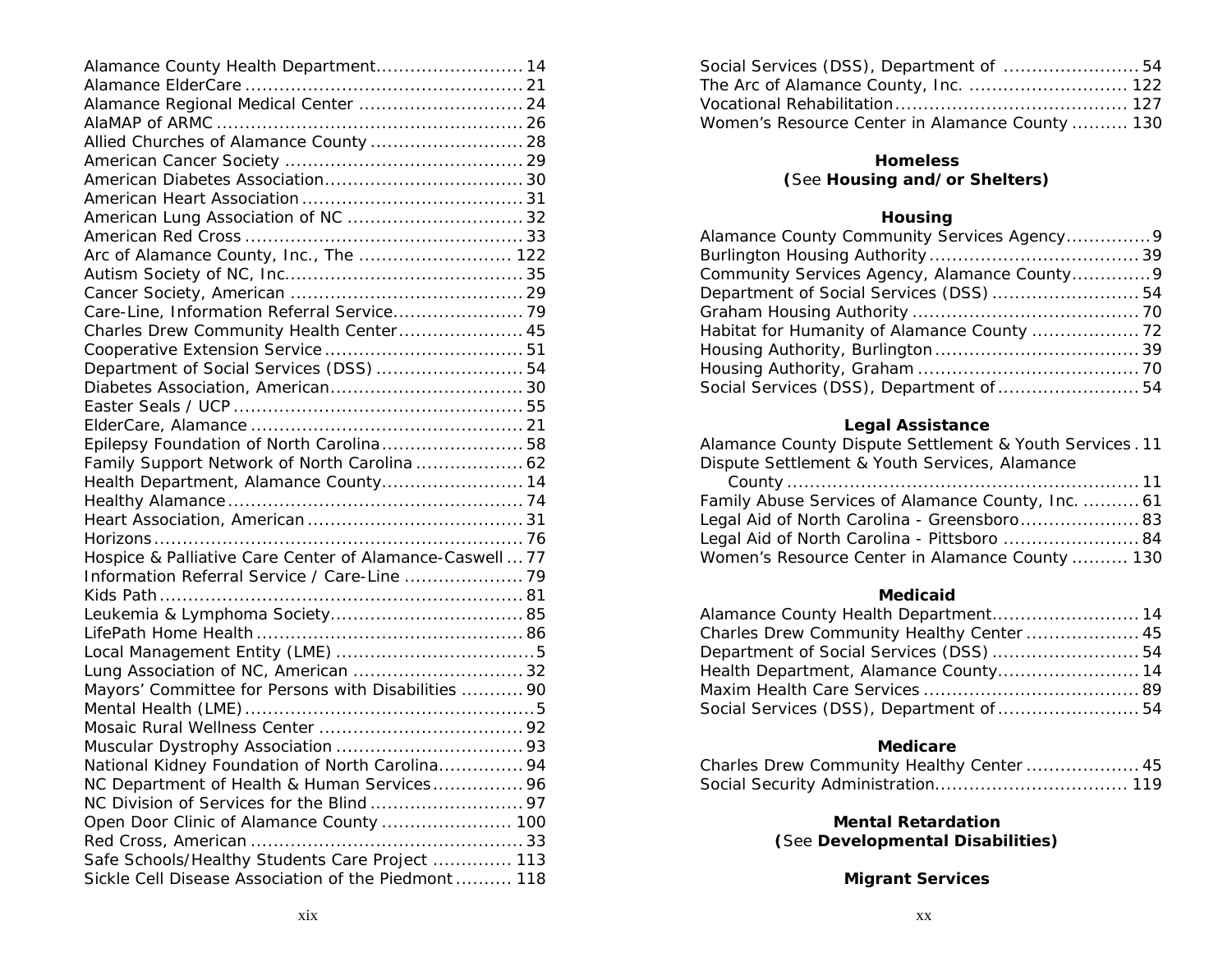| Alamance County Health Department 14                     |  |
|----------------------------------------------------------|--|
|                                                          |  |
| Alamance Regional Medical Center  24                     |  |
|                                                          |  |
| Allied Churches of Alamance County  28                   |  |
|                                                          |  |
|                                                          |  |
|                                                          |  |
|                                                          |  |
| American Lung Association of NC  32                      |  |
|                                                          |  |
| Arc of Alamance County, Inc., The  122                   |  |
|                                                          |  |
|                                                          |  |
|                                                          |  |
| Charles Drew Community Health Center 45                  |  |
|                                                          |  |
| Department of Social Services (DSS)  54                  |  |
|                                                          |  |
|                                                          |  |
|                                                          |  |
| Epilepsy Foundation of North Carolina 58                 |  |
| Family Support Network of North Carolina  62             |  |
| Health Department, Alamance County 14                    |  |
|                                                          |  |
|                                                          |  |
|                                                          |  |
| Hospice & Palliative Care Center of Alamance-Caswell  77 |  |
| Information Referral Service / Care-Line  79             |  |
|                                                          |  |
|                                                          |  |
|                                                          |  |
|                                                          |  |
| Lung Association of NC, American  32                     |  |
| Mayors' Committee for Persons with Disabilities  90      |  |
|                                                          |  |
|                                                          |  |
|                                                          |  |
| National Kidney Foundation of North Carolina 94          |  |
| NC Department of Health & Human Services 96              |  |
|                                                          |  |
| Open Door Clinic of Alamance County  100                 |  |
|                                                          |  |
| Safe Schools/Healthy Students Care Project  113          |  |
| Sickle Cell Disease Association of the Piedmont  118     |  |
|                                                          |  |

| Social Services (DSS), Department of  54        |  |
|-------------------------------------------------|--|
|                                                 |  |
|                                                 |  |
| Women's Resource Center in Alamance County  130 |  |

# **Homeless**

# **(**See **Housing and/or Shelters)**

# **Housing**

| Alamance County Community Services Agency9  |  |
|---------------------------------------------|--|
|                                             |  |
| Community Services Agency, Alamance County9 |  |
| Department of Social Services (DSS)  54     |  |
|                                             |  |
|                                             |  |
|                                             |  |
|                                             |  |
| Social Services (DSS), Department of  54    |  |

# **Legal Assistance**

| Alamance County Dispute Settlement & Youth Services. 11 |
|---------------------------------------------------------|
| Dispute Settlement & Youth Services, Alamance           |

| Family Abuse Services of Alamance County, Inc.  61 |  |
|----------------------------------------------------|--|
| Legal Aid of North Carolina - Greensboro 83        |  |
| Legal Aid of North Carolina - Pittsboro  84        |  |
| Women's Resource Center in Alamance County  130    |  |

# **Medicaid**

| Charles Drew Community Healthy Center  45 |  |
|-------------------------------------------|--|
| Department of Social Services (DSS) 54    |  |
| Health Department, Alamance County 14     |  |
|                                           |  |
| Social Services (DSS), Department of  54  |  |

# **Medicare**

| Charles Drew Community Healthy Center  45 |  |
|-------------------------------------------|--|
|                                           |  |

**Mental Retardation (**See **Developmental Disabilities)** 

# **Migrant Services**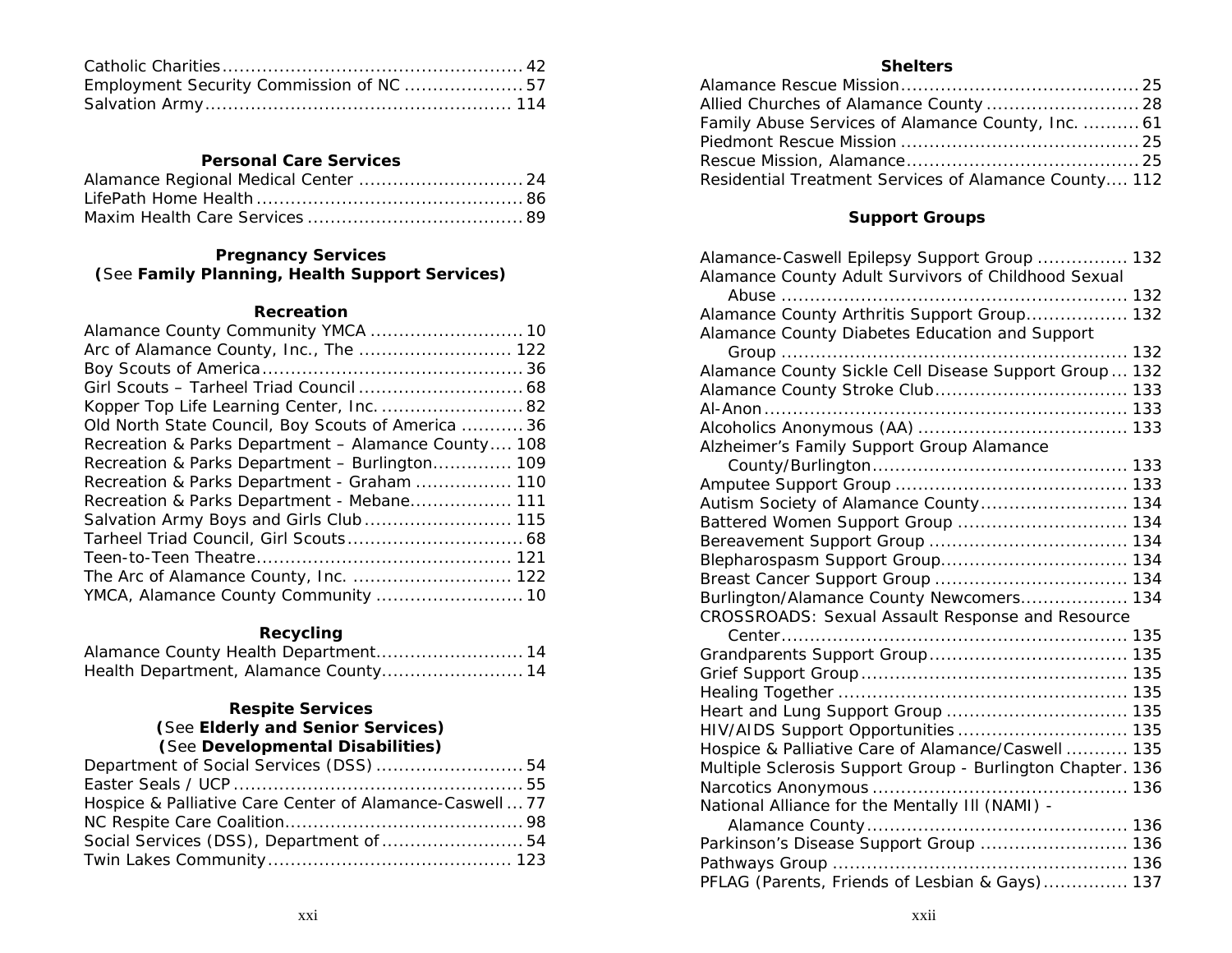| Employment Security Commission of NC  57 |  |
|------------------------------------------|--|
|                                          |  |

# **Personal Care Services**

# **Pregnancy Services (**See **Family Planning, Health Support Services)**

### **Recreation**

# **Recycling**

| Health Department, Alamance County 14 |  |
|---------------------------------------|--|

# **Respite Services (**See **Elderly and Senior Services) (**See **Developmental Disabilities)**

| Department of Social Services (DSS)  54                  |  |
|----------------------------------------------------------|--|
|                                                          |  |
| Hospice & Palliative Care Center of Alamance-Caswell  77 |  |
|                                                          |  |
| Social Services (DSS), Department of  54                 |  |
|                                                          |  |

# **Shelters**

| Allied Churches of Alamance County  28                |  |
|-------------------------------------------------------|--|
| Family Abuse Services of Alamance County, Inc.  61    |  |
|                                                       |  |
|                                                       |  |
| Residential Treatment Services of Alamance County 112 |  |

# **Support Groups**

| Alamance-Caswell Epilepsy Support Group  132<br>Alamance County Adult Survivors of Childhood Sexual |  |
|-----------------------------------------------------------------------------------------------------|--|
|                                                                                                     |  |
| Alamance County Arthritis Support Group 132                                                         |  |
| Alamance County Diabetes Education and Support                                                      |  |
| Group                                                                                               |  |
| Alamance County Sickle Cell Disease Support Group  132                                              |  |
|                                                                                                     |  |
|                                                                                                     |  |
|                                                                                                     |  |
| Alzheimer's Family Support Group Alamance                                                           |  |
|                                                                                                     |  |
|                                                                                                     |  |
| Autism Society of Alamance County 134                                                               |  |
| Battered Women Support Group  134                                                                   |  |
|                                                                                                     |  |
|                                                                                                     |  |
|                                                                                                     |  |
| Burlington/Alamance County Newcomers 134                                                            |  |
| CROSSROADS: Sexual Assault Response and Resource                                                    |  |
|                                                                                                     |  |
|                                                                                                     |  |
|                                                                                                     |  |
|                                                                                                     |  |
|                                                                                                     |  |
|                                                                                                     |  |
| Hospice & Palliative Care of Alamance/Caswell  135                                                  |  |
| Multiple Sclerosis Support Group - Burlington Chapter. 136                                          |  |
|                                                                                                     |  |
| National Alliance for the Mentally III (NAMI) -                                                     |  |
|                                                                                                     |  |
| Parkinson's Disease Support Group  136                                                              |  |
|                                                                                                     |  |
| PFLAG (Parents, Friends of Lesbian & Gays) 137                                                      |  |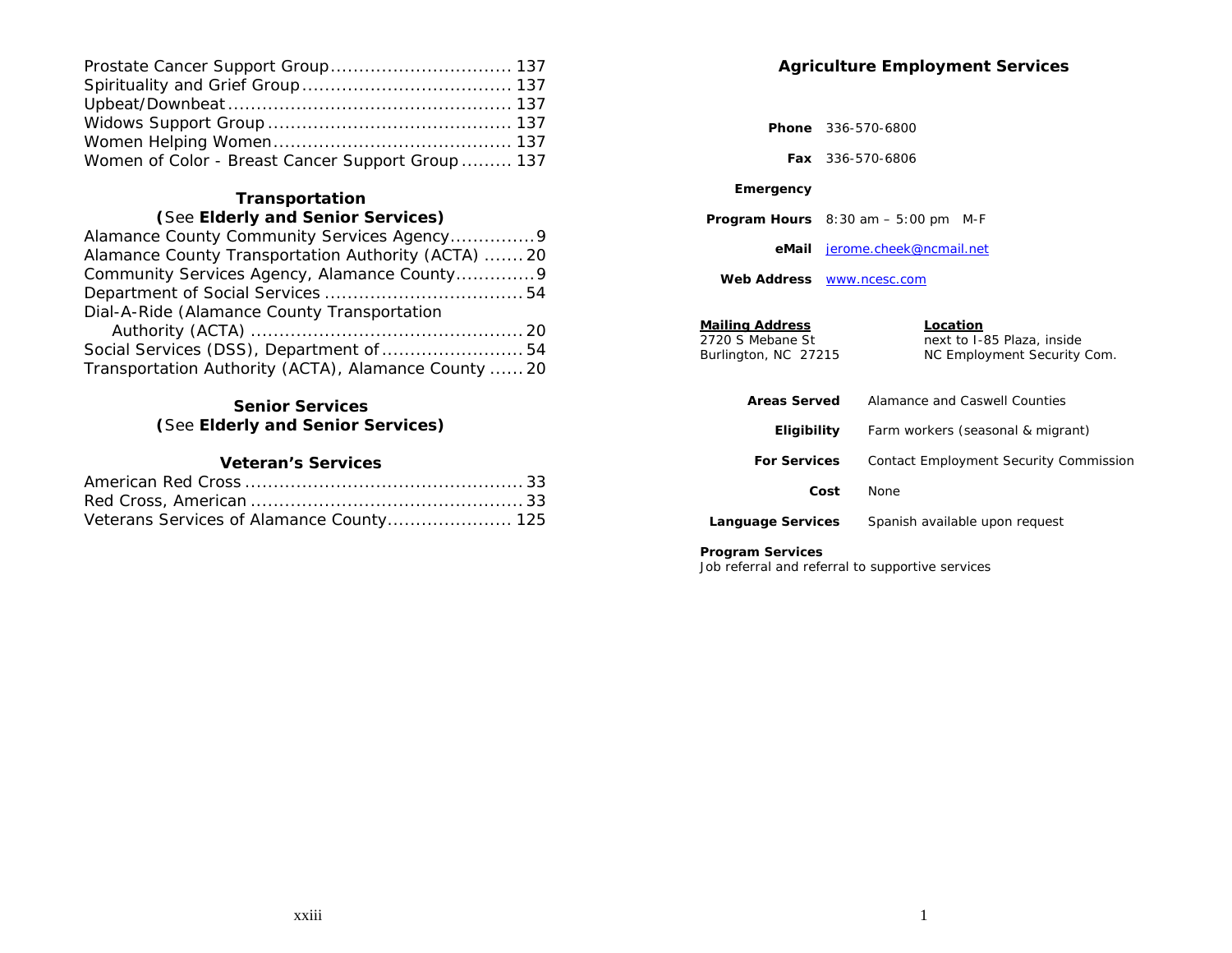| Women of Color - Breast Cancer Support Group  137 |  |
|---------------------------------------------------|--|

# **Transportation (**See **Elderly and Senior Services)**

| Alamance County Transportation Authority (ACTA) 20   |  |
|------------------------------------------------------|--|
| Community Services Agency, Alamance County9          |  |
|                                                      |  |
| Dial-A-Ride (Alamance County Transportation          |  |
|                                                      |  |
| Social Services (DSS), Department of  54             |  |
| Transportation Authority (ACTA), Alamance County  20 |  |

# **Senior Services (**See **Elderly and Senior Services)**

### **Veteran's Services**

# **Agriculture Employment Services**

 **Phone** 336-570-6800

 **Fax** 336-570-6806

#### **Emergency**

 **Program Hours** 8:30 am – 5:00 pm M-F

 **eMail** jerome.cheek@ncmail.net

 **Web Address** www.ncesc.com

| <b>Mailing Address</b> | Location                    |
|------------------------|-----------------------------|
| 2720 S Mebane St       | next to I-85 Plaza, inside  |
| Burlington, NC 27215   | NC Employment Security Com. |
|                        |                             |

| Areas Served        | Alamance and Caswell Counties                 |
|---------------------|-----------------------------------------------|
| <b>Eligibility</b>  | Farm workers (seasonal & migrant)             |
| <b>For Services</b> | <b>Contact Employment Security Commission</b> |
| Cost                | None                                          |
| Language Services   | Spanish available upon request                |

#### **Program Services**

Job referral and referral to supportive services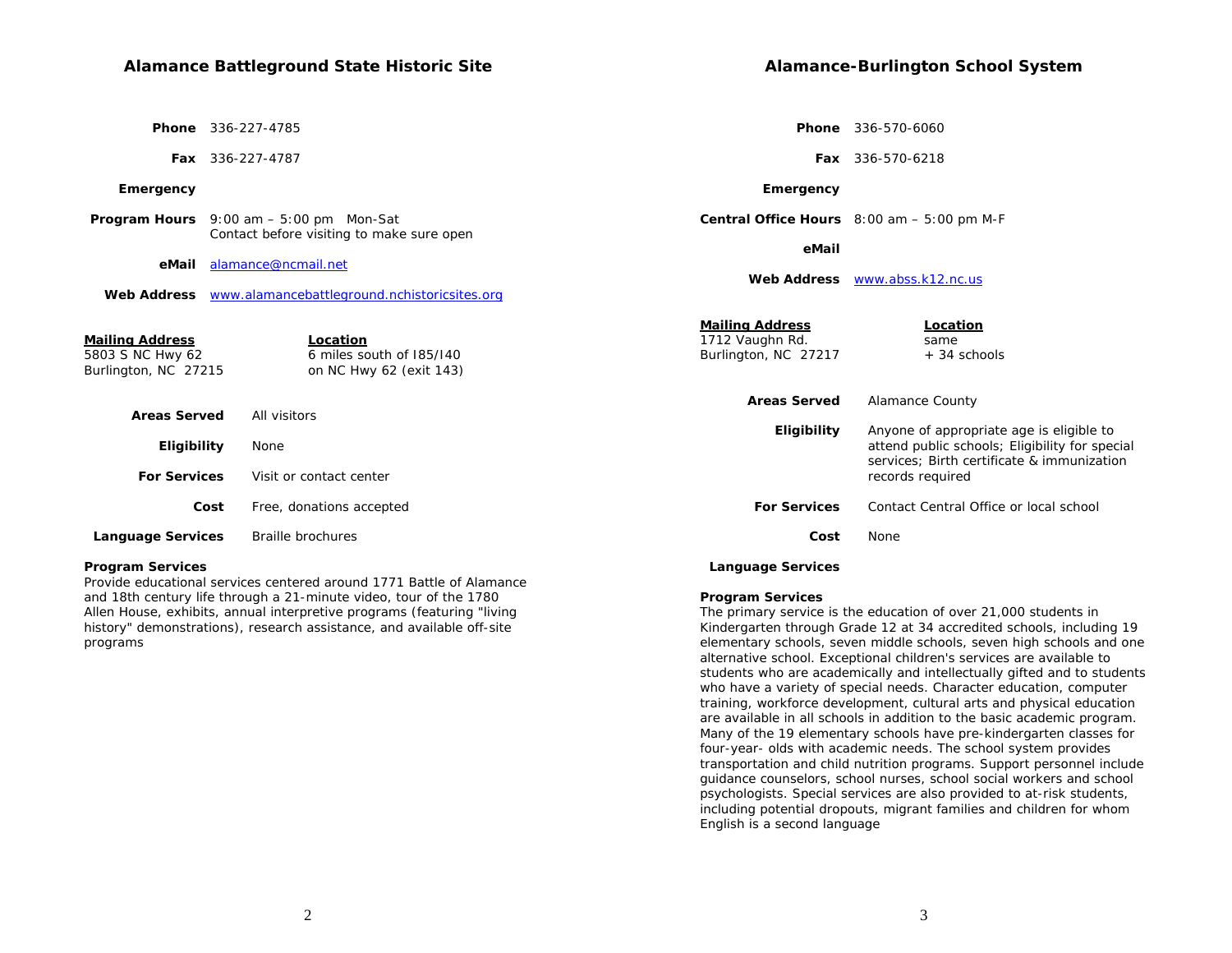|                                                                    | <b>Phone</b> 336-227-4785                                        |                                                                   | <b>Phone</b> 336-570-6060                                                                    |
|--------------------------------------------------------------------|------------------------------------------------------------------|-------------------------------------------------------------------|----------------------------------------------------------------------------------------------|
|                                                                    | Fax 336-227-4787                                                 |                                                                   | Fax 336-570-6218                                                                             |
| Emergency                                                          |                                                                  | Emergency                                                         |                                                                                              |
|                                                                    | <b>Program Hours</b> $9:00 \text{ am} - 5:00 \text{ pm}$ Mon-Sat |                                                                   | <b>Central Office Hours</b> $8:00$ am $-5:00$ pm M-F                                         |
|                                                                    | Contact before visiting to make sure open                        | eMail                                                             |                                                                                              |
| eMail                                                              | alamance@ncmail.net                                              |                                                                   | Web Address www.abss.k12.nc.us                                                               |
| <b>Web Address</b>                                                 | www.alamancebattleground.nchistoricsites.org                     |                                                                   |                                                                                              |
| <u>Mailing Address</u><br>5803 S NC Hwy 62<br>Burlington, NC 27215 | Location<br>6 miles south of 185/140<br>on NC Hwy 62 (exit 143)  | <b>Mailing Address</b><br>1712 Vaughn Rd.<br>Burlington, NC 27217 | Location<br>same<br>+ 34 schools                                                             |
|                                                                    |                                                                  | <b>Areas Served</b>                                               | <b>Alamance County</b>                                                                       |
| <b>Areas Served</b>                                                | All visitors                                                     | Eligibility                                                       | Anyone of appropriate age is eligible to                                                     |
| <b>Eligibility</b>                                                 | None                                                             |                                                                   | attend public schools; Eligibility for special<br>services: Birth certificate & immunization |
| <b>For Services</b>                                                | Visit or contact center                                          |                                                                   | records required                                                                             |
|                                                                    | Free, donations accepted<br>Cost                                 | <b>For Services</b>                                               | Contact Central Office or local school                                                       |
| <b>Language Services</b>                                           | Braille brochures                                                | Cost                                                              | None                                                                                         |

#### **Program Services**

Provide educational services centered around 1771 Battle of Alamance and 18th century life through a 21-minute video, tour of the 1780 Allen House, exhibits, annual interpretive programs (featuring "living history" demonstrations), research assistance, and available off-site programs

#### **Program Services**

 **Language Services**

The primary service is the education of over 21,000 students in Kindergarten through Grade 12 at 34 accredited schools, including 19 elementary schools, seven middle schools, seven high schools and one alternative school. Exceptional children's services are available to students who are academically and intellectually gifted and to students who have a variety of special needs. Character education, computer training, workforce development, cultural arts and physical education are available in all schools in addition to the basic academic program. Many of the 19 elementary schools have pre-kindergarten classes for four-year- olds with academic needs. The school system provides transportation and child nutrition programs. Support personnel include guidance counselors, school nurses, school social workers and school psychologists. Special services are also provided to at-risk students, including potential dropouts, migrant families and children for whom English is a second language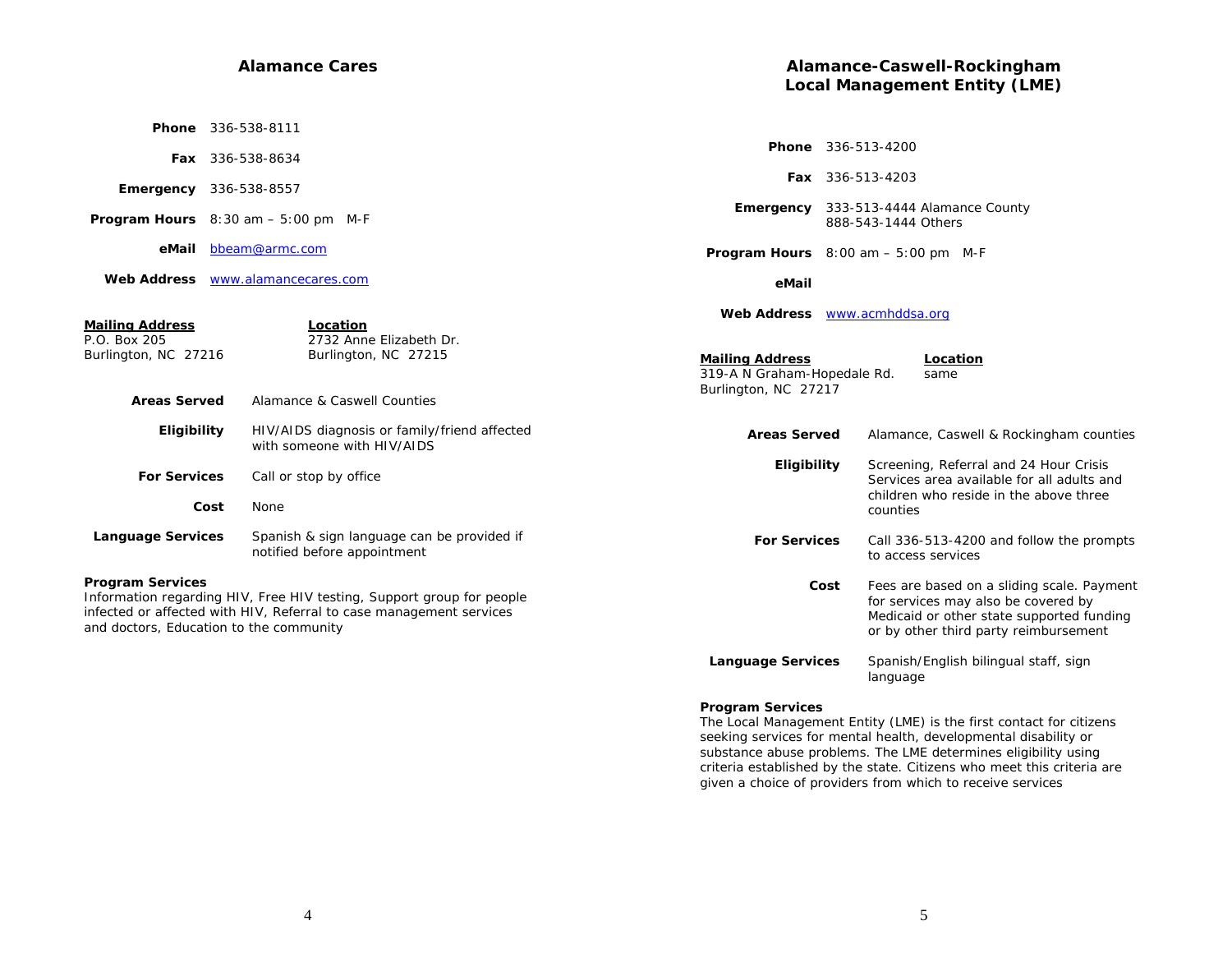#### **Alamance Cares**

|                                                                                       | <b>Phone</b> 336-538-8111                                                                  |                                                         |
|---------------------------------------------------------------------------------------|--------------------------------------------------------------------------------------------|---------------------------------------------------------|
|                                                                                       | <b>Fax</b> 336-538-8634                                                                    | Рŀ                                                      |
|                                                                                       | <b>Emergency</b> 336-538-8557                                                              |                                                         |
|                                                                                       | <b>Program Hours</b> $8:30$ am $-5:00$ pm M-F                                              | Emerge                                                  |
| eMail                                                                                 | bbeam@armc.com                                                                             | Program He                                              |
|                                                                                       | Web Address <b>WWW.alamancecares.com</b>                                                   | e                                                       |
| <b>Mailing Address</b><br>P.O. Box 205<br>Burlington, NC 27216<br><b>Areas Served</b> | Location<br>2732 Anne Elizabeth Dr.<br>Burlington, NC 27215<br>Alamance & Caswell Counties | Web Add<br>Mailing Add<br>319-A N Grah<br>Burlington, N |
| Eligibility                                                                           | HIV/AIDS diagnosis or family/friend affected<br>with someone with HIV/AIDS                 | <b>Areas</b>                                            |
| <b>For Services</b>                                                                   | Call or stop by office                                                                     | Е                                                       |
|                                                                                       | Cost<br><b>None</b>                                                                        |                                                         |
| <b>Language Services</b>                                                              | Spanish & sign language can be provided if<br>notified before appointment                  | For $\mathcal I$                                        |
| <b>Program Services</b>                                                               |                                                                                            |                                                         |

#### **Program Services**

Information regarding HIV, Free HIV testing, Support group for people infected or affected with HIV, Referral to case management services and doctors, Education to the community

# **Alamance-Caswell-Rockingham Local Management Entity (LME)**

|                                                                               | <b>Phone</b> 336-513-4200                                                                                                                                                       |
|-------------------------------------------------------------------------------|---------------------------------------------------------------------------------------------------------------------------------------------------------------------------------|
|                                                                               | <b>Fax</b> 336-513-4203                                                                                                                                                         |
| Emergency                                                                     | 333-513-4444 Alamance County<br>888-543-1444 Others                                                                                                                             |
|                                                                               | <b>Program Hours</b> $8:00$ am $-5:00$ pm M-F                                                                                                                                   |
| eMail                                                                         |                                                                                                                                                                                 |
| <b>Web Address</b>                                                            | www.acmhddsa.org                                                                                                                                                                |
| <u>Mailing Address</u><br>319-A N Graham-Hopedale Rd.<br>Burlington, NC 27217 | Location<br>same                                                                                                                                                                |
| <b>Areas Served</b>                                                           | Alamance, Caswell & Rockingham counties                                                                                                                                         |
| Eligibility                                                                   | Screening, Referral and 24 Hour Crisis<br>Services area available for all adults and<br>children who reside in the above three<br>counties                                      |
| <b>For Services</b>                                                           | Call 336-513-4200 and follow the prompts<br>to access services                                                                                                                  |
|                                                                               | Cost<br>Fees are based on a sliding scale. Payment<br>for services may also be covered by<br>Medicaid or other state supported funding<br>or by other third party reimbursement |
| <b>Language Services</b>                                                      | Spanish/English bilingual staff, sign<br>language                                                                                                                               |

#### **Program Services**

The Local Management Entity (LME) is the first contact for citizens seeking services for mental health, developmental disability or substance abuse problems. The LME determines eligibility using criteria established by the state. Citizens who meet this criteria are given a choice of providers from which to receive services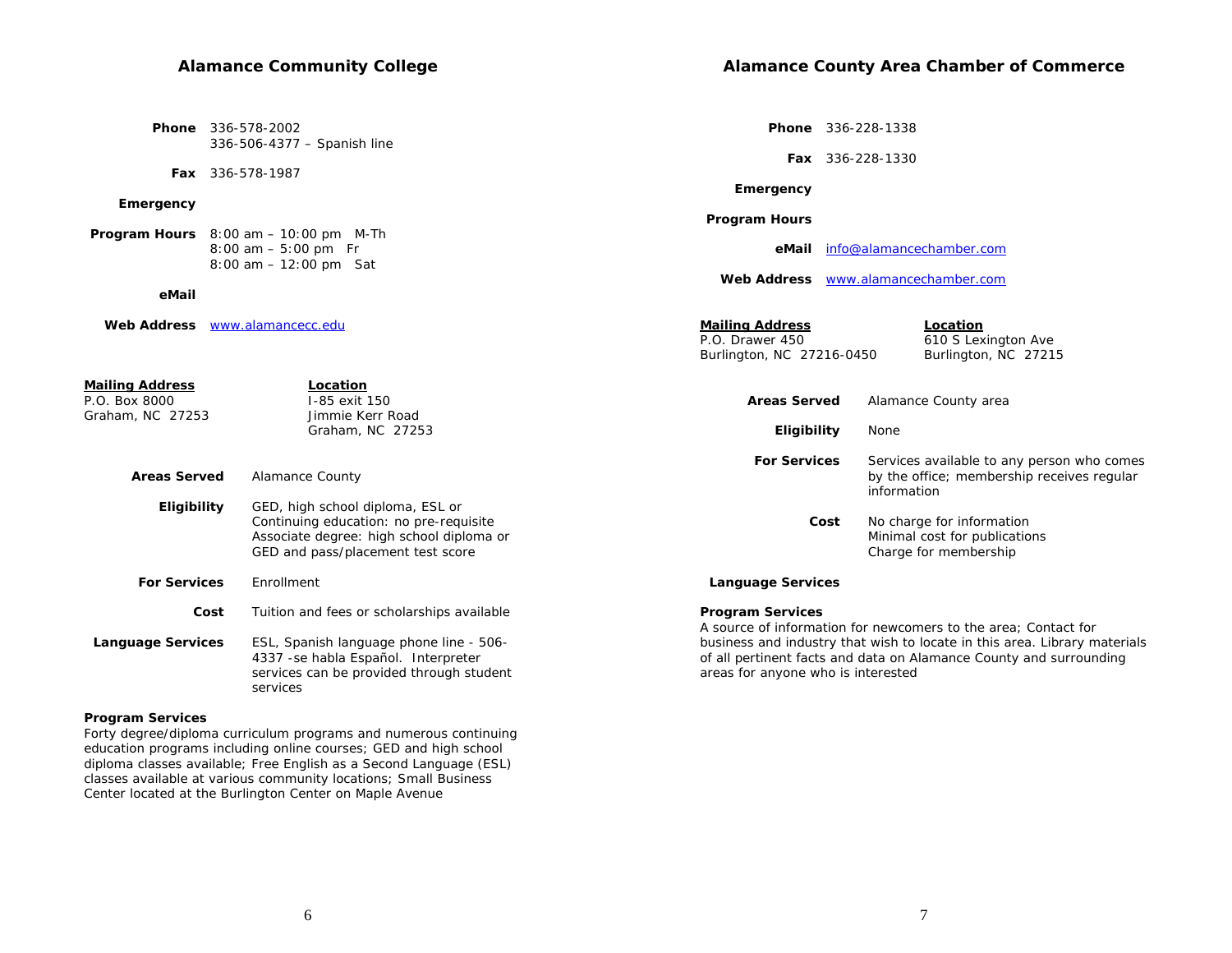# **Alamance Community College**

| <b>Phone</b> 336-578-2002   |
|-----------------------------|
| 336-506-4377 - Spanish line |

 **Fax** 336-578-1987

#### **Emergency**

 **Program Hours** 8:00 am – 10:00 pm M-Th 8:00 am – 5:00 pm Fr 8:00 am – 12:00 pm Sat

| eMail                                                       |                                                                                                                                                             |                                                                        | <b>Web Address</b> WWW.alamancechamber.com                                                              |
|-------------------------------------------------------------|-------------------------------------------------------------------------------------------------------------------------------------------------------------|------------------------------------------------------------------------|---------------------------------------------------------------------------------------------------------|
| <b>Web Address</b>                                          | www.alamancecc.edu                                                                                                                                          | <b>Mailing Address</b><br>P.O. Drawer 450<br>Burlington, NC 27216-0450 | Location<br>610 S Lexington Ave<br>Burlington, NC 27215                                                 |
| <b>Mailing Address</b><br>P.O. Box 8000<br>Graham, NC 27253 | Location<br>I-85 exit 150<br>Jimmie Kerr Road                                                                                                               | <b>Areas Served</b>                                                    | Alamance County area                                                                                    |
|                                                             | Graham, NC 27253                                                                                                                                            | Eligibility                                                            | None                                                                                                    |
| <b>Areas Served</b>                                         | Alamance County                                                                                                                                             | <b>For Services</b>                                                    | Services available to any person who comes<br>by the office; membership receives regular<br>information |
| <b>Eligibility</b>                                          | GED, high school diploma, ESL or<br>Continuing education: no pre-requisite<br>Associate degree: high school diploma or<br>GED and pass/placement test score | Cost                                                                   | No charge for information<br>Minimal cost for publications<br>Charge for membership                     |
| <b>For Services</b>                                         | Enrollment                                                                                                                                                  | <b>Language Services</b>                                               |                                                                                                         |
| Cost                                                        | Tuition and fees or scholarships available                                                                                                                  | <b>Program Services</b>                                                | A source of information for newcomers to the area: Contact for                                          |

 **Language Services** ESL, Spanish language phone line - 506- 4337 -se habla Español. Interpreter services can be provided through student services

#### **Program Services**

Forty degree/diploma curriculum programs and numerous continuing education programs including online courses; GED and high school diploma classes available; Free English as a Second Language (ESL) classes available at various community locations; Small Business Center located at the Burlington Center on Maple Avenue

 **Phone** 336-228-1338

 **Fax** 336-228-1330

 **Emergency**

#### **Program Hours**

 **eMail** info@alamancechamber.com

 **Web Address**www.alamancechamber.com

areas for anyone who is interested

| Charge for membership                                                     |
|---------------------------------------------------------------------------|
| <b>Language Services</b>                                                  |
| <b>Program Services</b>                                                   |
| A source of information for newcomers to the area; Contact for            |
| business and industry that wish to locate in this area. Library materials |
| of all pertinent facts and data on Alamance County and surrounding        |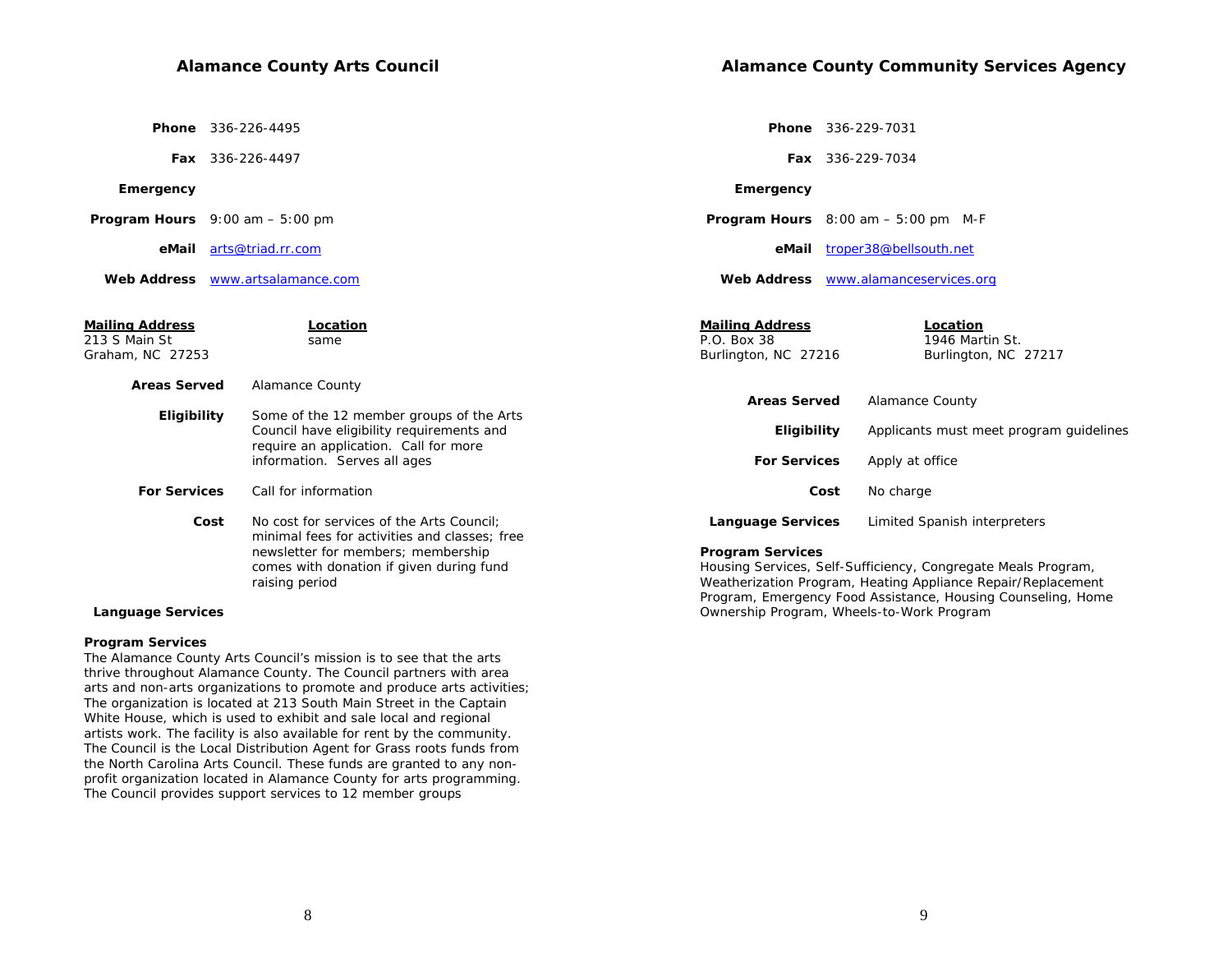**Phone** 336-226-4495

 **Fax** 336-226-4497

#### **Emergency**

 **Program Hours** 9:00 am – 5:00 pm

 **eMail** arts@triad.rr.com

 **Web Address** www.artsalamance.com

| Mailing Address<br>213 S Main St<br>Graham, NC 27253 | Location<br>same                                                                                                               | <b>Mailing Address</b><br>P.O. Box 38<br>Burlington, NC 27216 | Location<br>1946 Martin St.<br>Burlington, NC 27217                                                                           |
|------------------------------------------------------|--------------------------------------------------------------------------------------------------------------------------------|---------------------------------------------------------------|-------------------------------------------------------------------------------------------------------------------------------|
| <b>Areas Served</b>                                  | Alamance County                                                                                                                |                                                               |                                                                                                                               |
|                                                      |                                                                                                                                | <b>Areas Served</b>                                           | Alamance County                                                                                                               |
| Eligibility                                          | Some of the 12 member groups of the Arts<br>Council have eligibility requirements and<br>require an application. Call for more | Eligibility                                                   | Applicants must meet program guidelines                                                                                       |
|                                                      | information. Serves all ages                                                                                                   | <b>For Services</b>                                           | Apply at office                                                                                                               |
| <b>For Services</b>                                  | Call for information                                                                                                           | Cost                                                          | No charge                                                                                                                     |
| Cost                                                 | No cost for services of the Arts Council:<br>minimal fees for activities and classes: free                                     | <b>Language Services</b>                                      | Limited Spanish interpreters                                                                                                  |
|                                                      | newsletter for members; membership<br>comes with donation if given during fund<br>raising period                               | <b>Program Services</b>                                       | Housing Services, Self-Sufficiency, Congregate Meals Program,<br>Weatherization Program, Heating Appliance Repair/Replacement |

#### **Language Services**

#### **Program Services**

The Alamance County Arts Council's mission is to see that the arts thrive throughout Alamance County. The Council partners with area arts and non-arts organizations to promote and produce arts activities; The organization is located at 213 South Main Street in the Captain White House, which is used to exhibit and sale local and regional artists work. The facility is also available for rent by the community. The Council is the Local Distribution Agent for Grass roots funds from the North Carolina Arts Council. These funds are granted to any nonprofit organization located in Alamance County for arts programming. The Council provides support services to 12 member groups

 **Phone** 336-229-7031

 **Fax** 336-229-7034

#### **Emergency**

 **Program Hours** 8:00 am – 5:00 pm M-F

 **eMail** troper38@bellsouth.net

 **Web Address** www.alamanceservices.org

Program, Emergency Food Assistance, Housing Counseling, Home

Ownership Program, Wheels-to-Work Program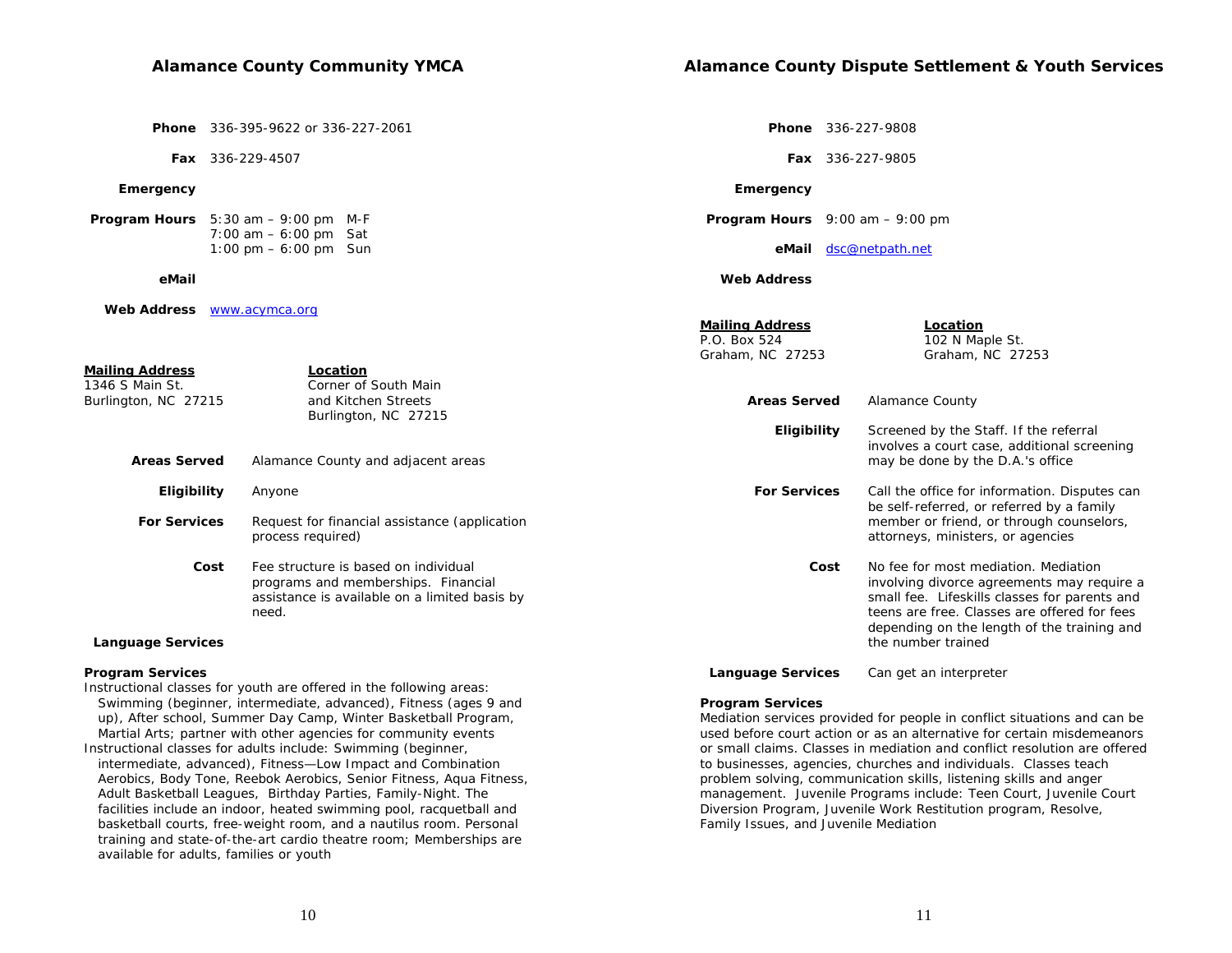**Phone** 336-227-9808

 **Program Hours** 9:00 am – 9:00 pm

 **eMail** dsc@netpath.net

 **Emergency**

 **Web Address**

 **Fax** 336-227-9805

 **Phone** 336-395-9622 or 336-227-2061

 **Fax** 336-229-4507

#### **Emergency**

 **Program Hours** 5:30 am – 9:00 pm M-F 7:00 am – 6:00 pm Sat 1:00 pm – 6:00 pm Sun

 **eMail**

 **Web Address** www.acymca.org

|                                                            |                                                                                                                                       | <b>Mailing Address</b><br>P.O. Box 524<br>Graham, NC 27253 | <b>Location</b><br>102 N Maple St.<br>Graham, NC 27253                                                                                                                                                                             |
|------------------------------------------------------------|---------------------------------------------------------------------------------------------------------------------------------------|------------------------------------------------------------|------------------------------------------------------------------------------------------------------------------------------------------------------------------------------------------------------------------------------------|
| Mailing Address<br>1346 S Main St.<br>Burlington, NC 27215 | Location<br>Corner of South Main<br>and Kitchen Streets<br>Burlington, NC 27215                                                       | <b>Areas Served</b>                                        | <b>Alamance County</b>                                                                                                                                                                                                             |
| <b>Areas Served</b>                                        | Alamance County and adjacent areas                                                                                                    | <b>Eligibility</b>                                         | Screened by the Staff. If the referral<br>involves a court case, additional screening<br>may be done by the D.A.'s office                                                                                                          |
| <b>Eligibility</b>                                         | Anyone                                                                                                                                | <b>For Services</b>                                        | Call the office for information. Disputes can<br>be self-referred, or referred by a family                                                                                                                                         |
| <b>For Services</b>                                        | Request for financial assistance (application<br>process required)                                                                    |                                                            | member or friend, or through counselors,<br>attorneys, ministers, or agencies                                                                                                                                                      |
| Cost                                                       | Fee structure is based on individual<br>programs and memberships. Financial<br>assistance is available on a limited basis by<br>need. | Cost                                                       | No fee for most mediation. Mediation<br>involving divorce agreements may require a<br>small fee. Lifeskills classes for parents and<br>teens are free. Classes are offered for fees<br>depending on the length of the training and |
| <b>Language Services</b>                                   |                                                                                                                                       |                                                            | the number trained                                                                                                                                                                                                                 |

#### **Program Services**

Instructional classes for youth are offered in the following areas: Swimming (beginner, intermediate, advanced), Fitness (ages 9 and up), After school, Summer Day Camp, Winter Basketball Program, Martial Arts; partner with other agencies for community events Instructional classes for adults include: Swimming (beginner, intermediate, advanced), Fitness—Low Impact and Combination Aerobics, Body Tone, Reebok Aerobics, Senior Fitness, Aqua Fitness, Adult Basketball Leagues, Birthday Parties, Family-Night. The facilities include an indoor, heated swimming pool, racquetball and basketball courts, free-weight room, and a nautilus room. Personal training and state-of-the-art cardio theatre room; Memberships are available for adults, families or youth

#### **Program Services**

Mediation services provided for people in conflict situations and can be used before court action or as an alternative for certain misdemeanors or small claims. Classes in mediation and conflict resolution are offered to businesses, agencies, churches and individuals. Classes teach problem solving, communication skills, listening skills and anger management. Juvenile Programs include: Teen Court, Juvenile Court Diversion Program, Juvenile Work Restitution program, Resolve, Family Issues, and Juvenile Mediation

Language Services Can get an interpreter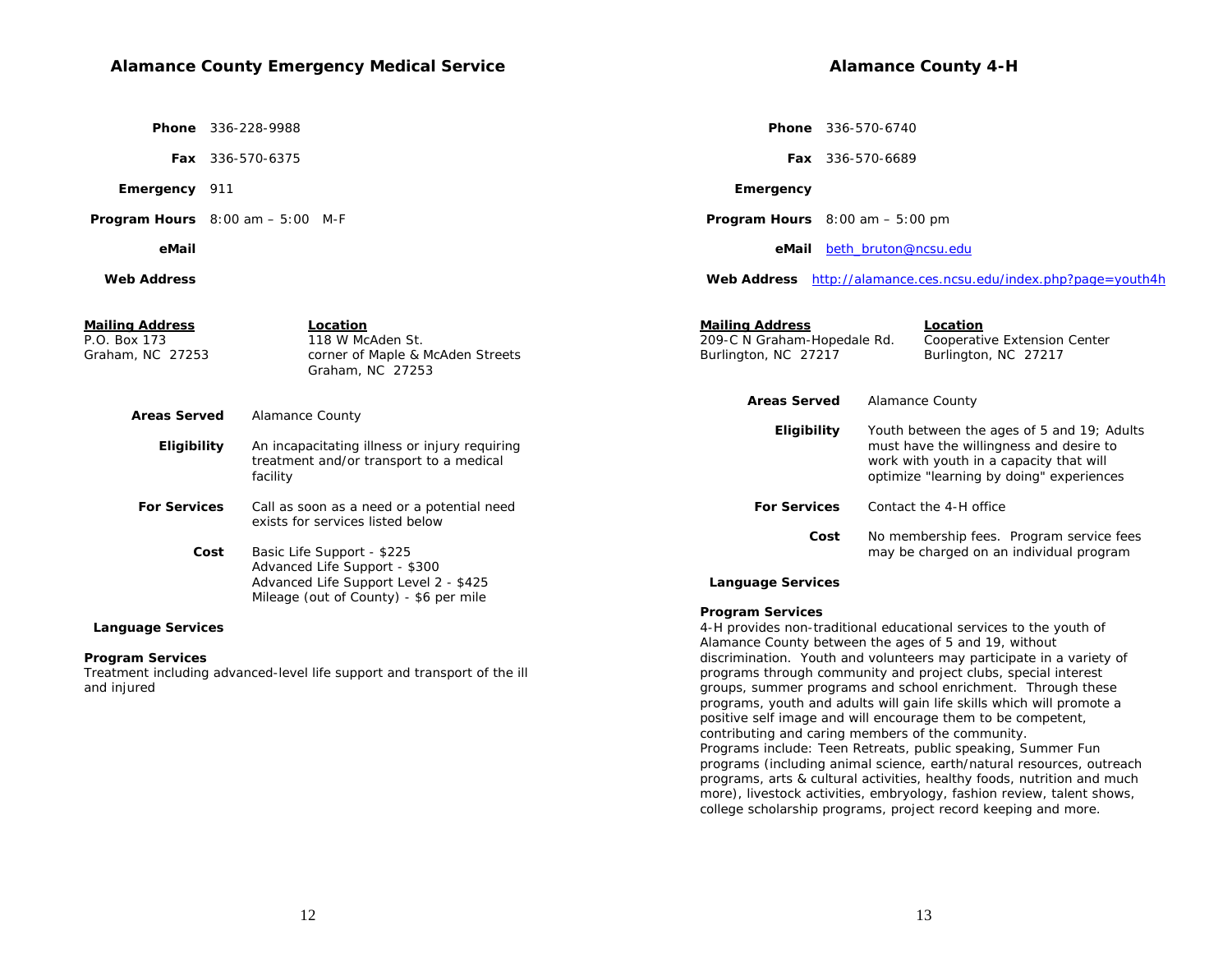# **Alamance County Emergency Medical Service**

 **Phone** 336-228-9988

 **Fax** 336-570-6375

 **Emergency** 911

 **Program Hours** 8:00 am – 5:00 M-F

#### **eMail**

 **Web Address**

|           | <b>Phone</b> 336-570-6740 |  |
|-----------|---------------------------|--|
|           | <b>Fax</b> 336-570-6689   |  |
| Emergency |                           |  |

**Alamance County 4-H** 

 **Program Hours** 8:00 am – 5:00 pm

 **eMail** beth\_bruton@ncsu.edu

 **Web Address** http://alamance.ces.ncsu.edu/index.php?page=youth4h

| Mailing Address<br>P.O. Box 173<br>Graham, NC 27253 | <b>Mailing Address</b><br>Location<br>209-C N Graham-Hopedale Rd.<br>118 W McAden St.<br>Burlington, NC 27217<br>corner of Maple & McAden Streets<br>Graham, NC 27253 |                          |                                                                                                                                | Location<br>Cooperative Extension Center<br>Burlington, NC 27217 |  |
|-----------------------------------------------------|-----------------------------------------------------------------------------------------------------------------------------------------------------------------------|--------------------------|--------------------------------------------------------------------------------------------------------------------------------|------------------------------------------------------------------|--|
|                                                     |                                                                                                                                                                       | <b>Areas Served</b>      |                                                                                                                                | Alamance County                                                  |  |
| <b>Areas Served</b>                                 | <b>Alamance County</b>                                                                                                                                                | Eligibility              |                                                                                                                                | Youth between the ages of 5 and 19; Adults                       |  |
| Eligibility                                         | An incapacitating illness or injury requiring<br>treatment and/or transport to a medical<br>facility                                                                  |                          | must have the willingness and desire to<br>work with youth in a capacity that will<br>optimize "learning by doing" experiences |                                                                  |  |
| <b>For Services</b>                                 | Call as soon as a need or a potential need<br>exists for services listed below                                                                                        | <b>For Services</b>      |                                                                                                                                | Contact the 4-H office                                           |  |
|                                                     |                                                                                                                                                                       | Cost                     |                                                                                                                                | No membership fees. Program service fees                         |  |
| Cost                                                | Basic Life Support - \$225<br>Advanced Life Support - \$300<br>Advanced Life Support Level 2 - \$425<br>Mileage (out of County) - \$6 per mile                        | <b>Language Services</b> |                                                                                                                                | may be charged on an individual program                          |  |

#### **Language Services**

#### **Program Services**

Treatment including advanced-level life support and transport of the ill and injured

#### **Program Services**

4-H provides non-traditional educational services to the youth of Alamance County between the ages of 5 and 19, without discrimination. Youth and volunteers may participate in a variety of programs through community and project clubs, special interest groups, summer programs and school enrichment. Through these programs, youth and adults will gain life skills which will promote a positive self image and will encourage them to be competent, contributing and caring members of the community. *Programs include:* Teen Retreats, public speaking, Summer Fun programs (including animal science, earth/natural resources, outreach programs, arts & cultural activities, healthy foods, nutrition and much more), livestock activities, embryology, fashion review, talent shows, college scholarship programs, project record keeping and more.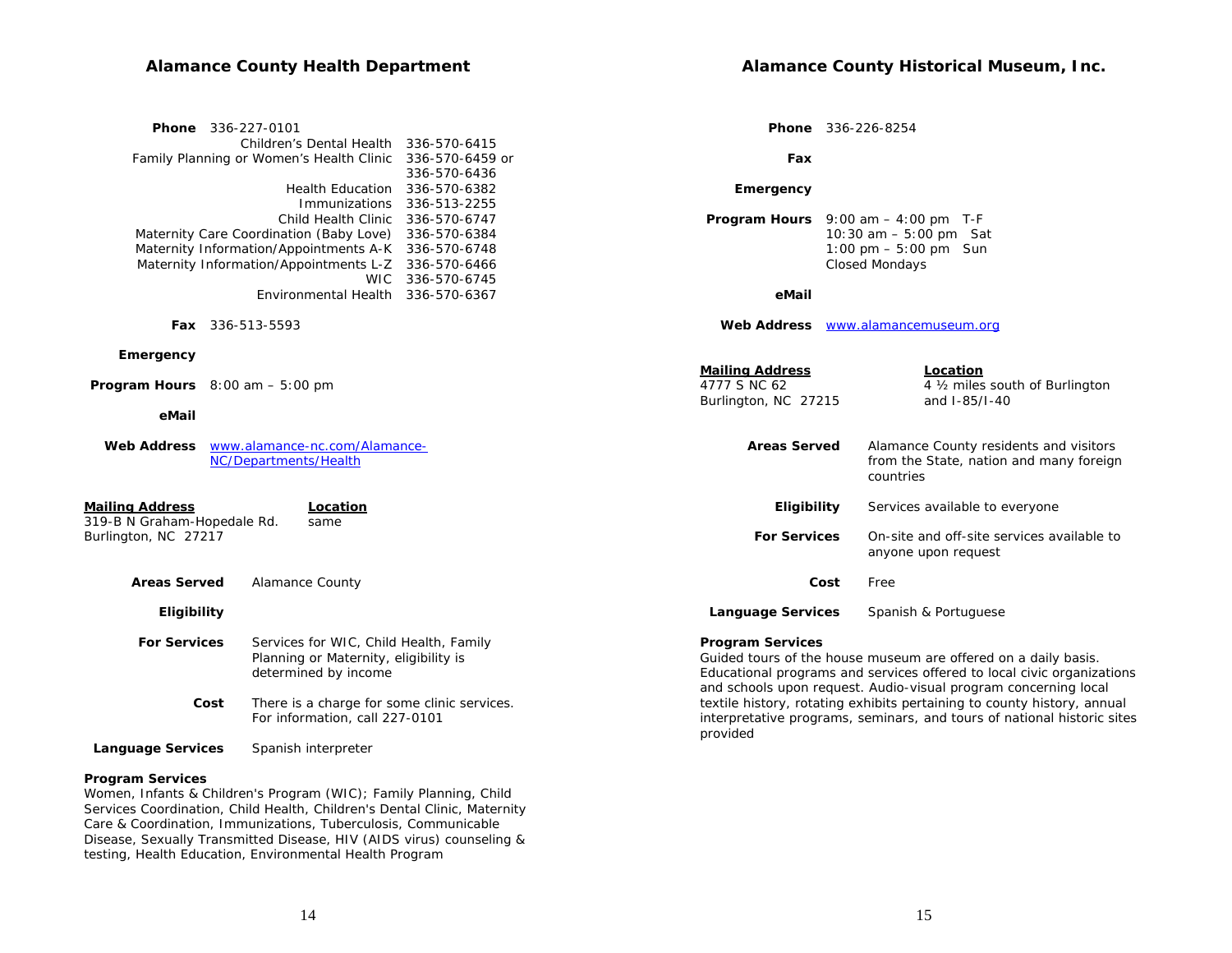# **Alamance County Health Department**

| Phone 336-227-0101<br>Children's Dental Health 336-570-6415                                                                                                                                                             |                                              |                                                                | <b>Phone</b> 336-226-8254                                                                                                                                                                                                                                                                                                                                         |
|-------------------------------------------------------------------------------------------------------------------------------------------------------------------------------------------------------------------------|----------------------------------------------|----------------------------------------------------------------|-------------------------------------------------------------------------------------------------------------------------------------------------------------------------------------------------------------------------------------------------------------------------------------------------------------------------------------------------------------------|
| Family Planning or Women's Health Clinic                                                                                                                                                                                | 336-570-6459 or<br>336-570-6436              | Fax                                                            |                                                                                                                                                                                                                                                                                                                                                                   |
| Health Education 336-570-6382<br>Immunizations                                                                                                                                                                          | 336-513-2255                                 | Emergency                                                      |                                                                                                                                                                                                                                                                                                                                                                   |
| Child Health Clinic<br>Maternity Care Coordination (Baby Love)<br>Maternity Information/Appointments A-K 336-570-6748<br>Maternity Information/Appointments L-Z 336-570-6466<br><b>WIC</b>                              | 336-570-6747<br>336-570-6384<br>336-570-6745 |                                                                | <b>Program Hours</b> $9:00$ am $-4:00$ pm T-F<br>10:30 am $-5:00$ pm Sat<br>1:00 pm $-5:00$ pm Sun<br><b>Closed Mondays</b>                                                                                                                                                                                                                                       |
| Environmental Health 336-570-6367                                                                                                                                                                                       |                                              | eMail                                                          |                                                                                                                                                                                                                                                                                                                                                                   |
| <b>Fax</b> 336-513-5593                                                                                                                                                                                                 |                                              |                                                                | Web Address www.alamancemuseum.org                                                                                                                                                                                                                                                                                                                                |
| Emergency<br><b>Program Hours</b> $8:00$ am $-5:00$ pm<br>eMail                                                                                                                                                         |                                              | <b>Mailing Address</b><br>4777 S NC 62<br>Burlington, NC 27215 | Location<br>4 1/2 miles south of Burlington<br>and I-85/I-40                                                                                                                                                                                                                                                                                                      |
| www.alamance-nc.com/Alamance-<br><b>Web Address</b><br>NC/Departments/Health                                                                                                                                            |                                              | <b>Areas Served</b>                                            | Alamance County residents and visitors<br>from the State, nation and many foreign<br>countries                                                                                                                                                                                                                                                                    |
| <b>Mailing Address</b><br>Location<br>319-B N Graham-Hopedale Rd.<br>same                                                                                                                                               |                                              | Eligibility                                                    | Services available to everyone                                                                                                                                                                                                                                                                                                                                    |
| Burlington, NC 27217                                                                                                                                                                                                    |                                              | <b>For Services</b>                                            | On-site and off-site services available to<br>anyone upon request                                                                                                                                                                                                                                                                                                 |
| <b>Areas Served</b><br><b>Alamance County</b>                                                                                                                                                                           |                                              | Cost                                                           | Free                                                                                                                                                                                                                                                                                                                                                              |
| Eligibility                                                                                                                                                                                                             |                                              | <b>Language Services</b>                                       | Spanish & Portuguese                                                                                                                                                                                                                                                                                                                                              |
| <b>For Services</b><br>Services for WIC, Child Health, Family<br>Planning or Maternity, eligibility is<br>determined by income<br>There is a charge for some clinic services.<br>Cost<br>For information, call 227-0101 |                                              | <b>Program Services</b><br>provided                            | Guided tours of the house museum are offered on a daily basis.<br>Educational programs and services offered to local civic organizations<br>and schools upon request. Audio-visual program concerning local<br>textile history, rotating exhibits pertaining to county history, annual<br>interpretative programs, seminars, and tours of national historic sites |

 **Language Services** Spanish interpreter

#### **Program Services**

Women, Infants & Children's Program (WIC); Family Planning, Child Services Coordination, Child Health, Children's Dental Clinic, Maternity Care & Coordination, Immunizations, Tuberculosis, Communicable Disease, Sexually Transmitted Disease, HIV (AIDS virus) counseling & testing, Health Education, Environmental Health Program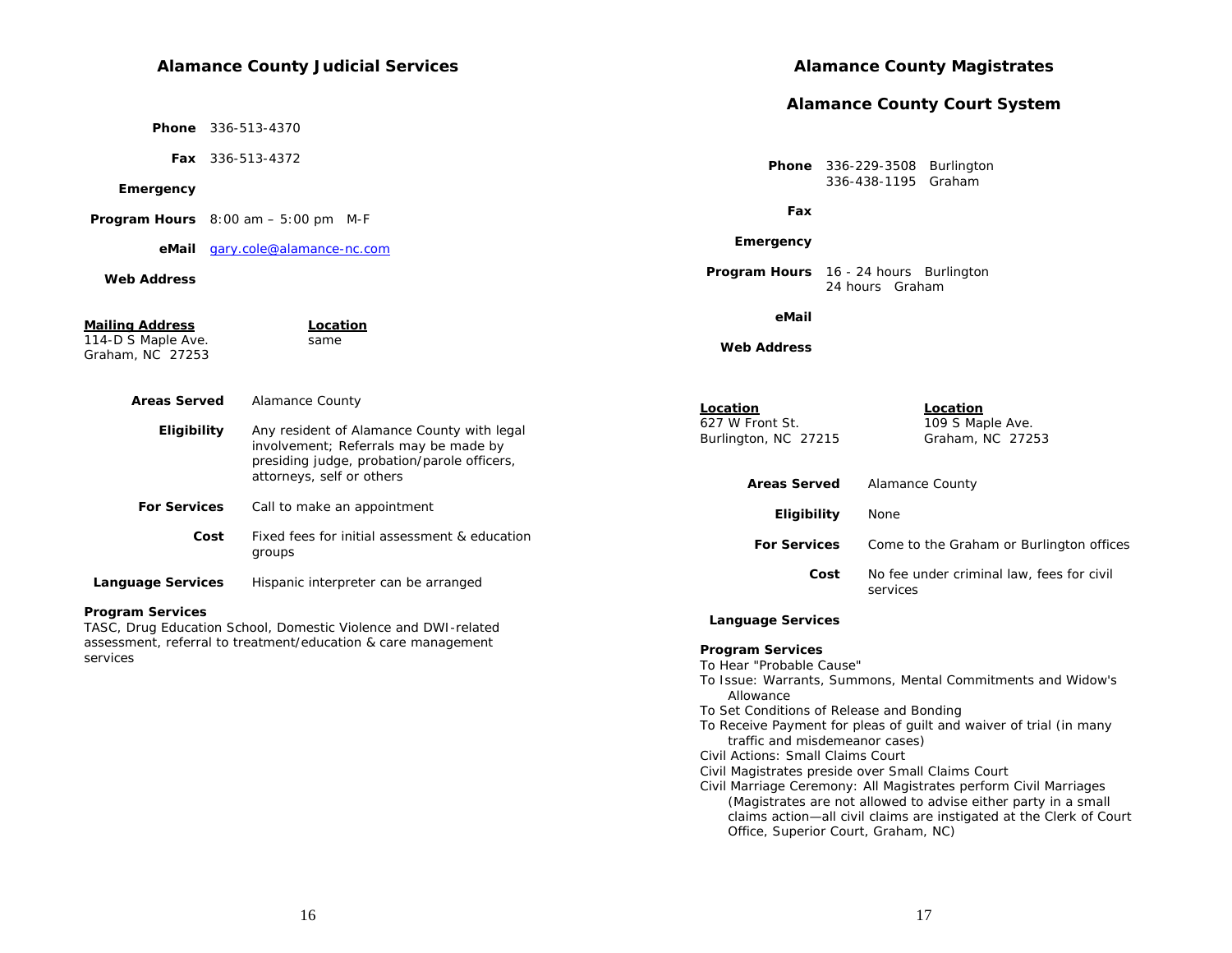## **Alamance County Judicial Services**

 **Phone** 336-513-4370

 **Fax** 336-513-4372

#### **Emergency**

 **Program Hours** 8:00 am – 5:00 pm M-F

 **eMail** gary.cole@alamance-nc.com

#### **Web Address**

#### **Mailing Address Location** 114-D S Maple Ave. same Graham, NC 27253  **Areas Served** Alamance County **Eligibility** Any resident of Alamance County with legal involvement; Referrals may be made by presiding judge, probation/parole officers, attorneys, self or others **For Services** Call to make an appointment  **Cost** Fixed fees for initial assessment & education groups **Language Services** Hispanic interpreter can be arranged  **eMail Web AddressLocation Location**627 W Front St. 109 S Maple Ave. Burlington, NC 27215 Graham, NC 27253 **Areas Served** Alamance County  **Eligibility** None services

#### **Program Services**

TASC, Drug Education School, Domestic Violence and DWI-related assessment, referral to treatment/education & care management services

#### **Alamance County Magistrates**

#### **Alamance County Court System**

 **Phone** 336-229-3508 Burlington 336-438-1195 Graham

 **Fax**

#### **Emergency**

**Program Hours** 16 - 24 hours Burlington 24 hours Graham

| <b>Areas Served</b> | Alamance County                                       |
|---------------------|-------------------------------------------------------|
| <b>Eligibility</b>  | None                                                  |
| <b>For Services</b> | Come to the Graham or Burlington offices              |
| Cost                | No fee under criminal law, fees for civil<br>services |

#### **Language Services**

#### **Program Services**

To Hear "Probable Cause"

To Issue: Warrants, Summons, Mental Commitments and Widow's Allowance

To Set Conditions of Release and Bonding

- To Receive Payment for pleas of guilt and waiver of trial (in many traffic and misdemeanor cases)
- Civil Actions: Small Claims Court
- Civil Magistrates preside over Small Claims Court
- Civil Marriage Ceremony: All Magistrates perform Civil Marriages (Magistrates are not allowed to advise either party in a small claims action—all civil claims are instigated at the Clerk of Court Office, Superior Court, Graham, NC)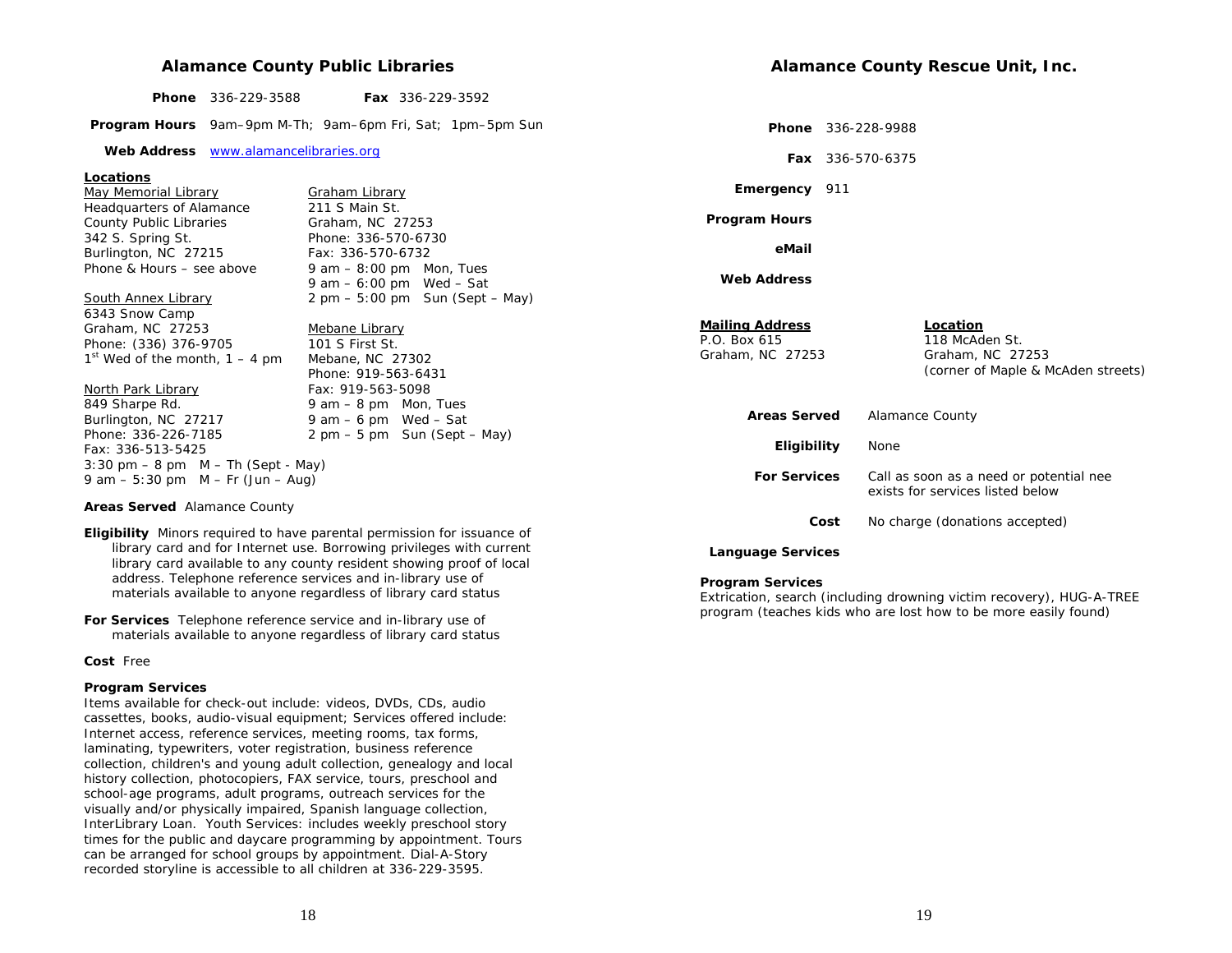#### **Alamance County Public Libraries**

| ____ | <b>Phone</b> 336-229-3588 |  | <b>Fax</b> $336-229-3592$ |
|------|---------------------------|--|---------------------------|
|------|---------------------------|--|---------------------------|

 **Program Hours** 9am–9pm M-Th; 9am–6pm Fri, Sat; 1pm–5pm Sun

 **Web Address** www.alamancelibraries.org

#### **Locations**

May Memorial Library<br>
Headquarters of Alamance **Fig. 211 S** Main St. Headquarters of Alamance County Public Libraries Graham, NC 27253 342 S. Spring St. Phone: 336-570-6730 Burlington, NC 27215 Fax: 336-570-6732

Phone & Hours – see above  $9 \text{ am} - 8:00 \text{ pm}$  Mon, Tues 9 am – 6:00 pm Wed – Sat South Annex Library 2 pm – 5:00 pm Sun (Sept – May)

Phone: 919-563-6431

6343 Snow Camp Graham, NC 27253 Mebane Library<br>
Phone: (336) 376-9705 101 S First St. Phone: (336) 376-9705  $1<sup>st</sup>$  Wed of the month,  $1 - 4$  pm Mebane, NC 27302

#### North Park Library Fax: 919-563-5098

849 Sharpe Rd. 2008 10:00 9 am – 8 pm Mon, Tues Burlington, NC 27217 9 am  $-6$  pm Wed  $-$  Sat Phone: 336-226-7185 2 pm – 5 pm Sun (Sept – May) Fax: 336-513-5425  $3:30 \text{ pm} - 8 \text{ pm}$  M – Th (Sept - May) 9 am – 5:30 pm  $M - Fr$  (Jun – Aug)

**Areas Served** Alamance County

- **Eligibility** Minors required to have parental permission for issuance of library card and for Internet use. Borrowing privileges with current library card available to any county resident showing proof of local address. Telephone reference services and in-library use of materials available to anyone regardless of library card status
- **For Services** Telephone reference service and in-library use of materials available to anyone regardless of library card status

**Cost** Free

#### **Program Services**

Items available for check-out include: videos, DVDs, CDs, audio cassettes, books, audio-visual equipment; Services offered include: Internet access, reference services, meeting rooms, tax forms, laminating, typewriters, voter registration, business reference collection, children's and young adult collection, genealogy and local history collection, photocopiers, FAX service, tours, preschool and school-age programs, adult programs, outreach services for the visually and/or physically impaired, Spanish language collection, InterLibrary Loan. Youth Services: includes weekly preschool story times for the public and daycare programming by appointment. Tours can be arranged for school groups by appointment. Dial-A-Story recorded storyline is accessible to all children at 336-229-3595.

 **Phone** 336-228-9988

 **Fax** 336-570-6375

 **Emergency** 911

 **Program Hours**

 **eMail**

 **Web Address**

# **Mailing Address Location**<br>P.O. Box 615 118 McAd

118 McAden St. Graham, NC 27253 Graham, NC 27253 (corner of Maple & McAden streets)

| <b>Areas Served</b>      | Alamance County                                                             |
|--------------------------|-----------------------------------------------------------------------------|
| <b>Eligibility</b>       | None                                                                        |
| <b>For Services</b>      | Call as soon as a need or potential nee<br>exists for services listed below |
| Cost                     | No charge (donations accepted)                                              |
| <b>Language Services</b> |                                                                             |

#### **Program Services**

Extrication, search (including drowning victim recovery), HUG-A-TREE program (teaches kids who are lost how to be more easily found)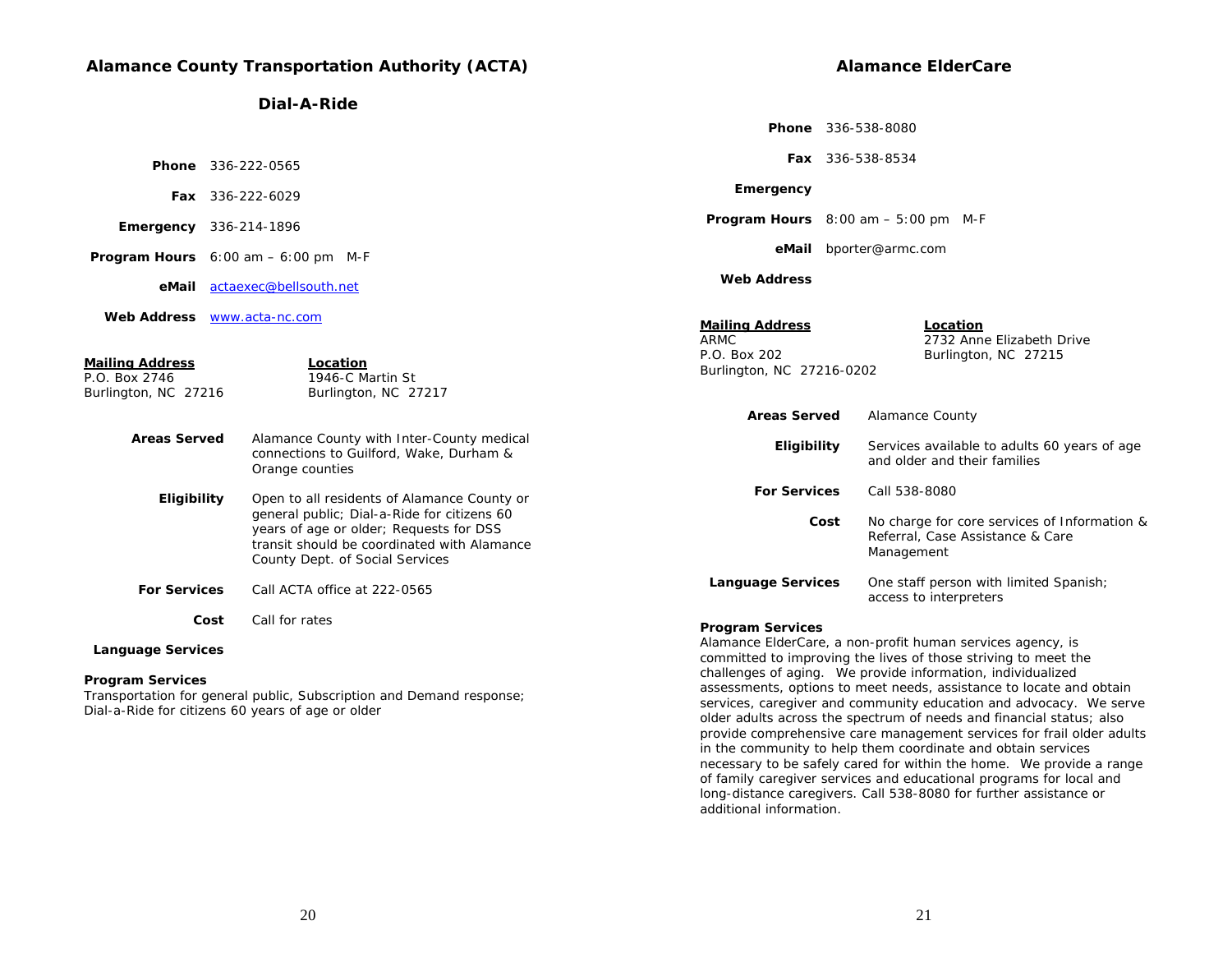# **Alamance County Transportation Authority (ACTA)**

**Dial-A-Ride** 

|                                                                 |                                                                                                                                                                          |                                                                                    | <b>Phone</b> 336-538-8080                                                                                                    |  |  |
|-----------------------------------------------------------------|--------------------------------------------------------------------------------------------------------------------------------------------------------------------------|------------------------------------------------------------------------------------|------------------------------------------------------------------------------------------------------------------------------|--|--|
|                                                                 | <b>Phone</b> 336-222-0565                                                                                                                                                |                                                                                    | Fax 336-538-8534                                                                                                             |  |  |
|                                                                 | Fax 336-222-6029                                                                                                                                                         | Emergency                                                                          |                                                                                                                              |  |  |
|                                                                 | <b>Emergency</b> 336-214-1896                                                                                                                                            |                                                                                    | <b>Program Hours</b> $8:00$ am $-5:00$ pm M-F                                                                                |  |  |
|                                                                 | <b>Program Hours</b> $6:00 \text{ am} - 6:00 \text{ pm}$ M-F                                                                                                             |                                                                                    | eMail bporter@armc.com                                                                                                       |  |  |
| eMail                                                           | actaexec@bellsouth.net                                                                                                                                                   | <b>Web Address</b>                                                                 |                                                                                                                              |  |  |
| <b>Mailing Address</b><br>P.O. Box 2746<br>Burlington, NC 27216 | Web Address <b>WWW.acta-nc.com</b><br>Location<br>1946-C Martin St<br>Burlington, NC 27217                                                                               | <b>Mailing Address</b><br><b>ARMC</b><br>P.O. Box 202<br>Burlington, NC 27216-0202 | Location<br>2732 Anne Elizabeth Drive<br>Burlington, NC 27215                                                                |  |  |
|                                                                 |                                                                                                                                                                          | <b>Areas Served</b>                                                                | <b>Alamance County</b>                                                                                                       |  |  |
| <b>Areas Served</b>                                             | Alamance County with Inter-County medical<br>connections to Guilford, Wake, Durham &<br>Orange counties                                                                  | Eligibility                                                                        | Services available to adults 60 years of age<br>and older and their families                                                 |  |  |
| Eligibility                                                     | Open to all residents of Alamance County or                                                                                                                              | <b>For Services</b>                                                                | Call 538-8080                                                                                                                |  |  |
|                                                                 | general public; Dial-a-Ride for citizens 60<br>years of age or older; Requests for DSS<br>transit should be coordinated with Alamance<br>County Dept. of Social Services | Cost                                                                               | No charge for core services of Information &<br>Referral, Case Assistance & Care<br>Management                               |  |  |
| <b>For Services</b>                                             | Call ACTA office at 222-0565                                                                                                                                             | <b>Language Services</b>                                                           | One staff person with limited Spanish;<br>access to interpreters                                                             |  |  |
|                                                                 | Call for rates<br>Cost                                                                                                                                                   | <b>Program Services</b>                                                            |                                                                                                                              |  |  |
| <b>Language Services</b>                                        |                                                                                                                                                                          |                                                                                    | Alamance ElderCare, a non-profit human services agency, is<br>committed to improving the lives of those striving to meet the |  |  |
| <b>Program Services</b>                                         |                                                                                                                                                                          |                                                                                    | challenges of aging. We provide information, individualized<br>.                                                             |  |  |

Transportation for general public, Subscription and Demand response; Dial-a-Ride for citizens 60 years of age or older

20

assessments, options to meet needs, assistance to locate and obtain services, caregiver and community education and advocacy. We serve older adults across the spectrum of needs and financial status; also provide comprehensive care management services for frail older adults

necessary to be safely cared for within the home. We provide a range of family caregiver services and educational programs for local and long-distance caregivers. Call 538-8080 for further assistance or

in the community to help them coordinate and obtain services

additional information.

**Alamance ElderCare**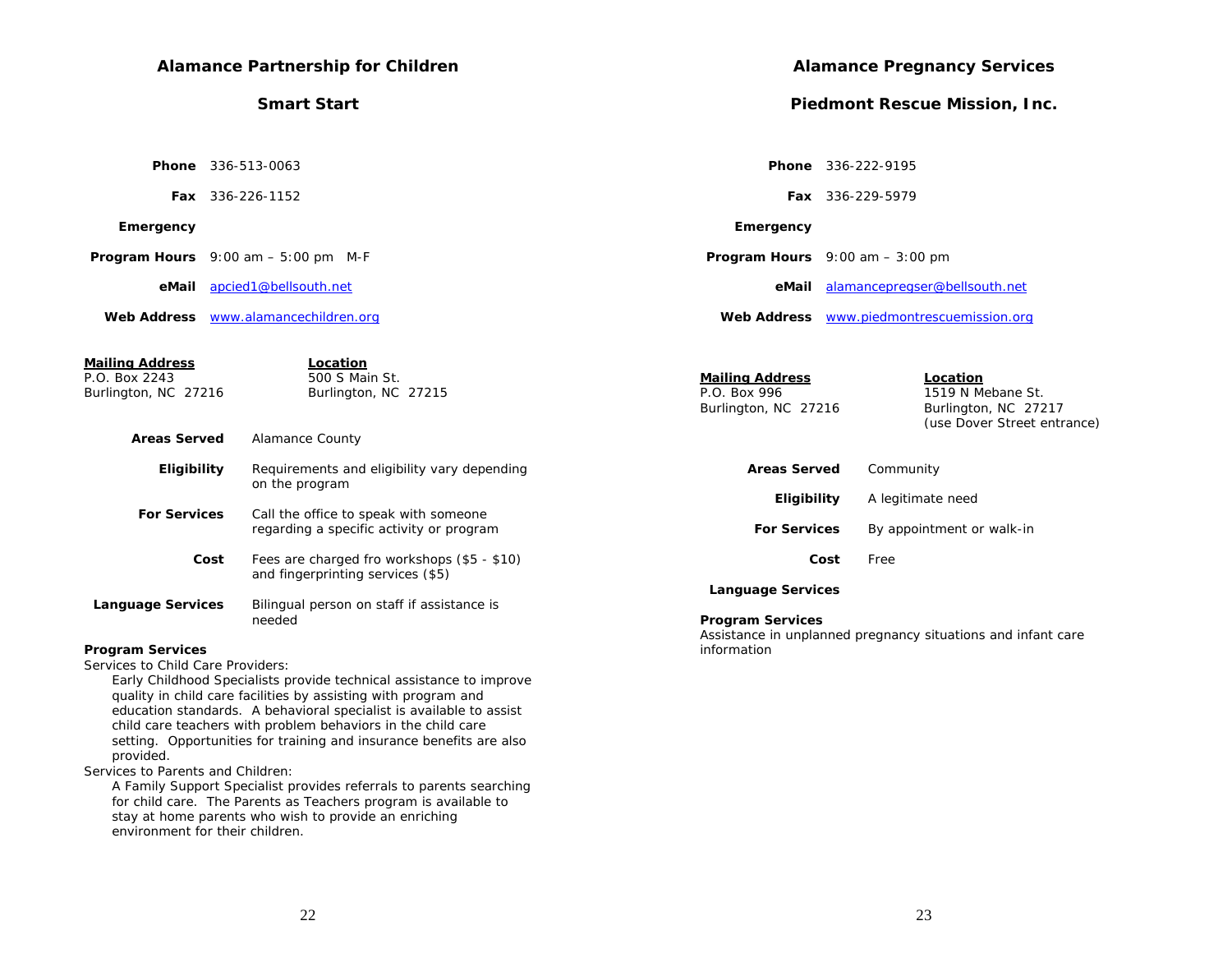|                                       | <b>Alamance Partnership for Children</b>                                         |                                                                | <b>Alamance Pregnancy Services</b>                                                          |  |  |  |
|---------------------------------------|----------------------------------------------------------------------------------|----------------------------------------------------------------|---------------------------------------------------------------------------------------------|--|--|--|
|                                       | <b>Smart Start</b>                                                               |                                                                | <b>Piedmont Rescue Mission, Inc.</b>                                                        |  |  |  |
|                                       |                                                                                  |                                                                |                                                                                             |  |  |  |
|                                       | <b>Phone</b> 336-513-0063                                                        | Phone 336-222-9195                                             |                                                                                             |  |  |  |
|                                       | <b>Fax</b> 336-226-1152                                                          |                                                                | <b>Fax</b> 336-229-5979                                                                     |  |  |  |
| Emergency                             |                                                                                  | Emergency                                                      |                                                                                             |  |  |  |
|                                       | <b>Program Hours</b> $9:00$ am $-5:00$ pm M-F                                    | <b>Program Hours</b> $9:00$ am $-3:00$ pm                      |                                                                                             |  |  |  |
|                                       | eMail apcied1@bellsouth.net                                                      | eMail                                                          | alamancepregser@bellsouth.net                                                               |  |  |  |
|                                       | Web Address www.alamancechildren.org                                             |                                                                | Web Address www.piedmontrescuemission.org                                                   |  |  |  |
|                                       |                                                                                  |                                                                |                                                                                             |  |  |  |
| <b>Mailing Address</b>                | Location                                                                         |                                                                |                                                                                             |  |  |  |
| P.O. Box 2243<br>Burlington, NC 27216 | 500 S Main St.<br>Burlington, NC 27215                                           | <b>Mailing Address</b><br>P.O. Box 996<br>Burlington, NC 27216 | <b>Location</b><br>1519 N Mebane St.<br>Burlington, NC 27217<br>(use Dover Street entrance) |  |  |  |
| <b>Areas Served</b>                   | <b>Alamance County</b>                                                           |                                                                |                                                                                             |  |  |  |
| Eligibility                           | Requirements and eligibility vary depending<br>on the program                    | <b>Areas Served</b>                                            | Community                                                                                   |  |  |  |
|                                       |                                                                                  | Eligibility                                                    | A legitimate need                                                                           |  |  |  |
| <b>For Services</b>                   | Call the office to speak with someone                                            |                                                                |                                                                                             |  |  |  |
|                                       | regarding a specific activity or program                                         | <b>For Services</b>                                            | By appointment or walk-in                                                                   |  |  |  |
| Cost                                  | Fees are charged fro workshops (\$5 - \$10)<br>and fingerprinting services (\$5) | Cost                                                           | Free                                                                                        |  |  |  |
|                                       |                                                                                  | <b>Language Services</b>                                       |                                                                                             |  |  |  |
| <b>Language Services</b>              | Bilingual person on staff if assistance is                                       |                                                                |                                                                                             |  |  |  |
|                                       | needed                                                                           | <b>Program Services</b>                                        | Assistance in unplanned pregnancy situations and infant care                                |  |  |  |
| <b>Program Services</b>               |                                                                                  | information                                                    |                                                                                             |  |  |  |
| Services to Child Care Providers:     |                                                                                  |                                                                |                                                                                             |  |  |  |
|                                       | Early Childhood Specialists provide technical assistance to improve              |                                                                |                                                                                             |  |  |  |
|                                       | quality in child care facilities by assisting with program and                   |                                                                |                                                                                             |  |  |  |
|                                       | education standards. A behavioral specialist is available to assist              |                                                                |                                                                                             |  |  |  |
|                                       | child care teachers with problem behaviors in the child care                     |                                                                |                                                                                             |  |  |  |

setting. Opportunities for training and insurance benefits are also

A Family Support Specialist provides referrals to parents searching for child care. The Parents as Teachers program is available to stay at home parents who wish to provide an enriching

provided.

Services to Parents and Children:

environment for their children.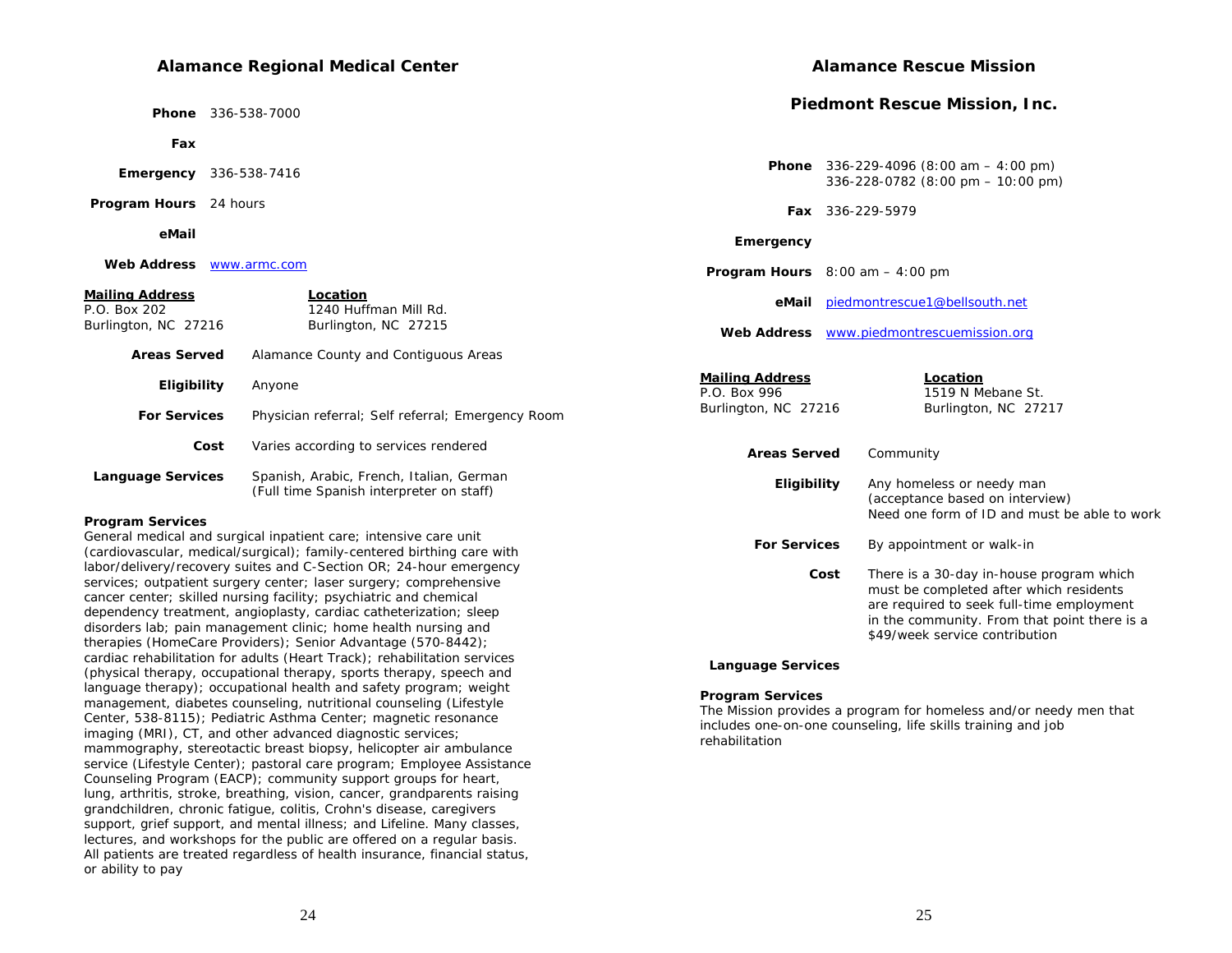#### **Alamance Regional Medical Center**

 **Phone** 336-538-7000

 **Fax**

 **Emergency** 336-538-7416

 **Program Hours** 24 hours

 **eMail**

 **Web Address** www.armc.com

#### **Mailing Address Location**

| P.O. Box 202<br>Burlington, NC 27216 | 1240 Huffman Mill Rd.<br>Burlington, NC 27215                                        |  |  |
|--------------------------------------|--------------------------------------------------------------------------------------|--|--|
| Areas Served                         | Alamance County and Contiguous Areas                                                 |  |  |
| Eligibility                          | Anyone                                                                               |  |  |
| <b>For Services</b>                  | Physician referral; Self referral; Emergency Room                                    |  |  |
| Cost                                 | Varies according to services rendered                                                |  |  |
| <b>Language Services</b>             | Spanish, Arabic, French, Italian, German<br>(Full time Spanish interpreter on staff) |  |  |

#### **Program Services**

General medical and surgical inpatient care; intensive care unit (cardiovascular, medical/surgical); family-centered birthing care with labor/delivery/recovery suites and C-Section OR; 24-hour emergency services; outpatient surgery center; laser surgery; comprehensive cancer center; skilled nursing facility; psychiatric and chemical dependency treatment, angioplasty, cardiac catheterization; sleep disorders lab; pain management clinic; home health nursing and therapies (HomeCare Providers); Senior Advantage (570-8442); cardiac rehabilitation for adults (Heart Track); rehabilitation services (physical therapy, occupational therapy, sports therapy, speech and language therapy); occupational health and safety program; weight management, diabetes counseling, nutritional counseling (Lifestyle Center, 538-8115); Pediatric Asthma Center; magnetic resonance imaging (MRI), CT, and other advanced diagnostic services; mammography, stereotactic breast biopsy, helicopter air ambulance service (Lifestyle Center); pastoral care program; Employee Assistance Counseling Program (EACP); community support groups for heart, lung, arthritis, stroke, breathing, vision, cancer, grandparents raising grandchildren, chronic fatigue, colitis, Crohn's disease, caregivers support, grief support, and mental illness; and Lifeline. Many classes, lectures, and workshops for the public are offered on a regular basis. All patients are treated regardless of health insurance, financial status, or ability to pay

### **Alamance Rescue Mission**

#### **Piedmont Rescue Mission, Inc.**

| Phone                                                          | $336 - 229 - 4096$ (8:00 am $-$ 4:00 pm)<br>336-228-0782 (8:00 pm - 10:00 pm)                                                                                                                                              |
|----------------------------------------------------------------|----------------------------------------------------------------------------------------------------------------------------------------------------------------------------------------------------------------------------|
|                                                                | Fax 336-229-5979                                                                                                                                                                                                           |
| Emergency                                                      |                                                                                                                                                                                                                            |
|                                                                | <b>Program Hours</b> $8:00$ am $-4:00$ pm                                                                                                                                                                                  |
| eMail                                                          | piedmontrescue1@bellsouth.net                                                                                                                                                                                              |
| Web Address                                                    | www.piedmontrescuemission.org                                                                                                                                                                                              |
| <b>Mailing Address</b><br>P.O. Box 996<br>Burlington, NC 27216 | Location<br>1519 N Mebane St.<br>Burlington, NC 27217                                                                                                                                                                      |
| <b>Areas Served</b>                                            | Community                                                                                                                                                                                                                  |
| Eligibility                                                    | Any homeless or needy man<br>(acceptance based on interview)<br>Need one form of ID and must be able to work                                                                                                               |
| <b>For Services</b>                                            | By appointment or walk-in                                                                                                                                                                                                  |
|                                                                | Cost<br>There is a 30-day in-house program which<br>must be completed after which residents<br>are required to seek full-time employment<br>in the community. From that point there is a<br>\$49/week service contribution |

#### **Language Services**

#### **Program Services**

The Mission provides a program for homeless and/or needy men that includes one-on-one counseling, life skills training and job rehabilitation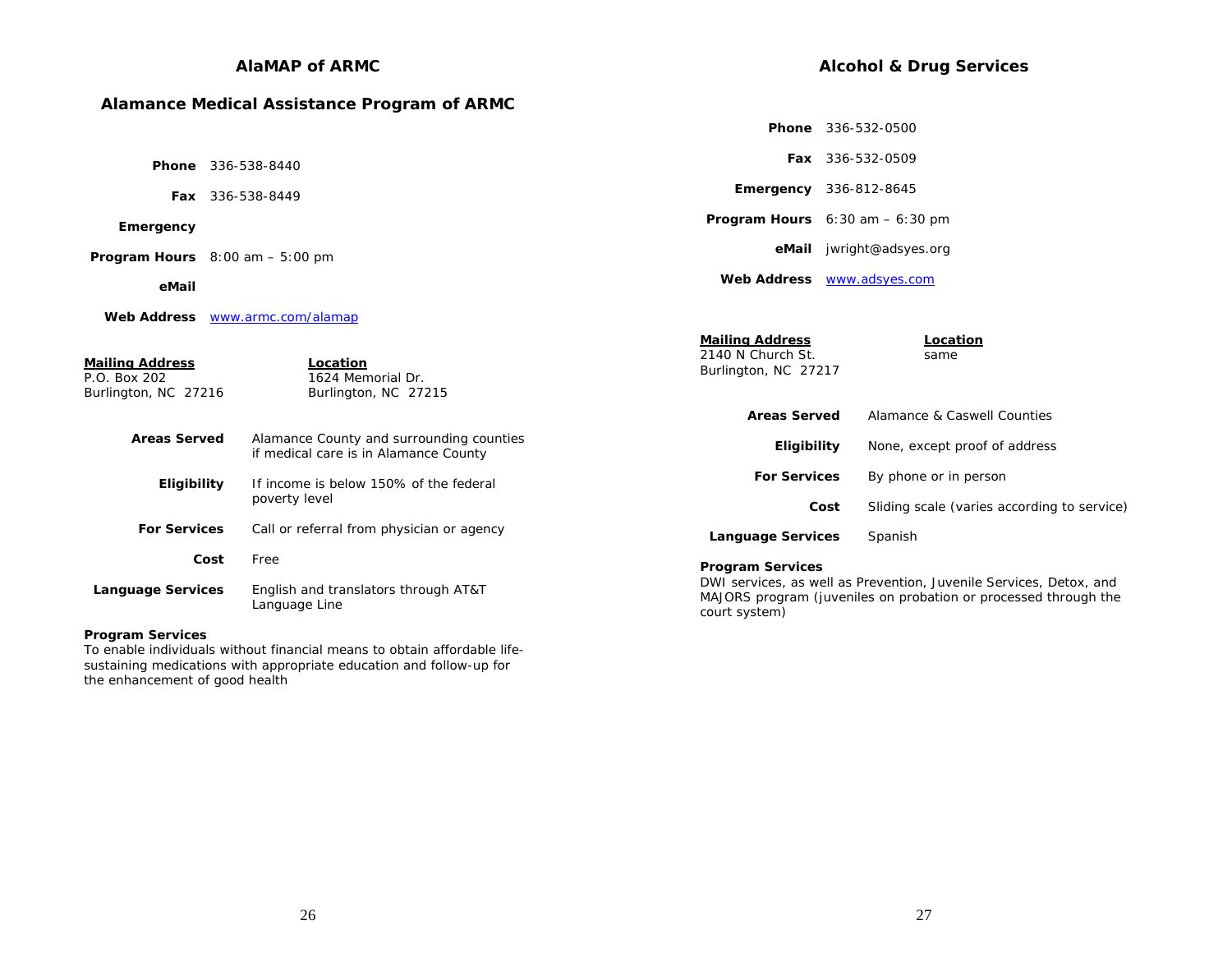# **AlaMAP of ARMC**

# **Alamance Medical Assistance Program of ARMC**

|                                                                |                  |                                                                                   |                                                                     |      | <b>Phone</b> 336-532-0500                                                                                                             |
|----------------------------------------------------------------|------------------|-----------------------------------------------------------------------------------|---------------------------------------------------------------------|------|---------------------------------------------------------------------------------------------------------------------------------------|
| <b>Phone</b> 336-538-8440                                      |                  |                                                                                   |                                                                     |      | Fax 336-532-0509                                                                                                                      |
|                                                                | Fax 336-538-8449 |                                                                                   |                                                                     |      | <b>Emergency</b> 336-812-8645                                                                                                         |
| Emergency                                                      |                  |                                                                                   |                                                                     |      | <b>Program Hours</b> $6:30$ am $-6:30$ pm                                                                                             |
| <b>Program Hours</b> $8:00$ am $-5:00$ pm                      |                  |                                                                                   |                                                                     |      | eMail jwright@adsyes.org                                                                                                              |
| eMail                                                          |                  |                                                                                   |                                                                     |      | Web Address <b>WWW.adsyes.com</b>                                                                                                     |
|                                                                |                  | Web Address www.armc.com/alamap                                                   |                                                                     |      |                                                                                                                                       |
| <b>Mailing Address</b><br>P.O. Box 202<br>Burlington, NC 27216 |                  | Location<br>1624 Memorial Dr.<br>Burlington, NC 27215                             | <b>Mailing Address</b><br>2140 N Church St.<br>Burlington, NC 27217 |      | Location<br>same                                                                                                                      |
|                                                                |                  |                                                                                   | <b>Areas Served</b>                                                 |      | Alamance & Caswell Counties                                                                                                           |
| <b>Areas Served</b>                                            |                  | Alamance County and surrounding counties<br>if medical care is in Alamance County | Eligibility                                                         |      | None, except proof of address                                                                                                         |
| Eligibility                                                    |                  | If income is below 150% of the federal                                            | <b>For Services</b>                                                 |      | By phone or in person                                                                                                                 |
|                                                                |                  | poverty level                                                                     |                                                                     | Cost | Sliding scale (varies according to service)                                                                                           |
| <b>For Services</b>                                            |                  | Call or referral from physician or agency                                         | <b>Language Services</b>                                            |      | Spanish                                                                                                                               |
|                                                                | Cost             | Free                                                                              | <b>Program Services</b>                                             |      |                                                                                                                                       |
| <b>Language Services</b>                                       |                  | English and translators through AT&T<br>Language Line                             | court system)                                                       |      | DWI services, as well as Prevention, Juvenile Services, Detox, and<br>MAJORS program (juveniles on probation or processed through the |

### **Program Services**

To enable individuals without financial means to obtain affordable lifesustaining medications with appropriate education and follow-up for the enhancement of good health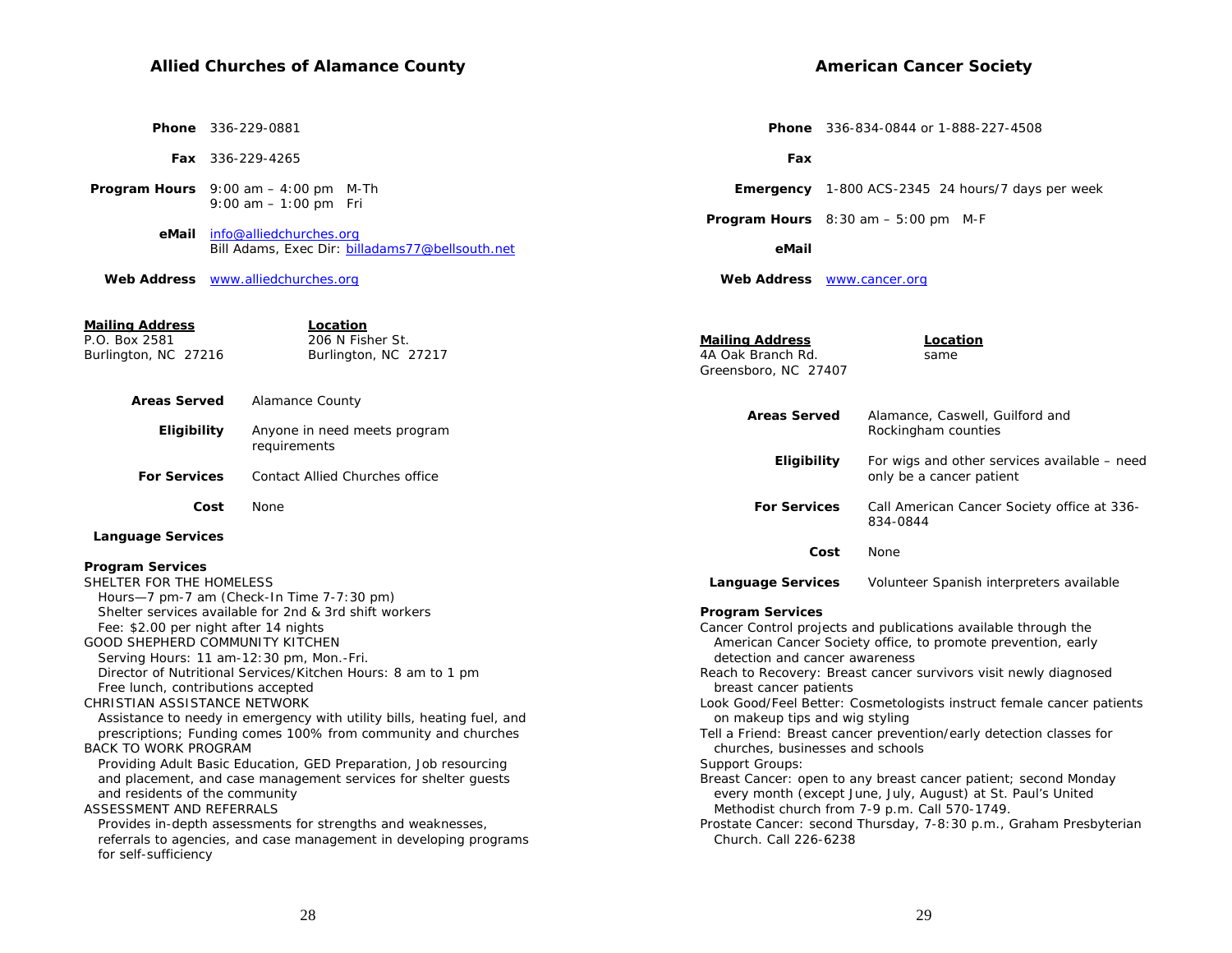# **Allied Churches of Alamance County**

| <b>American Cancer Society</b> |  |
|--------------------------------|--|
|                                |  |

|                                                                                                  |      | Phone 336-229-0881                                              |                                                                     |  |                                                                                                               |      | <b>Phone</b> 336-834-0844 or 1-888-227-4508                              |  |
|--------------------------------------------------------------------------------------------------|------|-----------------------------------------------------------------|---------------------------------------------------------------------|--|---------------------------------------------------------------------------------------------------------------|------|--------------------------------------------------------------------------|--|
|                                                                                                  |      | Fax 336-229-4265                                                |                                                                     |  | Fax                                                                                                           |      |                                                                          |  |
| <b>Program Hours</b> $9:00$ am $-4:00$ pm M-Th                                                   |      |                                                                 |                                                                     |  |                                                                                                               |      | <b>Emergency</b> 1-800 ACS-2345 24 hours/7 days per week                 |  |
| eMail                                                                                            |      | 9:00 am $-1:00$ pm Fri<br>info@alliedchurches.org               |                                                                     |  |                                                                                                               |      | <b>Program Hours</b> $8:30$ am $-5:00$ pm M-F                            |  |
|                                                                                                  |      |                                                                 | Bill Adams, Exec Dir: billadams77@bellsouth.net                     |  | eMail                                                                                                         |      |                                                                          |  |
| Web Address www.alliedchurches.org                                                               |      |                                                                 |                                                                     |  | Web Address <b>WWW.cancer.org</b>                                                                             |      |                                                                          |  |
| <b>Mailing Address</b><br>P.O. Box 2581                                                          |      |                                                                 | Location<br>206 N Fisher St.                                        |  | <b>Mailing Address</b>                                                                                        |      | Location                                                                 |  |
| Burlington, NC 27216                                                                             |      |                                                                 | Burlington, NC 27217                                                |  | 4A Oak Branch Rd.<br>Greensboro, NC 27407                                                                     |      | same                                                                     |  |
| <b>Areas Served</b>                                                                              |      | Alamance County                                                 |                                                                     |  | <b>Areas Served</b>                                                                                           |      | Alamance, Caswell, Guilford and                                          |  |
| <b>Eligibility</b>                                                                               |      | requirements                                                    | Anyone in need meets program                                        |  |                                                                                                               |      | Rockingham counties                                                      |  |
| <b>For Services</b>                                                                              |      |                                                                 | <b>Contact Allied Churches office</b>                               |  | <b>Eligibility</b>                                                                                            |      | For wigs and other services available – need<br>only be a cancer patient |  |
|                                                                                                  | Cost | None                                                            |                                                                     |  | <b>For Services</b>                                                                                           |      | Call American Cancer Society office at 336-<br>834-0844                  |  |
| <b>Language Services</b>                                                                         |      |                                                                 |                                                                     |  |                                                                                                               | Cost | None                                                                     |  |
| <b>Program Services</b>                                                                          |      |                                                                 |                                                                     |  |                                                                                                               |      |                                                                          |  |
| SHELTER FOR THE HOMELESS                                                                         |      |                                                                 |                                                                     |  | Language Services                                                                                             |      | Volunteer Spanish interpreters available                                 |  |
| Hours-7 pm-7 am (Check-In Time 7-7:30 pm)                                                        |      |                                                                 |                                                                     |  |                                                                                                               |      |                                                                          |  |
| Shelter services available for 2nd & 3rd shift workers                                           |      |                                                                 |                                                                     |  | <b>Program Services</b>                                                                                       |      |                                                                          |  |
| Fee: \$2.00 per night after 14 nights                                                            |      |                                                                 |                                                                     |  | Cancer Control projects and publications available through the                                                |      |                                                                          |  |
| GOOD SHEPHERD COMMUNITY KITCHEN<br>Serving Hours: 11 am-12:30 pm, Mon.-Fri.                      |      |                                                                 |                                                                     |  | American Cancer Society office, to promote prevention, early<br>detection and cancer awareness                |      |                                                                          |  |
| Director of Nutritional Services/Kitchen Hours: 8 am to 1 pm                                     |      |                                                                 |                                                                     |  | Reach to Recovery: Breast cancer survivors visit newly diagnosed                                              |      |                                                                          |  |
| Free lunch, contributions accepted                                                               |      |                                                                 |                                                                     |  | breast cancer patients                                                                                        |      |                                                                          |  |
| CHRISTIAN ASSISTANCE NETWORK                                                                     |      |                                                                 |                                                                     |  | Look Good/Feel Better: Cosmetologists instruct female cancer patients                                         |      |                                                                          |  |
| Assistance to needy in emergency with utility bills, heating fuel, and                           |      |                                                                 | on makeup tips and wig styling                                      |  |                                                                                                               |      |                                                                          |  |
| prescriptions; Funding comes 100% from community and churches                                    |      |                                                                 | Tell a Friend: Breast cancer prevention/early detection classes for |  |                                                                                                               |      |                                                                          |  |
| BACK TO WORK PROGRAM                                                                             |      |                                                                 | churches, businesses and schools                                    |  |                                                                                                               |      |                                                                          |  |
| Providing Adult Basic Education, GED Preparation, Job resourcing                                 |      |                                                                 | Support Groups:                                                     |  |                                                                                                               |      |                                                                          |  |
| and placement, and case management services for shelter guests<br>and residents of the community |      | Breast Cancer: open to any breast cancer patient; second Monday |                                                                     |  |                                                                                                               |      |                                                                          |  |
| ASSESSMENT AND REFERRALS                                                                         |      |                                                                 |                                                                     |  | every month (except June, July, August) at St. Paul's United<br>Methodist church from 7-9 p.m. Call 570-1749. |      |                                                                          |  |
| Provides in-depth assessments for strengths and weaknesses,                                      |      |                                                                 |                                                                     |  |                                                                                                               |      | Prostate Cancer: second Thursday, 7-8:30 p.m., Graham Presbyterian       |  |
|                                                                                                  |      |                                                                 |                                                                     |  | Church. Call 226-6238                                                                                         |      |                                                                          |  |
| referrals to agencies, and case management in developing programs<br>for self-sufficiency        |      |                                                                 |                                                                     |  |                                                                                                               |      |                                                                          |  |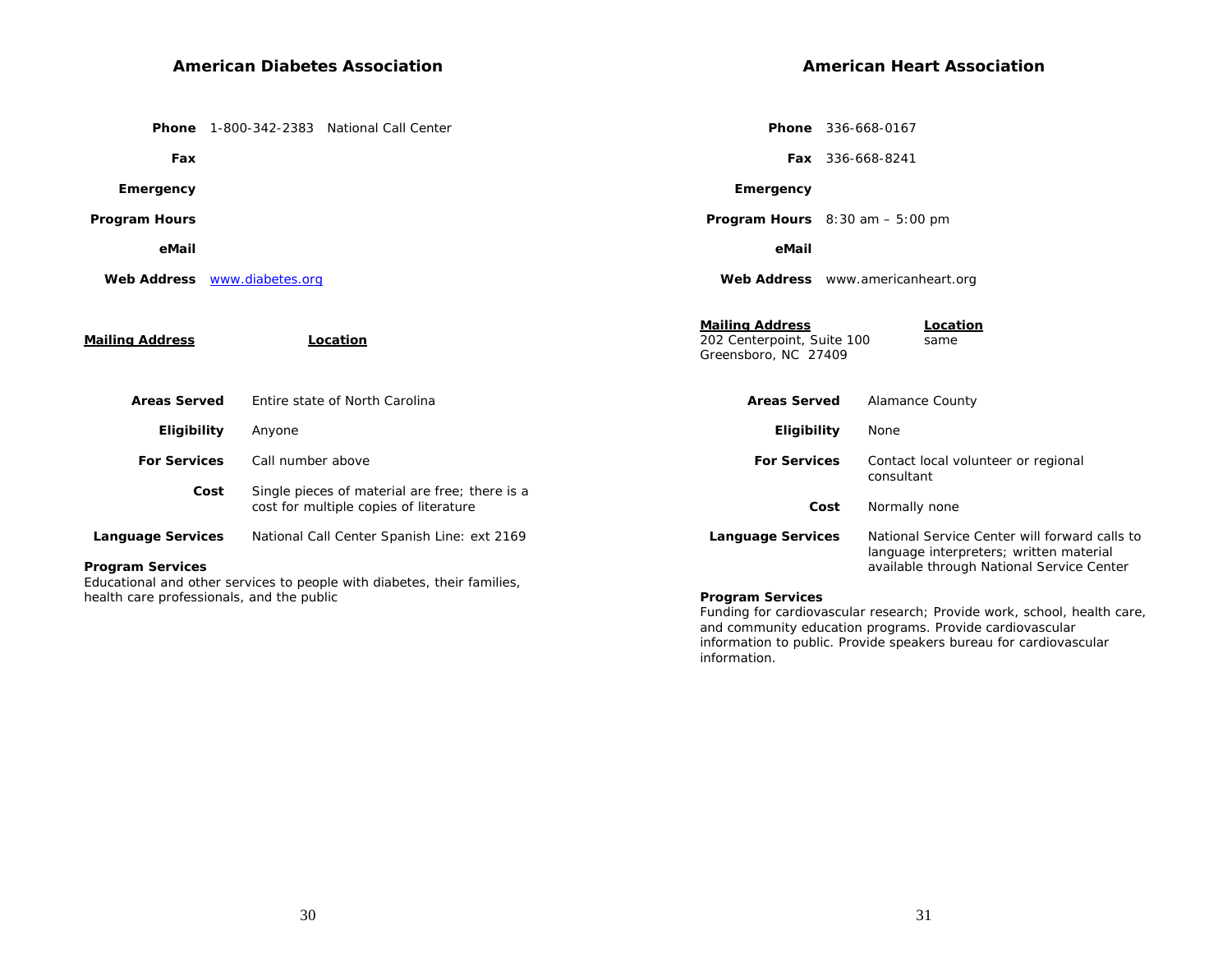|                          | Phone 1-800-342-2383 National Call Center                                                                            | Phone 336-668-0167                                                                               |                                                                                          |
|--------------------------|----------------------------------------------------------------------------------------------------------------------|--------------------------------------------------------------------------------------------------|------------------------------------------------------------------------------------------|
| Fax                      |                                                                                                                      | <b>Fax</b> 336-668-8241                                                                          |                                                                                          |
| Emergency                |                                                                                                                      | Emergency                                                                                        |                                                                                          |
| <b>Program Hours</b>     |                                                                                                                      | <b>Program Hours</b> $8:30$ am $-5:00$ pm                                                        |                                                                                          |
| eMail                    |                                                                                                                      | eMail                                                                                            |                                                                                          |
|                          | Web Address www.diabetes.org                                                                                         | Web Address www.americanheart.org                                                                |                                                                                          |
| <b>Mailing Address</b>   | Location                                                                                                             | <b>Mailing Address</b><br>Location<br>202 Centerpoint, Suite 100<br>same<br>Greensboro, NC 27409 |                                                                                          |
| <b>Areas Served</b>      | Entire state of North Carolina                                                                                       | <b>Areas Served</b><br><b>Alamance County</b>                                                    |                                                                                          |
| Eligibility              | Anyone                                                                                                               | <b>Eligibility</b><br>None                                                                       |                                                                                          |
| <b>For Services</b>      | Call number above                                                                                                    | <b>For Services</b><br>consultant                                                                | Contact local volunteer or regional                                                      |
|                          | Single pieces of material are free; there is a<br>Cost<br>cost for multiple copies of literature                     | Cost<br>Normally none                                                                            |                                                                                          |
| <b>Language Services</b> | National Call Center Spanish Line: ext 2169                                                                          | <b>Language Services</b>                                                                         | National Service Center will forward calls to<br>language interpreters; written material |
| <b>Program Services</b>  | Educational and other services to people with diabetes, their families,<br>health care professionals, and the public | <b>Program Services</b>                                                                          | available through National Service Center                                                |

**Program Services** 

Funding for cardiovascular research; Provide work, school, health care, and community education programs. Provide cardiovascular information to public. Provide speakers bureau for cardiovascular information.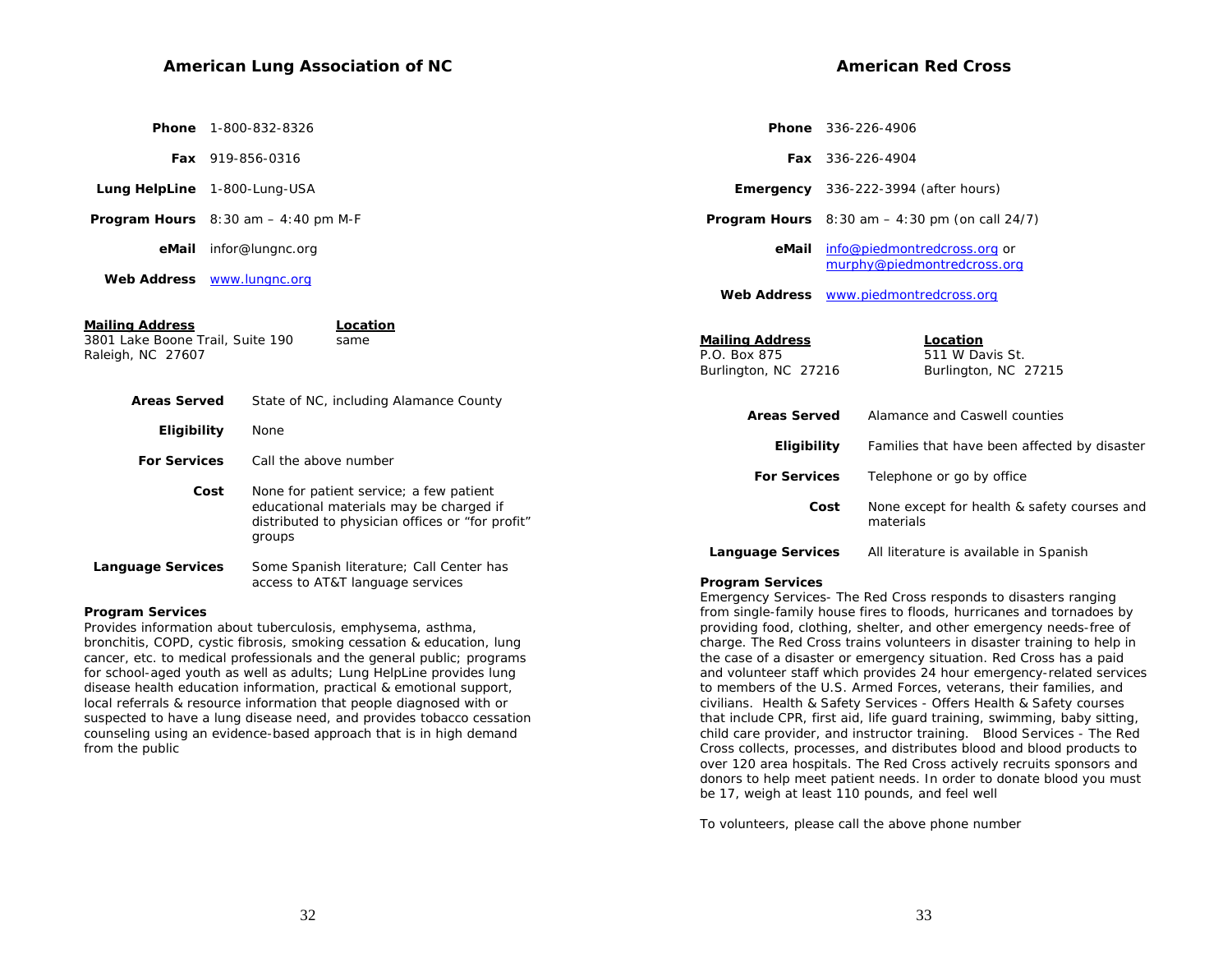#### **American Lung Association of NC**

| <b>Phone</b> 1-800-832-8326 |
|-----------------------------|
|                             |

 **Fax** 919-856-0316

- **Lung HelpLine** 1-800-Lung-USA
- **Program Hours** 8:30 am 4:40 pm M-F

 **eMail** infor@lungnc.org

 **Web Address** www.lungnc.org

| Mailing Address<br>3801 Lake Boone Trail, Suite 190<br>Raleigh, NC 27607 | Location<br>same                                                                                                                       | <b>Mailing Address</b><br>P.O. Box 875<br>Burlington, NC 27216 | Location<br>511 W Davis St.<br>Burlington, NC 27215      |
|--------------------------------------------------------------------------|----------------------------------------------------------------------------------------------------------------------------------------|----------------------------------------------------------------|----------------------------------------------------------|
| <b>Areas Served</b>                                                      | State of NC, including Alamance County                                                                                                 |                                                                |                                                          |
|                                                                          |                                                                                                                                        | <b>Areas Served</b>                                            | Alamance and Caswell counties                            |
| Eligibility                                                              | None                                                                                                                                   | Eligibility                                                    | Families that have been affected by disaster             |
| <b>For Services</b>                                                      | Call the above number                                                                                                                  |                                                                |                                                          |
|                                                                          |                                                                                                                                        | <b>For Services</b>                                            | Telephone or go by office                                |
| Cost                                                                     | None for patient service; a few patient<br>educational materials may be charged if<br>distributed to physician offices or "for profit" | Cost                                                           | None except for health & safety courses and<br>materials |
|                                                                          | groups                                                                                                                                 | <b>Language Services</b>                                       | All literature is available in Spanish                   |
| <b>Language Services</b>                                                 | Some Spanish literature; Call Center has                                                                                               |                                                                |                                                          |
|                                                                          | access to AT&T language services                                                                                                       | <b>Program Services</b>                                        |                                                          |

#### **Program Services**

Provides information about tuberculosis, emphysema, asthma, bronchitis, COPD, cystic fibrosis, smoking cessation & education, lung cancer, etc. to medical professionals and the general public; programs for school-aged youth as well as adults; Lung HelpLine provides lung disease health education information, practical & emotional support, local referrals & resource information that people diagnosed with or suspected to have a lung disease need, and provides tobacco cessation counseling using an evidence-based approach that is in high demand from the public

 info@piedmontredcross.org or murphy@piedmontredcross.org

 **Phone** 336-226-4906

 **eMail**

 **Fax** 336-226-4904

 **Web Address** www.piedmontredcross.org

 **Emergency** 336-222-3994 (after hours) **Program Hours** 8:30 am – 4:30 pm (on call 24/7)

**Program Services**  Emergency Services- The Red Cross responds to disasters ranging from single-family house fires to floods, hurricanes and tornadoes by providing food, clothing, shelter, and other emergency needs-free of charge. The Red Cross trains volunteers in disaster training to help in the case of a disaster or emergency situation. Red Cross has a paid and volunteer staff which provides 24 hour emergency-related services to members of the U.S. Armed Forces, veterans, their families, and civilians. Health & Safety Services - Offers Health & Safety courses that include CPR, first aid, life guard training, swimming, baby sitting, child care provider, and instructor training. Blood Services - The Red Cross collects, processes, and distributes blood and blood products to over 120 area hospitals. The Red Cross actively recruits sponsors and donors to help meet patient needs. In order to donate blood you must be 17, weigh at least 110 pounds, and feel well

To volunteers, please call the above phone number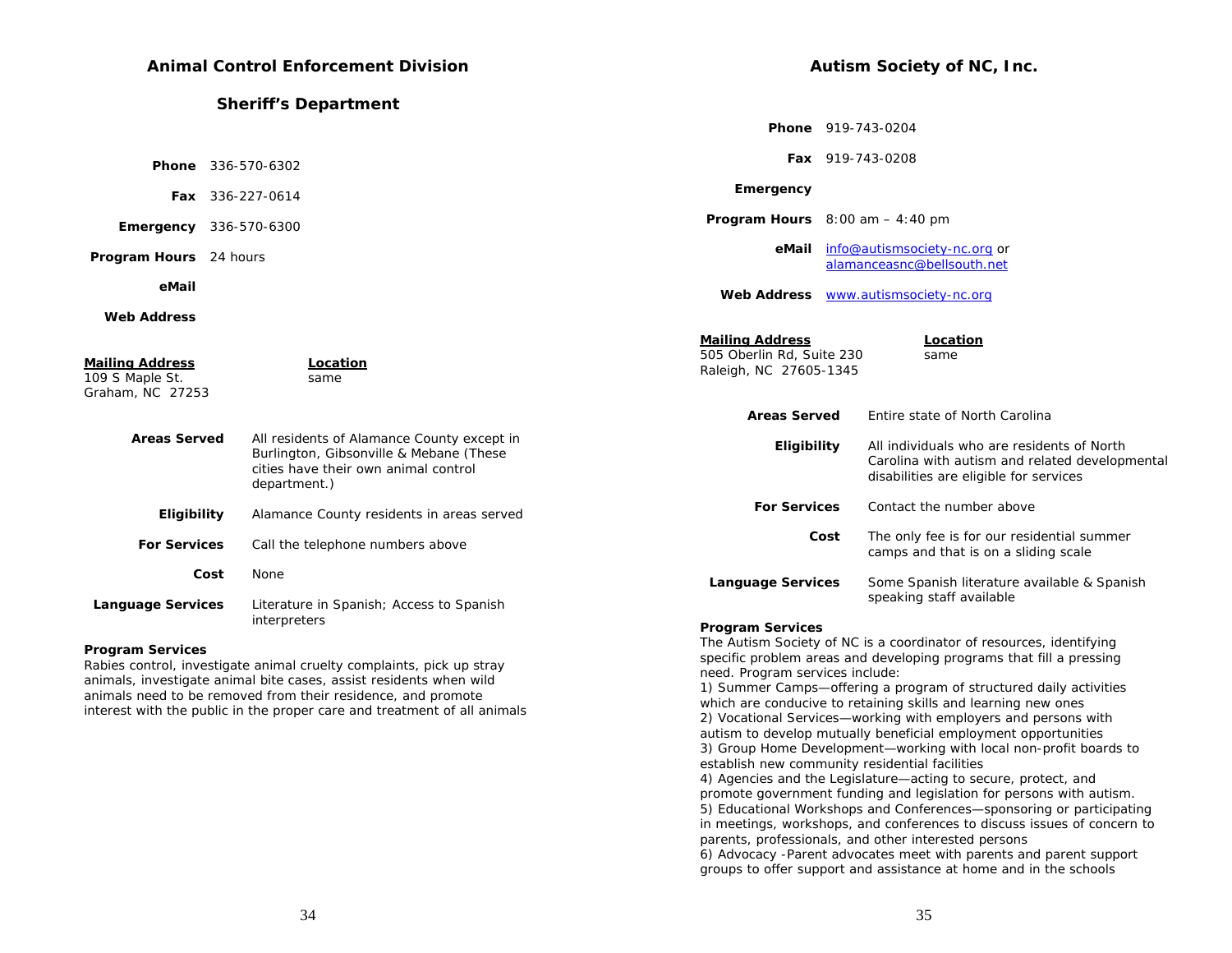# **Animal Control Enforcement Division**

|                                                                                                                                               |                                                                                                                                                                                                                                                                                                                                                            | <b>Phone</b> 919-743-0204                                                                                                                                              |
|-----------------------------------------------------------------------------------------------------------------------------------------------|------------------------------------------------------------------------------------------------------------------------------------------------------------------------------------------------------------------------------------------------------------------------------------------------------------------------------------------------------------|------------------------------------------------------------------------------------------------------------------------------------------------------------------------|
|                                                                                                                                               |                                                                                                                                                                                                                                                                                                                                                            | Fax 919-743-0208                                                                                                                                                       |
|                                                                                                                                               | Emergency                                                                                                                                                                                                                                                                                                                                                  |                                                                                                                                                                        |
|                                                                                                                                               |                                                                                                                                                                                                                                                                                                                                                            | <b>Program Hours</b> $8:00$ am $-4:40$ pm                                                                                                                              |
|                                                                                                                                               | eMail                                                                                                                                                                                                                                                                                                                                                      | info@autismsociety-nc.org or<br>alamanceasnc@bellsouth.net                                                                                                             |
|                                                                                                                                               | <b>Web Address</b>                                                                                                                                                                                                                                                                                                                                         | www.autismsociety-nc.org                                                                                                                                               |
|                                                                                                                                               |                                                                                                                                                                                                                                                                                                                                                            |                                                                                                                                                                        |
| Location<br>same                                                                                                                              | <b>Mailing Address</b><br>505 Oberlin Rd, Suite 230<br>Raleigh, NC 27605-1345                                                                                                                                                                                                                                                                              | Location<br>same                                                                                                                                                       |
|                                                                                                                                               | <b>Areas Served</b>                                                                                                                                                                                                                                                                                                                                        | Entire state of North Carolina                                                                                                                                         |
| All residents of Alamance County except in<br>Burlington, Gibsonville & Mebane (These<br>cities have their own animal control<br>department.) | Eligibility                                                                                                                                                                                                                                                                                                                                                | All individuals who are residents of North<br>Carolina with autism and related developmental<br>disabilities are eligible for services                                 |
| Alamance County residents in areas served                                                                                                     | <b>For Services</b>                                                                                                                                                                                                                                                                                                                                        | Contact the number above                                                                                                                                               |
| Call the telephone numbers above                                                                                                              |                                                                                                                                                                                                                                                                                                                                                            | The only fee is for our residential summer<br>Cost<br>camps and that is on a sliding scale                                                                             |
| None                                                                                                                                          | <b>Language Services</b>                                                                                                                                                                                                                                                                                                                                   | Some Spanish literature available & Spanish                                                                                                                            |
| Literature in Spanish; Access to Spanish<br>interpreters                                                                                      | <b>Program Services</b>                                                                                                                                                                                                                                                                                                                                    | speaking staff available<br>The Autism Society of NC is a coordinator of resources, identifying<br>specific problem areas and developing programs that fill a pressing |
|                                                                                                                                               | <b>Sheriff's Department</b><br><b>Phone</b> 336-570-6302<br>Fax 336-227-0614<br><b>Emergency</b> 336-570-6300<br>Program Hours 24 hours<br><b>Areas Served</b><br>Eligibility<br><b>For Services</b><br>Cost<br><b>Language Services</b><br>a na amin'ny fivondronan-kaominin'i Contra Marie-Augustia (2008–2014). Ilay kaominina dia kaominina mpikambana |                                                                                                                                                                        |

Rabies control, investigate animal cruelty complaints, pick up stray animals, investigate animal bite cases, assist residents when wild animals need to be removed from their residence, and promote interest with the public in the proper care and treatment of all animals

1) Summer Camps—offering a program of structured daily activities which are conducive to retaining skills and learning new ones 2) Vocational Services—working with employers and persons with autism to develop mutually beneficial employment opportunities 3) Group Home Development—working with local non-profit boards to establish new community residential facilities

need. Program services include:

**Autism Society of NC, Inc.** 

4) Agencies and the Legislature—acting to secure, protect, and promote government funding and legislation for persons with autism. 5) Educational Workshops and Conferences—sponsoring or participating in meetings, workshops, and conferences to discuss issues of concern to parents, professionals, and other interested persons 6) Advocacy -Parent advocates meet with parents and parent support groups to offer support and assistance at home and in the schools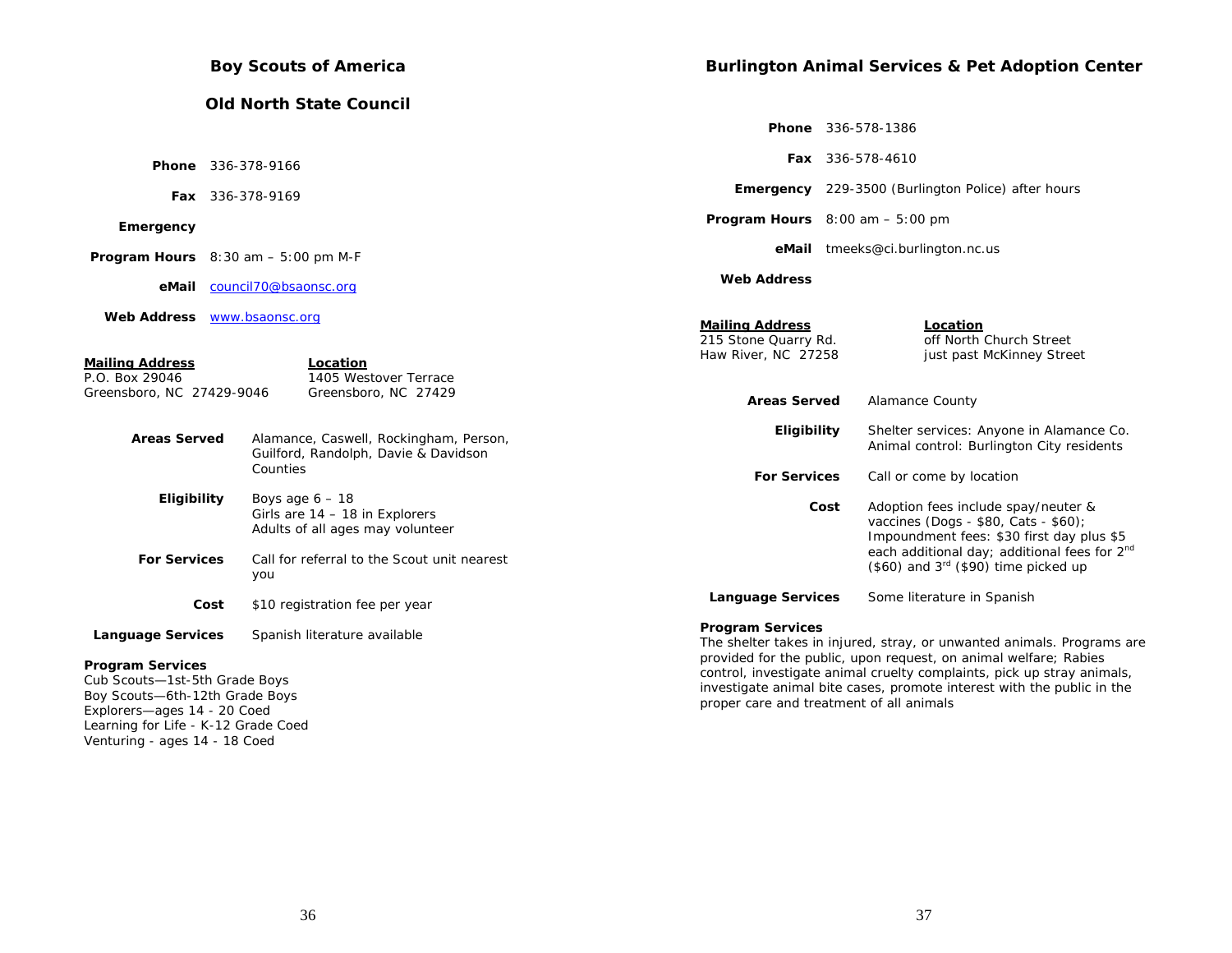|                                                                                                                                                                                                                               |      | <b>Boy Scouts of America</b>                                                                                                                    |                                                                                              |      | <b>Burlington Animal Services &amp; Pet Adoption Center</b>                                                                                                                                                                                                                                    |
|-------------------------------------------------------------------------------------------------------------------------------------------------------------------------------------------------------------------------------|------|-------------------------------------------------------------------------------------------------------------------------------------------------|----------------------------------------------------------------------------------------------|------|------------------------------------------------------------------------------------------------------------------------------------------------------------------------------------------------------------------------------------------------------------------------------------------------|
|                                                                                                                                                                                                                               |      | <b>Old North State Council</b>                                                                                                                  |                                                                                              |      |                                                                                                                                                                                                                                                                                                |
|                                                                                                                                                                                                                               |      |                                                                                                                                                 |                                                                                              |      | <b>Phone</b> 336-578-1386                                                                                                                                                                                                                                                                      |
|                                                                                                                                                                                                                               |      | <b>Phone</b> 336-378-9166                                                                                                                       |                                                                                              |      | Fax 336-578-4610                                                                                                                                                                                                                                                                               |
|                                                                                                                                                                                                                               |      | Fax 336-378-9169                                                                                                                                |                                                                                              |      | <b>Emergency</b> 229-3500 (Burlington Police) after hours                                                                                                                                                                                                                                      |
| Emergency                                                                                                                                                                                                                     |      |                                                                                                                                                 | <b>Program Hours</b> $8:00$ am $-5:00$ pm                                                    |      |                                                                                                                                                                                                                                                                                                |
|                                                                                                                                                                                                                               |      | <b>Program Hours</b> $8:30$ am $-5:00$ pm M-F                                                                                                   |                                                                                              |      | eMail tmeeks@ci.burlington.nc.us                                                                                                                                                                                                                                                               |
|                                                                                                                                                                                                                               |      | eMail council70@bsaonsc.org                                                                                                                     | <b>Web Address</b>                                                                           |      |                                                                                                                                                                                                                                                                                                |
| Web Address <b>WWW.bsaonsc.org</b><br><b>Mailing Address</b><br>P.O. Box 29046<br>Greensboro, NC 27429-9046                                                                                                                   |      | Location<br>1405 Westover Terrace<br>Greensboro, NC 27429                                                                                       | <b>Mailing Address</b><br>215 Stone Quarry Rd.<br>Haw River, NC 27258<br><b>Areas Served</b> |      | Location<br>off North Church Street<br>just past McKinney Street<br>Alamance County                                                                                                                                                                                                            |
| <b>Areas Served</b>                                                                                                                                                                                                           |      | Alamance, Caswell, Rockingham, Person,<br>Guilford, Randolph, Davie & Davidson<br>Counties                                                      | Eligibility<br><b>For Services</b>                                                           |      | Shelter services: Anyone in Alamance Co.<br>Animal control: Burlington City residents<br>Call or come by location                                                                                                                                                                              |
| Eligibility<br><b>For Services</b>                                                                                                                                                                                            |      | Boys age $6 - 18$<br>Girls are $14 - 18$ in Explorers<br>Adults of all ages may volunteer<br>Call for referral to the Scout unit nearest<br>you |                                                                                              | Cost | Adoption fees include spay/neuter &<br>vaccines (Dogs - \$80, Cats - \$60);<br>Impoundment fees: \$30 first day plus \$5<br>each additional day; additional fees for 2 <sup>nd</sup><br>$(\$60)$ and $3rd$ (\$90) time picked up                                                               |
|                                                                                                                                                                                                                               | Cost | \$10 registration fee per year                                                                                                                  | <b>Language Services</b>                                                                     |      | Some literature in Spanish                                                                                                                                                                                                                                                                     |
| <b>Language Services</b><br><b>Program Services</b><br>Cub Scouts-1st-5th Grade Boys<br>Boy Scouts-6th-12th Grade Boys<br>Explorers-ages 14 - 20 Coed<br>Learning for Life - K-12 Grade Coed<br>Venturing - ages 14 - 18 Coed |      | Spanish literature available                                                                                                                    | <b>Program Services</b><br>proper care and treatment of all animals                          |      | The shelter takes in injured, stray, or unwanted animals. Programs are<br>provided for the public, upon request, on animal welfare; Rabies<br>control, investigate animal cruelty complaints, pick up stray animals,<br>investigate animal bite cases, promote interest with the public in the |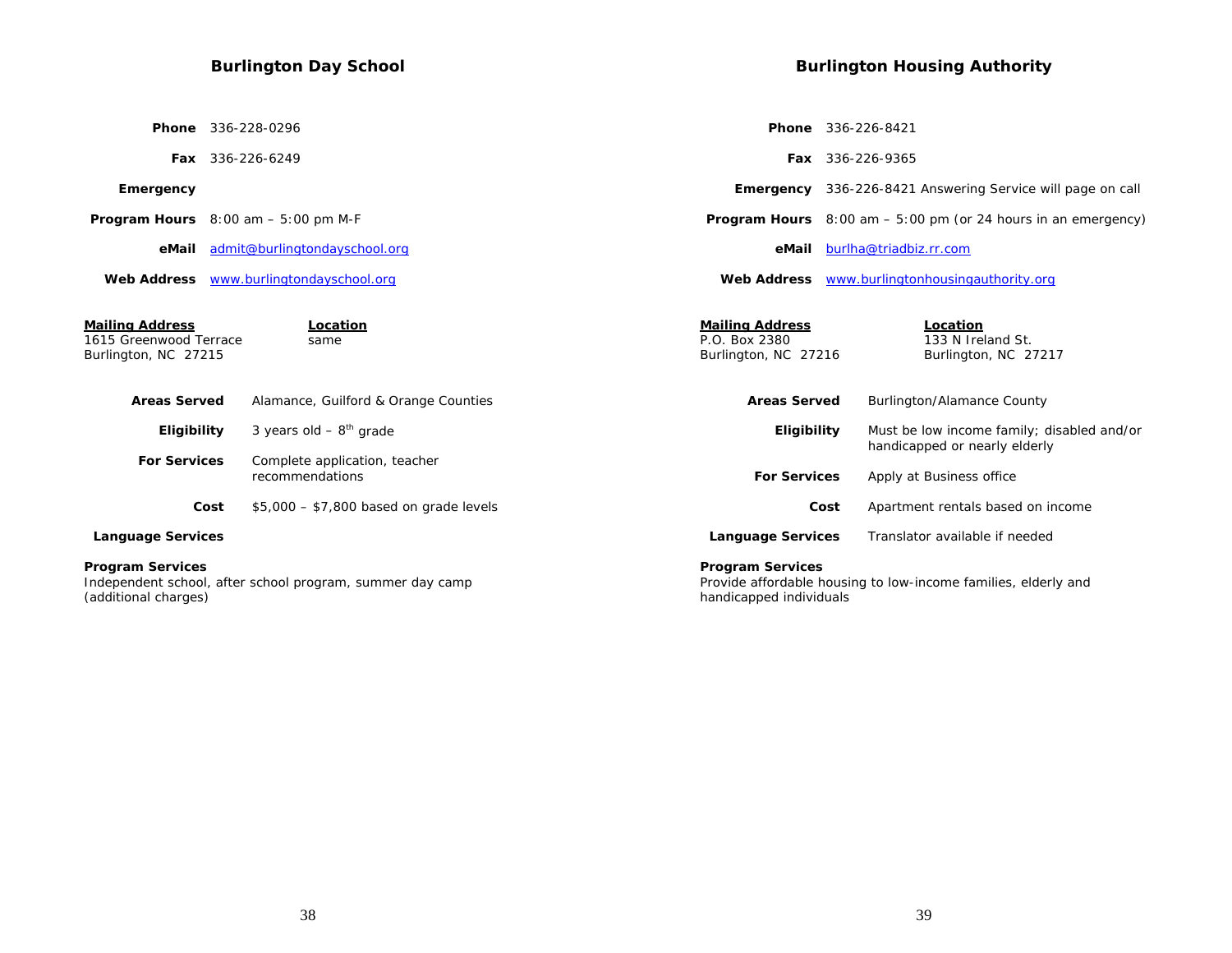# **Burlington Day School Phone** 336-228-0296 **Fax** 336-226-6249  **Emergency Program Hours** 8:00 am – 5:00 pm M-F  **eMail** admit@burlingtondayschool.org  **Web Address** www.burlingtondayschool.org **Mailing Address Location**<br>1615 Greenwood Terrace Same 1615 Greenwood Terrace Burlington, NC 27215 Areas Served Alamance, Guilford & Orange Count **Eligibility** 3 years old  $-8^{th}$  grade  **For Services** Complete application, teacher recommendations  **Phone** 336-226-8421  **Fax** 336-226-9365  **eMail** burlha@triadbiz.rr.com **Web AddressMailing Address Location**

**Cost**  $$5,000 - $7,800$  based on grade le  **Language Services Program Services** 

Independent school, after school program, summer day camp (additional charges)

**Burlington Housing Authority** 

|       |                                                                 | <b>Fax</b> 336-226-9365                                                     |
|-------|-----------------------------------------------------------------|-----------------------------------------------------------------------------|
|       |                                                                 | <b>Emergency</b> 336-226-8421 Answering Service will page on call           |
|       |                                                                 | <b>Program Hours</b> $8:00$ am $-5:00$ pm (or 24 hours in an emergency)     |
|       | eMail                                                           | burlha@triadbiz.rr.com                                                      |
|       |                                                                 | Web Address www.burlingtonhousingauthority.org                              |
|       | <b>Mailing Address</b><br>P.O. Box 2380<br>Burlington, NC 27216 | Location<br>133 N Ireland St.<br>Burlington, NC 27217                       |
| ties  | <b>Areas Served</b>                                             | Burlington/Alamance County                                                  |
|       | Eligibility                                                     | Must be low income family; disabled and/or<br>handicapped or nearly elderly |
|       | <b>For Services</b>                                             | Apply at Business office                                                    |
| evels |                                                                 | Cost<br>Apartment rentals based on income                                   |
|       | <b>Language Services</b>                                        | Translator available if needed                                              |
|       |                                                                 |                                                                             |

#### **Program Services**

Provide affordable housing to low-income families, elderly and handicapped individuals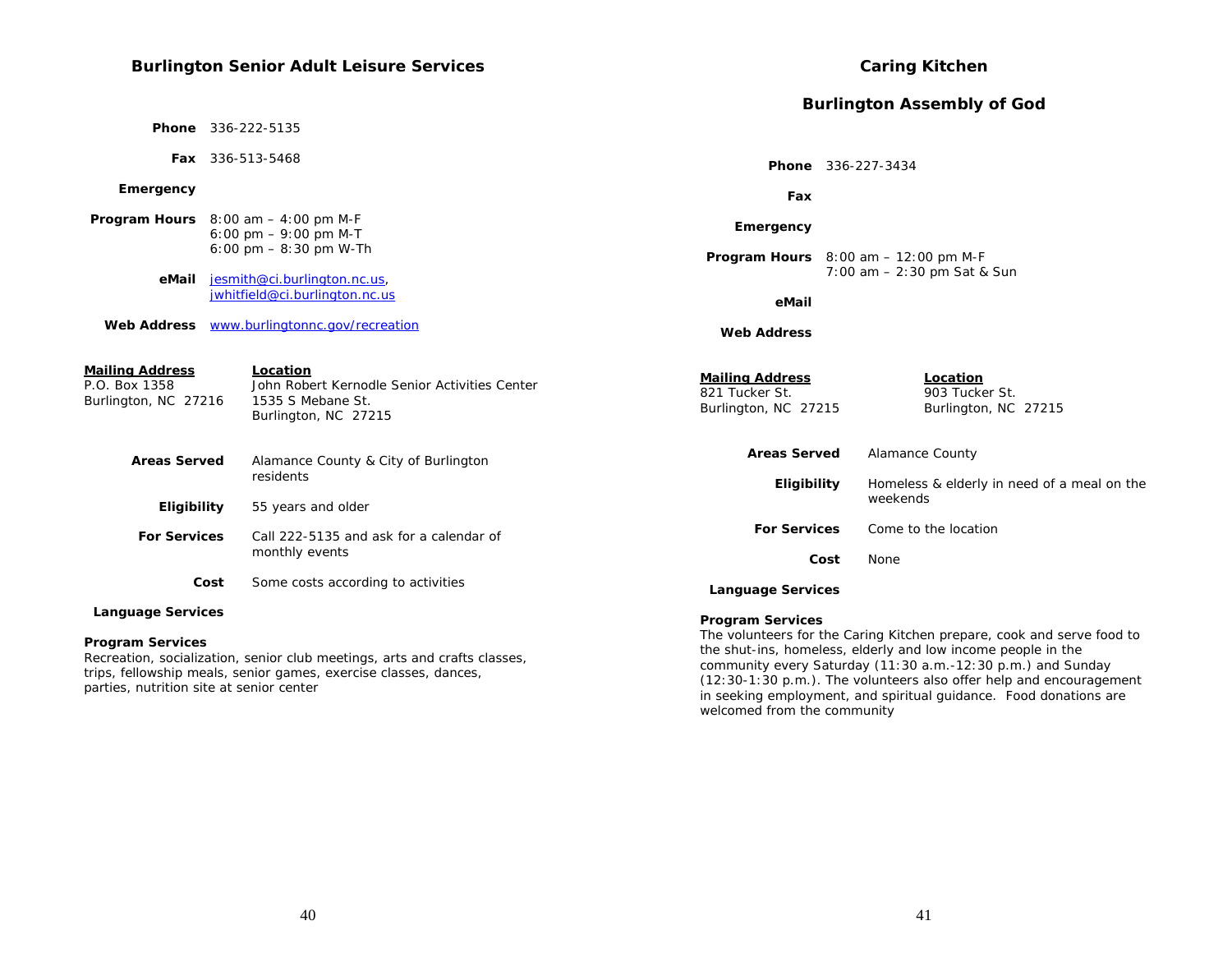# **Burlington Senior Adult Leisure Services**

|                                                                 |      |                                                                                                        |                                                                  |      | <b>Burlington Assembly of God</b>                                                                                                                                                      |
|-----------------------------------------------------------------|------|--------------------------------------------------------------------------------------------------------|------------------------------------------------------------------|------|----------------------------------------------------------------------------------------------------------------------------------------------------------------------------------------|
|                                                                 |      | <b>Phone</b> 336-222-5135                                                                              |                                                                  |      |                                                                                                                                                                                        |
|                                                                 |      | Fax 336-513-5468                                                                                       |                                                                  |      | Phone 336-227-3434                                                                                                                                                                     |
| Emergency                                                       |      |                                                                                                        | Fax                                                              |      |                                                                                                                                                                                        |
|                                                                 |      | <b>Program Hours</b> $8:00$ am $-4:00$ pm M-F<br>6:00 pm $-9:00$ pm M-T                                | Emergency                                                        |      |                                                                                                                                                                                        |
|                                                                 |      | 6:00 pm $-$ 8:30 pm W-Th                                                                               |                                                                  |      | <b>Program Hours</b> $8:00$ am $-12:00$ pm M-F                                                                                                                                         |
| eMail                                                           |      | jesmith@ci.burlington.nc.us,<br>jwhitfield@ci.burlington.nc.us                                         | eMail                                                            |      | 7:00 am - 2:30 pm Sat & Sun                                                                                                                                                            |
|                                                                 |      |                                                                                                        |                                                                  |      |                                                                                                                                                                                        |
| <b>Web Address</b>                                              |      | www.burlingtonnc.gov/recreation                                                                        | <b>Web Address</b>                                               |      |                                                                                                                                                                                        |
| <b>Mailing Address</b><br>P.O. Box 1358<br>Burlington, NC 27216 |      | Location<br>John Robert Kernodle Senior Activities Center<br>1535 S Mebane St.<br>Burlington, NC 27215 | <b>Mailing Address</b><br>821 Tucker St.<br>Burlington, NC 27215 |      | Location<br>903 Tucker St.<br>Burlington, NC 27215                                                                                                                                     |
| <b>Areas Served</b>                                             |      | Alamance County & City of Burlington                                                                   | <b>Areas Served</b>                                              |      | <b>Alamance County</b>                                                                                                                                                                 |
|                                                                 |      | residents                                                                                              | Eligibility                                                      |      | Homeless & elderly in need of a meal on the                                                                                                                                            |
| Eligibility                                                     |      | 55 years and older                                                                                     |                                                                  |      | weekends                                                                                                                                                                               |
| <b>For Services</b>                                             |      | Call 222-5135 and ask for a calendar of                                                                | <b>For Services</b>                                              |      | Come to the location                                                                                                                                                                   |
|                                                                 |      | monthly events                                                                                         |                                                                  | Cost | None                                                                                                                                                                                   |
|                                                                 | Cost | Some costs according to activities                                                                     | <b>Language Services</b>                                         |      |                                                                                                                                                                                        |
| <b>Language Services</b>                                        |      |                                                                                                        | <b>Program Services</b>                                          |      |                                                                                                                                                                                        |
| <b>Program Services</b>                                         |      |                                                                                                        |                                                                  |      | The volunteers for the Caring Kitchen prepare, cook and serve food to<br>a contra de la constitución de la constitución de la constitución de la constitución de la constitución de la |

Recreation, socialization, senior club meetings, arts and crafts classes, trips, fellowship meals, senior games, exercise classes, dances,

parties, nutrition site at senior center

#### The volunteers for the Caring Kitchen prepare, cook and serve food to the shut-ins, homeless, elderly and low income people in the community every Saturday (11:30 a.m.-12:30 p.m.) and Sunday (12:30-1:30 p.m.). The volunteers also offer help and encouragement in seeking employment, and spiritual guidance. Food donations are welcomed from the community

**Caring Kitchen**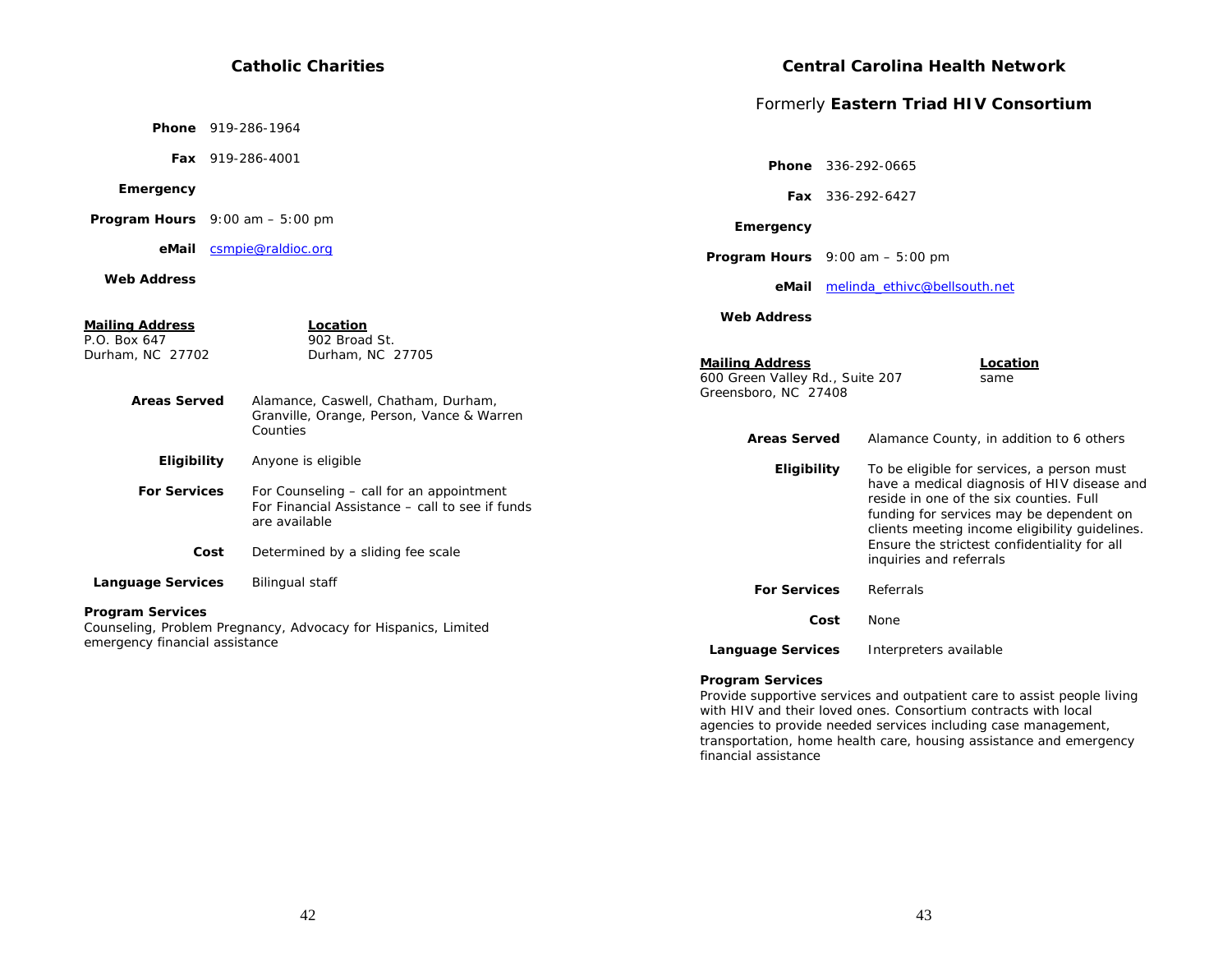#### **Catholic Charities Phone** 919-286-1964 **Fax** 919-286-4001  **Emergency Program Hours** 9:00 am – 5:00 pm  **eMail** csmpie@raldioc.org  **Web AddressMailing Address Location**<br>P.O. Box 647 902 Broad  $\overline{902}$  Broad St. Durham, NC 27702 Durham, NC 27705  **Areas Served** Alamance, Caswell, Chatham, Durham, Granville, Orange, Person, Vance & Warren Counties  **Eligibility** Anyone is eligible **For Services** For Counseling – call for an appointment For Financial Assistance – call to see if funds are available **Cost** Determined by a sliding fee scale **Language Services** Bilingual staff **Program Services**  Counseling, Problem Pregnancy, Advocacy for Hispanics, Limited emergency financial assistance **Central Carolina Health Network** Formerly **Eastern Triad HIV Consortium Phone** 336-292-0665  **Fax** 336-292-6427  **Emergency Program Hours** 9:00 am – 5:00 pm  **eMail** melinda\_ethivc@bellsouth.net  **Web AddressMailing Address Location** 600 Green Valley Rd., Suite 207 same Greensboro, NC 27408 Areas Served Alamance County, in addition to 6 others **Eligibility** To be eligible for services, a person must have a medical diagnosis of HIV disease and reside in one of the six counties. Full funding for services may be dependent on clients meeting income eligibility guidelines. Ensure the strictest confidentiality for all inquiries and referrals **For Services** Referrals  **Cost** None  **Language Services** Interpreters available **Program Services**

Provide supportive services and outpatient care to assist people living with HIV and their loved ones. Consortium contracts with local agencies to provide needed services including case management, transportation, home health care, housing assistance and emergency financial assistance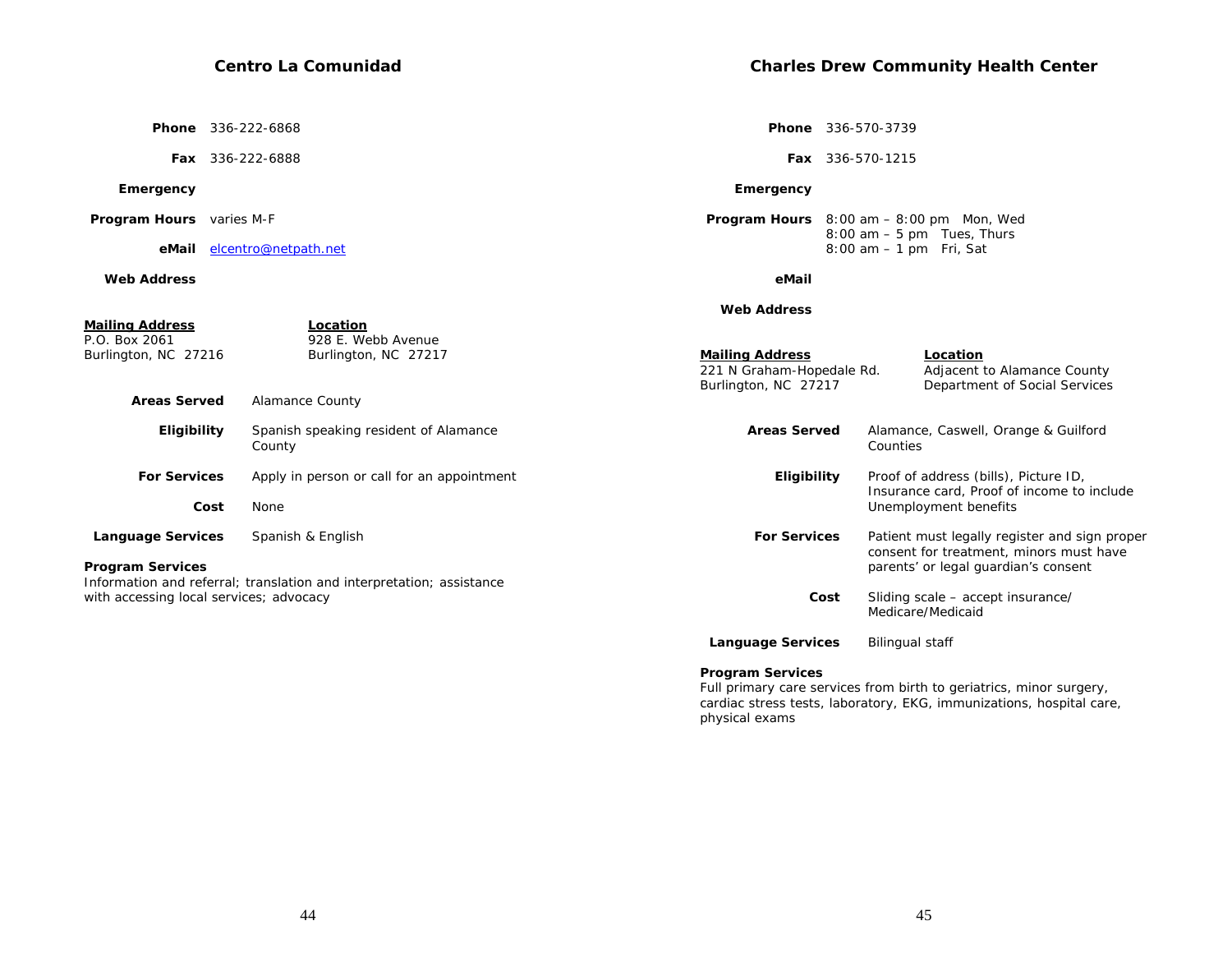|                                                                                                       | <b>Phone</b> 336-222-6868                                                                                                           |                                                                                                                          | <b>Phone</b> 336-570-3739                                                                                                        |
|-------------------------------------------------------------------------------------------------------|-------------------------------------------------------------------------------------------------------------------------------------|--------------------------------------------------------------------------------------------------------------------------|----------------------------------------------------------------------------------------------------------------------------------|
|                                                                                                       | <b>Fax</b> 336-222-6888                                                                                                             |                                                                                                                          | Fax 336-570-1215                                                                                                                 |
| Emergency                                                                                             |                                                                                                                                     | Emergency                                                                                                                |                                                                                                                                  |
| <b>Program Hours</b> varies M-F                                                                       |                                                                                                                                     |                                                                                                                          | <b>Program Hours</b> $8:00 \text{ am} - 8:00 \text{ pm}$ Mon, Wed                                                                |
|                                                                                                       | eMail elcentro@netpath.net                                                                                                          |                                                                                                                          | $8:00$ am $-5$ pm Tues, Thurs<br>$8:00$ am $-1$ pm Fri, Sat                                                                      |
| <b>Web Address</b>                                                                                    |                                                                                                                                     | eMail                                                                                                                    |                                                                                                                                  |
| <u>Mailing Address</u><br>P.O. Box 2061<br>Burlington, NC 27216<br><b>Areas Served</b><br>Eligibility | Location<br>928 E. Webb Avenue<br>Burlington, NC 27217<br><b>Alamance County</b><br>Spanish speaking resident of Alamance<br>County | <b>Web Address</b><br><b>Mailing Address</b><br>221 N Graham-Hopedale Rd.<br>Burlington, NC 27217<br><b>Areas Served</b> | Location<br>Adjacent to Alamance County<br>Department of Social Services<br>Alamance, Caswell, Orange & Guilford<br>Counties     |
| <b>For Services</b><br>Cost                                                                           | Apply in person or call for an appointment<br>None                                                                                  | Eligibility                                                                                                              | Proof of address (bills), Picture ID,<br>Insurance card, Proof of income to include<br>Unemployment benefits                     |
| <b>Language Services</b><br><b>Program Services</b>                                                   | Spanish & English                                                                                                                   | <b>For Services</b>                                                                                                      | Patient must legally register and sign proper<br>consent for treatment, minors must have<br>parents' or legal guardian's consent |
| with accessing local services; advocacy                                                               | Information and referral; translation and interpretation; assistance                                                                | Cost                                                                                                                     | Sliding scale - accept insurance/<br>Medicare/Medicaid                                                                           |

**Language Services** Bilingual staff

# **Program Services**

Full primary care services from birth to geriatrics, minor surgery, cardiac stress tests, laboratory, EKG, immunizations, hospital care, physical exams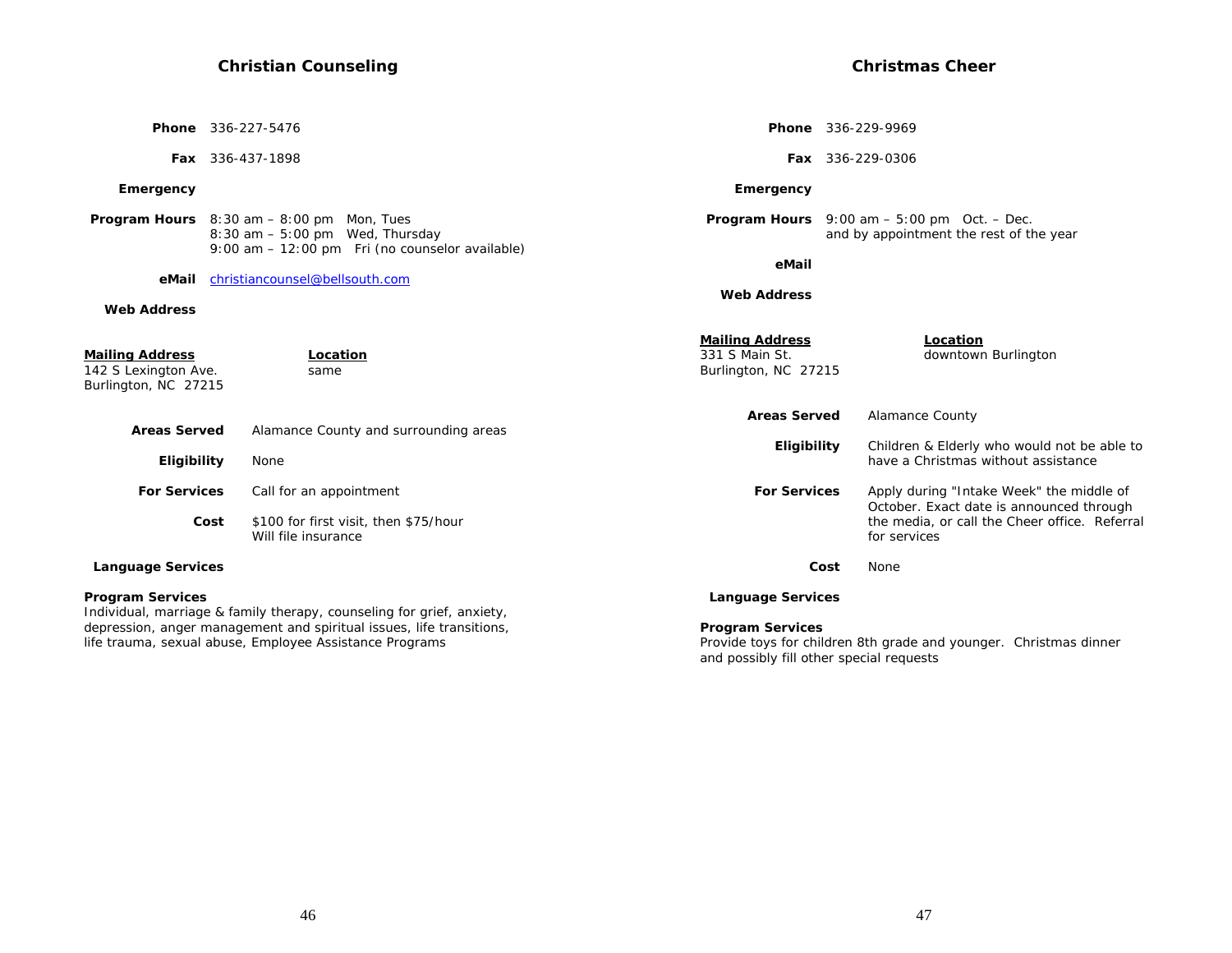|                                                                 | Phone 336-227-5476                                                                         |                                                                  | <b>Phone</b> 336-229-9969                                                                                         |
|-----------------------------------------------------------------|--------------------------------------------------------------------------------------------|------------------------------------------------------------------|-------------------------------------------------------------------------------------------------------------------|
|                                                                 | <b>Fax</b> 336-437-1898                                                                    |                                                                  | <b>Fax</b> 336-229-0306                                                                                           |
| Emergency                                                       |                                                                                            | Emergency                                                        |                                                                                                                   |
|                                                                 | <b>Program Hours</b> $8:30$ am $- 8:00$ pm Mon, Tues<br>$8:30$ am $-5:00$ pm Wed, Thursday |                                                                  | <b>Program Hours</b> $9:00 \text{ am} - 5:00 \text{ pm}$ Oct. $-$ Dec.<br>and by appointment the rest of the year |
|                                                                 | 9:00 am - 12:00 pm Fri (no counselor available)                                            | eMail                                                            |                                                                                                                   |
| eMail<br><b>Web Address</b>                                     | christiancounsel@bellsouth.com                                                             | <b>Web Address</b>                                               |                                                                                                                   |
| Mailing Address<br>142 S Lexington Ave.<br>Burlington, NC 27215 | Location<br>same                                                                           | <b>Mailing Address</b><br>331 S Main St.<br>Burlington, NC 27215 | Location<br>downtown Burlington                                                                                   |
| <b>Areas Served</b>                                             | Alamance County and surrounding areas                                                      | <b>Areas Served</b>                                              | <b>Alamance County</b>                                                                                            |
| Eligibility                                                     | None                                                                                       | Eligibility                                                      | Children & Elderly who would not be able to<br>have a Christmas without assistance                                |
| <b>For Services</b>                                             | Call for an appointment                                                                    | <b>For Services</b>                                              | Apply during "Intake Week" the middle of                                                                          |
|                                                                 | \$100 for first visit, then \$75/hour<br>Cost<br>Will file insurance                       |                                                                  | October. Exact date is announced through<br>the media, or call the Cheer office. Referral<br>for services         |
| <b>Language Services</b>                                        |                                                                                            |                                                                  | Cost<br>None                                                                                                      |
| <b>Program Services</b>                                         | Individual, marriage & family therapy, counseling for grief, anxiety,                      | <b>Language Services</b>                                         |                                                                                                                   |
|                                                                 | depression, anger management and spiritual issues, life transitions,                       | <b>Program Services</b>                                          | $\mathbf{r}$ , and $\mathbf{r}$ , and $\mathbf{r}$ , and $\mathbf{r}$ , and $\mathbf{r}$                          |

life trauma, sexual abuse, Employee Assistance Programs

Provide toys for children 8th grade and younger. Christmas dinner and possibly fill other special requests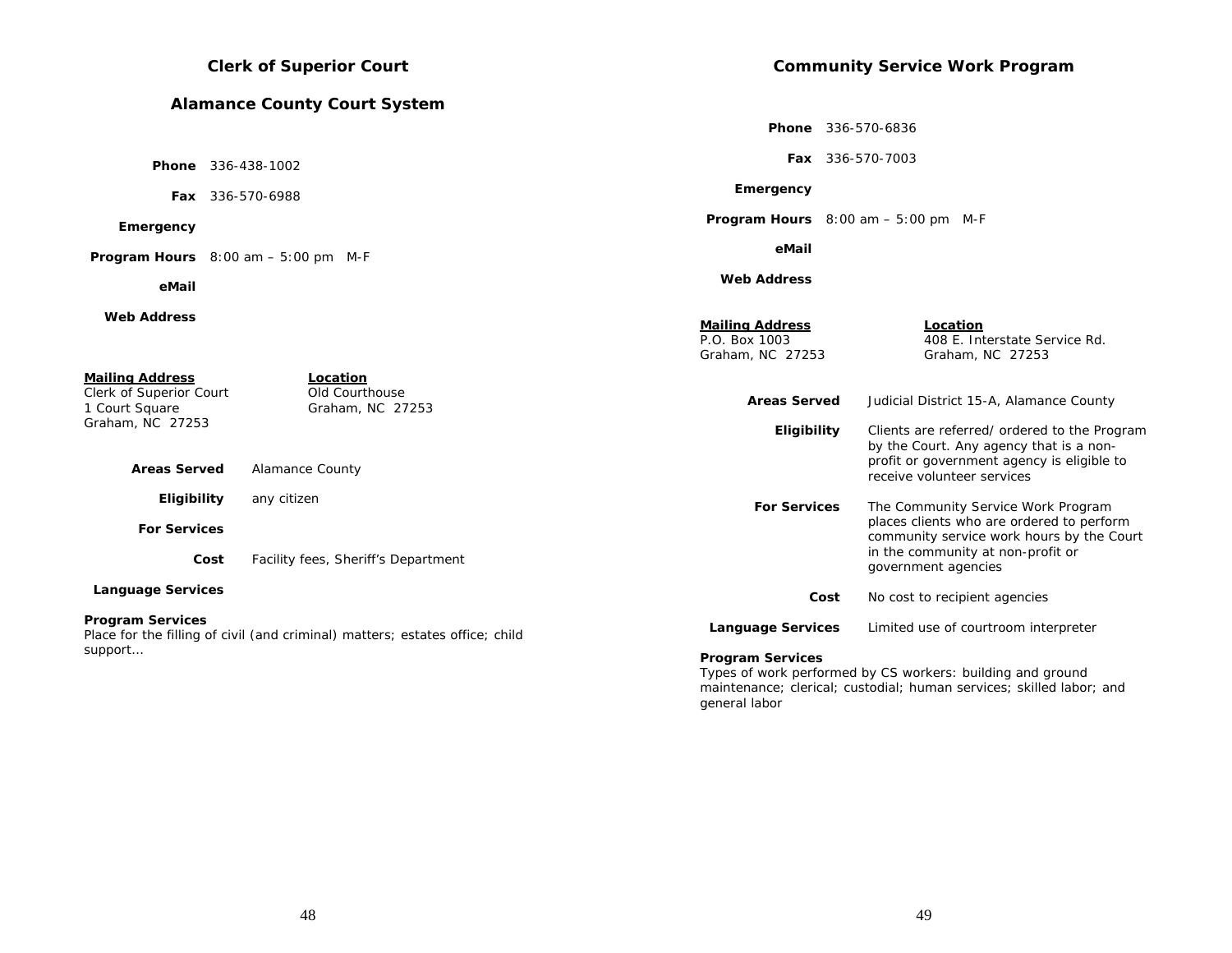|                                                                                         | <b>Clerk of Superior Court</b>                                               |                                                             | <b>Community Service Work Program</b>                                                                                              |
|-----------------------------------------------------------------------------------------|------------------------------------------------------------------------------|-------------------------------------------------------------|------------------------------------------------------------------------------------------------------------------------------------|
|                                                                                         | <b>Alamance County Court System</b>                                          |                                                             |                                                                                                                                    |
|                                                                                         |                                                                              |                                                             | <b>Phone</b> 336-570-6836                                                                                                          |
|                                                                                         | <b>Phone</b> 336-438-1002                                                    |                                                             | Fax 336-570-7003                                                                                                                   |
|                                                                                         | <b>Fax</b> 336-570-6988                                                      | Emergency                                                   |                                                                                                                                    |
| Emergency                                                                               |                                                                              |                                                             | <b>Program Hours</b> $8:00$ am $-5:00$ pm M-F                                                                                      |
|                                                                                         | <b>Program Hours</b> $8:00$ am $-5:00$ pm M-F                                | eMail                                                       |                                                                                                                                    |
| eMail                                                                                   |                                                                              | <b>Web Address</b>                                          |                                                                                                                                    |
| <b>Web Address</b>                                                                      |                                                                              | <b>Mailing Address</b><br>P.O. Box 1003<br>Graham, NC 27253 | Location<br>408 E. Interstate Service Rd.<br>Graham, NC 27253                                                                      |
| <b>Mailing Address</b><br>Clerk of Superior Court<br>1 Court Square<br>Graham, NC 27253 | Location<br>Old Courthouse<br>Graham, NC 27253                               | <b>Areas Served</b><br>Eligibility                          | Judicial District 15-A, Alamance County<br>Clients are referred/ ordered to the Program<br>by the Court. Any agency that is a non- |
| <b>Areas Served</b>                                                                     | <b>Alamance County</b>                                                       |                                                             | profit or government agency is eligible to<br>receive volunteer services                                                           |
| Eligibility<br><b>For Services</b>                                                      | any citizen                                                                  | <b>For Services</b>                                         | The Community Service Work Program<br>places clients who are ordered to perform<br>community service work hours by the Court       |
| Cost                                                                                    | Facility fees, Sheriff's Department                                          |                                                             | in the community at non-profit or<br>government agencies                                                                           |
| <b>Language Services</b>                                                                |                                                                              |                                                             | Cost<br>No cost to recipient agencies                                                                                              |
| <b>Program Services</b>                                                                 | Place for the filling of civil (and criminal) matters; estates office; child | <b>Language Services</b>                                    | Limited use of courtroom interpreter                                                                                               |
| support                                                                                 |                                                                              | <b>Program Services</b>                                     | Types of work performed by CS workers: building and ground                                                                         |

48

maintenance; clerical; custodial; human services; skilled labor; and

general labor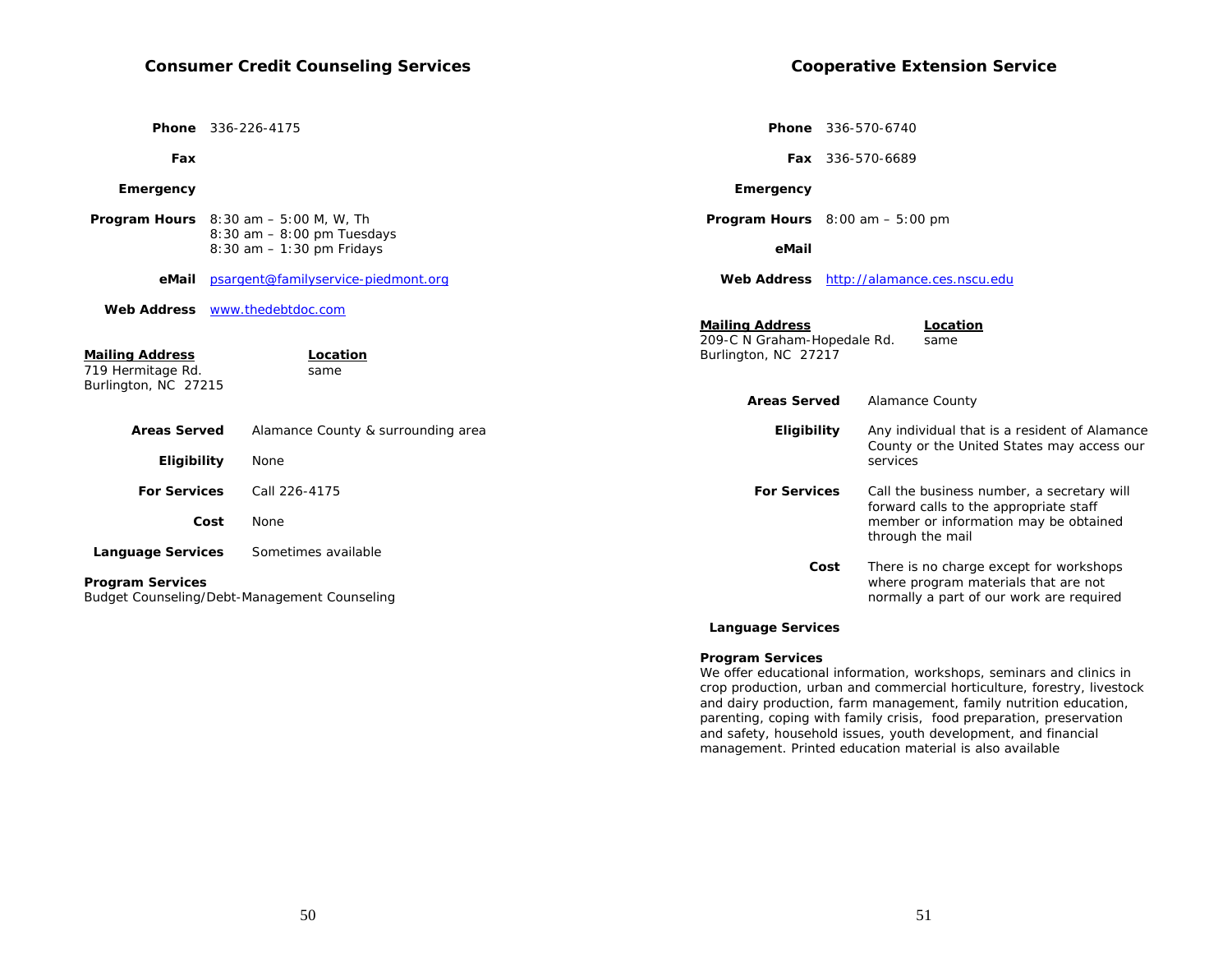|                                                                     |      | <b>Phone</b> 336-226-4175                                           |                                                                               | <b>Phone</b> 336-570-6740 |                                                                                                                             |
|---------------------------------------------------------------------|------|---------------------------------------------------------------------|-------------------------------------------------------------------------------|---------------------------|-----------------------------------------------------------------------------------------------------------------------------|
| Fax                                                                 |      |                                                                     |                                                                               | <b>Fax</b> 336-570-6689   |                                                                                                                             |
| Emergency                                                           |      |                                                                     | Emergency                                                                     |                           |                                                                                                                             |
|                                                                     |      | <b>Program Hours</b> $8:30$ am $-5:00$ M, W, Th                     | <b>Program Hours</b> $8:00$ am $-5:00$ pm                                     |                           |                                                                                                                             |
|                                                                     |      | 8:30 am - 8:00 pm Tuesdays<br>$8:30$ am $-1:30$ pm Fridays          | eMail                                                                         |                           |                                                                                                                             |
| eMail                                                               |      | psargent@familyservice-piedmont.org                                 | Web Address http://alamance.ces.nscu.edu                                      |                           |                                                                                                                             |
| <b>Mailing Address</b><br>719 Hermitage Rd.<br>Burlington, NC 27215 |      | Web Address www.thedebtdoc.com<br>Location<br>same                  | <b>Mailing Address</b><br>209-C N Graham-Hopedale Rd.<br>Burlington, NC 27217 |                           | Location<br>same                                                                                                            |
|                                                                     |      |                                                                     | <b>Areas Served</b>                                                           |                           | <b>Alamance County</b>                                                                                                      |
| <b>Areas Served</b><br>Eligibility                                  |      | Alamance County & surrounding area<br>None                          | Eligibility                                                                   | services                  | Any individual that is a resident of Alamance<br>County or the United States may access our                                 |
| <b>For Services</b>                                                 |      | Call 226-4175                                                       | <b>For Services</b>                                                           |                           | Call the business number, a secretary will                                                                                  |
|                                                                     | Cost | None                                                                |                                                                               |                           | forward calls to the appropriate staff<br>member or information may be obtained<br>through the mail                         |
| <b>Language Services</b><br>Program Services                        |      | Sometimes available<br>Budget Counseling/Debt-Management Counseling |                                                                               | Cost                      | There is no charge except for workshops<br>where program materials that are not<br>normally a part of our work are required |
|                                                                     |      |                                                                     |                                                                               |                           |                                                                                                                             |

## **Language Services**

#### **Program Services**

We offer educational information, workshops, seminars and clinics in crop production, urban and commercial horticulture, forestry, livestock and dairy production, farm management, family nutrition education, parenting, coping with family crisis, food preparation, preservation and safety, household issues, youth development, and financial management. Printed education material is also available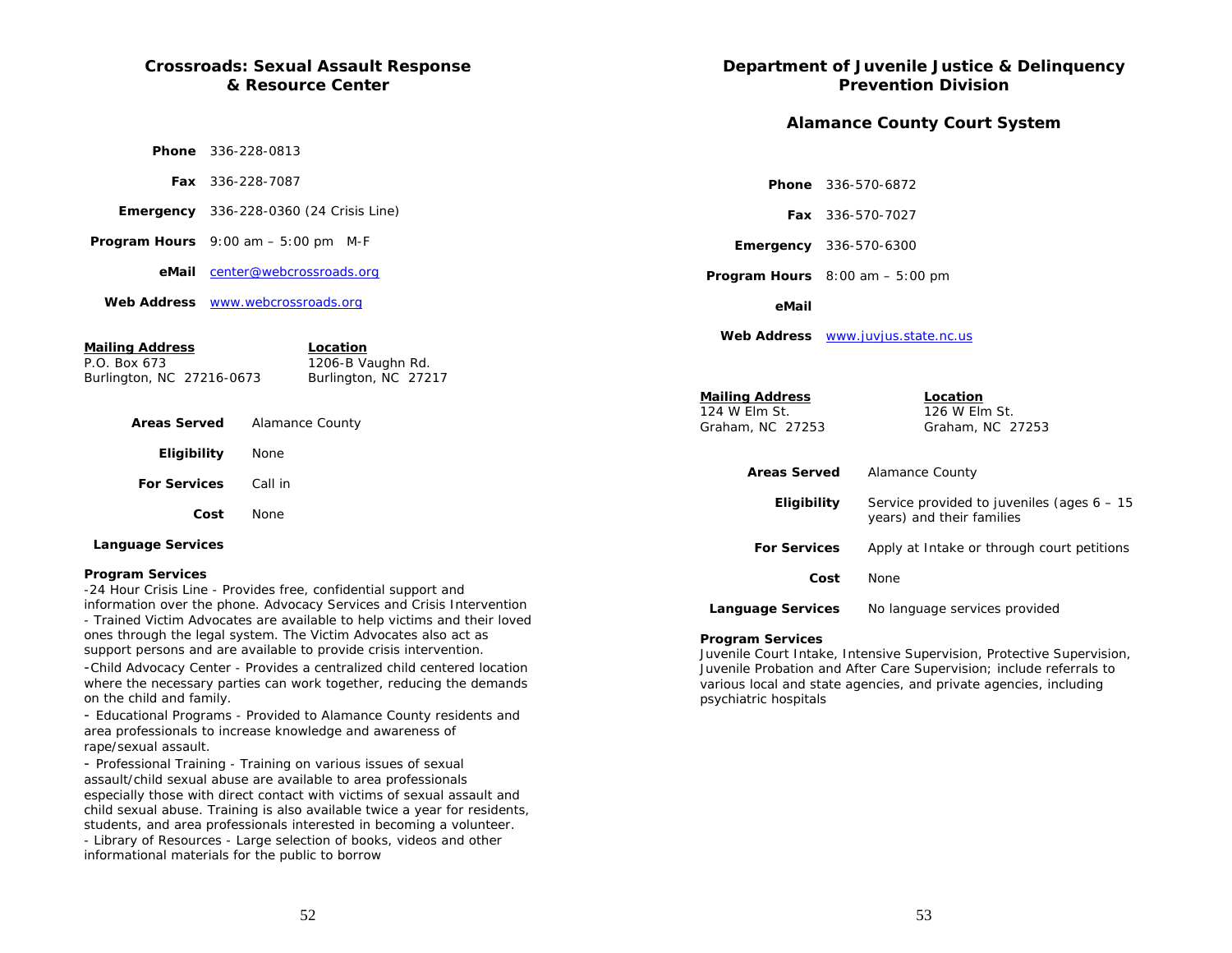# **Crossroads: Sexual Assault Response & Resource Center**

| <b>Phone</b> 336-228-0813                                    |
|--------------------------------------------------------------|
| <b>Fax</b> 336-228-7087                                      |
| <b>Emergency</b> $336-228-0360$ (24 Crisis Line)             |
| <b>Program Hours</b> $9:00 \text{ am} - 5:00 \text{ pm}$ M-F |
| <b>eMail</b> center@webcrossroads.org                        |
| Web Address www.webcrossroads.org                            |
|                                                              |

## **Mailing Address Location**

Burlington, NC 27216-0673

P.O. Box 673 1206-B Vaughn Rd.<br>
Burlington, NC 27216-0673 Burlington, NC 27217

| <b>Areas Served</b>         | Alamance County |  |
|-----------------------------|-----------------|--|
| Eligibility                 | None            |  |
| <b>For Services</b> Call in |                 |  |
| Cost                        | <b>None</b>     |  |
|                             |                 |  |

#### **Language Services**

#### **Program Services**

-24 Hour Crisis Line - Provides free, confidential support and information over the phone. Advocacy Services and Crisis Intervention - Trained Victim Advocates are available to help victims and their loved ones through the legal system. The Victim Advocates also act as support persons and are available to provide crisis intervention.

-Child Advocacy Center - Provides a centralized child centered location where the necessary parties can work together, reducing the demands on the child and family.

- Educational Programs - Provided to Alamance County residents and area professionals to increase knowledge and awareness of rape/sexual assault.

- Professional Training - Training on various issues of sexual assault/child sexual abuse are available to area professionals especially those with direct contact with victims of sexual assault and child sexual abuse. Training is also available twice a year for residents, students, and area professionals interested in becoming a volunteer.

- Library of Resources - Large selection of books, videos and other informational materials for the public to borrow

# **Department of Juvenile Justice & Delinquency Prevention Division**

# **Alamance County Court System**

 **Phone** 336-570-6872

|                                                             |      | <b>Fax</b> 336-570-7027                                                   |  |
|-------------------------------------------------------------|------|---------------------------------------------------------------------------|--|
| <b>Emergency</b> 336-570-6300                               |      |                                                                           |  |
| <b>Program Hours</b> $8:00 \text{ am} - 5:00 \text{ pm}$    |      |                                                                           |  |
| eMail                                                       |      |                                                                           |  |
|                                                             |      | Web Address <b>WWW.juvjus.state.nc.us</b>                                 |  |
|                                                             |      |                                                                           |  |
| <b>Mailing Address</b><br>124 W Elm St.<br>Graham, NC 27253 |      | Location<br>126 W Elm St.<br>Graham, NC 27253                             |  |
| <b>Areas Served</b>                                         |      | Alamance County                                                           |  |
| Eligibility                                                 |      | Service provided to juveniles (ages $6 - 15$<br>years) and their families |  |
| <b>For Services</b>                                         |      | Apply at Intake or through court petitions                                |  |
|                                                             | Cost | <b>None</b>                                                               |  |
| Language Services                                           |      | No language services provided                                             |  |

#### **Program Services**

Juvenile Court Intake, Intensive Supervision, Protective Supervision, Juvenile Probation and After Care Supervision; include referrals to various local and state agencies, and private agencies, including psychiatric hospitals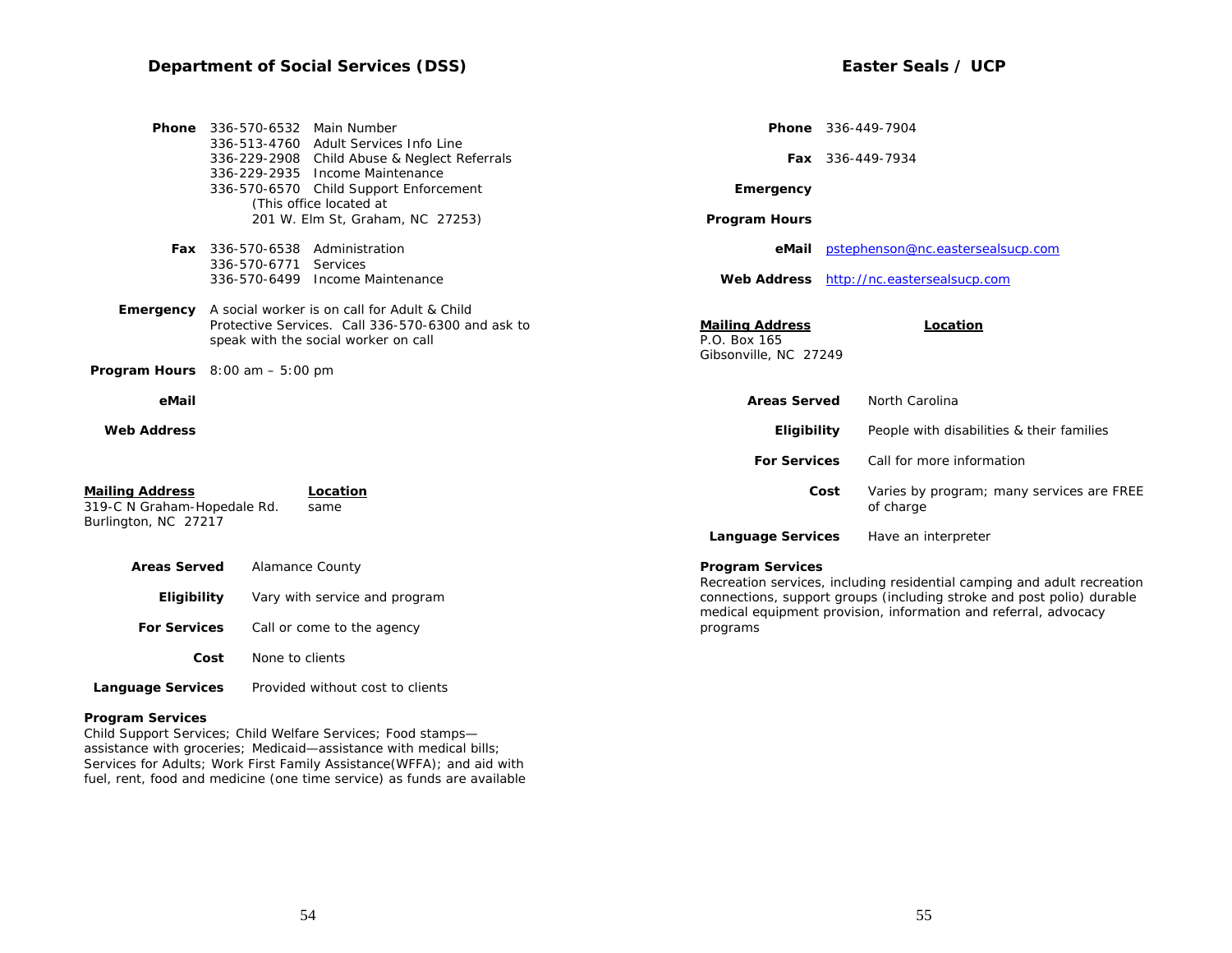|                                                                               | <b>Phone</b> 336-570-6532 Main Number                    | 336-513-4760 Adult Services Info Line                                                                                                     | <b>Phone</b> 336-449-7904                                       |                  |                                                                                                                                          |
|-------------------------------------------------------------------------------|----------------------------------------------------------|-------------------------------------------------------------------------------------------------------------------------------------------|-----------------------------------------------------------------|------------------|------------------------------------------------------------------------------------------------------------------------------------------|
|                                                                               |                                                          | 336-229-2908 Child Abuse & Neglect Referrals                                                                                              |                                                                 | Fax 336-449-7934 |                                                                                                                                          |
|                                                                               |                                                          | 336-229-2935 Income Maintenance<br>336-570-6570 Child Support Enforcement<br>(This office located at                                      | Emergency                                                       |                  |                                                                                                                                          |
|                                                                               |                                                          | 201 W. Elm St, Graham, NC 27253)                                                                                                          | <b>Program Hours</b>                                            |                  |                                                                                                                                          |
|                                                                               | Fax 336-570-6538 Administration<br>336-570-6771 Services |                                                                                                                                           |                                                                 |                  | eMail pstephenson@nc.eastersealsucp.com                                                                                                  |
|                                                                               |                                                          | 336-570-6499 Income Maintenance                                                                                                           |                                                                 |                  | Web Address http://nc.eastersealsucp.com                                                                                                 |
| Emergency                                                                     |                                                          | A social worker is on call for Adult & Child<br>Protective Services. Call 336-570-6300 and ask to<br>speak with the social worker on call | <b>Mailing Address</b><br>P.O. Box 165<br>Gibsonville, NC 27249 |                  | Location                                                                                                                                 |
| <b>Program Hours</b> $8:00$ am $-5:00$ pm                                     |                                                          |                                                                                                                                           |                                                                 |                  |                                                                                                                                          |
| eMail                                                                         |                                                          |                                                                                                                                           | <b>Areas Served</b>                                             |                  | North Carolina                                                                                                                           |
| <b>Web Address</b>                                                            |                                                          |                                                                                                                                           | Eligibility                                                     |                  | People with disabilities & their families                                                                                                |
|                                                                               |                                                          |                                                                                                                                           | <b>For Services</b>                                             |                  | Call for more information                                                                                                                |
| <b>Mailing Address</b><br>319-C N Graham-Hopedale Rd.<br>Burlington, NC 27217 |                                                          | Location<br>same                                                                                                                          |                                                                 | Cost             | Varies by program; many services are FREE<br>of charge                                                                                   |
|                                                                               |                                                          |                                                                                                                                           | <b>Language Services</b>                                        |                  | Have an interpreter                                                                                                                      |
| <b>Areas Served</b>                                                           |                                                          | <b>Alamance County</b>                                                                                                                    | <b>Program Services</b>                                         |                  | Recreation services, including residential camping and adult recreation                                                                  |
| Eligibility                                                                   |                                                          | Vary with service and program                                                                                                             |                                                                 |                  | connections, support groups (including stroke and post polio) durable<br>medical equipment provision, information and referral, advocacy |
| <b>For Services</b>                                                           |                                                          | Call or come to the agency                                                                                                                | programs                                                        |                  |                                                                                                                                          |
|                                                                               | None to clients<br>Cost                                  |                                                                                                                                           |                                                                 |                  |                                                                                                                                          |

**Program Services** 

Child Support Services; Child Welfare Services; Food stamps assistance with groceries; Medicaid—assistance with medical bills; Services for Adults; Work First Family Assistance(WFFA); and aid with fuel, rent, food and medicine (one time service) as funds are available

 **Language Services** Provided without cost to clients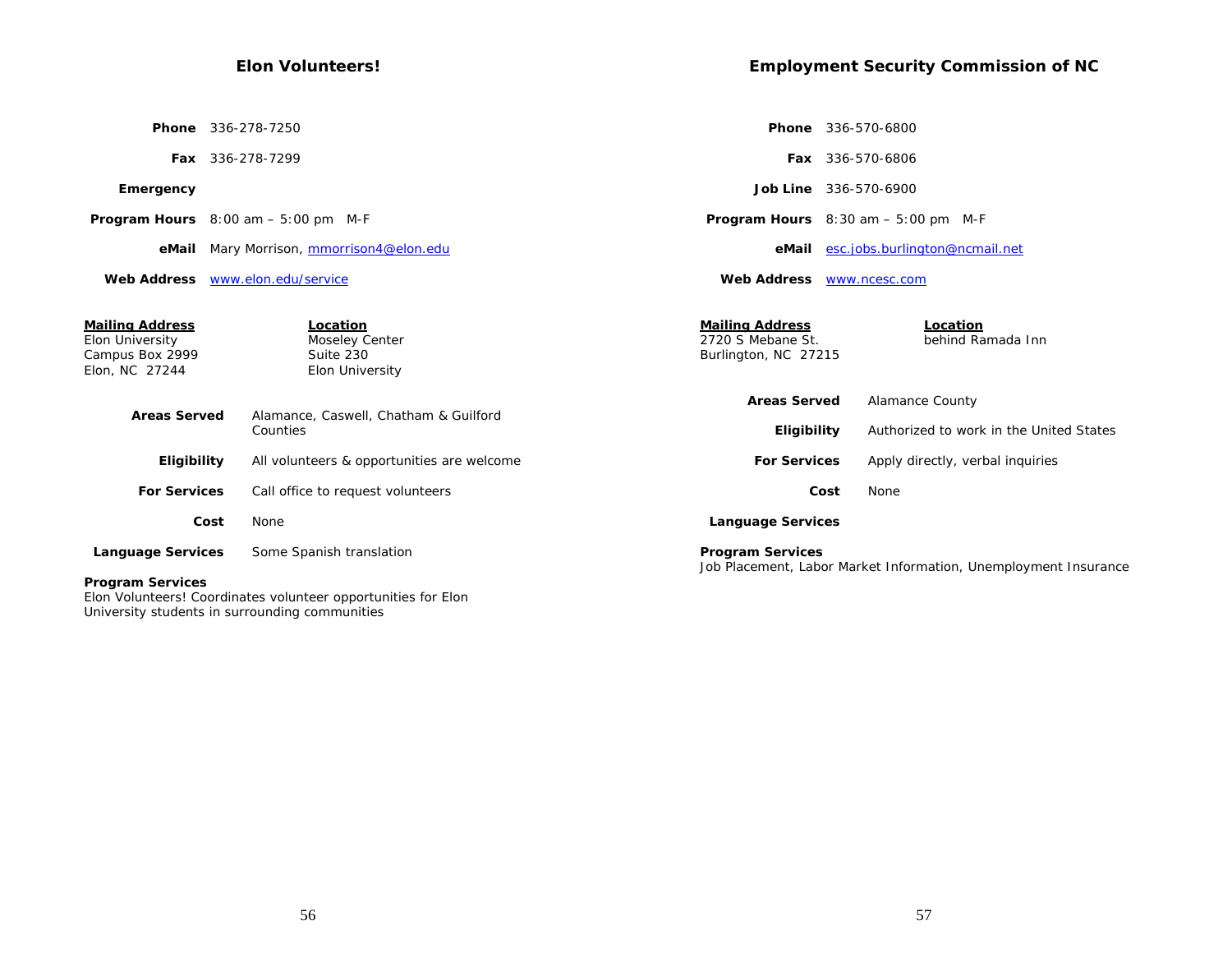## **Elon Volunteers!**

|                                                                                | <b>Phone</b> 336-278-7250                                  |                                                                     | <b>Phone</b> 336-570-6800                                         |
|--------------------------------------------------------------------------------|------------------------------------------------------------|---------------------------------------------------------------------|-------------------------------------------------------------------|
|                                                                                | Fax 336-278-7299                                           |                                                                     | <b>Fax</b> 336-570-6806                                           |
| Emergency                                                                      |                                                            |                                                                     | <b>Job Line</b> 336-570-6900                                      |
|                                                                                | <b>Program Hours</b> $8:00$ am $-5:00$ pm M-F              |                                                                     | <b>Program Hours</b> $8:30$ am $-5:00$ pm M-F                     |
|                                                                                | eMail Mary Morrison, mmorrison4@elon.edu                   | eMail                                                               | esc.jobs.burlington@ncmail.net                                    |
|                                                                                | Web Address www.elon.edu/service                           | <b>Web Address</b>                                                  | www.ncesc.com                                                     |
| <b>Mailing Address</b><br>Elon University<br>Campus Box 2999<br>Elon, NC 27244 | Location<br>Moseley Center<br>Suite 230<br>Elon University | <b>Mailing Address</b><br>2720 S Mebane St.<br>Burlington, NC 27215 | Location<br>behind Ramada Inn                                     |
| <b>Areas Served</b>                                                            | Alamance, Caswell, Chatham & Guilford<br>Counties          | <b>Areas Served</b><br>Eligibility                                  | <b>Alamance County</b><br>Authorized to work in the United States |
| Eligibility                                                                    | All volunteers & opportunities are welcome                 | <b>For Services</b>                                                 | Apply directly, verbal inquiries                                  |
| <b>For Services</b>                                                            | Call office to request volunteers                          |                                                                     | None<br>Cost                                                      |
|                                                                                | None<br>Cost                                               | <b>Language Services</b>                                            |                                                                   |
| <b>Language Services</b>                                                       | Some Spanish translation                                   | <b>Program Services</b>                                             |                                                                   |
| <b>Program Services</b>                                                        |                                                            |                                                                     | Job Placement, Labor Market Information, Unemployment Insurance   |

Elon Volunteers! Coordinates volunteer opportunities for Elon University students in surrounding communities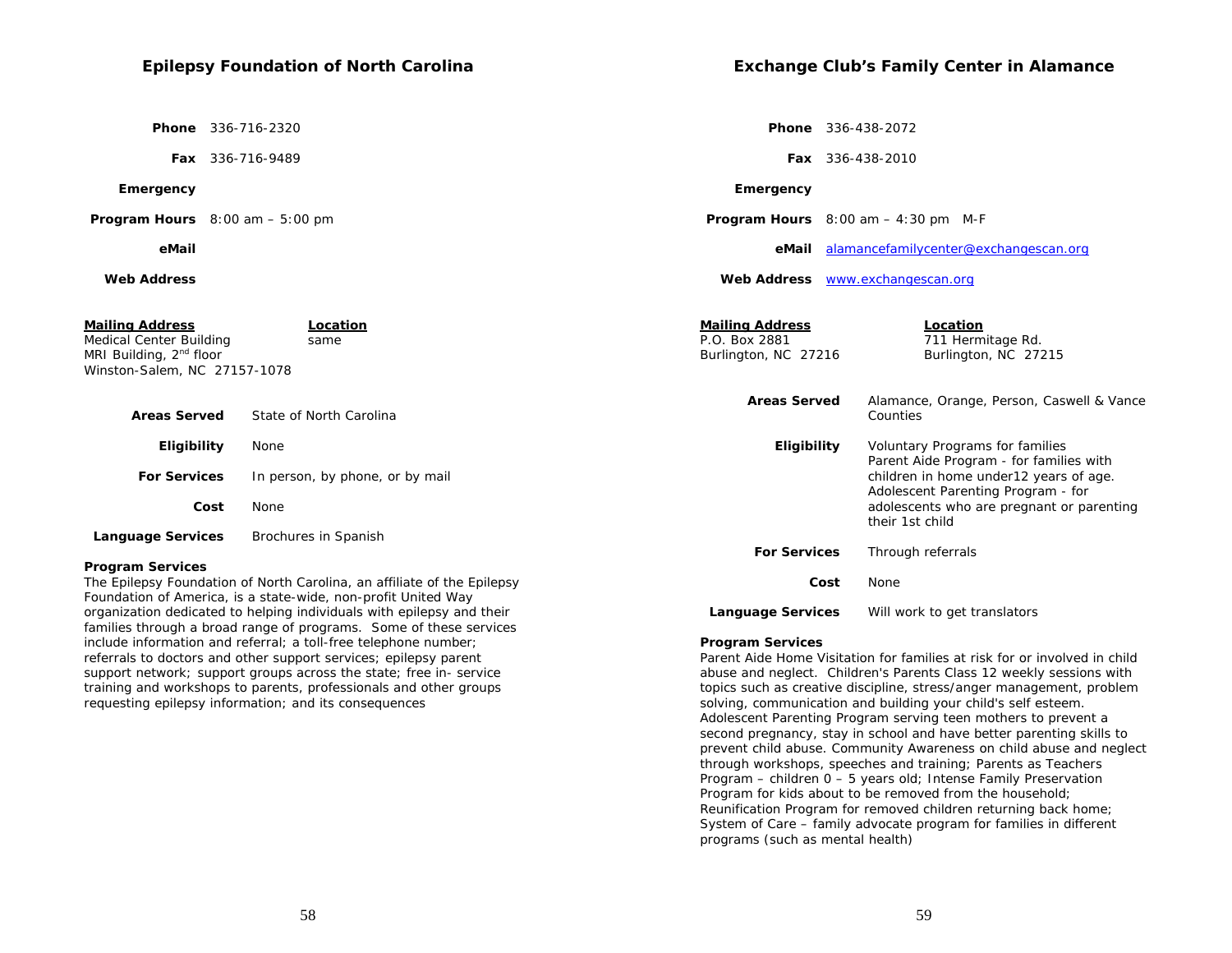## **Epilepsy Foundation of North Carolina**

 **Phone** 336-716-2320

 **Fax** 336-716-9489

#### **Emergency**

 **Program Hours** 8:00 am – 5:00 pm

#### **eMail**

#### **Web Address**

| <b>Mailing Address</b><br>Medical Center Building<br>MRI Building, 2 <sup>nd</sup> floor<br>Winston-Salem, NC 27157-1078 | Location<br>same                                                        | <b>Mailing Address</b><br>P.O. Box 2881<br>Burlington, NC 27216 | Location<br>711 Hermitage Rd.<br>Burlington, NC 27215                                                                    |
|--------------------------------------------------------------------------------------------------------------------------|-------------------------------------------------------------------------|-----------------------------------------------------------------|--------------------------------------------------------------------------------------------------------------------------|
| <b>Areas Served</b>                                                                                                      | State of North Carolina                                                 | <b>Areas Served</b>                                             | Alamance, Orange, Person, Caswell & Vance<br>Counties                                                                    |
| Eligibility                                                                                                              | None                                                                    | Eligibility                                                     | Voluntary Programs for families                                                                                          |
| <b>For Services</b>                                                                                                      | In person, by phone, or by mail                                         |                                                                 | Parent Aide Program - for families with<br>children in home under 12 years of age.<br>Adolescent Parenting Program - for |
| Cost                                                                                                                     | None                                                                    |                                                                 | adolescents who are pregnant or parenting<br>their 1st child                                                             |
| <b>Language Services</b>                                                                                                 | Brochures in Spanish                                                    |                                                                 |                                                                                                                          |
|                                                                                                                          |                                                                         | <b>For Services</b>                                             | Through referrals                                                                                                        |
| <b>Program Services</b>                                                                                                  |                                                                         |                                                                 |                                                                                                                          |
|                                                                                                                          | The Epilepsy Foundation of North Carolina, an affiliate of the Epilepsy | Cost                                                            | None                                                                                                                     |
|                                                                                                                          | Foundation of America, is a state-wide, non-profit United Way           |                                                                 |                                                                                                                          |

**Program Services** 

Parent Aide Home Visitation for families at risk for or involved in child abuse and neglect. Children's Parents Class 12 weekly sessions with topics such as creative discipline, stress/anger management, problem solving, communication and building your child's self esteem. Adolescent Parenting Program serving teen mothers to prevent a second pregnancy, stay in school and have better parenting skills to prevent child abuse. Community Awareness on child abuse and neglect through workshops, speeches and training; Parents as Teachers Program – children 0 – 5 years old; Intense Family Preservation Program for kids about to be removed from the household; Reunification Program for removed children returning back home; System of Care – family advocate program for families in different programs (such as mental health)

 **Language Services** Will work to get translators

organization dedicated to helping individuals with epilepsy and their families through a broad range of programs. Some of these services include information and referral; a toll-free telephone number; referrals to doctors and other support services; epilepsy parent support network; support groups across the state; free in- service training and workshops to parents, professionals and other groups

requesting epilepsy information; and its consequences

## **Exchange Club's Family Center in Alamance**

 **Phone** 336-438-2072

 **Fax** 336-438-2010

#### **Emergency**

 **Program Hours** 8:00 am – 4:30 pm M-F

 **eMail** alamancefamilycenter@exchangescan.org

 **Web Address** www.exchangescan.org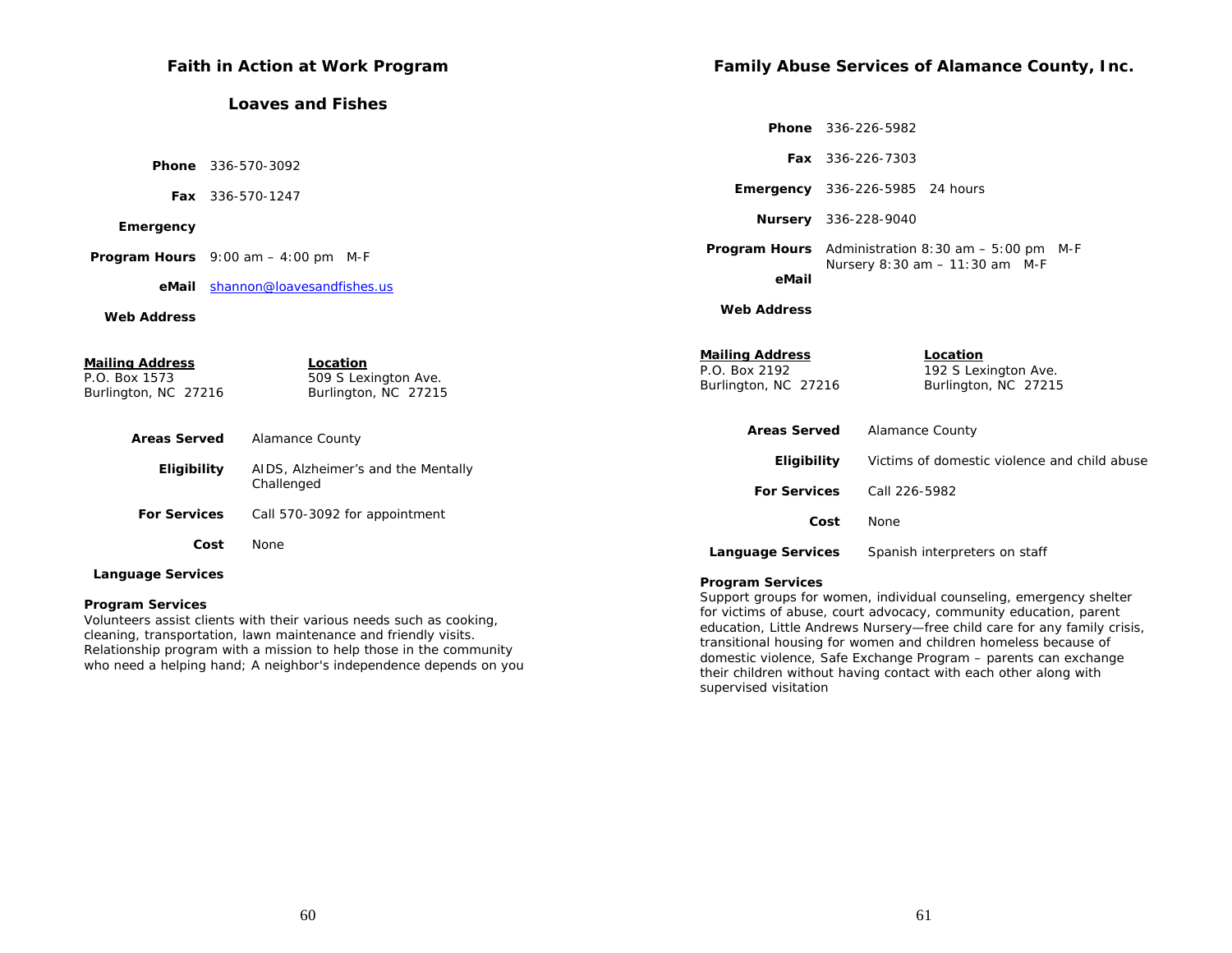| Faith in Action at Work Program                                 |                                                          |                                                                 | Family Abuse Services of Alamance County, Inc.               |  |  |
|-----------------------------------------------------------------|----------------------------------------------------------|-----------------------------------------------------------------|--------------------------------------------------------------|--|--|
|                                                                 | <b>Loaves and Fishes</b>                                 |                                                                 |                                                              |  |  |
|                                                                 |                                                          |                                                                 | <b>Phone</b> 336-226-5982                                    |  |  |
| <b>Phone</b> 336-570-3092                                       |                                                          |                                                                 | Fax 336-226-7303                                             |  |  |
| Fax 336-570-1247                                                |                                                          |                                                                 | <b>Emergency</b> 336-226-5985 24 hours                       |  |  |
| Emergency                                                       |                                                          |                                                                 | Nursery 336-228-9040                                         |  |  |
| <b>Program Hours</b> $9:00$ am $-4:00$ pm M-F                   |                                                          |                                                                 | <b>Program Hours</b> Administration $8:30$ am $-5:00$ pm M-F |  |  |
| shannon@loavesandfishes.us<br>eMail                             |                                                          | Nursery 8:30 am - 11:30 am M-F<br>eMail                         |                                                              |  |  |
| <b>Web Address</b>                                              |                                                          | <b>Web Address</b>                                              |                                                              |  |  |
| <b>Mailing Address</b><br>P.O. Box 1573<br>Burlington, NC 27216 | Location<br>509 S Lexington Ave.<br>Burlington, NC 27215 | <b>Mailing Address</b><br>P.O. Box 2192<br>Burlington, NC 27216 | Location<br>192 S Lexington Ave.<br>Burlington, NC 27215     |  |  |
| <b>Areas Served</b>                                             | Alamance County                                          | <b>Areas Served</b>                                             | <b>Alamance County</b>                                       |  |  |
| Eligibility                                                     | AIDS, Alzheimer's and the Mentally                       | Eligibility                                                     | Victims of domestic violence and child abuse                 |  |  |
|                                                                 | Challenged                                               | <b>For Services</b>                                             | Call 226-5982                                                |  |  |
| <b>For Services</b>                                             | Call 570-3092 for appointment                            |                                                                 | Cost<br>None                                                 |  |  |
| Cost                                                            | None                                                     | <b>Language Services</b>                                        | Spanish interpreters on staff                                |  |  |
| <b>Language Services</b>                                        |                                                          | Drogram Convigac                                                |                                                              |  |  |

#### **Program Services**

Volunteers assist clients with their various needs such as cooking, cleaning, transportation, lawn maintenance and friendly visits. Relationship program with a mission to help those in the community who need a helping hand; A neighbor's independence depends on you

## **Program Services**

Support groups for women, individual counseling, emergency shelter for victims of abuse, court advocacy, community education, parent education, Little Andrews Nursery—free child care for any family crisis, transitional housing for women and children homeless because of domestic violence, Safe Exchange Program – parents can exchange their children without having contact with each other along with supervised visitation

60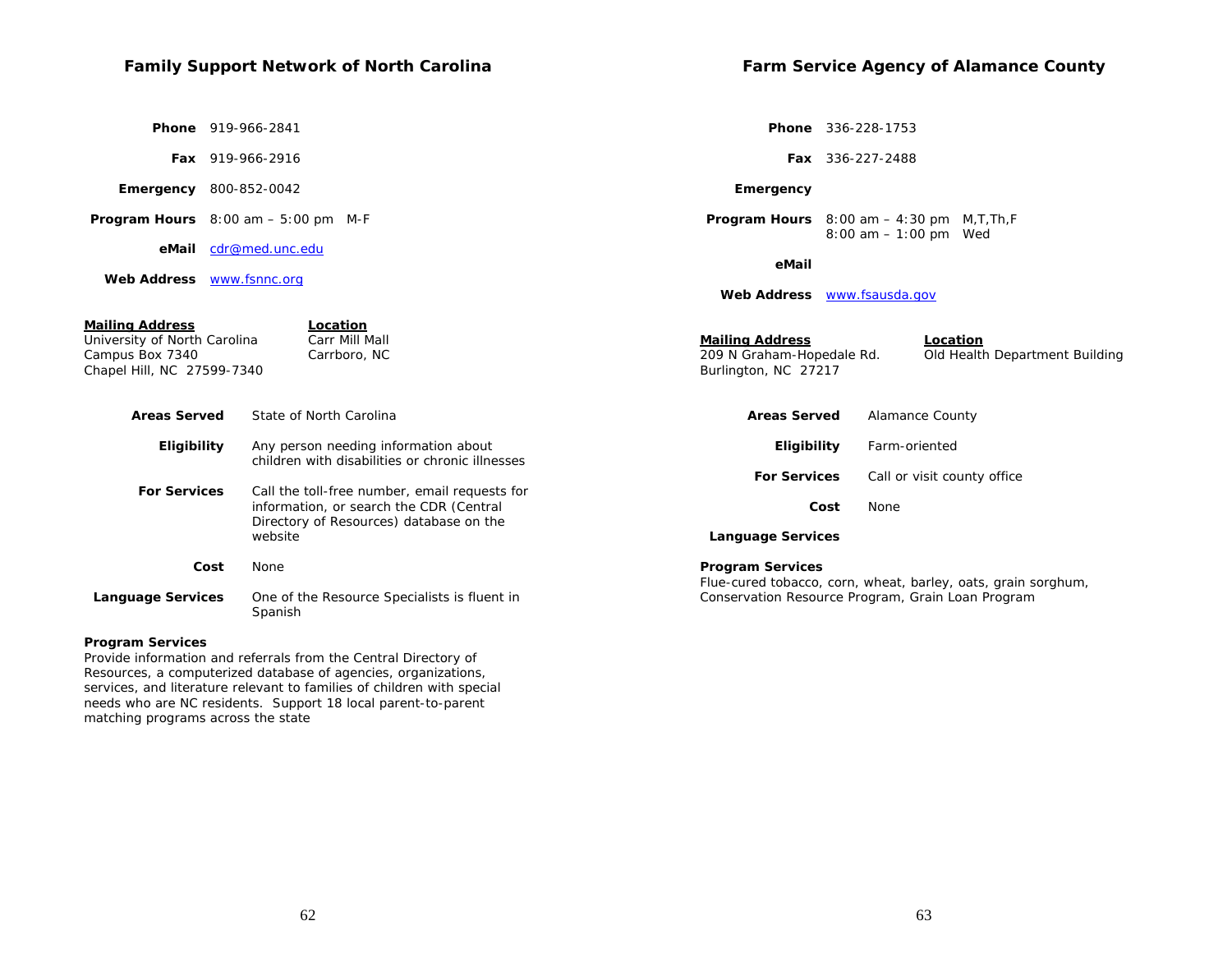# **Family Support Network of North Carolina**

 **Phone** 919-966-2841

 **Fax** 919-966-2916

#### **Emergency** 800-852-0042

 **Program Hours** 8:00 am – 5:00 pm M-F

 **eMail** cdr@med.unc.edu

 **Web Address** www.fsnnc.org

**Farm Service Agency of Alamance County** 

 **Phone** 336-228-1753

 **Fax** 336-227-2488

#### **Emergency**

 **Program Hours** 8:00 am – 4:30 pm M,T,Th,F 8:00 am – 1:00 pm Wed

#### **eMail**

 **Web Address** www.fsausda.gov

| <b>Mailing Address</b><br>University of North Carolina<br>Campus Box 7340<br>Chapel Hill, NC 27599-7340 | Location<br>Carr Mill Mall<br>Carrboro, NC                                                                                          | <b>Mailing Address</b><br>209 N Graham-Hopedale Rd.<br>Burlington, NC 27217 | Location<br>Old Health Department Building                    |
|---------------------------------------------------------------------------------------------------------|-------------------------------------------------------------------------------------------------------------------------------------|-----------------------------------------------------------------------------|---------------------------------------------------------------|
| <b>Areas Served</b>                                                                                     | State of North Carolina                                                                                                             | <b>Areas Served</b>                                                         | Alamance County                                               |
| <b>Eligibility</b>                                                                                      | Any person needing information about<br>children with disabilities or chronic illnesses                                             | <b>Eligibility</b>                                                          | Farm-oriented                                                 |
|                                                                                                         |                                                                                                                                     | <b>For Services</b>                                                         | Call or visit county office                                   |
| <b>For Services</b>                                                                                     | Call the toll-free number, email requests for<br>information, or search the CDR (Central<br>Directory of Resources) database on the | Cost                                                                        | None                                                          |
|                                                                                                         | website                                                                                                                             | <b>Language Services</b>                                                    |                                                               |
| Cost                                                                                                    | None                                                                                                                                | <b>Program Services</b>                                                     | Flue-cured tobacco, corn, wheat, barley, oats, grain sorghum, |
| <b>Language Services</b>                                                                                | One of the Resource Specialists is fluent in<br>Spanish                                                                             |                                                                             | Conservation Resource Program, Grain Loan Program             |

#### **Program Services**

Provide information and referrals from the Central Directory of Resources, a computerized database of agencies, organizations, services, and literature relevant to families of children with special needs who are NC residents. Support 18 local parent-to-parent matching programs across the state

62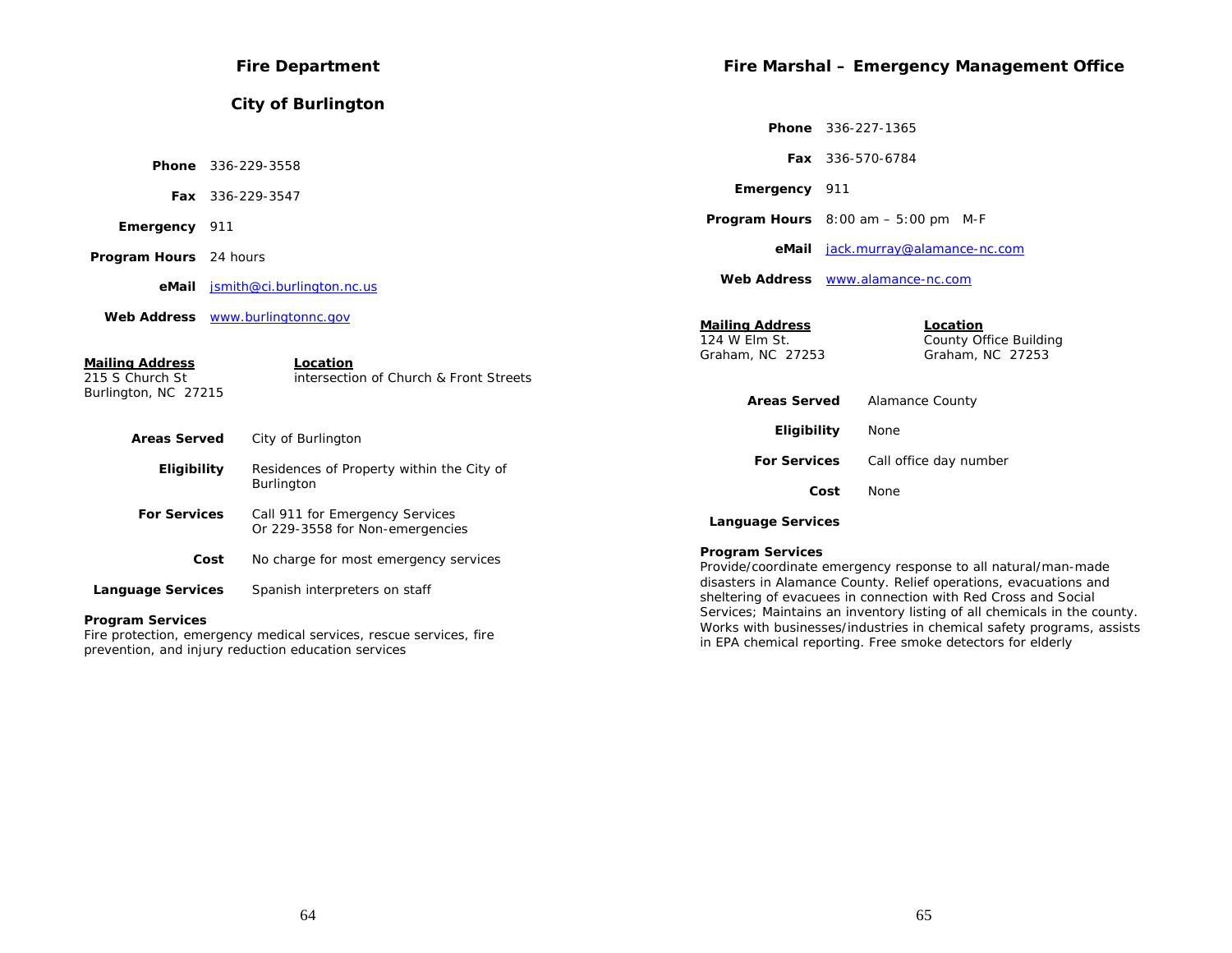| <b>Fire Department</b>                    |                                                                    |                                   | Fire Marshal - Emergency Management Office                                                                                         |  |  |
|-------------------------------------------|--------------------------------------------------------------------|-----------------------------------|------------------------------------------------------------------------------------------------------------------------------------|--|--|
|                                           | <b>City of Burlington</b>                                          |                                   |                                                                                                                                    |  |  |
|                                           |                                                                    |                                   | Phone 336-227-1365                                                                                                                 |  |  |
|                                           | Phone 336-229-3558                                                 |                                   | Fax 336-570-6784                                                                                                                   |  |  |
|                                           | Fax 336-229-3547                                                   | Emergency 911                     |                                                                                                                                    |  |  |
| Emergency 911                             |                                                                    |                                   | <b>Program Hours</b> $8:00$ am $-5:00$ pm M-F                                                                                      |  |  |
| <b>Program Hours</b> 24 hours             |                                                                    | eMail                             | jack.murray@alamance-nc.com                                                                                                        |  |  |
|                                           | eMail jsmith@ci.burlington.nc.us                                   |                                   | Web Address www.alamance-nc.com                                                                                                    |  |  |
|                                           | Web Address www.burlingtonnc.gov                                   | <b>Mailing Address</b>            | Location                                                                                                                           |  |  |
| <b>Mailing Address</b><br>215 S Church St | Location<br>intersection of Church & Front Streets                 | 124 W Elm St.<br>Graham, NC 27253 | County Office Building<br>Graham, NC 27253                                                                                         |  |  |
| Burlington, NC 27215                      |                                                                    | <b>Areas Served</b>               | Alamance County                                                                                                                    |  |  |
| <b>Areas Served</b>                       | City of Burlington                                                 | Eligibility                       | None                                                                                                                               |  |  |
| Eligibility                               | Residences of Property within the City of                          | <b>For Services</b>               | Call office day number                                                                                                             |  |  |
|                                           | Burlington                                                         | Cost                              | None                                                                                                                               |  |  |
| <b>For Services</b>                       | Call 911 for Emergency Services<br>Or 229-3558 for Non-emergencies | <b>Language Services</b>          |                                                                                                                                    |  |  |
| Cost                                      | No charge for most emergency services                              | <b>Program Services</b>           | Provide/coordinate emergency response to all natural/man-made                                                                      |  |  |
| <b>Language Services</b>                  | Spanish interpreters on staff                                      |                                   | disasters in Alamance County. Relief operations, evacuations and<br>sheltering of evacuees in connection with Red Cross and Social |  |  |
| <b>Dental Construction Construction</b>   |                                                                    |                                   | Services; Maintains an inventory listing of all chemicals in the county                                                            |  |  |

# **Program Services**

Fire protection, emergency medical services, rescue services, fire prevention, and injury reduction education services

Services; Maintains an inventory listing of all chemicals in the county. Works with businesses/industries in chemical safety programs, assists in EPA chemical reporting. Free smoke detectors for elderly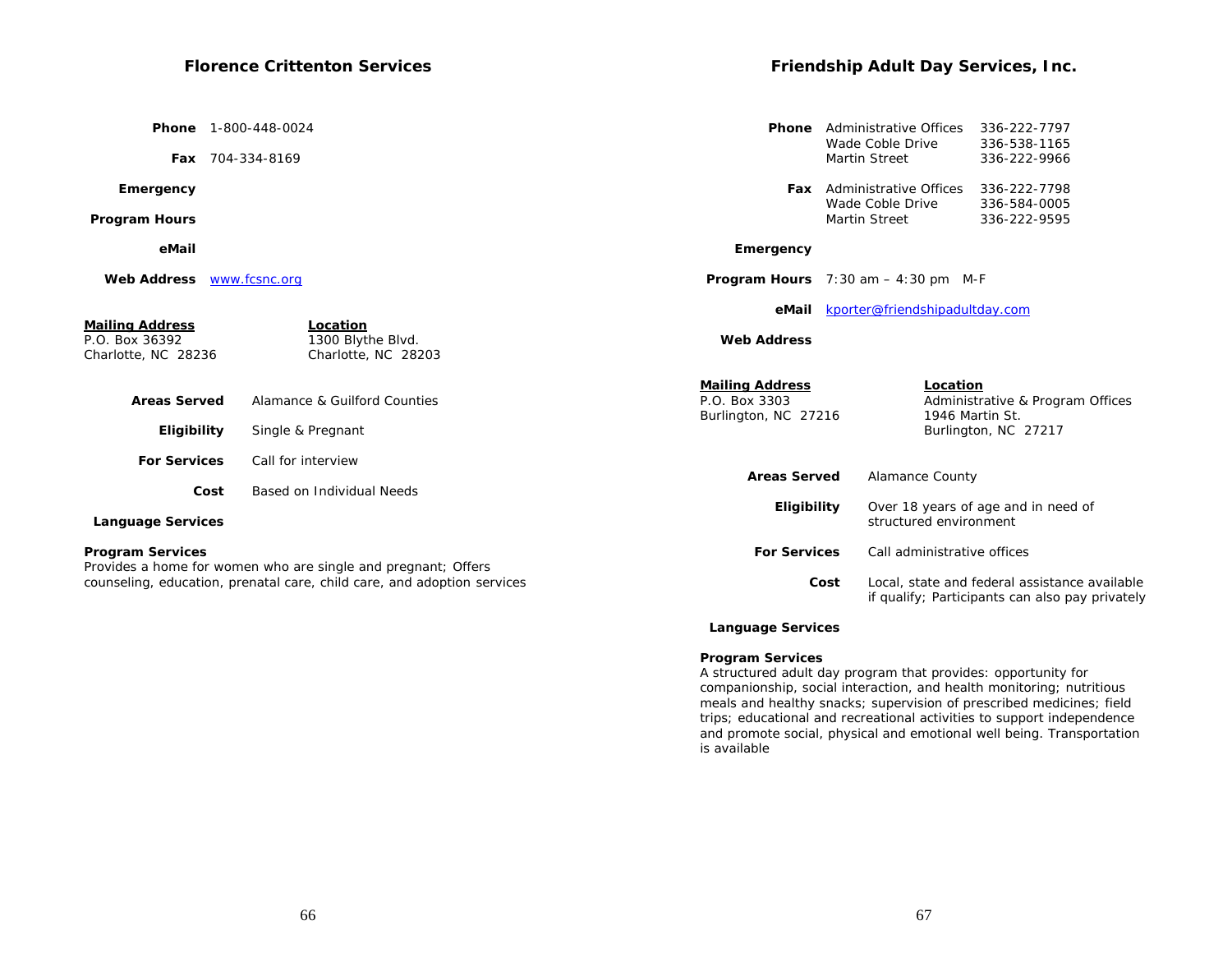| <b>Phone</b> 1-800-448-0024                                     |                                                                                                                                          | <b>Phone</b>                                                    | Administrative Offices<br>Wade Coble Drive            | 336-222-7797<br>336-538-1165                                                                     |
|-----------------------------------------------------------------|------------------------------------------------------------------------------------------------------------------------------------------|-----------------------------------------------------------------|-------------------------------------------------------|--------------------------------------------------------------------------------------------------|
| Fax 704-334-8169                                                |                                                                                                                                          |                                                                 | <b>Martin Street</b>                                  | 336-222-9966                                                                                     |
| Emergency                                                       |                                                                                                                                          |                                                                 | <b>Fax</b> Administrative Offices<br>Wade Coble Drive | 336-222-7798<br>336-584-0005                                                                     |
| <b>Program Hours</b>                                            |                                                                                                                                          |                                                                 | <b>Martin Street</b>                                  | 336-222-9595                                                                                     |
| eMail                                                           |                                                                                                                                          | Emergency                                                       |                                                       |                                                                                                  |
| <b>Web Address</b>                                              | www.fcsnc.org                                                                                                                            |                                                                 | <b>Program Hours</b> $7:30$ am $-4:30$ pm M-F         |                                                                                                  |
|                                                                 |                                                                                                                                          | eMail                                                           | kporter@friendshipadultday.com                        |                                                                                                  |
| <b>Mailing Address</b><br>P.O. Box 36392<br>Charlotte, NC 28236 | Location<br>1300 Blythe Blvd.<br>Charlotte, NC 28203                                                                                     | <b>Web Address</b>                                              |                                                       |                                                                                                  |
| <b>Areas Served</b>                                             | Alamance & Guilford Counties                                                                                                             | <b>Mailing Address</b><br>P.O. Box 3303<br>Burlington, NC 27216 | Location                                              | Administrative & Program Offices<br>1946 Martin St.                                              |
| Eligibility                                                     | Single & Pregnant                                                                                                                        |                                                                 |                                                       | Burlington, NC 27217                                                                             |
| <b>For Services</b>                                             | Call for interview                                                                                                                       |                                                                 |                                                       |                                                                                                  |
| Cost                                                            | Based on Individual Needs                                                                                                                | <b>Areas Served</b>                                             | Alamance County                                       |                                                                                                  |
| <b>Language Services</b>                                        |                                                                                                                                          | Eligibility                                                     | structured environment                                | Over 18 years of age and in need of                                                              |
| <b>Program Services</b>                                         |                                                                                                                                          | <b>For Services</b>                                             | Call administrative offices                           |                                                                                                  |
|                                                                 | Provides a home for women who are single and pregnant; Offers<br>counseling, education, prenatal care, child care, and adoption services | Cost                                                            |                                                       | Local, state and federal assistance available<br>if qualify; Participants can also pay privately |

## **Language Services**

#### **Program Services**

A structured adult day program that provides: opportunity for companionship, social interaction, and health monitoring; nutritious meals and healthy snacks; supervision of prescribed medicines; field trips; educational and recreational activities to support independence and promote social, physical and emotional well being. Transportation is available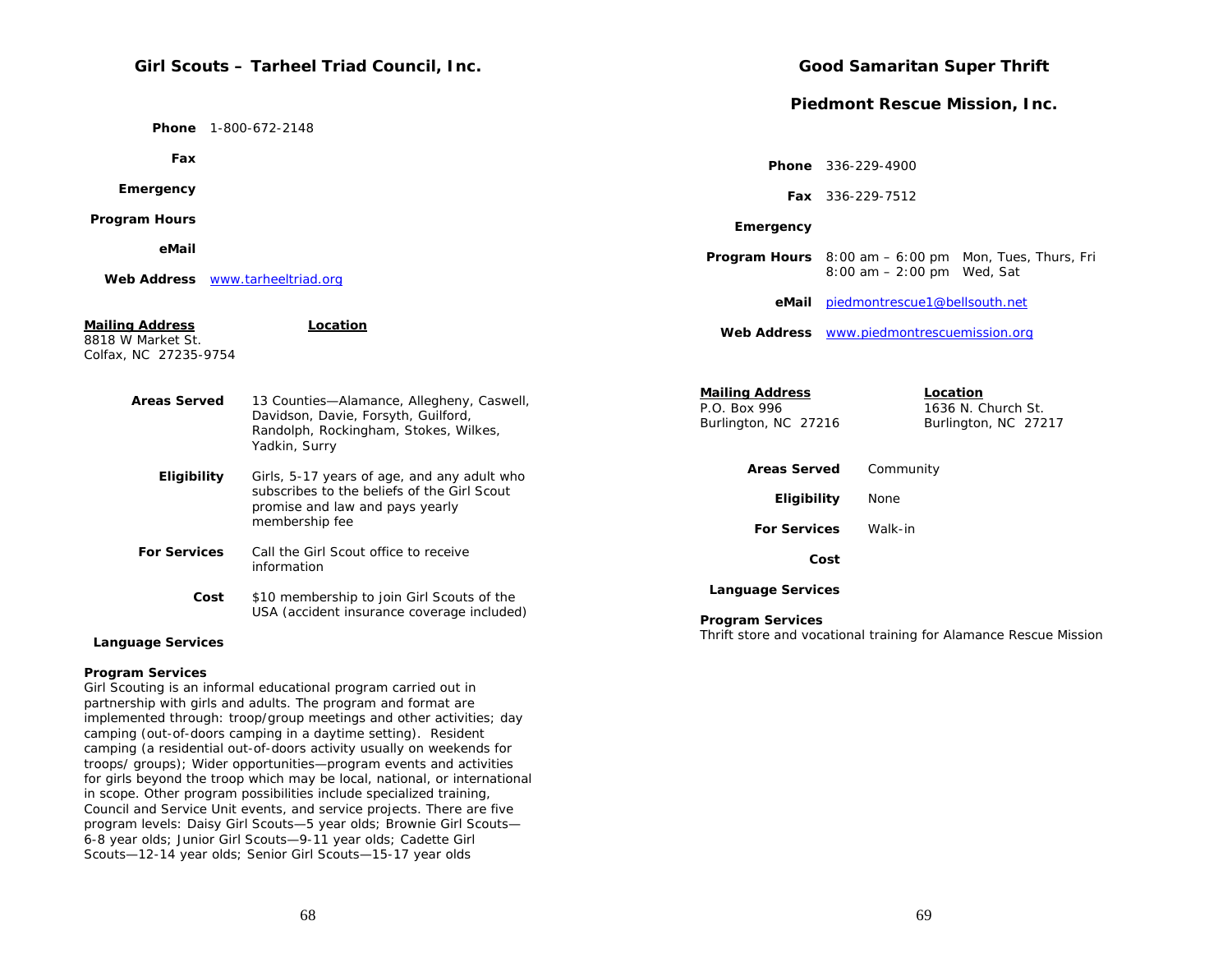# **Girl Scouts – Tarheel Triad Council, Inc.**

 **Phone** 1-800-672-2148

 **Fax**

 **Emergency**

 **Program Hours**

 **eMail**

 **Web Address** www.tarheeltriad.org

#### **Mailing Address Location** 8818 W Market St. Colfax, NC 27235-9754  **Areas Served** 13 Counties—Alamance, Allegheny, Caswell,  **Web Address**s www.piedmontrescuemission.org **Mailing Address Location**

| AT yus yer veg      | 10 000 ROS THORNGLIGO, THICORDITY, OCCUPATION<br>Davidson, Davie, Forsyth, Guilford,<br>Randolph, Rockingham, Stokes, Wilkes,<br>Yadkin, Surry  | P.O. Box 996<br>Burlington, NC 27216 | 1636 N. Church St.<br>Burlington, NC 27217 |
|---------------------|-------------------------------------------------------------------------------------------------------------------------------------------------|--------------------------------------|--------------------------------------------|
| <b>Eligibility</b>  | Girls, 5-17 years of age, and any adult who<br>subscribes to the beliefs of the Girl Scout<br>promise and law and pays yearly<br>membership fee | <b>Areas Served</b>                  | Community                                  |
|                     |                                                                                                                                                 | Eligibility                          | None                                       |
|                     |                                                                                                                                                 | <b>For Services</b>                  | Walk-in                                    |
| <b>For Services</b> | Call the Girl Scout office to receive<br>information                                                                                            | Cost                                 |                                            |
| Cost                | \$10 membership to join Girl Scouts of the                                                                                                      | <b>Language Services</b>             |                                            |

#### **Language Services**

#### **Program Services**

Girl Scouting is an informal educational program carried out in partnership with girls and adults. The program and format are implemented through: troop/group meetings and other activities; day camping (out-of-doors camping in a daytime setting). Resident camping (a residential out-of-doors activity usually on weekends for troops/ groups); Wider opportunities—program events and activities for girls beyond the troop which may be local, national, or international in scope. Other program possibilities include specialized training, Council and Service Unit events, and service projects. There are five program levels: Daisy Girl Scouts—5 year olds; Brownie Girl Scouts— 6-8 year olds; Junior Girl Scouts—9-11 year olds; Cadette Girl Scouts—12-14 year olds; Senior Girl Scouts—15-17 year olds

USA (accident insurance coverage included)

# **Good Samaritan Super Thrift**

## **Piedmont Rescue Mission, Inc.**

|           | <b>Phone</b> 336-229-4900                        |                                                                       |
|-----------|--------------------------------------------------|-----------------------------------------------------------------------|
|           | <b>Fax</b> 336-229-7512                          |                                                                       |
| Emergency |                                                  |                                                                       |
|           | $8:00$ am $-2:00$ pm Wed, Sat                    | <b>Program Hours</b> $8:00$ am $-6:00$ pm $\mu$ Mon, Tues, Thurs, Fri |
| eMail     | piedmontrescue1@bellsouth.net                    |                                                                       |
|           | <b>Web Address</b> www.piedmontrescuemission.org |                                                                       |
|           |                                                  |                                                                       |

**Program Services** 

Thrift store and vocational training for Alamance Rescue Mission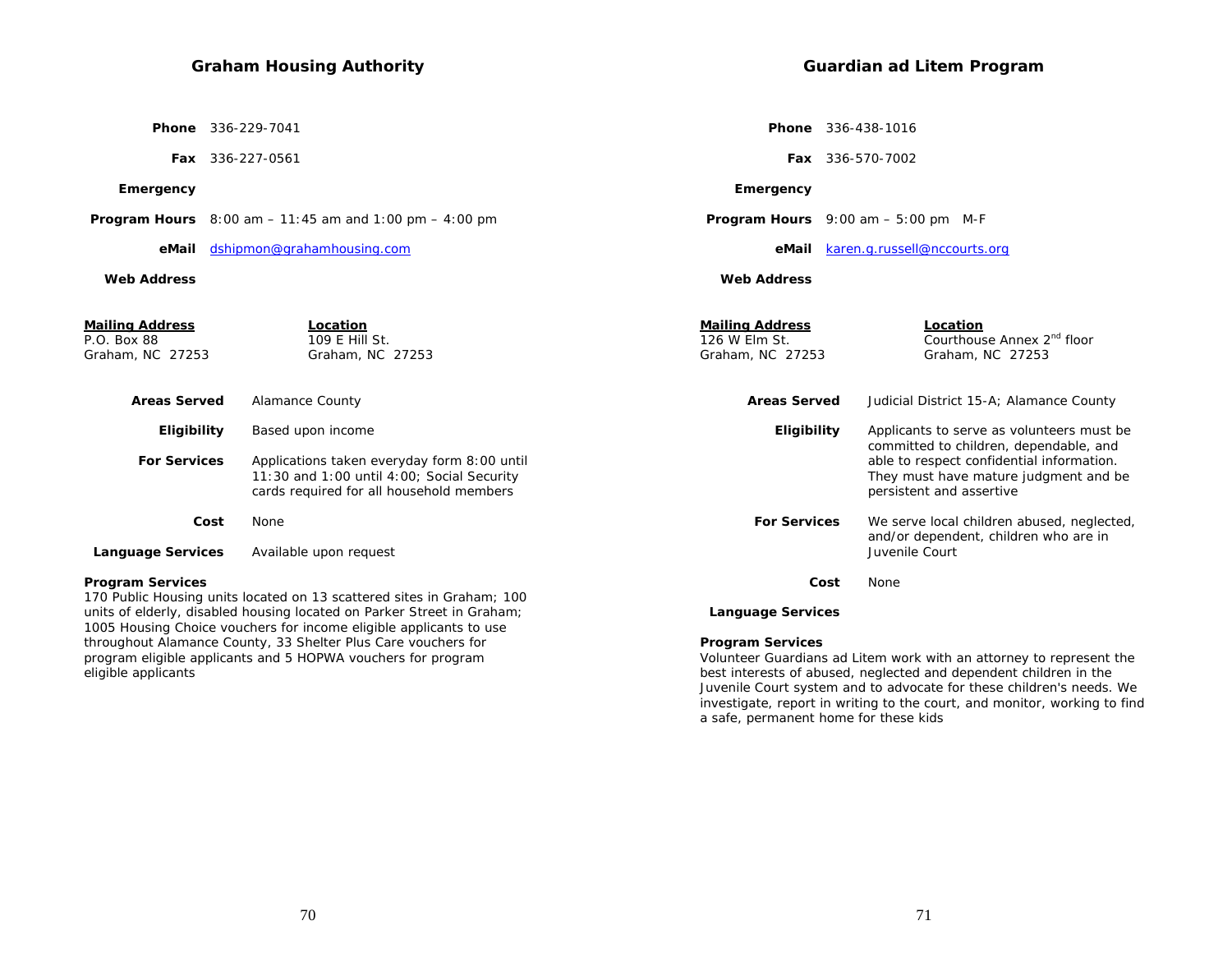**Phone** 336-229-7041

 **Fax** 336-227-0561

 **Emergency**

 **Program Hours** 8:00 am – 11:45 am and 1:00 pm – 4:00 pm

 **eMail** dshipmon@grahamhousing.com

#### **Web Address**

eligible applicants

**Guardian ad Litem Program** 

 **Phone** 336-438-1016

 **Fax** 336-570-7002

 **Emergency**

 **Program Hours** 9:00 am – 5:00 pm M-F

 **eMail** karen.g.russell@nccourts.org

 **Web Address**

| <u>Mailing Address</u><br>P.O. Box 88<br>Graham, NC 27253 | Location<br>109 E Hill St.<br>Graham, NC 27253                                                                                                                                                                        | <b>Mailing Address</b><br>126 W Elm St.<br>Graham, NC 27253 | <b>Location</b><br>Courthouse Annex 2 <sup>nd</sup> floor<br>Graham, NC 27253                                                                            |
|-----------------------------------------------------------|-----------------------------------------------------------------------------------------------------------------------------------------------------------------------------------------------------------------------|-------------------------------------------------------------|----------------------------------------------------------------------------------------------------------------------------------------------------------|
| <b>Areas Served</b>                                       | Alamance County                                                                                                                                                                                                       | <b>Areas Served</b>                                         | Judicial District 15-A; Alamance County                                                                                                                  |
| <b>Eligibility</b>                                        | Based upon income                                                                                                                                                                                                     | <b>Eligibility</b>                                          | Applicants to serve as volunteers must be.                                                                                                               |
| <b>For Services</b>                                       | Applications taken everyday form 8:00 until<br>$11:30$ and $1:00$ until $4:00$ ; Social Security<br>cards required for all household members                                                                          |                                                             | committed to children, dependable, and<br>able to respect confidential information.<br>They must have mature judgment and be<br>persistent and assertive |
| Cost                                                      | None                                                                                                                                                                                                                  | <b>For Services</b>                                         | We serve local children abused, neglected,<br>and/or dependent, children who are in                                                                      |
| <b>Language Services</b>                                  | Available upon request                                                                                                                                                                                                |                                                             | Juvenile Court                                                                                                                                           |
| Program Services                                          |                                                                                                                                                                                                                       | Cost                                                        | None                                                                                                                                                     |
|                                                           | 170 Public Housing units located on 13 scattered sites in Graham; 100<br>units of elderly, disabled housing located on Parker Street in Graham;<br>1005 Housing Choice vouchers for income eligible applicants to use | <b>Language Services</b>                                    |                                                                                                                                                          |

**Program Services** 

Volunteer Guardians ad Litem work with an attorney to represent the best interests of abused, neglected and dependent children in the Juvenile Court system and to advocate for these children's needs. We investigate, report in writing to the court, and monitor, working to find a safe, permanent home for these kids

throughout Alamance County, 33 Shelter Plus Care vouchers for program eligible applicants and 5 HOPWA vouchers for program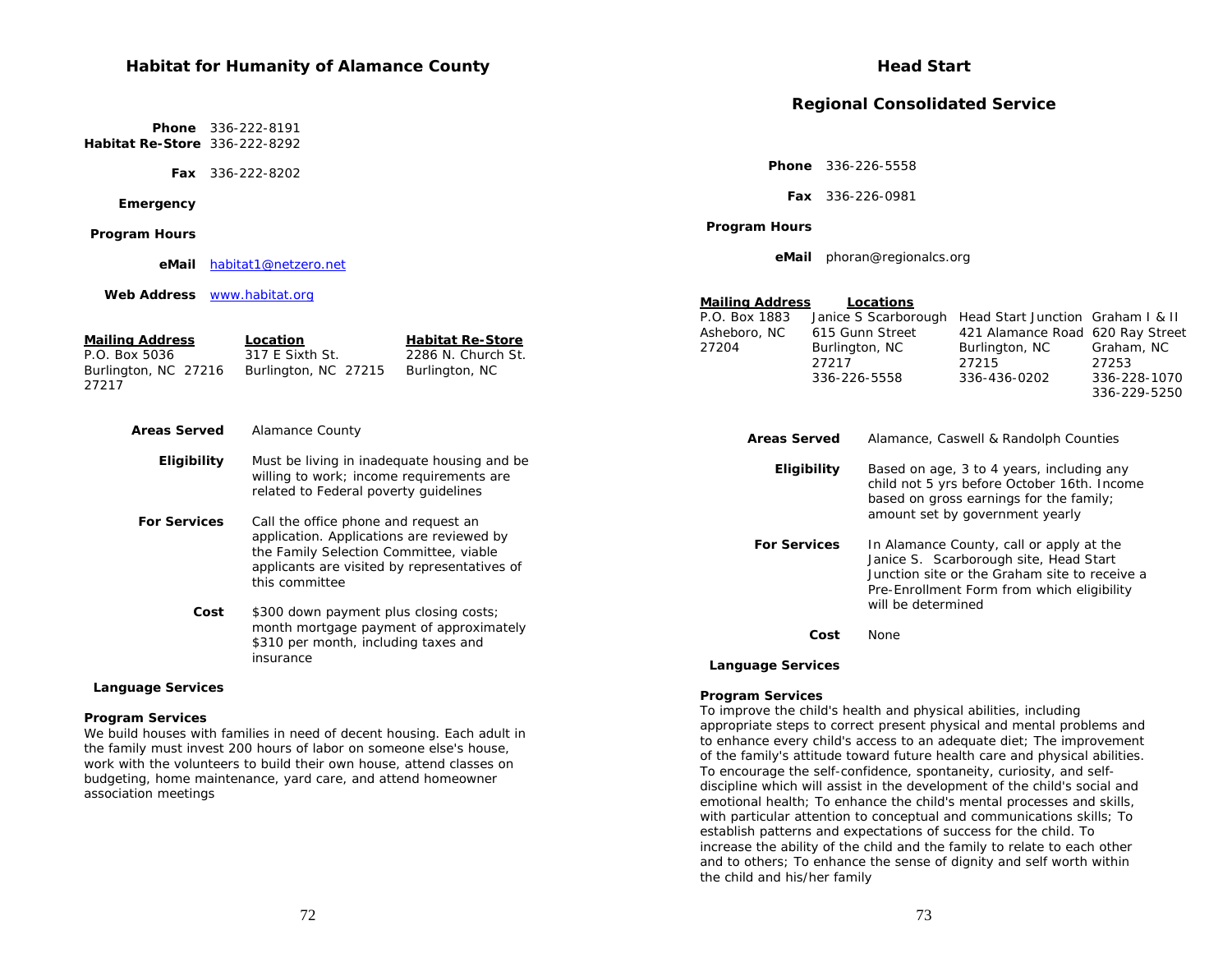## **Habitat for Humanity of Alamance County**

**Mailing Address Location Fabitat Re-Store** P.O. Box 5036 317 E Sixth St. 2286 N. Church St. Burlington, NC 27216 Burlington, NC 27215 Burlington, NC

 **For Services** Call the office phone and request an

this committee

We build houses with families in need of decent housing. Each adult in the family must invest 200 hours of labor on someone else's house, work with the volunteers to build their own house, attend classes on budgeting, home maintenance, yard care, and attend homeowner

insurance

**Eligibility** Must be living in inadequate housing and be

 **Cost** \$300 down payment plus closing costs;

willing to work; income requirements are related to Federal poverty guidelines

application. Applications are reviewed by the Family Selection Committee, viable applicants are visited by representatives of

month mortgage payment of approximately \$310 per month, including taxes and

 **Phone** 336-222-8191 **Habitat Re-Store** 336-222-8292

 **Fax** 336-222-8202

#### **Emergency**

 **Language Services**

**Program Services** 

association meetings

 **Program Hours**

27217

 **eMail**habitat1@netzero.net

 **Areas Served** Alamance County

 **Web Address** www.habitat.org

**Head Start** 

**Regional Consolidated Service** 

 **Phone** 336-226-5558

 **Fax** 336-226-0981

 **Program Hours**

 **eMail** phoran@regionalcs.org

| Mailing Address<br>Locations |
|------------------------------|
|------------------------------|

| P.O. Box 1883 | Janice S Scarborough Head Start Junction Graham I & II |                                  |              |
|---------------|--------------------------------------------------------|----------------------------------|--------------|
| Asheboro, NC  | 615 Gunn Street                                        | 421 Alamance Road 620 Ray Street |              |
| 27204         | Burlington, NC                                         | Burlington, NC                   | Graham, NC   |
|               | 27217                                                  | 27215                            | 27253        |
|               | 336-226-5558                                           | 336-436-0202                     | 336-228-1070 |
|               |                                                        |                                  | 336-229-5250 |

| <b>Areas Served</b> | Alamance, Caswell & Randolph Counties                                                                                                                                                                   |
|---------------------|---------------------------------------------------------------------------------------------------------------------------------------------------------------------------------------------------------|
| Eligibility         | Based on age, 3 to 4 years, including any<br>child not 5 yrs before October 16th. Income<br>based on gross earnings for the family;<br>amount set by government yearly                                  |
| <b>For Services</b> | In Alamance County, call or apply at the<br>Janice S. Scarborough site, Head Start<br>Junction site or the Graham site to receive a<br>Pre-Enrollment Form from which eligibility<br>will be determined |
| Cost                | None                                                                                                                                                                                                    |

#### **Language Services**

#### **Program Services**

To improve the child's health and physical abilities, including appropriate steps to correct present physical and mental problems and to enhance every child's access to an adequate diet; The improvement of the family's attitude toward future health care and physical abilities. To encourage the self-confidence, spontaneity, curiosity, and selfdiscipline which will assist in the development of the child's social and emotional health; To enhance the child's mental processes and skills, with particular attention to conceptual and communications skills; To establish patterns and expectations of success for the child. To increase the ability of the child and the family to relate to each other and to others; To enhance the sense of dignity and self worth within the child and his/her family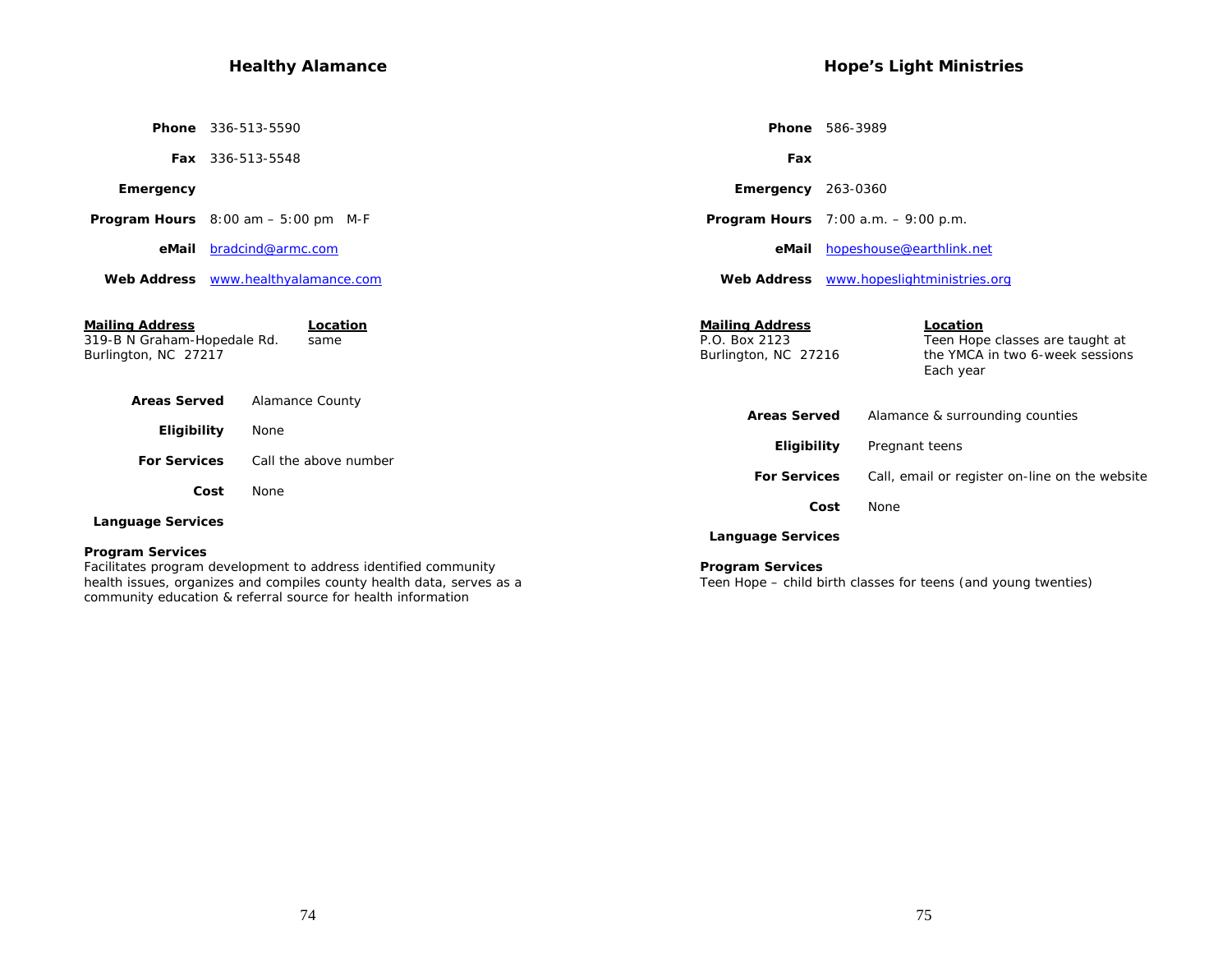# **Healthy Alamance**

|                                                                               | Phone 336-513-5590                                                                                                                       | <b>Phone</b> 586-3989                                           |                                                                                             |
|-------------------------------------------------------------------------------|------------------------------------------------------------------------------------------------------------------------------------------|-----------------------------------------------------------------|---------------------------------------------------------------------------------------------|
|                                                                               | <b>Fax</b> 336-513-5548                                                                                                                  | Fax                                                             |                                                                                             |
| Emergency                                                                     |                                                                                                                                          | <b>Emergency</b> $263-0360$                                     |                                                                                             |
|                                                                               | <b>Program Hours</b> $8:00 \text{ am} - 5:00 \text{ pm}$ M-F                                                                             | <b>Program Hours</b> $7:00$ a.m. $-9:00$ p.m.                   |                                                                                             |
| eMail                                                                         | bradcind@armc.com                                                                                                                        | eMail                                                           | hopeshouse@earthlink.net                                                                    |
|                                                                               | Web Address www.healthyalamance.com                                                                                                      |                                                                 | Web Address www.hopeslightministries.org                                                    |
| <b>Mailing Address</b><br>319-B N Graham-Hopedale Rd.<br>Burlington, NC 27217 | Location<br>same                                                                                                                         | <b>Mailing Address</b><br>P.O. Box 2123<br>Burlington, NC 27216 | Location<br>Teen Hope classes are taught at<br>the YMCA in two 6-week sessions<br>Each year |
| <b>Areas Served</b>                                                           | <b>Alamance County</b>                                                                                                                   |                                                                 |                                                                                             |
| Eligibility                                                                   | None                                                                                                                                     | <b>Areas Served</b><br>Eligibility                              | Alamance & surrounding counties<br>Pregnant teens                                           |
| <b>For Services</b>                                                           | Call the above number                                                                                                                    | <b>For Services</b>                                             | Call, email or register on-line on the website                                              |
|                                                                               | Cost<br><b>None</b>                                                                                                                      |                                                                 |                                                                                             |
| <b>Language Services</b>                                                      |                                                                                                                                          | Cost<br><b>Language Services</b>                                | None                                                                                        |
| <b>Program Services</b>                                                       | Facilitates program development to address identified community<br>health issues, organizes and compiles county health data, serves as a | <b>Program Services</b>                                         | Teen Hope – child birth classes for teens (and young twenties)                              |

community education & referral source for health information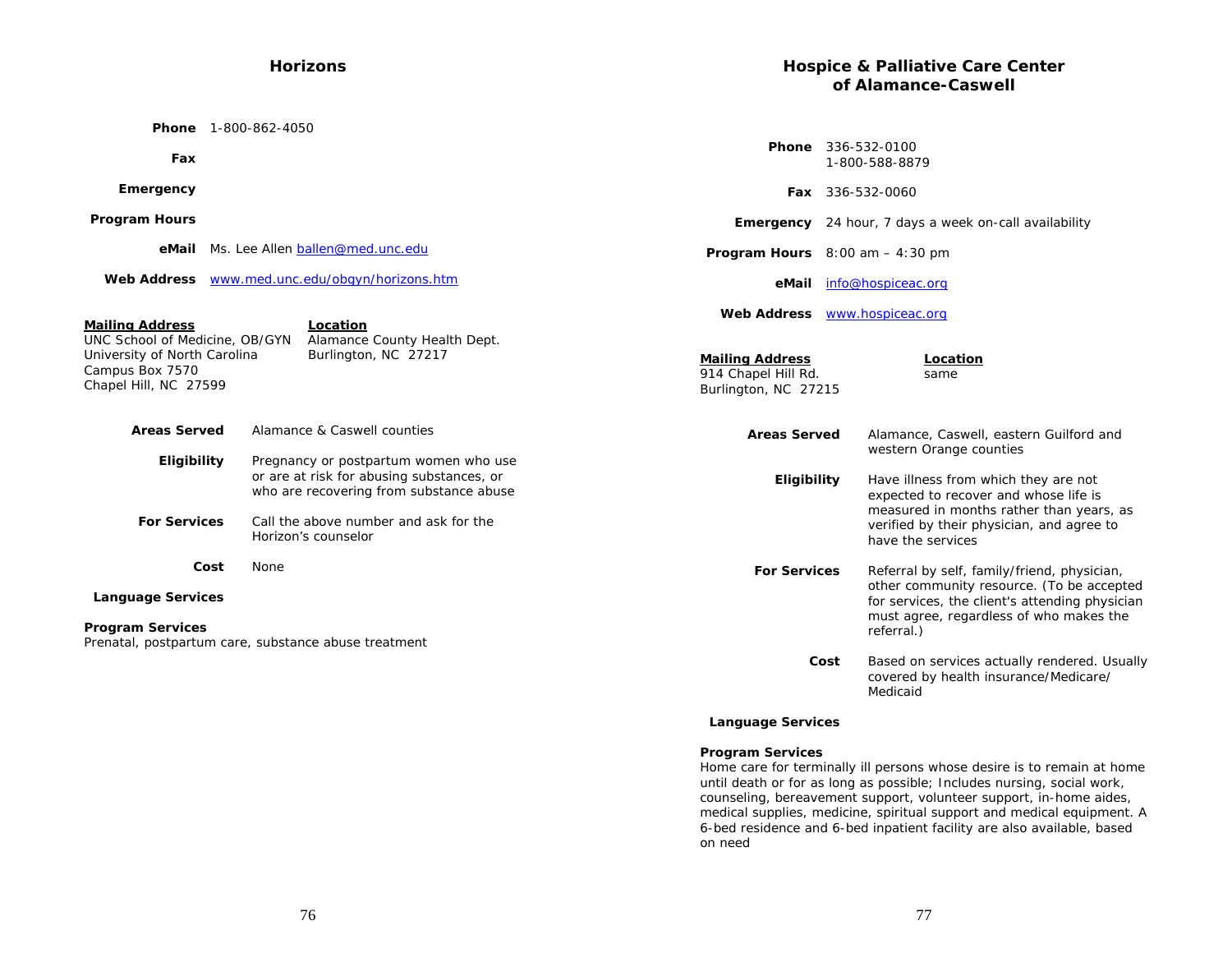## **Horizons**

 **Phone** 1-800-862-4050

| Fax                                                                                                                                                                                                      |  |                                                                                                                               |
|----------------------------------------------------------------------------------------------------------------------------------------------------------------------------------------------------------|--|-------------------------------------------------------------------------------------------------------------------------------|
| Emergency                                                                                                                                                                                                |  |                                                                                                                               |
| <b>Program Hours</b>                                                                                                                                                                                     |  |                                                                                                                               |
| eMail                                                                                                                                                                                                    |  | Ms. Lee Allen ballen@med.unc.edu                                                                                              |
| Web Address                                                                                                                                                                                              |  | www.med.unc.edu/obgyn/horizons.htm                                                                                            |
| <b>Mailing Address</b><br>Location<br>UNC School of Medicine, OB/GYN<br>Alamance County Health Dept.<br>Burlington, NC 27217<br>University of North Carolina<br>Campus Box 7570<br>Chapel Hill, NC 27599 |  |                                                                                                                               |
| <b>Areas Served</b>                                                                                                                                                                                      |  | Alamance & Caswell counties                                                                                                   |
| <b>Eligibility</b>                                                                                                                                                                                       |  | Pregnancy or postpartum women who use<br>or are at risk for abusing substances, or<br>who are recovering from substance abuse |
| <b>For Services</b>                                                                                                                                                                                      |  | Call the above number and ask for the<br>Horizon's counselor                                                                  |
| Cost                                                                                                                                                                                                     |  | None                                                                                                                          |

#### **Language Services**

#### **Program Services**

Prenatal, postpartum care, substance abuse treatment

# **Hospice & Palliative Care Center of Alamance-Caswell**

| Phone                                                                 | 336-532-0100<br>1-800-588-8879 |                                                                                                                                                                                                     |
|-----------------------------------------------------------------------|--------------------------------|-----------------------------------------------------------------------------------------------------------------------------------------------------------------------------------------------------|
| Fax                                                                   |                                | 336-532-0060                                                                                                                                                                                        |
| Emergency                                                             |                                | 24 hour, 7 days a week on-call availability                                                                                                                                                         |
| Program Hours                                                         |                                | $8:00$ am $-4:30$ pm                                                                                                                                                                                |
| eMail                                                                 |                                | info@hospiceac.org                                                                                                                                                                                  |
| Web Address                                                           |                                | www.hospiceac.org                                                                                                                                                                                   |
| <b>Mailing Address</b><br>914 Chapel Hill Rd.<br>Burlington, NC 27215 | Location<br>same               |                                                                                                                                                                                                     |
| <b>Areas Served</b>                                                   |                                | Alamance, Caswell, eastern Guilford and<br>western Orange counties                                                                                                                                  |
| Eligibility                                                           |                                | Have illness from which they are not<br>expected to recover and whose life is<br>measured in months rather than years, as<br>verified by their physician, and agree to<br>have the services         |
| <b>For Services</b>                                                   |                                | Referral by self, family/friend, physician,<br>other community resource. (To be accepted<br>for services, the client's attending physician<br>must agree, regardless of who makes the<br>referral.) |
|                                                                       | Cost                           | Based on services actually rendered. Usually<br>covered by health insurance/Medicare/<br>Medicaid                                                                                                   |

## **Language Services**

## **Program Services**

Home care for terminally ill persons whose desire is to remain at home until death or for as long as possible; Includes nursing, social work, counseling, bereavement support, volunteer support, in-home aides, medical supplies, medicine, spiritual support and medical equipment. A 6-bed residence and 6-bed inpatient facility are also available, based on need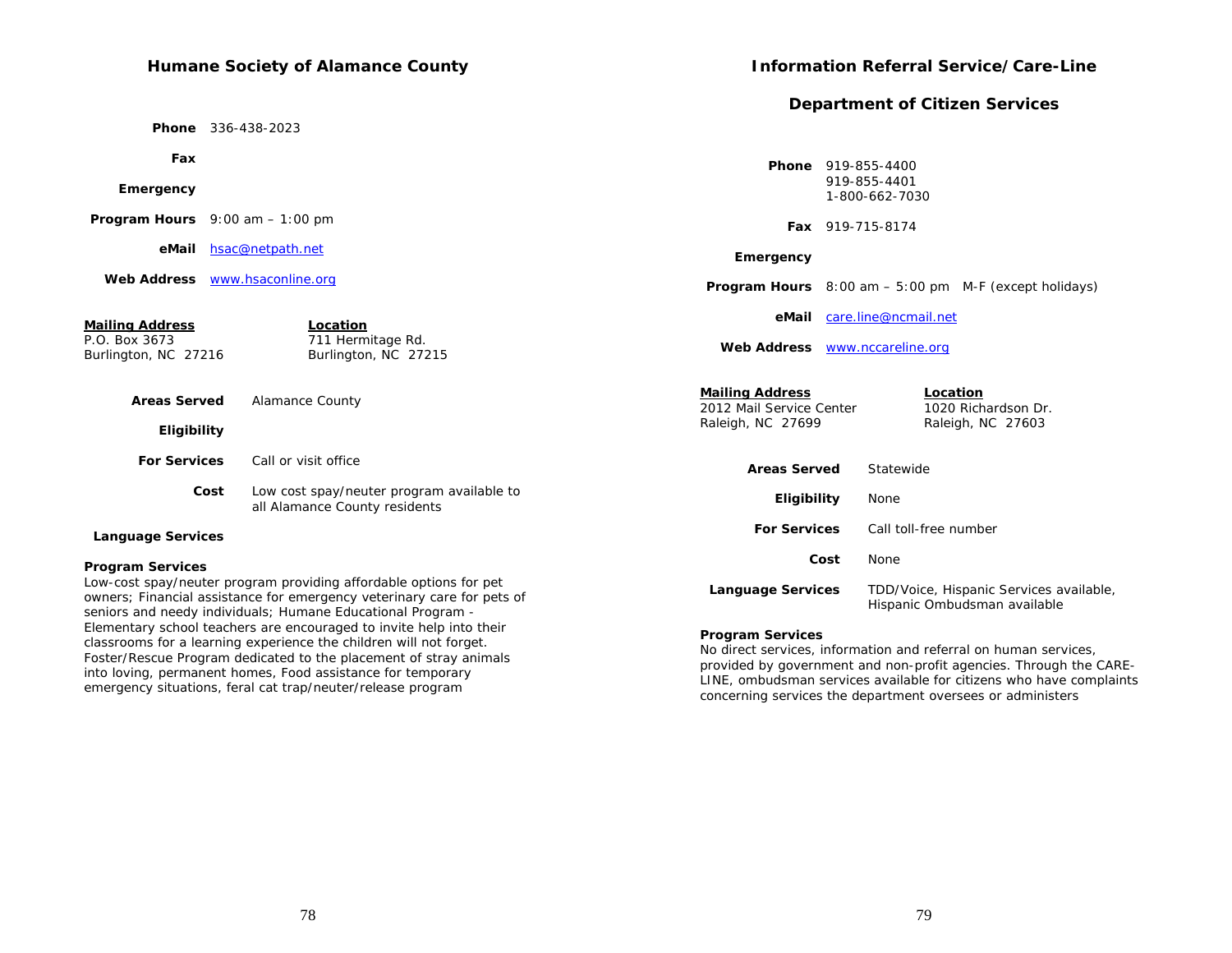## **Humane Society of Alamance County**

 **Phone** 336-438-2023

 **Fax**

### **Emergency**

Foster/Rescue Program dedicated to the placement of stray animals into loving, permanent homes, Food assistance for temporary emergency situations, feral cat trap/neuter/release program

## **Information Referral Service/Care-Line**

# **Department of Citizen Services**

| Fax                                       |                                                                                                                                                                                                            | <b>Phone</b> 919-855-4400                          |                                                                                                                               |
|-------------------------------------------|------------------------------------------------------------------------------------------------------------------------------------------------------------------------------------------------------------|----------------------------------------------------|-------------------------------------------------------------------------------------------------------------------------------|
| Emergency                                 |                                                                                                                                                                                                            |                                                    | 919-855-4401<br>1-800-662-7030                                                                                                |
| <b>Program Hours</b> $9:00$ am $-1:00$ pm |                                                                                                                                                                                                            | Fax 919-715-8174                                   |                                                                                                                               |
| eMail                                     | hsac@netpath.net                                                                                                                                                                                           | Emergency                                          |                                                                                                                               |
| Web Address www.hsaconline.org            |                                                                                                                                                                                                            |                                                    | <b>Program Hours</b> $8:00 \text{ am} - 5:00 \text{ pm}$ M-F (except holidays)                                                |
| <b>Mailing Address</b>                    | Location                                                                                                                                                                                                   | eMail                                              | care.line@ncmail.net                                                                                                          |
| P.O. Box 3673<br>Burlington, NC 27216     | 711 Hermitage Rd.<br>Burlington, NC 27215                                                                                                                                                                  | Web Address www.nccareline.org                     |                                                                                                                               |
| <b>Areas Served</b>                       | Alamance County                                                                                                                                                                                            | <b>Mailing Address</b><br>2012 Mail Service Center | Location<br>1020 Richardson Dr.                                                                                               |
| Eligibility                               |                                                                                                                                                                                                            | Raleigh, NC 27699                                  | Raleigh, NC 27603                                                                                                             |
| <b>For Services</b>                       | Call or visit office                                                                                                                                                                                       | <b>Areas Served</b>                                | Statewide                                                                                                                     |
| Cost                                      | Low cost spay/neuter program available to<br>all Alamance County residents                                                                                                                                 | Eligibility                                        | None                                                                                                                          |
| <b>Language Services</b>                  |                                                                                                                                                                                                            | <b>For Services</b>                                | Call toll-free number                                                                                                         |
| <b>Program Services</b>                   |                                                                                                                                                                                                            | Cost                                               | <b>None</b>                                                                                                                   |
|                                           | Low-cost spay/neuter program providing affordable options for pet<br>owners; Financial assistance for emergency veterinary care for pets of<br>seniors and needy individuals; Humane Educational Program - | <b>Language Services</b>                           | TDD/Voice, Hispanic Services available,<br>Hispanic Ombudsman available                                                       |
|                                           | Elementary school teachers are encouraged to invite help into their<br>classrooms for a learning experience the children will not forget.                                                                  | <b>Program Services</b>                            | Note that the constitution of the $\mathcal{L}_\text{c}$ and the second constitution of the constitution of the second second |

#### **Program Services**

No direct services, information and referral on human services, provided by government and non-profit agencies. Through the CARE-LINE, ombudsman services available for citizens who have complaints concerning services the department oversees or administers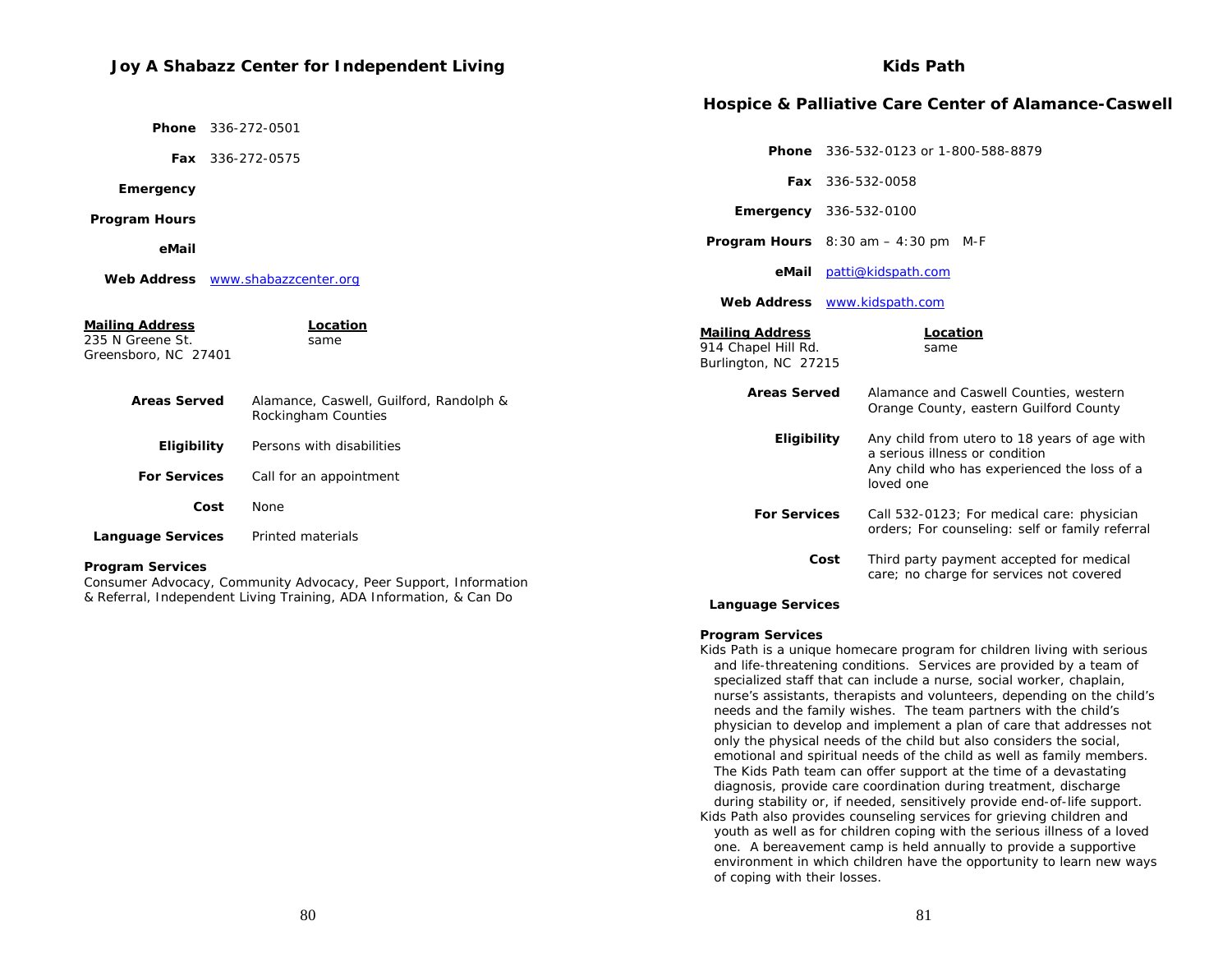# **Joy A Shabazz Center for Independent Living**

## **Kids Path**

|                                                                    |                                                                  |                                                                       | <b>Hospice &amp; Palliative Care Center of Alamance-Caswell</b>                              |
|--------------------------------------------------------------------|------------------------------------------------------------------|-----------------------------------------------------------------------|----------------------------------------------------------------------------------------------|
| Phone                                                              | 336-272-0501                                                     |                                                                       |                                                                                              |
| Fax 336-272-0575                                                   |                                                                  |                                                                       | <b>Phone</b> 336-532-0123 or 1-800-588-8879                                                  |
| Emergency                                                          |                                                                  |                                                                       | Fax 336-532-0058                                                                             |
| <b>Program Hours</b>                                               |                                                                  |                                                                       | <b>Emergency</b> 336-532-0100                                                                |
| eMail                                                              |                                                                  |                                                                       | <b>Program Hours</b> $8:30$ am $-4:30$ pm M-F                                                |
| Web Address www.shabazzcenter.org                                  |                                                                  |                                                                       | eMail patti@kidspath.com                                                                     |
|                                                                    |                                                                  |                                                                       | Web Address www.kidspath.com                                                                 |
| <b>Mailing Address</b><br>235 N Greene St.<br>Greensboro, NC 27401 | Location<br>same                                                 | <b>Mailing Address</b><br>914 Chapel Hill Rd.<br>Burlington, NC 27215 | Location<br>same                                                                             |
| <b>Areas Served</b>                                                | Alamance, Caswell, Guilford, Randolph &<br>Rockingham Counties   | <b>Areas Served</b>                                                   | Alamance and Caswell Counties, western<br>Orange County, eastern Guilford County             |
| Eligibility                                                        | Persons with disabilities                                        | <b>Eligibility</b>                                                    | Any child from utero to 18 years of age with<br>a serious illness or condition               |
| <b>For Services</b>                                                | Call for an appointment                                          |                                                                       | Any child who has experienced the loss of a<br>loved one                                     |
| Cost                                                               | None                                                             | <b>For Services</b>                                                   | Call 532-0123; For medical care: physician                                                   |
| <b>Language Services</b>                                           | Printed materials                                                |                                                                       | orders; For counseling: self or family referral                                              |
| <b>Program Services</b>                                            | Consumer Advocacy, Community Advocacy, Peer Support, Information |                                                                       | Third party payment accepted for medical<br>Cost<br>care; no charge for services not covered |

 **Language Services**

#### **Program Services**

Kids Path is a unique homecare program for children living with serious and life-threatening conditions. Services are provided by a team of specialized staff that can include a nurse, social worker, chaplain, nurse's assistants, therapists and volunteers, depending on the child's needs and the family wishes. The team partners with the child's physician to develop and implement a plan of care that addresses not only the physical needs of the child but also considers the social, emotional and spiritual needs of the child as well as family members. The Kids Path team can offer support at the time of a devastating diagnosis, provide care coordination during treatment, discharge during stability or, if needed, sensitively provide end-of-life support. Kids Path also provides counseling services for grieving children and youth as well as for children coping with the serious illness of a loved one. A bereavement camp is held annually to provide a supportive environment in which children have the opportunity to learn new ways of coping with their losses.

& Referral, Independent Living Training, ADA Information, & Can Do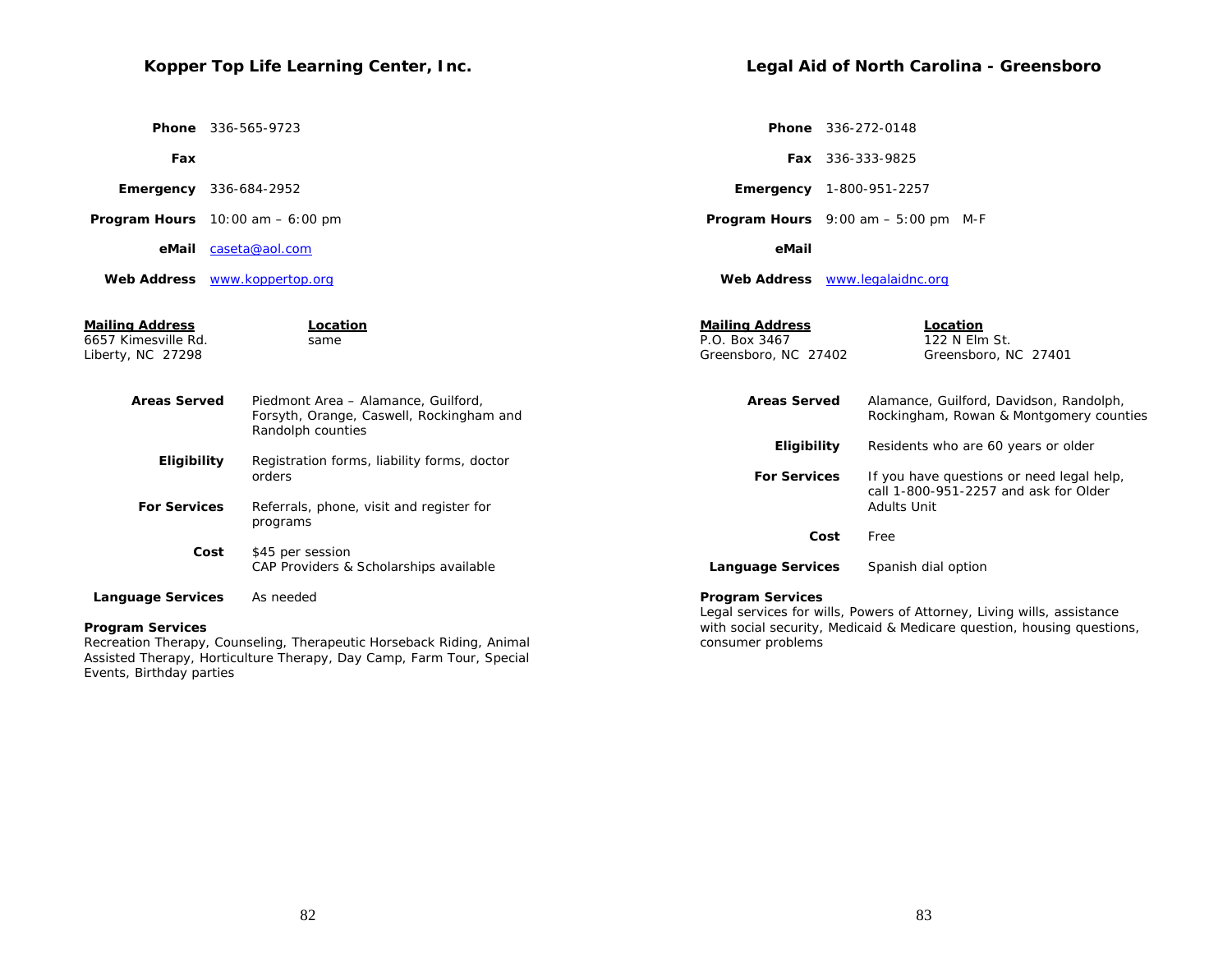# **Kopper Top Life Learning Center, Inc.**

 **Phone** 336-565-9723

 **Fax**

| Emergency | 336-684-2952 |
|-----------|--------------|
|-----------|--------------|

 **Program Hours** 10:00 am – 6:00 pm

 **eMail** caseta@aol.com

 **Web Address** www.koppertop.org

**Mailing Address Location** 6657 Kimesville Rd. same

|                                                                 | <b>Phone</b> 336-272-0148                                                                         |  |
|-----------------------------------------------------------------|---------------------------------------------------------------------------------------------------|--|
|                                                                 | <b>Fax</b> 336-333-9825                                                                           |  |
|                                                                 | <b>Emergency</b> 1-800-951-2257                                                                   |  |
|                                                                 | <b>Program Hours</b> $9:00$ am $-5:00$ pm M-F                                                     |  |
| eMail                                                           |                                                                                                   |  |
|                                                                 | Web Address <b>WWW.legalaidnc.org</b>                                                             |  |
| <b>Mailing Address</b><br>P.O. Box 3467<br>Greensboro, NC 27402 | Location<br>122 N Elm St.<br>Greensboro, NC 27401                                                 |  |
| <b>Areas Served</b>                                             | Alamance, Guilford, Davidson, Randolph,<br>Rockingham, Rowan & Montgomery counties                |  |
| Eligibility                                                     | Residents who are 60 years or older                                                               |  |
| <b>For Services</b>                                             | If you have questions or need legal help,<br>call 1-800-951-2257 and ask for Older<br>Adults Unit |  |

 **Cost** Free

 **Language Services** Spanish dial option

**Legal Aid of North Carolina - Greensboro** 

**For Services** Referrals, phone, visit and register for programs  **Cost** \$45 per session CAP Providers & Scholarships available

orders

 **Areas Served** Piedmont Area – Alamance, Guilford,

Randolph counties

 **Eligibility** Registration forms, liability forms, doctor

Forsyth, Orange, Caswell, Rockingham and

 **Language Services** As needed

#### **Program Services**

Liberty, NC 27298

Recreation Therapy, Counseling, Therapeutic Horseback Riding, Animal Assisted Therapy, Horticulture Therapy, Day Camp, Farm Tour, Special Events, Birthday parties

#### **Program Services**

Legal services for wills, Powers of Attorney, Living wills, assistance with social security, Medicaid & Medicare question, housing questions, consumer problems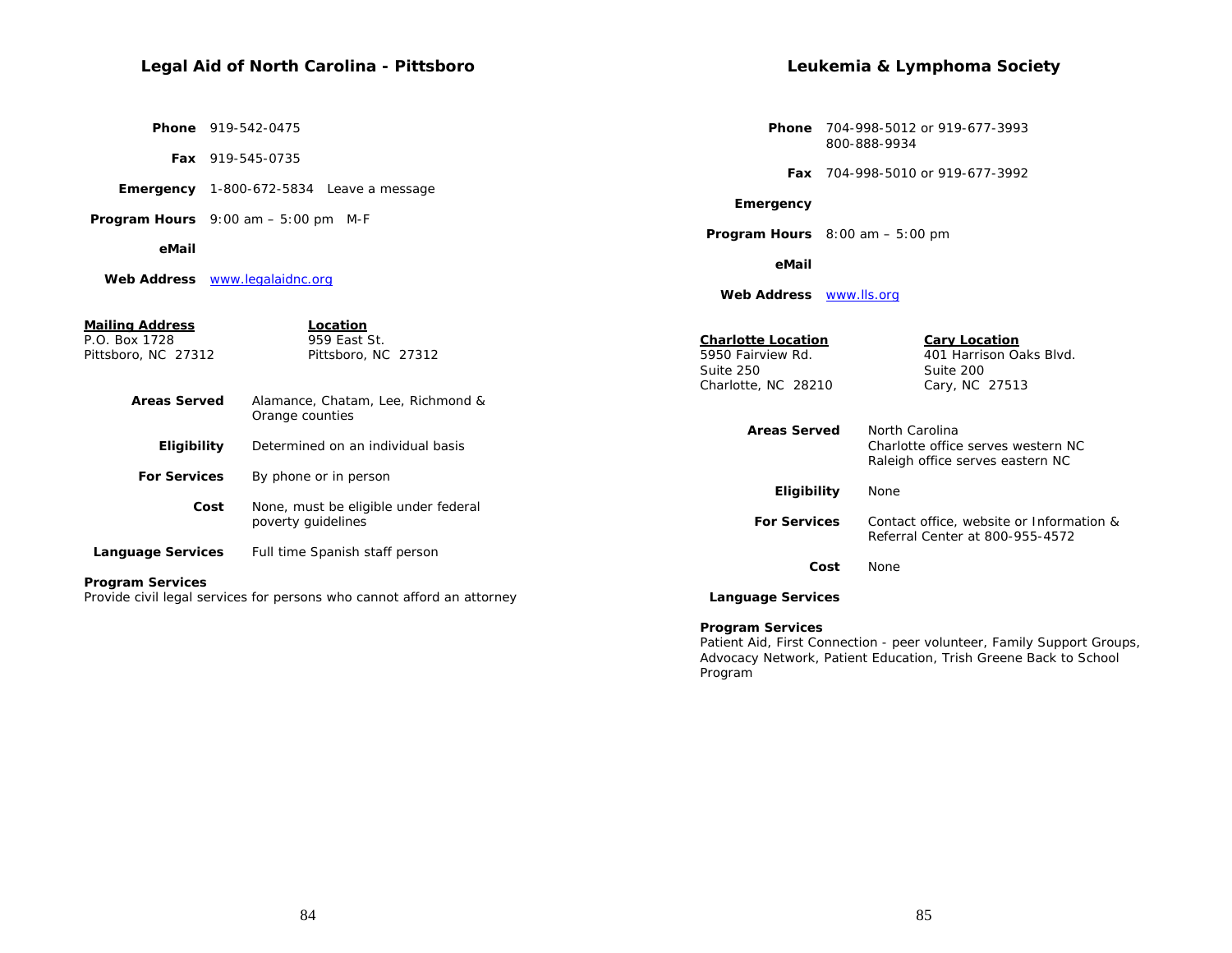# **Legal Aid of North Carolina - Pittsboro**

 **Phone** 919-542-0475

**Fax** 919-545-0735

 **Emergency** 1-800-672-5834 Leave a message

 **Program Hours** 9:00 am – 5:00 pm M-F

#### **eMail**

 **Web Address** www.legalaidnc.org

## **Leukemia & Lymphoma Society**

 **Phone** 704-998-5012 or 919-677-3993 800-888-9934

 **Fax** 704-998-5010 or 919-677-3992

 **Emergency**

 **Program Hours** 8:00 am – 5:00 pm

 **eMail**

 **Web Address** www.lls.org

| <b>Mailing Address</b><br>P.O. Box 1728<br>Pittsboro, NC 27312 | Location<br>959 East St.<br>Pittsboro, NC 27312                        | <b>Charlotte Location</b><br>5950 Fairview Rd.<br>Suite 250<br>Charlotte, NC 28210 | <b>Cary Location</b><br>401 Harrison Oaks Blvd.<br>Suite 200<br>Cary, NC 27513           |
|----------------------------------------------------------------|------------------------------------------------------------------------|------------------------------------------------------------------------------------|------------------------------------------------------------------------------------------|
| <b>Areas Served</b>                                            | Alamance, Chatam, Lee, Richmond &<br>Orange counties                   |                                                                                    |                                                                                          |
| Eligibility                                                    | Determined on an individual basis                                      | <b>Areas Served</b>                                                                | North Carolina<br>Charlotte office serves western NC<br>Raleigh office serves eastern NC |
| <b>For Services</b>                                            | By phone or in person                                                  |                                                                                    |                                                                                          |
| Cost                                                           | None, must be eligible under federal                                   | Eligibility                                                                        | None                                                                                     |
|                                                                | poverty guidelines                                                     | <b>For Services</b>                                                                | Contact office, website or Information &<br>Referral Center at 800-955-4572              |
| <b>Language Services</b>                                       | Full time Spanish staff person                                         |                                                                                    |                                                                                          |
|                                                                |                                                                        | Cost                                                                               | None                                                                                     |
| <b>Program Services</b>                                        | Provide civil legal services for persons who cannot afford an attorney | <b>Language Services</b>                                                           |                                                                                          |

**Program Services** 

Patient Aid, First Connection - peer volunteer, Family Support Groups, Advocacy Network, Patient Education, Trish Greene Back to School Program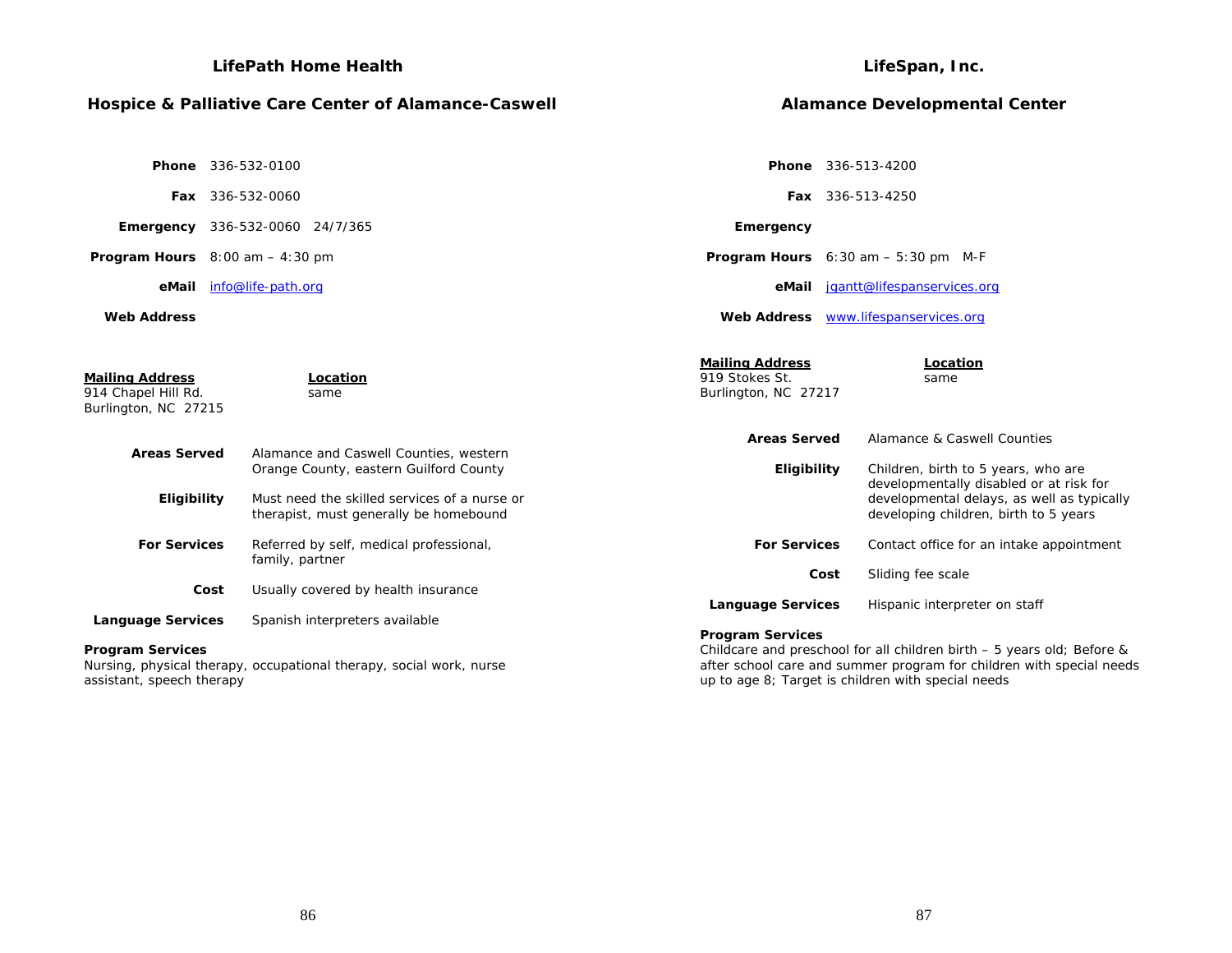|                                                                       | <b>LifePath Home Health</b>                                                                                                      |                                                                  | LifeSpan, Inc.                                                                                                                                                                                       |
|-----------------------------------------------------------------------|----------------------------------------------------------------------------------------------------------------------------------|------------------------------------------------------------------|------------------------------------------------------------------------------------------------------------------------------------------------------------------------------------------------------|
|                                                                       | Hospice & Palliative Care Center of Alamance-Caswell                                                                             |                                                                  | <b>Alamance Developmental Center</b>                                                                                                                                                                 |
| <b>Phone</b> 336-532-0100                                             |                                                                                                                                  |                                                                  | Phone 336-513-4200                                                                                                                                                                                   |
| Fax 336-532-0060                                                      |                                                                                                                                  |                                                                  | Fax 336-513-4250                                                                                                                                                                                     |
| <b>Emergency</b> 336-532-0060 24/7/365                                |                                                                                                                                  | Emergency                                                        |                                                                                                                                                                                                      |
| <b>Program Hours</b> $8:00$ am $-4:30$ pm                             |                                                                                                                                  |                                                                  | Program Hours 6:30 am - 5:30 pm M-F                                                                                                                                                                  |
| eMail                                                                 | info@life-path.org                                                                                                               | eMail                                                            | jgantt@lifespanservices.org                                                                                                                                                                          |
| <b>Web Address</b>                                                    |                                                                                                                                  |                                                                  | Web Address www.lifespanservices.org                                                                                                                                                                 |
| <b>Mailing Address</b><br>914 Chapel Hill Rd.<br>Burlington, NC 27215 | Location<br>same                                                                                                                 | <b>Mailing Address</b><br>919 Stokes St.<br>Burlington, NC 27217 | Location<br>same                                                                                                                                                                                     |
| <b>Areas Served</b><br>Eligibility                                    | Alamance and Caswell Counties, western<br>Orange County, eastern Guilford County<br>Must need the skilled services of a nurse or | <b>Areas Served</b><br>Eligibility                               | Alamance & Caswell Counties<br>Children, birth to 5 years, who are<br>developmentally disabled or at risk for<br>developmental delays, as well as typically                                          |
| <b>For Services</b>                                                   | therapist, must generally be homebound<br>Referred by self, medical professional,<br>family, partner                             | <b>For Services</b>                                              | developing children, birth to 5 years<br>Contact office for an intake appointment                                                                                                                    |
| Cost                                                                  | Usually covered by health insurance                                                                                              |                                                                  | Sliding fee scale<br>Cost                                                                                                                                                                            |
| <b>Language Services</b>                                              | Spanish interpreters available                                                                                                   | <b>Language Services</b>                                         | Hispanic interpreter on staff                                                                                                                                                                        |
| <b>Program Services</b><br>assistant, speech therapy                  | Nursing, physical therapy, occupational therapy, social work, nurse                                                              | <b>Program Services</b>                                          | Childcare and preschool for all children birth - 5 years old; Before &<br>after school care and summer program for children with special needs<br>up to age 8; Target is children with special needs |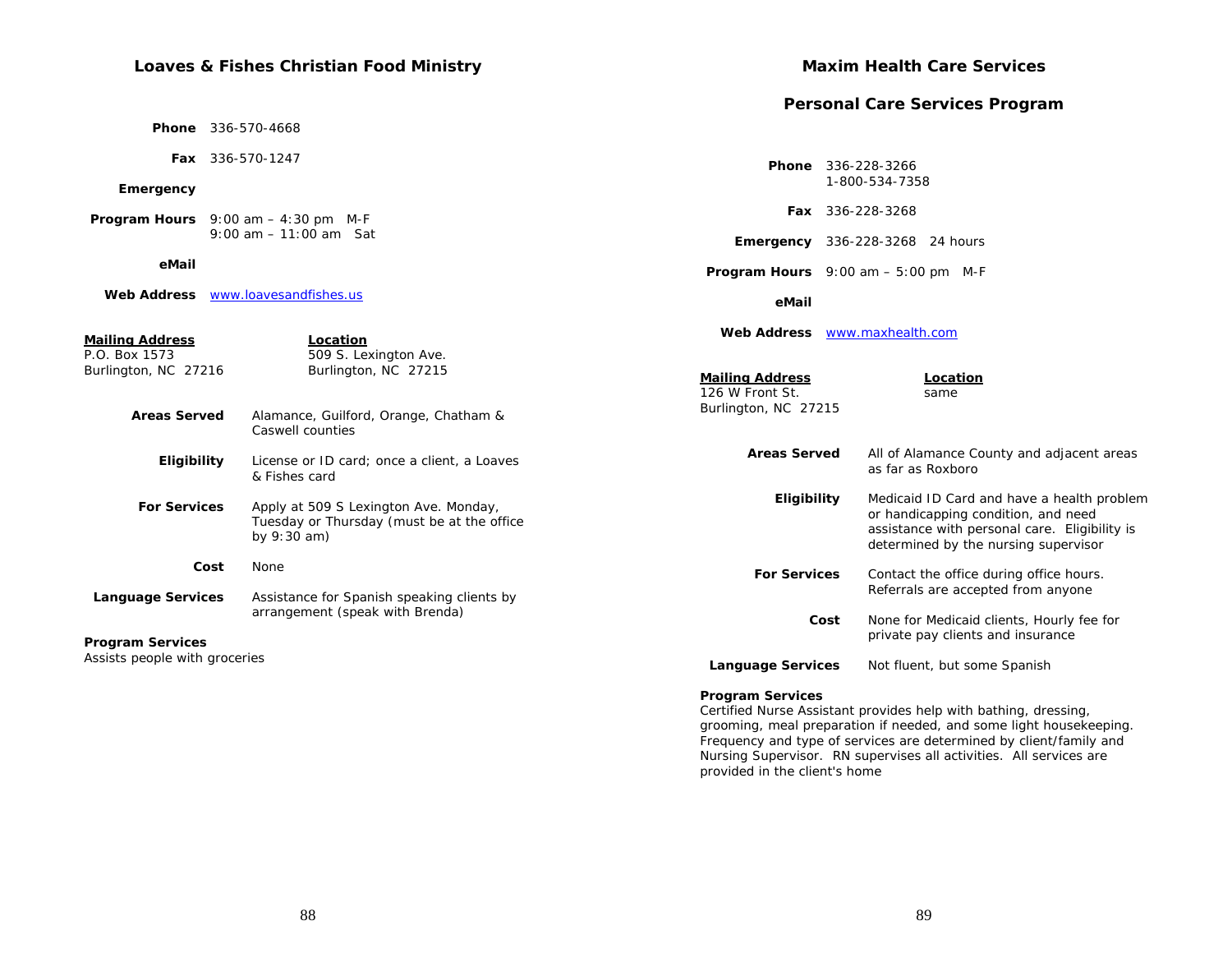# **Loaves & Fishes Christian Food Ministry**

|                                                   |                                                                                                      |                                           | <b>Personal Care Services Program</b>                                                                                                                                      |
|---------------------------------------------------|------------------------------------------------------------------------------------------------------|-------------------------------------------|----------------------------------------------------------------------------------------------------------------------------------------------------------------------------|
|                                                   | <b>Phone</b> 336-570-4668                                                                            |                                           |                                                                                                                                                                            |
|                                                   | Fax 336-570-1247                                                                                     |                                           | Phone 336-228-3266                                                                                                                                                         |
| Emergency                                         |                                                                                                      |                                           | 1-800-534-7358                                                                                                                                                             |
|                                                   | <b>Program Hours</b> $9:00$ am $-4:30$ pm M-F                                                        |                                           | <b>Fax</b> 336-228-3268                                                                                                                                                    |
|                                                   | $9:00$ am $-11:00$ am Sat                                                                            |                                           | <b>Emergency</b> 336-228-3268 24 hours                                                                                                                                     |
| eMail                                             |                                                                                                      |                                           | <b>Program Hours</b> $9:00 \text{ am} - 5:00 \text{ pm}$ M-F                                                                                                               |
|                                                   | Web Address www.loavesandfishes.us                                                                   | eMail                                     |                                                                                                                                                                            |
| <u>Mailing Address</u><br>P.O. Box 1573           | Location<br>509 S. Lexington Ave.                                                                    |                                           | Web Address www.maxhealth.com                                                                                                                                              |
| Burlington, NC 27216                              | Burlington, NC 27215                                                                                 | <b>Mailing Address</b><br>126 W Front St. | Location<br>same                                                                                                                                                           |
| <b>Areas Served</b>                               | Alamance, Guilford, Orange, Chatham &<br>Caswell counties                                            | Burlington, NC 27215                      |                                                                                                                                                                            |
| Eligibility                                       | License or ID card; once a client, a Loaves<br>& Fishes card                                         | <b>Areas Served</b>                       | All of Alamance County and adjacent areas<br>as far as Roxboro                                                                                                             |
| <b>For Services</b>                               | Apply at 509 S Lexington Ave. Monday,<br>Tuesday or Thursday (must be at the office<br>by $9:30$ am) | Eligibility                               | Medicaid ID Card and have a health problem<br>or handicapping condition, and need<br>assistance with personal care. Eligibility is<br>determined by the nursing supervisor |
|                                                   | Cost<br>None                                                                                         | <b>For Services</b>                       | Contact the office during office hours.                                                                                                                                    |
| <b>Language Services</b>                          | Assistance for Spanish speaking clients by                                                           |                                           | Referrals are accepted from anyone                                                                                                                                         |
|                                                   | arrangement (speak with Brenda)                                                                      |                                           | None for Medicaid clients, Hourly fee for<br>Cost<br>private pay clients and insurance                                                                                     |
| Program Services<br>Assists people with groceries |                                                                                                      | <b>Language Services</b>                  | Not fluent, but some Spanish                                                                                                                                               |

#### **Program Services**

Certified Nurse Assistant provides help with bathing, dressing, grooming, meal preparation if needed, and some light housekeeping. Frequency and type of services are determined by client/family and Nursing Supervisor. RN supervises all activities. All services are provided in the client's home

**Maxim Health Care Services**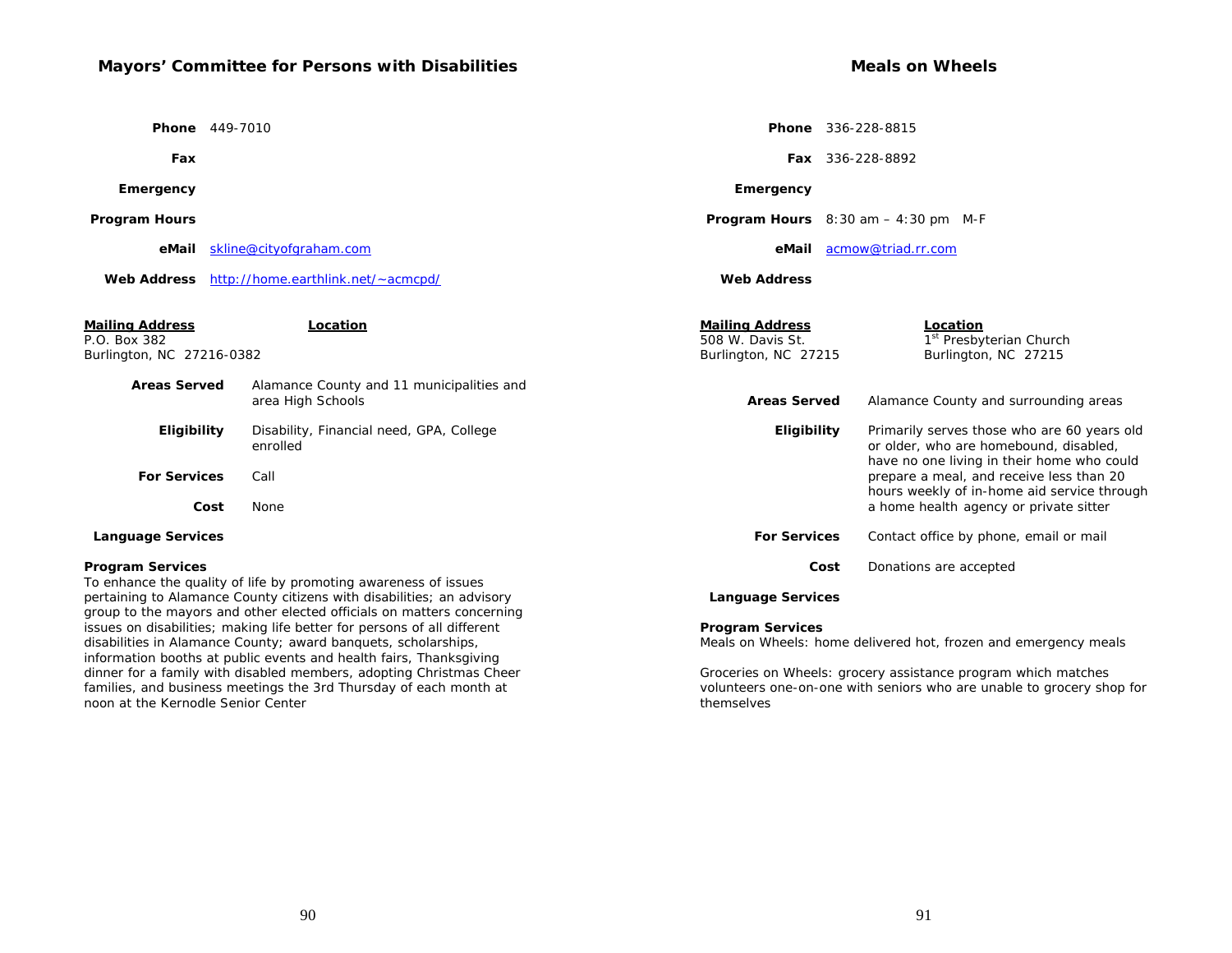# **Mayors' Committee for Persons with Disabilities**

 **Phone** 449-7010

 **Fax**

 **Emergency**

 **Program Hours**

 **eMail** skline@cityofgraham.com

 **Web Address** http://home.earthlink.net/~acmcpd/

| <b>Mailing Address</b><br>P.O. Box 382<br>Burlington, NC 27216-0382 | Location                                                                                                                                       | <b>Mailing Address</b><br>508 W. Davis St.<br>Burlington, NC 27215 | Location<br>1 <sup>st</sup> Presbyterian Church<br>Burlington, NC 27215                                                             |  |
|---------------------------------------------------------------------|------------------------------------------------------------------------------------------------------------------------------------------------|--------------------------------------------------------------------|-------------------------------------------------------------------------------------------------------------------------------------|--|
| <b>Areas Served</b>                                                 | Alamance County and 11 municipalities and<br>area High Schools                                                                                 | <b>Areas Served</b>                                                | Alamance County and surrounding areas                                                                                               |  |
| <b>Eligibility</b>                                                  | Disability, Financial need, GPA, College<br>enrolled                                                                                           | Eligibility                                                        | Primarily serves those who are 60 years old<br>or older, who are homebound, disabled,<br>have no one living in their home who could |  |
| <b>For Services</b>                                                 | Call                                                                                                                                           |                                                                    | prepare a meal, and receive less than 20<br>hours weekly of in-home aid service through                                             |  |
| Cost                                                                | None                                                                                                                                           |                                                                    | a home health agency or private sitter                                                                                              |  |
| <b>Language Services</b>                                            |                                                                                                                                                | <b>For Services</b>                                                | Contact office by phone, email or mail                                                                                              |  |
| <b>Program Services</b>                                             |                                                                                                                                                | Cost                                                               | Donations are accepted                                                                                                              |  |
|                                                                     | To enhance the quality of life by promoting awareness of issues                                                                                |                                                                    |                                                                                                                                     |  |
|                                                                     | pertaining to Alamance County citizens with disabilities; an advisory<br>group to the mayors and other elected officials on matters concerning | <b>Language Services</b>                                           |                                                                                                                                     |  |
|                                                                     | issues on disabilities; making life better for persons of all different                                                                        | <b>Program Services</b>                                            |                                                                                                                                     |  |
|                                                                     | disabilities in Alamance County; award banquets, scholarships,                                                                                 |                                                                    |                                                                                                                                     |  |
|                                                                     |                                                                                                                                                | Meals on Wheels: home delivered hot, frozen and emergency meals    |                                                                                                                                     |  |

Groceries on Wheels: grocery assistance program which matches volunteers one-on-one with seniors who are unable to grocery shop for themselves

information booths at public events and health fairs, Thanksgiving dinner for a family with disabled members, adopting Christmas Cheer families, and business meetings the 3rd Thursday of each month at

noon at the Kernodle Senior Center

 **Phone** 336-228-8815

 **Program Hours** 8:30 am – 4:30 pm M-F

 **eMail** acmow@triad.rr.com

 **Fax** 336-228-8892

 **Emergency**

 **Web Address**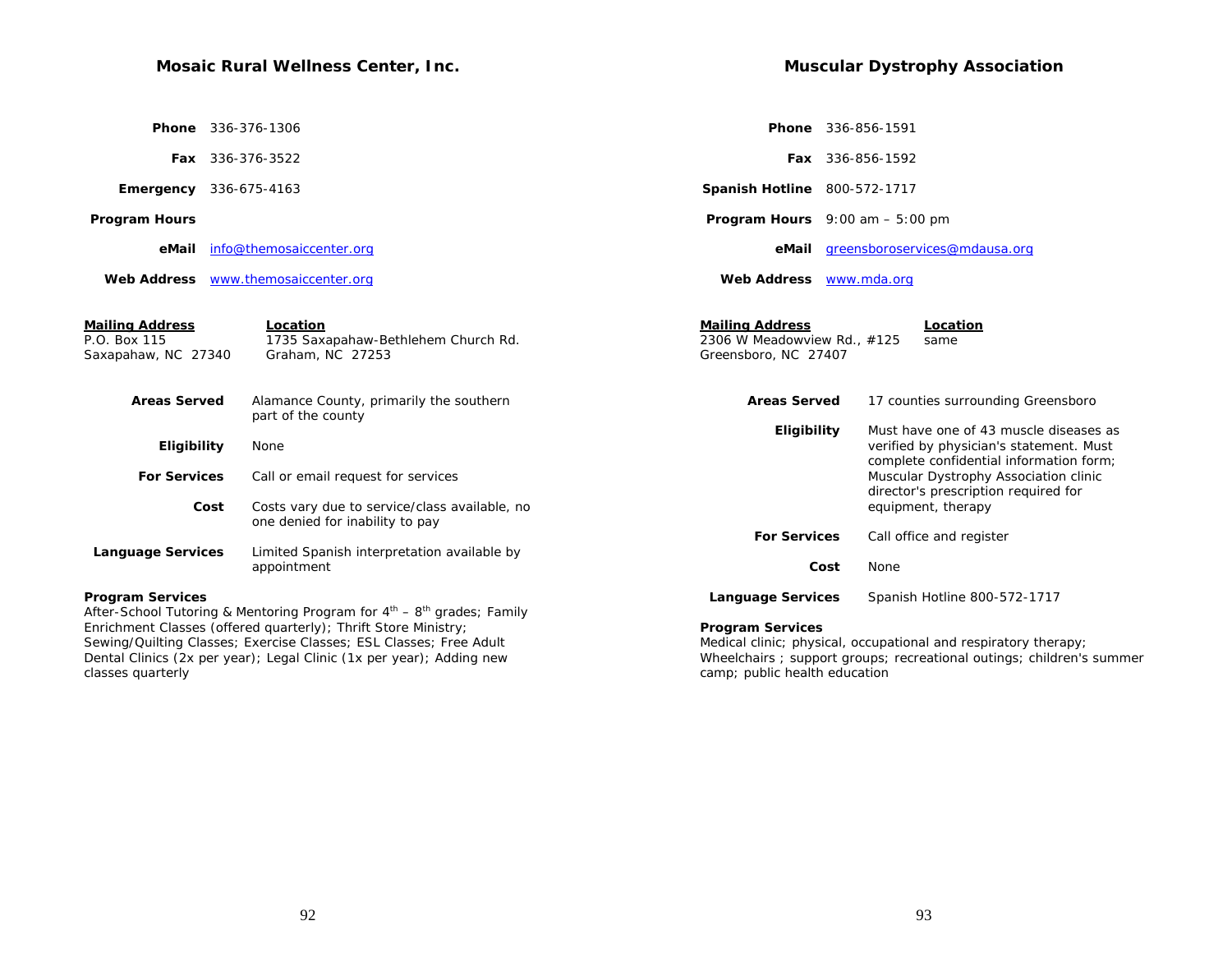# **Mosaic Rural Wellness Center, Inc.**

| Phone                                                  | 336-376-1306                                                                                                                         |                                                                               | Phone 336-856-1591                                                                                                           |
|--------------------------------------------------------|--------------------------------------------------------------------------------------------------------------------------------------|-------------------------------------------------------------------------------|------------------------------------------------------------------------------------------------------------------------------|
|                                                        | Fax 336-376-3522                                                                                                                     |                                                                               | <b>Fax</b> 336-856-1592                                                                                                      |
|                                                        | <b>Emergency</b> 336-675-4163                                                                                                        | <b>Spanish Hotline 800-572-1717</b>                                           |                                                                                                                              |
| <b>Program Hours</b>                                   |                                                                                                                                      | <b>Program Hours</b> $9:00$ am $-5:00$ pm                                     |                                                                                                                              |
| eMail                                                  | info@themosaiccenter.org                                                                                                             |                                                                               | eMail greensboroservices@mdausa.org                                                                                          |
|                                                        | Web Address www.themosaiccenter.org                                                                                                  | Web Address www.mda.org                                                       |                                                                                                                              |
| Mailing Address<br>P.O. Box 115<br>Saxapahaw, NC 27340 | Location<br>1735 Saxapahaw-Bethlehem Church Rd.<br>Graham, NC 27253                                                                  | <b>Mailing Address</b><br>2306 W Meadowview Rd., #125<br>Greensboro, NC 27407 | Location<br>same                                                                                                             |
| <b>Areas Served</b>                                    | Alamance County, primarily the southern<br>part of the county                                                                        | <b>Areas Served</b>                                                           | 17 counties surrounding Greensboro                                                                                           |
| Eligibility                                            | None                                                                                                                                 | Eligibility                                                                   | Must have one of 43 muscle diseases as<br>verified by physician's statement. Must<br>complete confidential information form; |
| <b>For Services</b>                                    | Call or email request for services                                                                                                   |                                                                               | Muscular Dystrophy Association clinic                                                                                        |
|                                                        | Costs vary due to service/class available, no<br>Cost<br>one denied for inability to pay                                             |                                                                               | director's prescription required for<br>equipment, therapy                                                                   |
| <b>Language Services</b>                               | Limited Spanish interpretation available by                                                                                          | <b>For Services</b>                                                           | Call office and register                                                                                                     |
|                                                        | appointment                                                                                                                          | Cost                                                                          | None                                                                                                                         |
| <b>Program Services</b>                                | After-School Tutoring & Mentoring Program for 4 <sup>th</sup> – 8 <sup>th</sup> grades; Family                                       | <b>Language Services</b>                                                      | Spanish Hotline 800-572-1717                                                                                                 |
|                                                        | Enrichment Classes (offered quarterly); Thrift Store Ministry;<br>Sewing/Quilting Classes; Exercise Classes; ESL Classes; Free Adult | <b>Program Services</b>                                                       | Medical clinic; physical, occupational and respiratory therapy;                                                              |
|                                                        |                                                                                                                                      |                                                                               |                                                                                                                              |

Dental Clinics (2x per year); Legal Clinic (1x per year); Adding new classes quarterly

Wheelchairs ; support groups; recreational outings; children's summer camp; public health education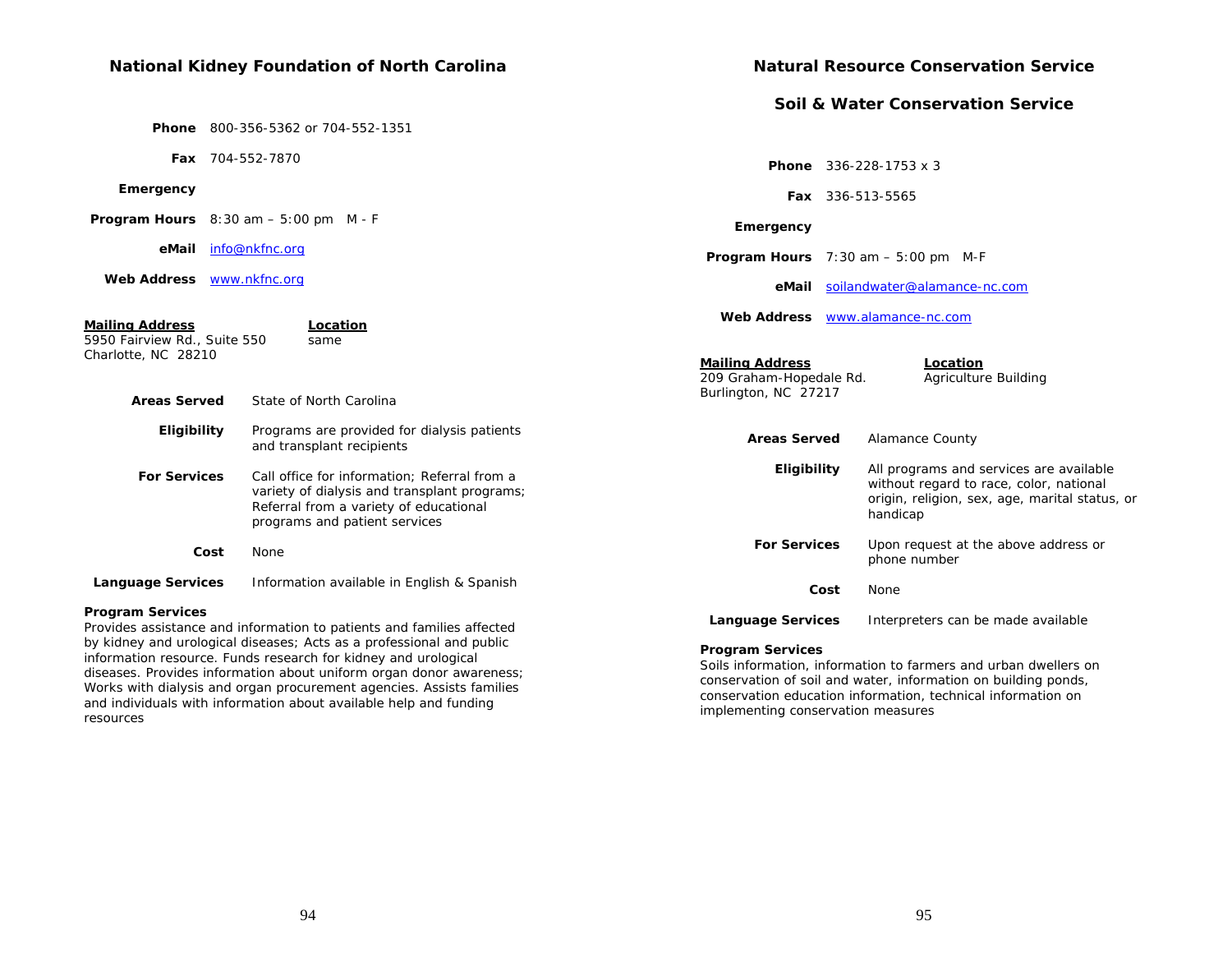#### **National Kidney Foundation of North Carolina Phone** 800-356-5362 or 704-552-1351  **Fax** 704-552-7870  **Emergency Program Hours** 8:30 am – 5:00 pm M - F  **eMail** info@nkfnc.org  **Web Address** www.nkfnc.org **Mailing Address Location** 5950 Fairview Rd., Suite 550 same Charlotte, NC 28210  **Areas Served** State of North Carolina  **Eligibility** Programs are provided for dialysis patients and transplant recipients  **For Services** Call office for information; Referral from a variety of dialysis and transplant programs; Referral from a variety of educational programs and patient services  **Cost** None  **Language Services** Information available in English & Spanish **Program Services**  Provides assistance and information to patients and families affected by kidney and urological diseases; Acts as a professional and public information resource. Funds research for kidney and urological diseases. Provides information about uniform organ donor awareness; **Natural Resource Conservation Service Soil & Water Conservation Service Phone** 336-228-1753 x 3  **Fax** 336-513-5565  **Emergency Program Hours** 7:30 am – 5:00 pm M-F  **eMail** soilandwater@alamance-nc.com **Web Address** www.alamance-nc.com**Mailing Address**<br>
209 Graham-Hopedale Rd. Agriculture Building 209 Graham-Hopedale Rd. Burlington, NC 27217  **Areas Served** Alamance County  **Eligibility** All programs and services are available without regard to race, color, national origin, religion, sex, age, marital status, or handicap  **For Services** Upon request at the above address or phone number  **Cost** None **Language Services** Interpreters can be made available **Program Services**  Soils information, information to farmers and urban dwellers on conservation of soil and water, information on building ponds,

94

Works with dialysis and organ procurement agencies. Assists families and individuals with information about available help and funding

resources

conservation education information, technical information on

implementing conservation measures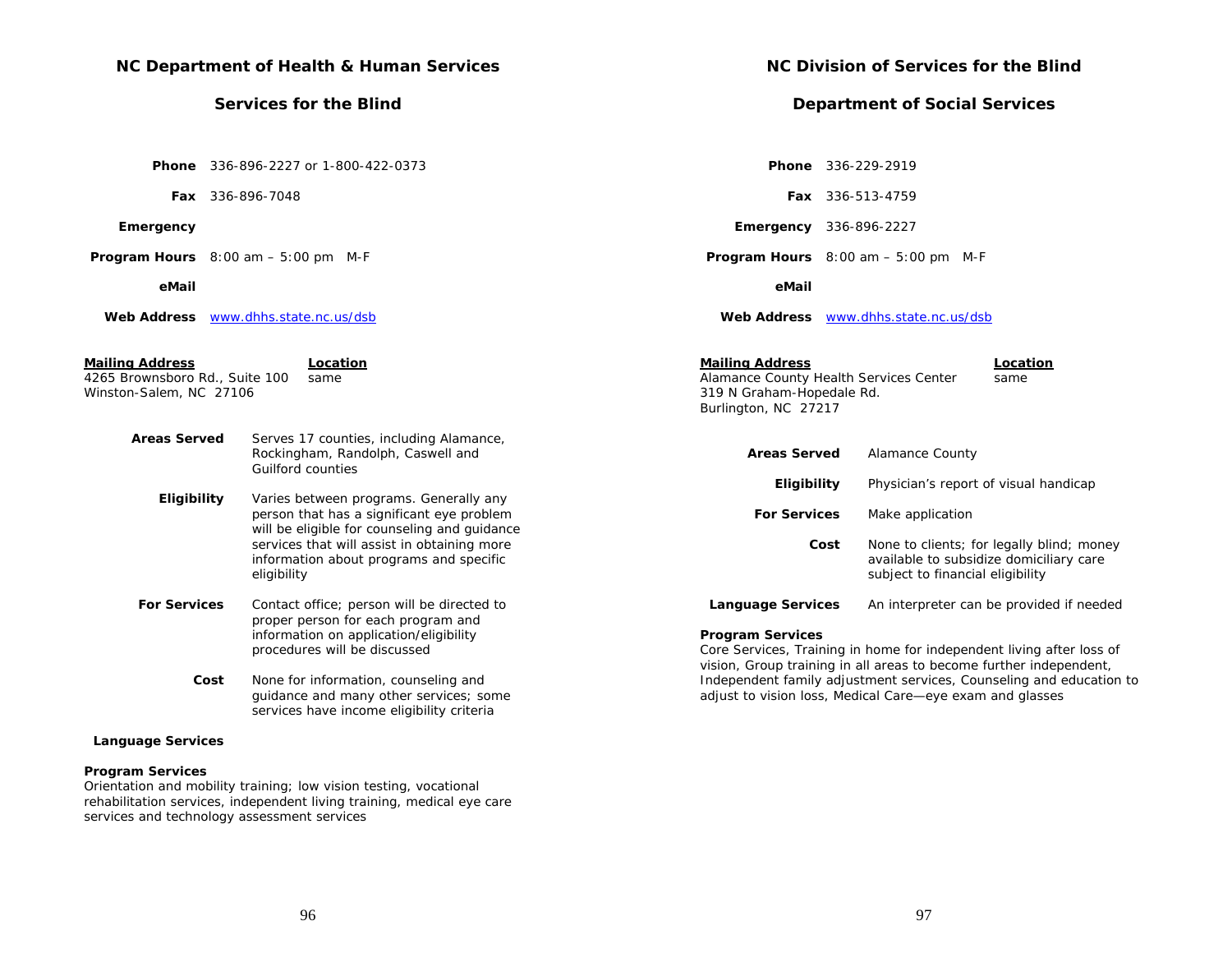| NC Department of Health & Human Services                                                                     |                                                                                                                             | <b>NC Division of Services fo</b>                                                                                            |                                                                       |  |
|--------------------------------------------------------------------------------------------------------------|-----------------------------------------------------------------------------------------------------------------------------|------------------------------------------------------------------------------------------------------------------------------|-----------------------------------------------------------------------|--|
| <b>Services for the Blind</b>                                                                                |                                                                                                                             | <b>Department of Social S</b>                                                                                                |                                                                       |  |
|                                                                                                              | <b>Phone</b> 336-896-2227 or 1-800-422-0373                                                                                 | Phone 336-229-2919                                                                                                           |                                                                       |  |
|                                                                                                              | <b>Fax</b> 336-896-7048                                                                                                     |                                                                                                                              | <b>Fax</b> 336-513-4759                                               |  |
| Emergency                                                                                                    |                                                                                                                             | <b>Emergency</b> 336-896-2227                                                                                                |                                                                       |  |
| <b>Program Hours</b> $8:00$ am $-5:00$ pm M-F                                                                |                                                                                                                             | <b>Program Hours</b> $8:00 \text{ am} - 5:00 \text{ pm}$ M-F                                                                 |                                                                       |  |
| eMail                                                                                                        |                                                                                                                             | eMail                                                                                                                        |                                                                       |  |
|                                                                                                              | Web Address www.dhhs.state.nc.us/dsb                                                                                        |                                                                                                                              | Web Address www.dhhs.state.nc.us/dsb                                  |  |
| <b>Mailing Address</b><br>4265 Brownsboro Rd., Suite 100<br>Winston-Salem, NC 27106                          | Location<br>same                                                                                                            | <b>Mailing Address</b><br>Alamance County Health Services Center<br>319 N Graham-Hopedale Rd.<br>Burlington, NC 27217        |                                                                       |  |
| <b>Areas Served</b>                                                                                          | Serves 17 counties, including Alamance,<br>Rockingham, Randolph, Caswell and<br>Guilford counties                           | <b>Areas Served</b>                                                                                                          | <b>Alamance County</b>                                                |  |
| Eligibility                                                                                                  | Varies between programs. Generally any                                                                                      | Eligibility                                                                                                                  | Physician's report o                                                  |  |
|                                                                                                              | person that has a significant eye problem<br>will be eligible for counseling and guidance                                   | <b>For Services</b>                                                                                                          | Make application                                                      |  |
|                                                                                                              | services that will assist in obtaining more<br>information about programs and specific<br>eligibility                       | Cost                                                                                                                         | None to clients; for<br>available to subsidi:<br>subject to financial |  |
| <b>For Services</b>                                                                                          | Contact office; person will be directed to                                                                                  | <b>Language Services</b>                                                                                                     | An interpreter can b                                                  |  |
| proper person for each program and<br>information on application/eligibility<br>procedures will be discussed |                                                                                                                             | <b>Program Services</b><br>Core Services, Training in home for independe<br>vision, Group training in all areas to become fu |                                                                       |  |
| Cost                                                                                                         | None for information, counseling and<br>guidance and many other services; some<br>services have income eligibility criteria | Independent family adjustment services, Cour<br>adjust to vision loss, Medical Care-eye exam                                 |                                                                       |  |
| <b>Language Services</b>                                                                                     |                                                                                                                             |                                                                                                                              |                                                                       |  |

# **Program Services**

Orientation and mobility training; low vision testing, vocational rehabilitation services, independent living training, medical eye care services and technology assessment services

# **NC Blind**

# **Services**

|                                                                      | <b>Phone</b> 336-229-2919                                    |
|----------------------------------------------------------------------|--------------------------------------------------------------|
|                                                                      | <b>Fax</b> 336-513-4759                                      |
|                                                                      | <b>Emergency</b> 336-896-2227                                |
|                                                                      | <b>Program Hours</b> $8:00 \text{ am} - 5:00 \text{ pm}$ M-F |
| eMail                                                                |                                                              |
|                                                                      | Web Address www.dhhs.state.nc.us/dsb                         |
| Mailing Address<br>319 N Graham-Hopedale Rd.<br>Burlington, NC 27217 | Location<br>Alamance County Health Services Center<br>same   |

| Areas Served        | <b>Alamance County</b>                                                                                                   |
|---------------------|--------------------------------------------------------------------------------------------------------------------------|
| Eligibility         | Physician's report of visual handicap                                                                                    |
| <b>For Services</b> | Make application                                                                                                         |
| Cost                | None to clients; for legally blind; money<br>available to subsidize domiciliary care<br>subject to financial eligibility |
| Language Services   | An interpreter can be provided if needed                                                                                 |

Core Services, Training in home for independent living after loss of vision, Group training in all areas to become further independent, Independent family adjustment services, Counseling and education to and glasses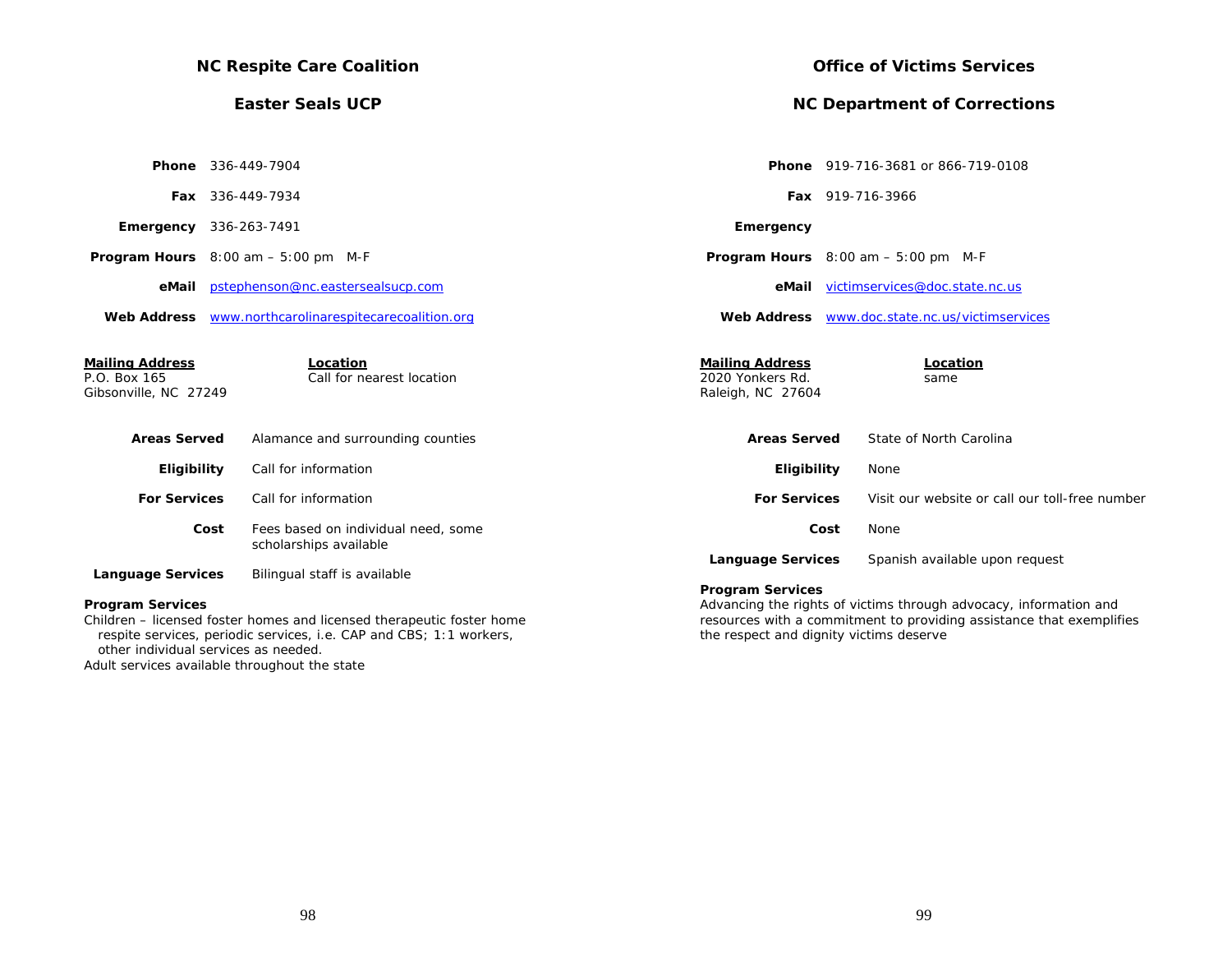| <b>NC Respite Care Coalition</b>                                |                                                                       |                                                                 | <b>Office of Victims Services</b>                                 |  |  |
|-----------------------------------------------------------------|-----------------------------------------------------------------------|-----------------------------------------------------------------|-------------------------------------------------------------------|--|--|
|                                                                 | <b>Easter Seals UCP</b>                                               |                                                                 | <b>NC Department of Corrections</b>                               |  |  |
|                                                                 |                                                                       |                                                                 |                                                                   |  |  |
|                                                                 | <b>Phone</b> 336-449-7904                                             |                                                                 | <b>Phone</b> 919-716-3681 or 866-719-0108                         |  |  |
|                                                                 | Fax 336-449-7934                                                      |                                                                 | Fax 919-716-3966                                                  |  |  |
|                                                                 | <b>Emergency</b> 336-263-7491                                         | Emergency                                                       |                                                                   |  |  |
|                                                                 | <b>Program Hours</b> $8:00 \text{ am} - 5:00 \text{ pm}$ M-F          |                                                                 | <b>Program Hours</b> $8:00$ am $-5:00$ pm M-F                     |  |  |
|                                                                 | eMail pstephenson@nc.eastersealsucp.com                               |                                                                 | eMail victimservices@doc.state.nc.us                              |  |  |
|                                                                 | Web Address www.northcarolinarespitecarecoalition.org                 |                                                                 | Web Address www.doc.state.nc.us/victimservices                    |  |  |
| <b>Mailing Address</b><br>P.O. Box 165<br>Gibsonville, NC 27249 | Location<br>Call for nearest location                                 | <b>Mailing Address</b><br>2020 Yonkers Rd.<br>Raleigh, NC 27604 | Location<br>same                                                  |  |  |
| <b>Areas Served</b>                                             | Alamance and surrounding counties                                     | <b>Areas Served</b>                                             | State of North Carolina                                           |  |  |
| Eligibility                                                     | Call for information                                                  | Eligibility                                                     | None                                                              |  |  |
| <b>For Services</b>                                             | Call for information                                                  | <b>For Services</b>                                             | Visit our website or call our toll-free number                    |  |  |
|                                                                 | Fees based on individual need, some<br>Cost<br>scholarships available |                                                                 | Cost<br>None                                                      |  |  |
| <b>Language Services</b>                                        | Bilingual staff is available                                          | <b>Language Services</b>                                        | Spanish available upon request                                    |  |  |
| <b>Program Services</b>                                         |                                                                       | <b>Program Services</b>                                         | Advancing the rights of victims through advocacy, information and |  |  |

Children – licensed foster homes and licensed therapeutic foster home respite services, periodic services, i.e. CAP and CBS; 1:1 workers, other individual services as needed.

Adult services available throughout the state

Advancing the rights of victims through advocacy, information and resources with a commitment to providing assistance that exemplifies the respect and dignity victims deserve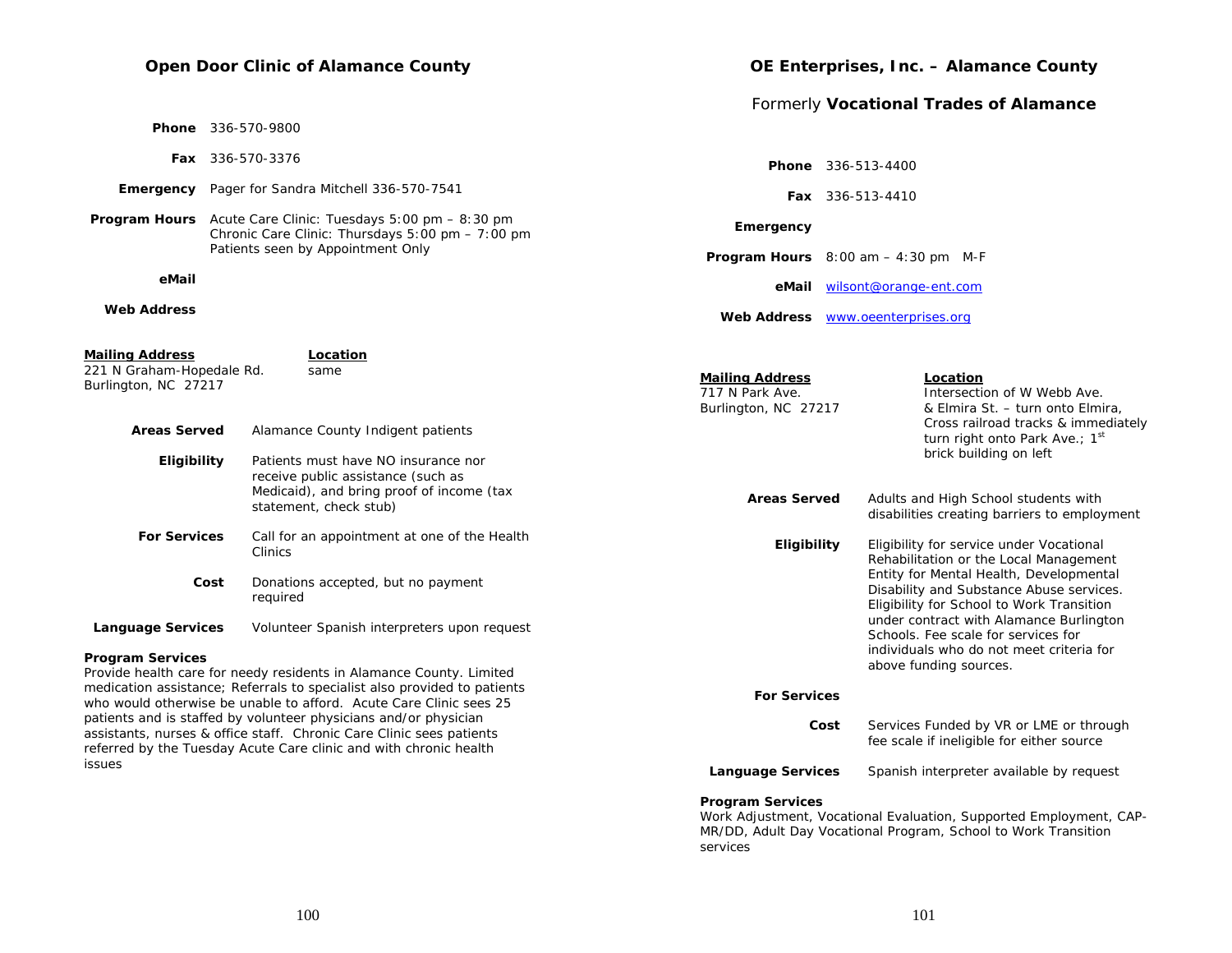# **Open Door Clinic of Alamance County**

|                                                                             |      |                                                                                                                                                                                                                                                                                           |                                                                   |      | Formerly Vocational Trades of Alamance                                                                                                                                                                                 |
|-----------------------------------------------------------------------------|------|-------------------------------------------------------------------------------------------------------------------------------------------------------------------------------------------------------------------------------------------------------------------------------------------|-------------------------------------------------------------------|------|------------------------------------------------------------------------------------------------------------------------------------------------------------------------------------------------------------------------|
|                                                                             |      | <b>Phone</b> 336-570-9800                                                                                                                                                                                                                                                                 |                                                                   |      |                                                                                                                                                                                                                        |
|                                                                             |      | <b>Fax</b> 336-570-3376                                                                                                                                                                                                                                                                   |                                                                   |      | <b>Phone</b> 336-513-4400                                                                                                                                                                                              |
|                                                                             |      | <b>Emergency</b> Pager for Sandra Mitchell 336-570-7541                                                                                                                                                                                                                                   |                                                                   |      | <b>Fax</b> 336-513-4410                                                                                                                                                                                                |
|                                                                             |      | <b>Program Hours</b> Acute Care Clinic: Tuesdays 5:00 pm - 8:30 pm<br>Chronic Care Clinic: Thursdays 5:00 pm - 7:00 pm                                                                                                                                                                    | Emergency                                                         |      |                                                                                                                                                                                                                        |
|                                                                             |      | Patients seen by Appointment Only                                                                                                                                                                                                                                                         |                                                                   |      | <b>Program Hours</b> $8:00$ am $-4:30$ pm M-F                                                                                                                                                                          |
| eMail                                                                       |      |                                                                                                                                                                                                                                                                                           |                                                                   |      | eMail wilsont@orange-ent.com                                                                                                                                                                                           |
| <b>Web Address</b>                                                          |      |                                                                                                                                                                                                                                                                                           |                                                                   |      | Web Address www.oeenterprises.org                                                                                                                                                                                      |
| <b>Mailing Address</b><br>221 N Graham-Hopedale Rd.<br>Burlington, NC 27217 |      | Location<br>same                                                                                                                                                                                                                                                                          | <b>Mailing Address</b><br>717 N Park Ave.<br>Burlington, NC 27217 |      | Location<br>Intersection of W Webb Ave.<br>& Elmira St. - turn onto Elmira,<br>Cross railroad tracks & immediately                                                                                                     |
| <b>Areas Served</b><br>Eligibility                                          |      | Alamance County Indigent patients<br>Patients must have NO insurance nor<br>receive public assistance (such as<br>Medicaid), and bring proof of income (tax<br>statement, check stub)                                                                                                     | <b>Areas Served</b>                                               |      | turn right onto Park Ave.; 1st<br>brick building on left<br>Adults and High School students with<br>disabilities creating barriers to employment                                                                       |
| <b>For Services</b>                                                         | Cost | Call for an appointment at one of the Health<br>Clinics<br>Donations accepted, but no payment<br>required                                                                                                                                                                                 | <b>Eligibility</b>                                                |      | Eligibility for service under Vocational<br>Rehabilitation or the Local Management<br>Entity for Mental Health, Developmental<br>Disability and Substance Abuse services.<br>Eligibility for School to Work Transition |
| <b>Language Services</b>                                                    |      | Volunteer Spanish interpreters upon request                                                                                                                                                                                                                                               |                                                                   |      | under contract with Alamance Burlington<br>Schools. Fee scale for services for                                                                                                                                         |
| <b>Program Services</b>                                                     |      | Provide health care for needy residents in Alamance County. Limited<br>medication assistance; Referrals to specialist also provided to patients<br>who would otherwise be unable to afford. Acute Care Clinic sees 25<br>patients and is staffed by volunteer physicians and/or physician | <b>For Services</b>                                               | Cost | individuals who do not meet criteria for<br>above funding sources.<br>Services Funded by VR or LME or through                                                                                                          |
| issues                                                                      |      | assistants, nurses & office staff. Chronic Care Clinic sees patients<br>referred by the Tuesday Acute Care clinic and with chronic health                                                                                                                                                 |                                                                   |      | fee scale if ineligible for either source                                                                                                                                                                              |
|                                                                             |      |                                                                                                                                                                                                                                                                                           | <b>Language Services</b>                                          |      | Spanish interpreter available by request                                                                                                                                                                               |
|                                                                             |      |                                                                                                                                                                                                                                                                                           | <b>Program Services</b>                                           |      |                                                                                                                                                                                                                        |

Work Adjustment, Vocational Evaluation, Supported Employment, CAP-MR/DD, Adult Day Vocational Program, School to Work Transition services

**OE Enterprises, Inc. – Alamance County**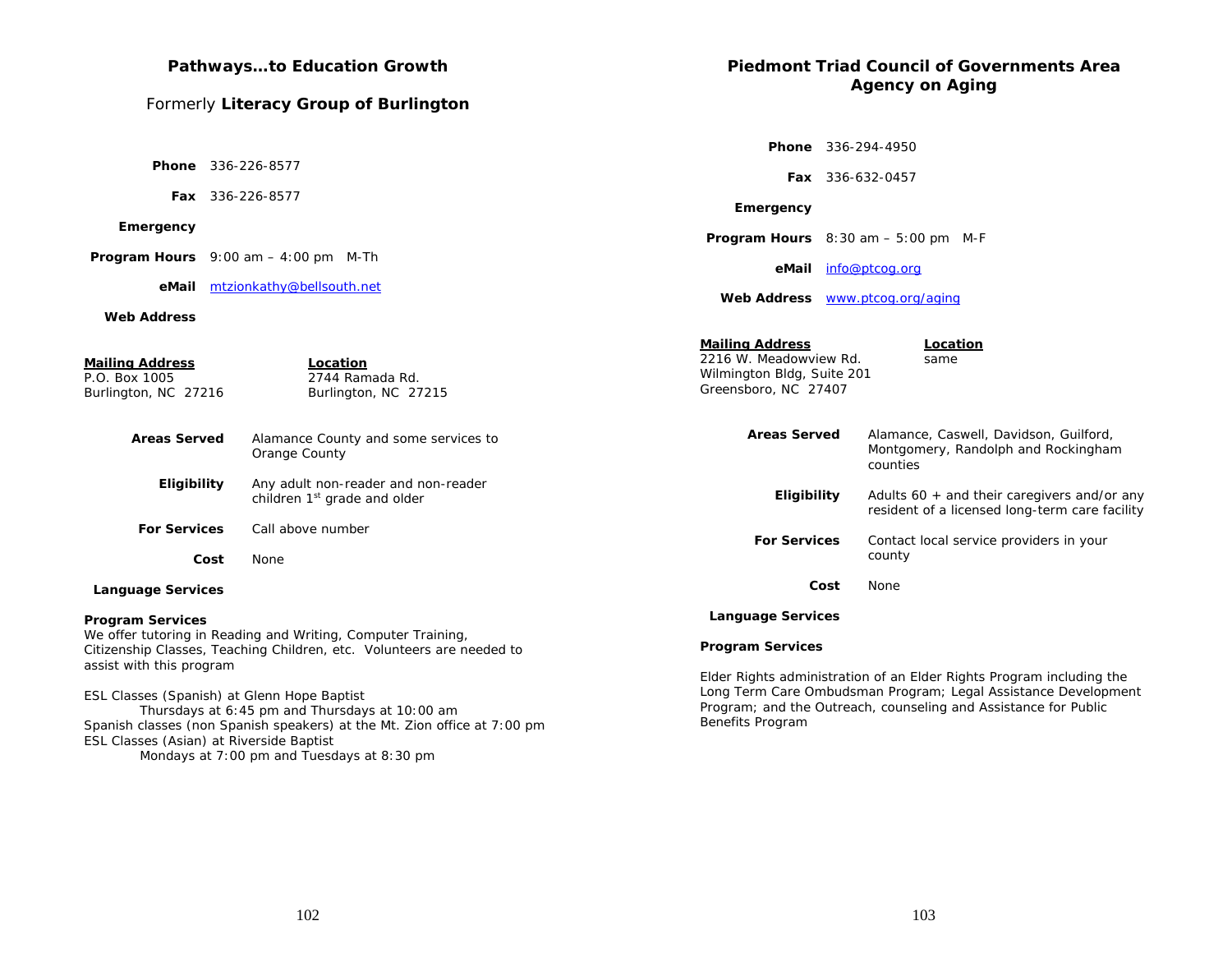# **Pathways…to Education Growth**

# Formerly **Literacy Group of Burlington**

# **Piedmont Triad Council of Governments Area Agency on Aging**

|                                                                                                                                                                                                                       |      |                                                                                                                                       |                                                                                                        |                                                                                                                                                                                                           | Phone 336-294-4950                                                                              |
|-----------------------------------------------------------------------------------------------------------------------------------------------------------------------------------------------------------------------|------|---------------------------------------------------------------------------------------------------------------------------------------|--------------------------------------------------------------------------------------------------------|-----------------------------------------------------------------------------------------------------------------------------------------------------------------------------------------------------------|-------------------------------------------------------------------------------------------------|
|                                                                                                                                                                                                                       |      | <b>Phone</b> 336-226-8577                                                                                                             |                                                                                                        |                                                                                                                                                                                                           | Fax 336-632-0457                                                                                |
|                                                                                                                                                                                                                       |      | Fax 336-226-8577                                                                                                                      | Emergency                                                                                              |                                                                                                                                                                                                           |                                                                                                 |
| Emergency                                                                                                                                                                                                             |      |                                                                                                                                       |                                                                                                        |                                                                                                                                                                                                           | Program Hours 8:30 am - 5:00 pm M-F                                                             |
|                                                                                                                                                                                                                       |      | <b>Program Hours</b> $9:00$ am $-4:00$ pm M-Th                                                                                        |                                                                                                        |                                                                                                                                                                                                           | eMail info@ptcog.org                                                                            |
|                                                                                                                                                                                                                       |      | eMail mtzionkathy@bellsouth.net                                                                                                       | Web Address www.ptcog.org/aging                                                                        |                                                                                                                                                                                                           |                                                                                                 |
| <b>Web Address</b>                                                                                                                                                                                                    |      |                                                                                                                                       |                                                                                                        |                                                                                                                                                                                                           |                                                                                                 |
| <b>Mailing Address</b><br>P.O. Box 1005<br>Burlington, NC 27216                                                                                                                                                       |      | Location<br>2744 Ramada Rd.<br>Burlington, NC 27215                                                                                   | <b>Mailing Address</b><br>2216 W. Meadowview Rd.<br>Wilmington Bldg, Suite 201<br>Greensboro, NC 27407 |                                                                                                                                                                                                           | Location<br>same                                                                                |
| <b>Areas Served</b>                                                                                                                                                                                                   |      | Alamance County and some services to<br>Orange County                                                                                 | <b>Areas Served</b>                                                                                    |                                                                                                                                                                                                           | Alamance, Caswell, Davidson, Guilford,<br>Montgomery, Randolph and Rockingham<br>counties       |
| Eligibility                                                                                                                                                                                                           |      | Any adult non-reader and non-reader<br>children 1 <sup>st</sup> grade and older                                                       | Eligibility                                                                                            |                                                                                                                                                                                                           | Adults $60 +$ and their caregivers and/or any<br>resident of a licensed long-term care facility |
| <b>For Services</b>                                                                                                                                                                                                   |      | Call above number                                                                                                                     | <b>For Services</b>                                                                                    |                                                                                                                                                                                                           | Contact local service providers in your                                                         |
|                                                                                                                                                                                                                       | Cost | None                                                                                                                                  |                                                                                                        |                                                                                                                                                                                                           | county                                                                                          |
| <b>Language Services</b>                                                                                                                                                                                              |      |                                                                                                                                       |                                                                                                        | Cost                                                                                                                                                                                                      | None                                                                                            |
| <b>Program Services</b>                                                                                                                                                                                               |      |                                                                                                                                       | <b>Language Services</b>                                                                               |                                                                                                                                                                                                           |                                                                                                 |
| assist with this program                                                                                                                                                                                              |      | We offer tutoring in Reading and Writing, Computer Training,<br>Citizenship Classes, Teaching Children, etc. Volunteers are needed to | <b>Program Services</b>                                                                                |                                                                                                                                                                                                           |                                                                                                 |
| ESL Classes (Spanish) at Glenn Hope Baptist<br>Thursdays at 6:45 pm and Thursdays at 10:00 am<br>Spanish classes (non Spanish speakers) at the Mt. Zion office at 7:00 pm<br>ESL Classes (Asian) at Riverside Baptist |      | Benefits Program                                                                                                                      |                                                                                                        | Elder Rights administration of an Elder Rights Program including the<br>Long Term Care Ombudsman Program; Legal Assistance Development<br>Program; and the Outreach, counseling and Assistance for Public |                                                                                                 |

Mondays at 7:00 pm and Tuesdays at 8:30 pm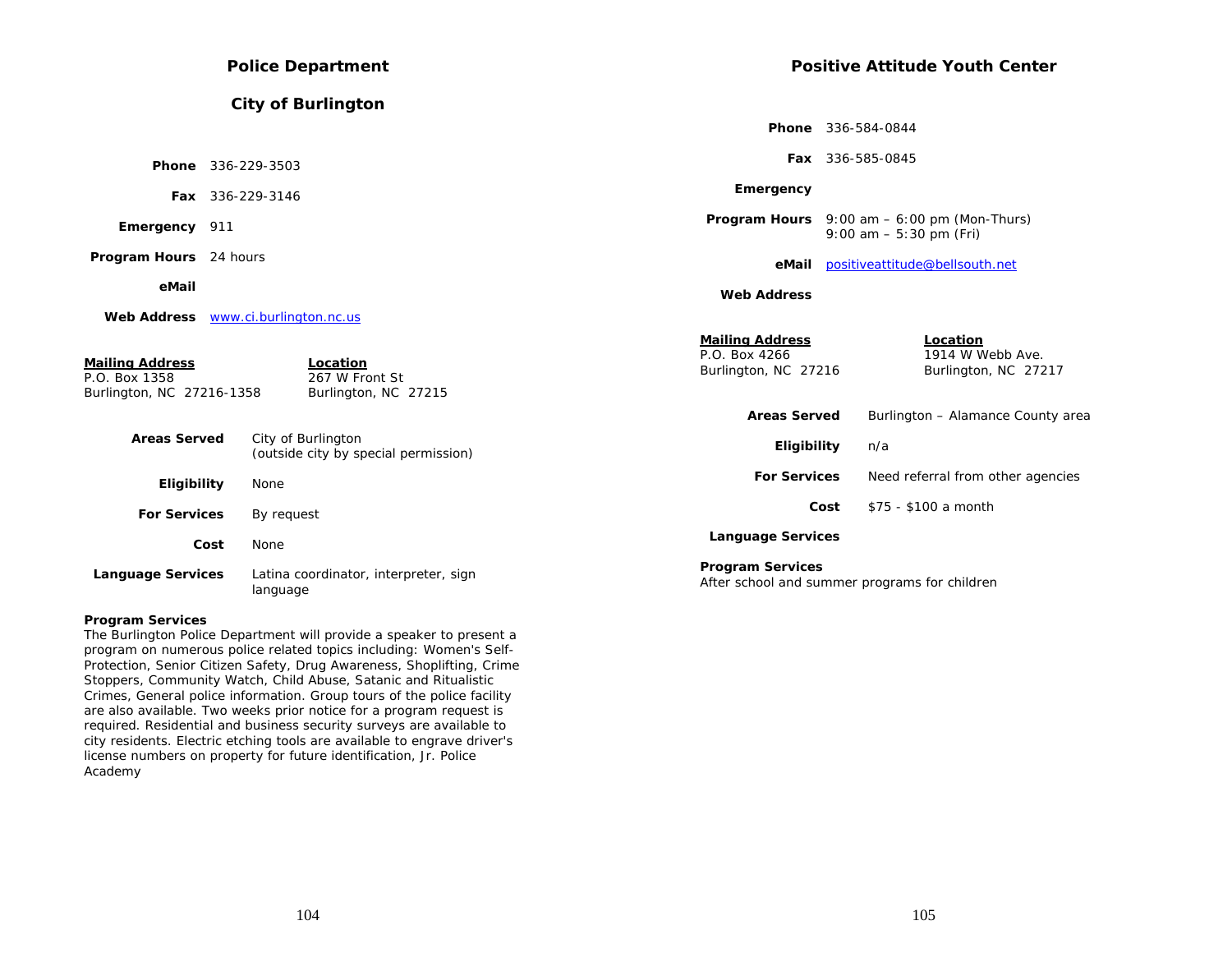| <b>Police Department</b>                                             |                         |                                                            | <b>Positive Attitude Youth Center</b>                           |                                                                                   |
|----------------------------------------------------------------------|-------------------------|------------------------------------------------------------|-----------------------------------------------------------------|-----------------------------------------------------------------------------------|
|                                                                      |                         | <b>City of Burlington</b>                                  |                                                                 |                                                                                   |
|                                                                      |                         |                                                            |                                                                 | <b>Phone</b> 336-584-0844                                                         |
| Phone 336-229-3503                                                   |                         |                                                            |                                                                 | Fax 336-585-0845                                                                  |
|                                                                      | <b>Fax</b> 336-229-3146 |                                                            | Emergency                                                       |                                                                                   |
| Emergency 911                                                        |                         |                                                            |                                                                 | <b>Program Hours</b> $9:00$ am $-6:00$ pm (Mon-Thurs)<br>9:00 am $-5:30$ pm (Fri) |
| Program Hours 24 hours                                               |                         |                                                            | eMail                                                           | positiveattitude@bellsouth.net                                                    |
| eMail                                                                |                         |                                                            | <b>Web Address</b>                                              |                                                                                   |
|                                                                      |                         | Web Address www.ci.burlington.nc.us                        |                                                                 |                                                                                   |
| <b>Mailing Address</b><br>P.O. Box 1358<br>Burlington, NC 27216-1358 |                         | Location<br>267 W Front St<br>Burlington, NC 27215         | <b>Mailing Address</b><br>P.O. Box 4266<br>Burlington, NC 27216 | Location<br>1914 W Webb Ave.<br>Burlington, NC 27217                              |
|                                                                      |                         |                                                            | <b>Areas Served</b>                                             | Burlington - Alamance County area                                                 |
| <b>Areas Served</b>                                                  |                         | City of Burlington<br>(outside city by special permission) | Eligibility                                                     | n/a                                                                               |
| Eligibility                                                          |                         | None                                                       | <b>For Services</b>                                             | Need referral from other agencies                                                 |
| <b>For Services</b>                                                  |                         | By request                                                 |                                                                 | \$75 - \$100 a month<br>Cost                                                      |
|                                                                      | Cost                    | None                                                       | <b>Language Services</b>                                        |                                                                                   |
| <b>Language Services</b>                                             |                         | Latina coordinator, interpreter, sign<br>language          | <b>Program Services</b>                                         | After school and summer programs for children                                     |

#### **Program Services**

The Burlington Police Department will provide a speaker to present a program on numerous police related topics including: Women's Self-Protection, Senior Citizen Safety, Drug Awareness, Shoplifting, Crime Stoppers, Community Watch, Child Abuse, Satanic and Ritualistic Crimes, General police information. Group tours of the police facility are also available. Two weeks prior notice for a program request is required. Residential and business security surveys are available to city residents. Electric etching tools are available to engrave driver's license numbers on property for future identification, Jr. Police Academy

104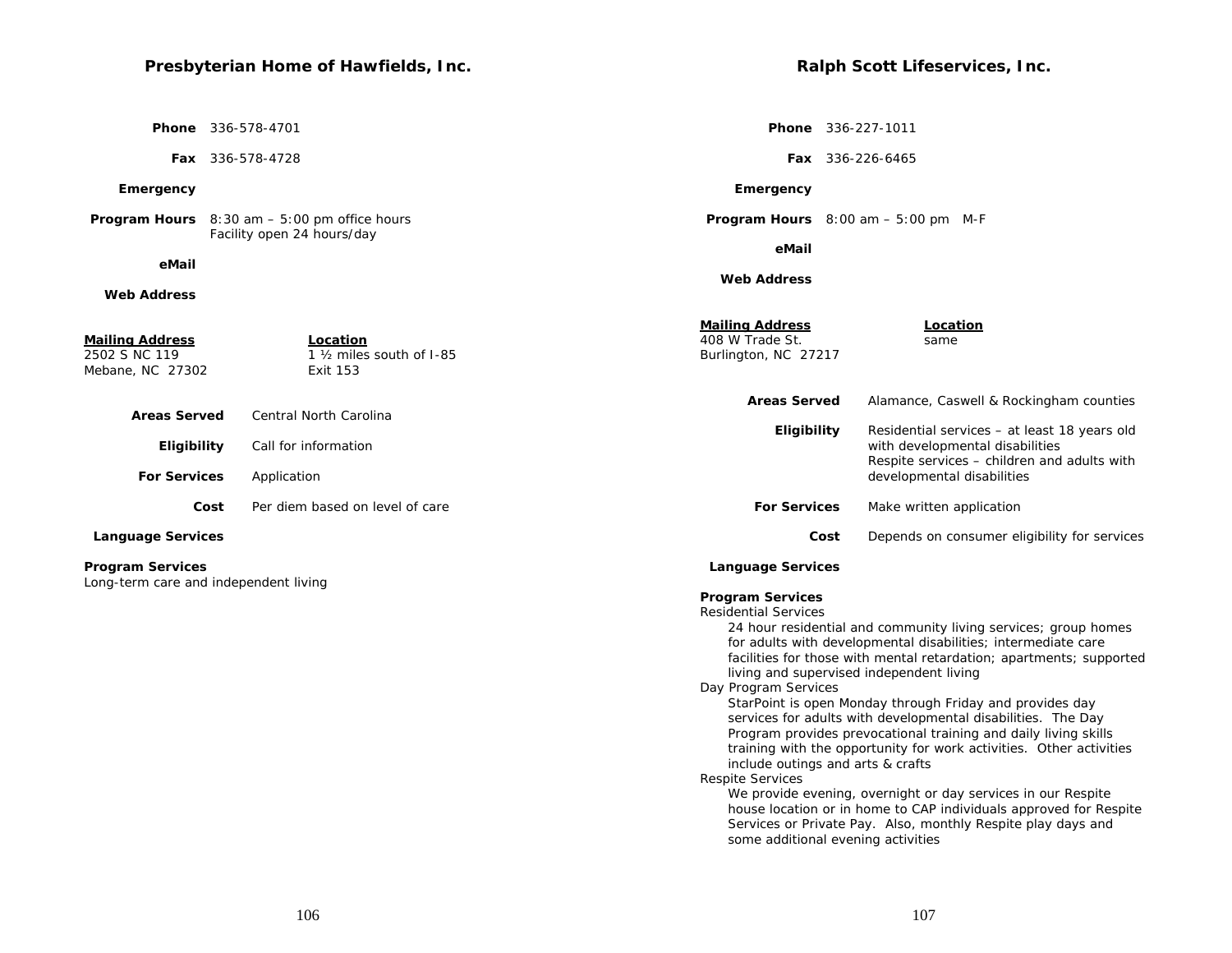# **Presbyterian Home of Hawfields, Inc.**

 **Phone** 336-578-4701

 **Fax** 336-578-4728

## **Emergency**

**Program Hours** 8:30 am – 5:00 pm office hours Facility open 24 hours/day

#### **eMail**

### **Web Address**

**Ralph Scott Lifeservices, Inc.** 

 **Phone** 336-227-1011

 **Fax** 336-226-6465

## **Emergency**

 **Program Hours** 8:00 am – 5:00 pm M-F

 **eMail**

 **Web Address**

| <b>Mailing Address</b><br>2502 S NC 119                          | Location<br>1 1/ <sub>2</sub> miles south of 1-85 | <b>Mailing Address</b><br>408 W Trade St.<br>Burlington, NC 27217                                                                                                                                                                | Location<br>same                                                                                                                                                                                                                                                                                                                                                                                                                                                                                                                                                                                                                                                                  |
|------------------------------------------------------------------|---------------------------------------------------|----------------------------------------------------------------------------------------------------------------------------------------------------------------------------------------------------------------------------------|-----------------------------------------------------------------------------------------------------------------------------------------------------------------------------------------------------------------------------------------------------------------------------------------------------------------------------------------------------------------------------------------------------------------------------------------------------------------------------------------------------------------------------------------------------------------------------------------------------------------------------------------------------------------------------------|
| Mebane, NC 27302                                                 | <b>Exit 153</b>                                   |                                                                                                                                                                                                                                  |                                                                                                                                                                                                                                                                                                                                                                                                                                                                                                                                                                                                                                                                                   |
| <b>Areas Served</b>                                              | <b>Central North Carolina</b>                     | <b>Areas Served</b>                                                                                                                                                                                                              | Alamance, Caswell & Rockingham counties                                                                                                                                                                                                                                                                                                                                                                                                                                                                                                                                                                                                                                           |
| Eligibility                                                      | Call for information                              | Eligibility                                                                                                                                                                                                                      | Residential services - at least 18 years old<br>with developmental disabilities                                                                                                                                                                                                                                                                                                                                                                                                                                                                                                                                                                                                   |
| <b>For Services</b>                                              | Application                                       |                                                                                                                                                                                                                                  | Respite services - children and adults with<br>developmental disabilities                                                                                                                                                                                                                                                                                                                                                                                                                                                                                                                                                                                                         |
| Cost                                                             | Per diem based on level of care                   | <b>For Services</b>                                                                                                                                                                                                              | Make written application                                                                                                                                                                                                                                                                                                                                                                                                                                                                                                                                                                                                                                                          |
| <b>Language Services</b>                                         |                                                   | Cost                                                                                                                                                                                                                             | Depends on consumer eligibility for services                                                                                                                                                                                                                                                                                                                                                                                                                                                                                                                                                                                                                                      |
| <b>Program Services</b><br>Long-term care and independent living |                                                   | <b>Language Services</b>                                                                                                                                                                                                         |                                                                                                                                                                                                                                                                                                                                                                                                                                                                                                                                                                                                                                                                                   |
|                                                                  |                                                   | <b>Program Services</b><br><b>Residential Services</b><br>living and supervised independent living<br>Day Program Services<br>include outings and arts & crafts<br><b>Respite Services</b><br>some additional evening activities | 24 hour residential and community living services; group homes<br>for adults with developmental disabilities; intermediate care<br>facilities for those with mental retardation; apartments; supported<br>StarPoint is open Monday through Friday and provides day<br>services for adults with developmental disabilities. The Day<br>Program provides prevocational training and daily living skills<br>training with the opportunity for work activities. Other activities<br>We provide evening, overnight or day services in our Respite<br>house location or in home to CAP individuals approved for Respite<br>Services or Private Pay. Also, monthly Respite play days and |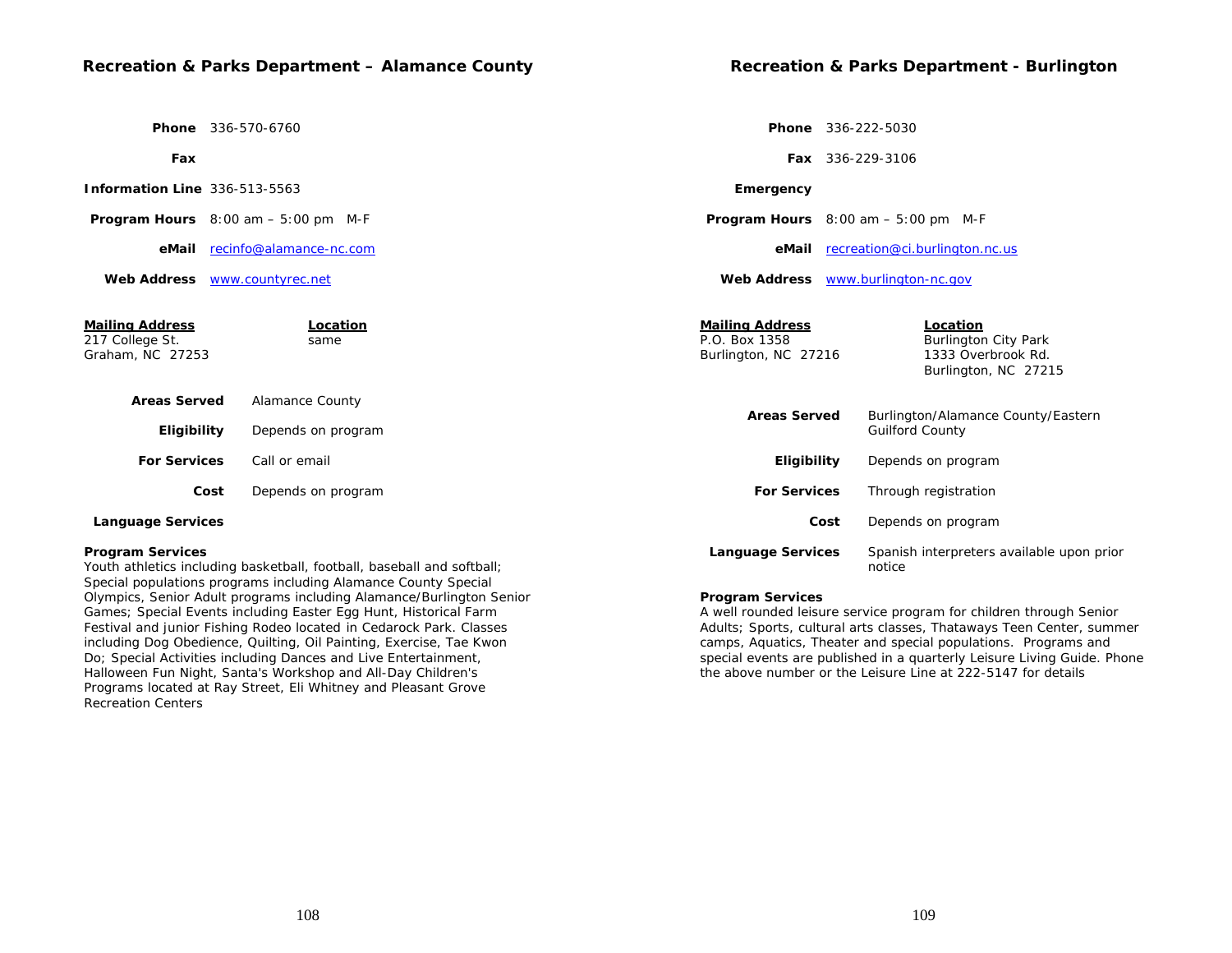## **Recreation & Parks Department – Alamance County**

 **Phone** 336-570-6760

 **Fax**

 **Program Hours** 8:00 am – 5:00 pm M-F

 **eMail** recinfo@alamance-nc.com

 **Web Address** www.countyrec.net

| <b>Mailing Address</b><br>217 College St.<br>Graham, NC 27253 | Location<br>same   | <b>Mailing Address</b><br>P.O. Box 1358<br>Burlington, NC 27216 | Location<br><b>Burlington City Park</b><br>1333 Overbrook Rd.<br>Burlington, NC 27215 |  |
|---------------------------------------------------------------|--------------------|-----------------------------------------------------------------|---------------------------------------------------------------------------------------|--|
| <b>Areas Served</b>                                           | Alamance County    |                                                                 | Burlington/Alamance County/Eastern<br><b>Guilford County</b>                          |  |
| <b>Eligibility</b>                                            | Depends on program | <b>Areas Served</b>                                             |                                                                                       |  |
| <b>For Services</b>                                           | Call or email      | Eligibility                                                     | Depends on program                                                                    |  |
| Cost                                                          | Depends on program | <b>For Services</b>                                             | Through registration                                                                  |  |
| <b>Language Services</b>                                      |                    | Cost                                                            | Depends on program                                                                    |  |
| <b>Program Services</b>                                       |                    | <b>Language Services</b>                                        | Spanish interpreters available upon prior                                             |  |

# Youth athletics including basketball, football, baseball and softball;

Special populations programs including Alamance County Special Olympics, Senior Adult programs including Alamance/Burlington Senior Games; Special Events including Easter Egg Hunt, Historical Farm Festival and junior Fishing Rodeo located in Cedarock Park. Classes including Dog Obedience, Quilting, Oil Painting, Exercise, Tae Kwon Do; Special Activities including Dances and Live Entertainment, Halloween Fun Night, Santa's Workshop and All-Day Children's Programs located at Ray Street, Eli Whitney and Pleasant Grove Recreation Centers

#### **Program Services**

A well rounded leisure service program for children through Senior Adults; Sports, cultural arts classes, Thataways Teen Center, summer camps, Aquatics, Theater and special populations. Programs and special events are published in a quarterly Leisure Living Guide. Phone the above number or the Leisure Line at 222-5147 for details

notice

 **Phone** 336-222-5030

 **Emergency**

 **Fax** 336-229-3106

 **Program Hours** 8:00 am – 5:00 pm M-F

 **Web Address** www.burlington-nc.gov

 **eMail** recreation@ci.burlington.nc.us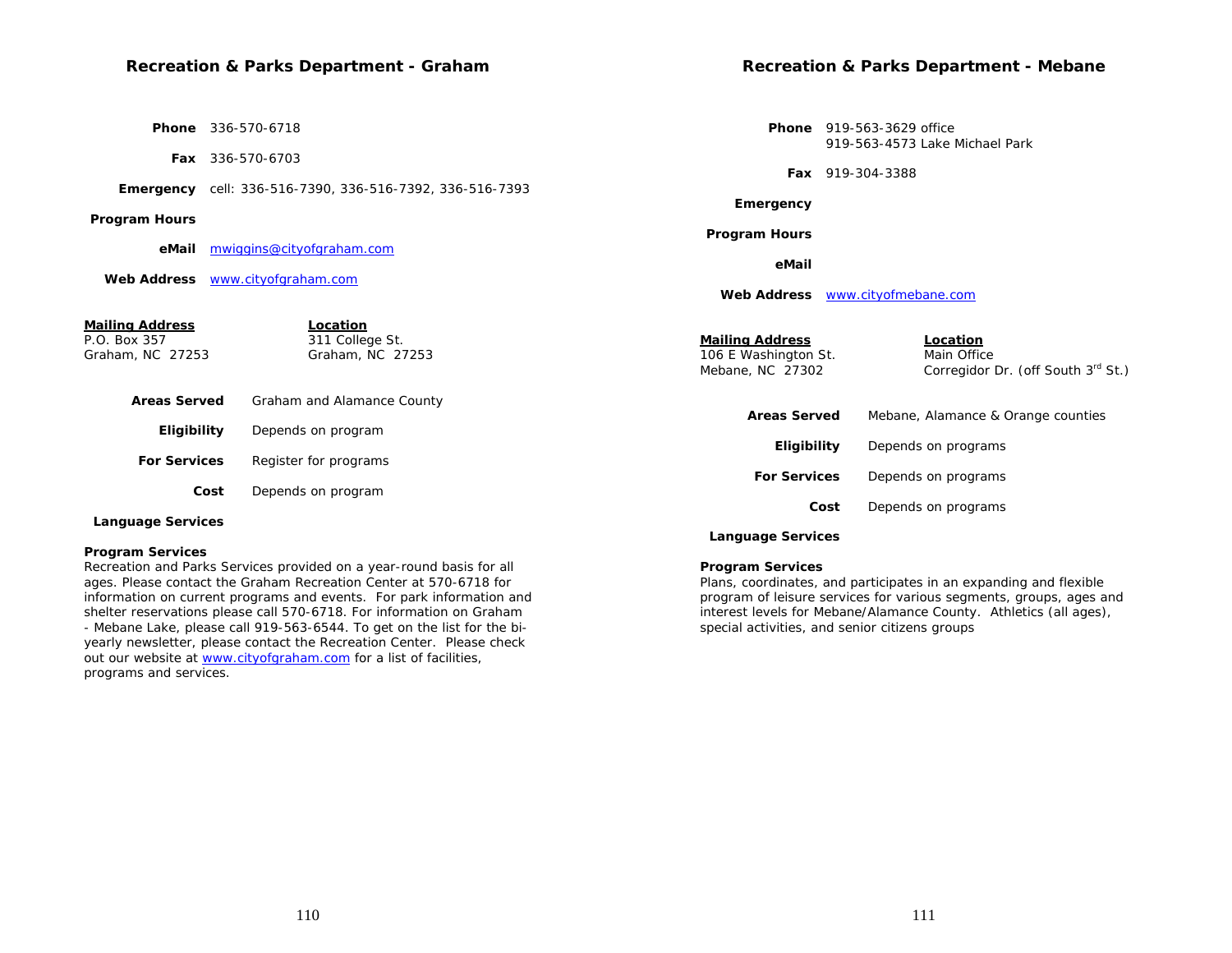# **Recreation & Parks Department - Graham**

 **Phone** 336-570-6718

 **Fax** 336-570-6703

 **Emergency** cell: 336-516-7390, 336-516-7392, 336-516-7393

 **Program Hours**

**Program Services** 

programs and services.

 **eMail** mwiggins@cityofgraham.com

 **Web Address** www.cityofgraham.com

**Recreation & Parks Department - Mebane** 

 **Phone** 919-563-3629 office 919-563-4573 Lake Michael Park

 **Fax** 919-304-3388

 **Emergency**

 **Program Hours**

 **eMail**

 **Web Address** www.cityofmebane.com

| <u>Mailing Address</u> | Location                   |                                          |                                                   |
|------------------------|----------------------------|------------------------------------------|---------------------------------------------------|
| P.O. Box 357           | 311 College St.            | <b>Mailing Address</b>                   | Location                                          |
| Graham, NC 27253       | Graham, NC 27253           | 106 E Washington St.<br>Mebane, NC 27302 | Main Office<br>Corregidor Dr. (off South 3rd St.) |
| <b>Areas Served</b>    | Graham and Alamance County | <b>Areas Served</b>                      | Mebane, Alamance & Orange counties                |
| Eligibility            | Depends on program         |                                          |                                                   |
| <b>For Services</b>    | Register for programs      | Eligibility                              | Depends on programs                               |
|                        |                            | <b>For Services</b>                      |                                                   |
| Cost                   | Depends on program         |                                          | Depends on programs                               |
|                        |                            | Cost                                     | Depends on programs                               |
| Language Services      |                            |                                          |                                                   |

## **Language Services**

#### **Program Services**

Plans, coordinates, and participates in an expanding and flexible program of leisure services for various segments, groups, ages and interest levels for Mebane/Alamance County. Athletics (all ages), special activities, and senior citizens groups

Recreation and Parks Services provided on a year-round basis for all ages. Please contact the Graham Recreation Center at 570-6718 for information on current programs and events. For park information and shelter reservations please call 570-6718. For information on Graham - Mebane Lake, please call 919-563-6544. To get on the list for the biyearly newsletter, please contact the Recreation Center. Please check out our website at www.cityofgraham.com for a list of facilities,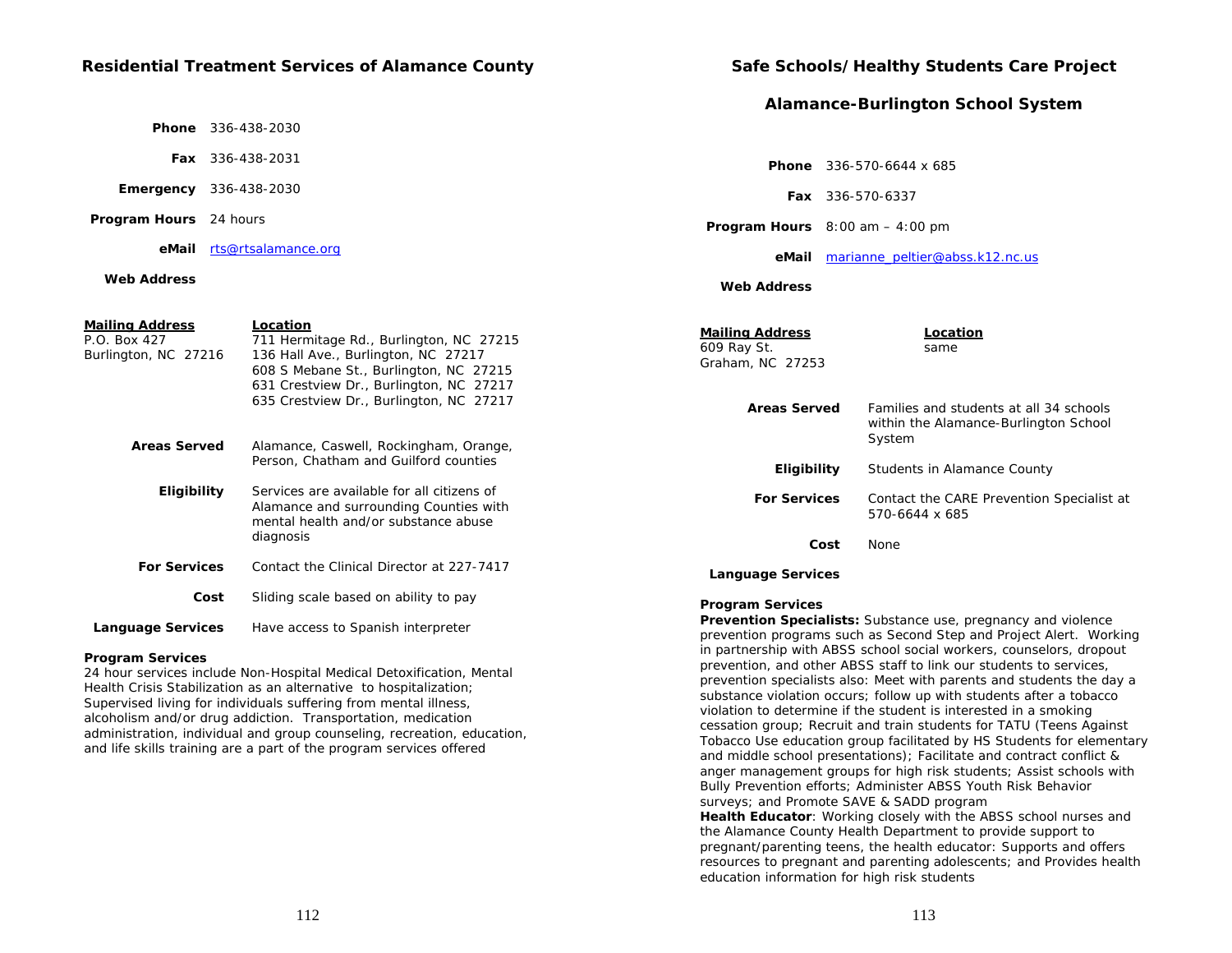## **Residential Treatment Services of Alamance County**

 **Phone** 336-438-2030

 **Fax** 336-438-2031

 **Emergency** 336-438-2030

 **Program Hours** 24 hours

 **eMail** rts@rtsalamance.org

#### **Web Address**

| <b>Mailing Address</b><br>P.O. Box 427<br>Burlington, NC 27216 | Location<br>711 Hermitage Rd., Burlington, NC 27215<br>136 Hall Ave., Burlington, NC 27217<br>608 S Mebane St., Burlington, NC 27215 | <b>Mailing Address</b><br>609 Ray St.<br>Graham, NC 27253 | Location<br>same                                                                 |
|----------------------------------------------------------------|--------------------------------------------------------------------------------------------------------------------------------------|-----------------------------------------------------------|----------------------------------------------------------------------------------|
|                                                                | 631 Crestview Dr., Burlington, NC 27217<br>635 Crestview Dr., Burlington, NC 27217                                                   | <b>Areas Served</b>                                       | Families and students at all 34 schools<br>within the Alamance-Burlington School |
| <b>Areas Served</b>                                            | Alamance, Caswell, Rockingham, Orange,<br>Person, Chatham and Guilford counties                                                      | <b>Eligibility</b>                                        | System<br>Students in Alamance County                                            |
| <b>Eligibility</b>                                             | Services are available for all citizens of<br>Alamance and surrounding Counties with<br>mental health and/or substance abuse         | <b>For Services</b>                                       | Contact the CARE Prevention Specialist at<br>570-6644 x 685                      |
|                                                                | diagnosis                                                                                                                            | Cost                                                      | None                                                                             |
| <b>For Services</b>                                            | Contact the Clinical Director at 227-7417                                                                                            | <b>Language Services</b>                                  |                                                                                  |
| Cost                                                           | Sliding scale based on ability to pay                                                                                                | <b>Program Services</b>                                   |                                                                                  |
| Language Services                                              | Have access to Spanish interpreter                                                                                                   |                                                           | Prevention Specialists: Substance use, pregnancy and violence                    |

#### **Program Services**

24 hour services include Non-Hospital Medical Detoxification, Mental Health Crisis Stabilization as an alternative to hospitalization; Supervised living for individuals suffering from mental illness, alcoholism and/or drug addiction. Transportation, medication administration, individual and group counseling, recreation, education, and life skills training are a part of the program services offered

## **Safe Schools/Healthy Students Care Project**

## **Alamance-Burlington School System**

| <b>Phone</b> $336-570-6644 \times 685$ |
|----------------------------------------|
|                                        |

 **Fax** 336-570-6337

 **Program Hours** 8:00 am – 4:00 pm

#### **eMail** marianne\_peltier@abss.k12.nc.us

 **Web Address**

| iii iy Awul Caa<br>Ray St.<br>ham, NC 27253 | Lucation<br>same                                                                           |
|---------------------------------------------|--------------------------------------------------------------------------------------------|
| <b>Areas Served</b>                         | Families and students at all 34 schools<br>within the Alamance-Burlington School<br>System |
| Eligibility                                 | Students in Alamance County                                                                |
| <b>For Services</b>                         | Contact the CARE Prevention Specialist at<br>570-6644 x 685                                |
| Cost                                        | None                                                                                       |
| nguage Services                             |                                                                                            |

**Prevention Specialists:** Substance use, pregnancy and violence prevention programs such as Second Step and Project Alert. Working in partnership with ABSS school social workers, counselors, dropout prevention, and other ABSS staff to link our students to services, prevention specialists also: Meet with parents and students the day a substance violation occurs; follow up with students after a tobacco violation to determine if the student is interested in a smoking cessation group; Recruit and train students for TATU (Teens Against Tobacco Use education group facilitated by HS Students for elementary and middle school presentations); Facilitate and contract conflict & anger management groups for high risk students; Assist schools with Bully Prevention efforts; Administer ABSS Youth Risk Behavior surveys; and Promote SAVE & SADD program **Health Educator**: Working closely with the ABSS school nurses and the Alamance County Health Department to provide support to pregnant/parenting teens, the health educator: Supports and offers resources to pregnant and parenting adolescents; and Provides health

education information for high risk students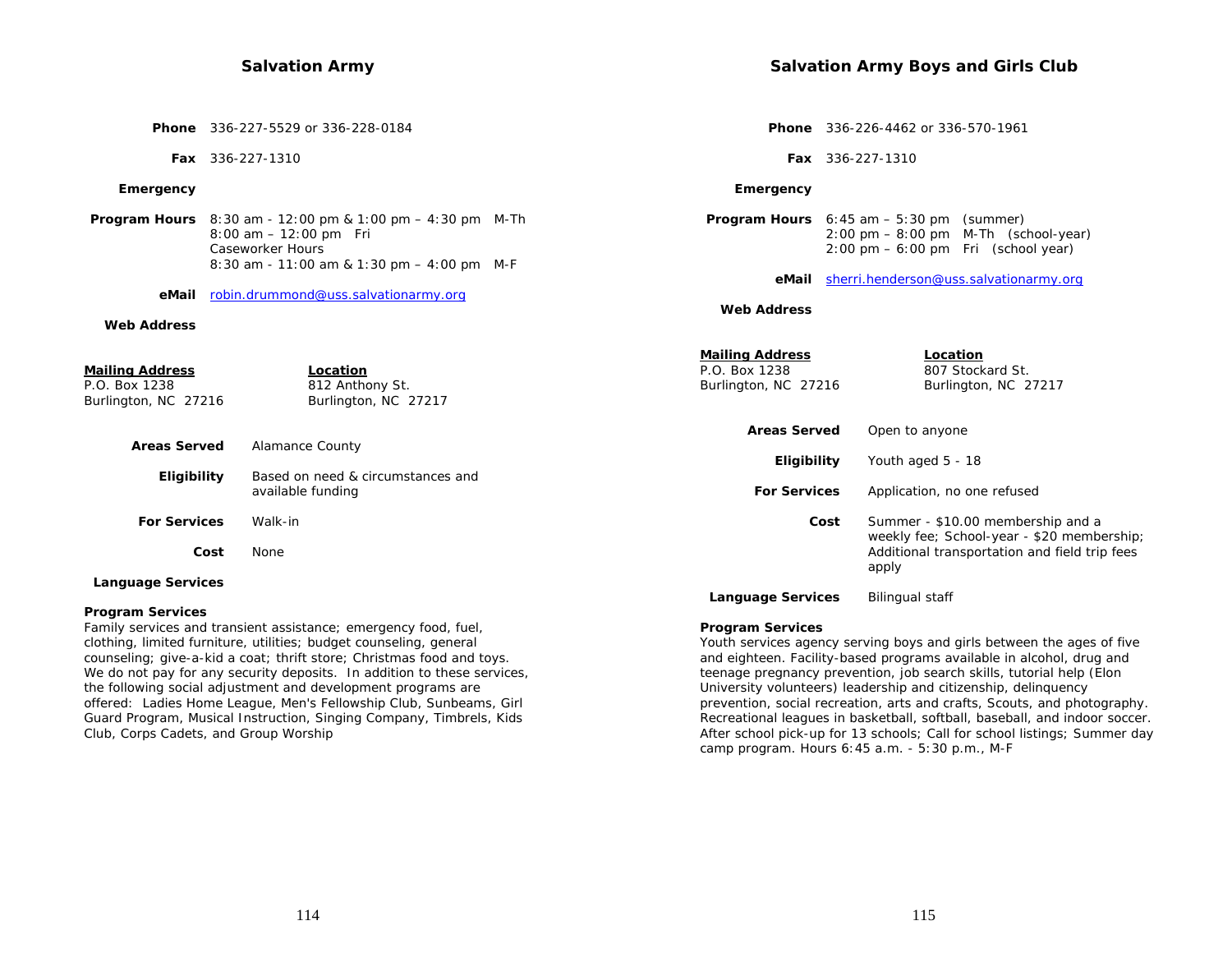## **Salvation Army**

|                                                                 | <b>Phone</b> 336-227-5529 or 336-228-0184                                                                                                                                  |                                                                 | <b>Phone</b> 336-226-4462 or 336-570-1961                                                                                                                             |
|-----------------------------------------------------------------|----------------------------------------------------------------------------------------------------------------------------------------------------------------------------|-----------------------------------------------------------------|-----------------------------------------------------------------------------------------------------------------------------------------------------------------------|
|                                                                 | Fax 336-227-1310                                                                                                                                                           |                                                                 | <b>Fax</b> 336-227-1310                                                                                                                                               |
| Emergency                                                       |                                                                                                                                                                            | Emergency                                                       |                                                                                                                                                                       |
|                                                                 | <b>Program Hours</b> $8:30$ am - 12:00 pm & 1:00 pm $-$ 4:30 pm M-Th<br>$8:00$ am $-12:00$ pm Fri<br><b>Caseworker Hours</b><br>8:30 am - 11:00 am & 1:30 pm - 4:00 pm M-F |                                                                 | <b>Program Hours</b> $6:45$ am $-5:30$ pm (summer)<br>$2:00 \text{ pm} - 8:00 \text{ pm}$ M-Th (school-year)<br>$2:00 \text{ pm} - 6:00 \text{ pm}$ Fri (school year) |
| eMail                                                           | robin.drummond@uss.salvationarmy.org                                                                                                                                       | eMail                                                           | sherri.henderson@uss.salvationarmy.org                                                                                                                                |
| <b>Web Address</b>                                              |                                                                                                                                                                            | <b>Web Address</b>                                              |                                                                                                                                                                       |
| <u>Mailing Address</u><br>P.O. Box 1238<br>Burlington, NC 27216 | Location<br>812 Anthony St.<br>Burlington, NC 27217                                                                                                                        | <b>Mailing Address</b><br>P.O. Box 1238<br>Burlington, NC 27216 | Location<br>807 Stockard St.<br>Burlington, NC 27217                                                                                                                  |
|                                                                 |                                                                                                                                                                            | <b>Areas Served</b>                                             | Open to anyone                                                                                                                                                        |
| <b>Areas Served</b><br><b>Eligibility</b>                       | <b>Alamance County</b><br>Based on need & circumstances and<br>available funding                                                                                           | Eligibility<br><b>For Services</b>                              | Youth aged 5 - 18<br>Application, no one refused                                                                                                                      |
|                                                                 |                                                                                                                                                                            |                                                                 |                                                                                                                                                                       |
| <b>For Services</b>                                             | Walk-in<br>Cost<br>None                                                                                                                                                    |                                                                 | Summer - \$10.00 membership and a<br>Cost<br>weekly fee; School-year - \$20 membership;<br>Additional transportation and field trip fees<br>apply                     |

### **Language Services**

#### **Program Services**

Family services and transient assistance; emergency food, fuel, clothing, limited furniture, utilities; budget counseling, general counseling; give-a-kid a coat; thrift store; Christmas food and toys. We do not pay for any security deposits. In addition to these services, the following social adjustment and development programs are offered: Ladies Home League, Men's Fellowship Club, Sunbeams, Girl Guard Program, Musical Instruction, Singing Company, Timbrels, Kids Club, Corps Cadets, and Group Worship

#### **Program Services**

**Language Services** Bilingual staff

Youth services agency serving boys and girls between the ages of five and eighteen. Facility-based programs available in alcohol, drug and teenage pregnancy prevention, job search skills, tutorial help (Elon University volunteers) leadership and citizenship, delinquency prevention, social recreation, arts and crafts, Scouts, and photography. Recreational leagues in basketball, softball, baseball, and indoor soccer. After school pick-up for 13 schools; Call for school listings; Summer day camp program. Hours 6:45 a.m. - 5:30 p.m., M-F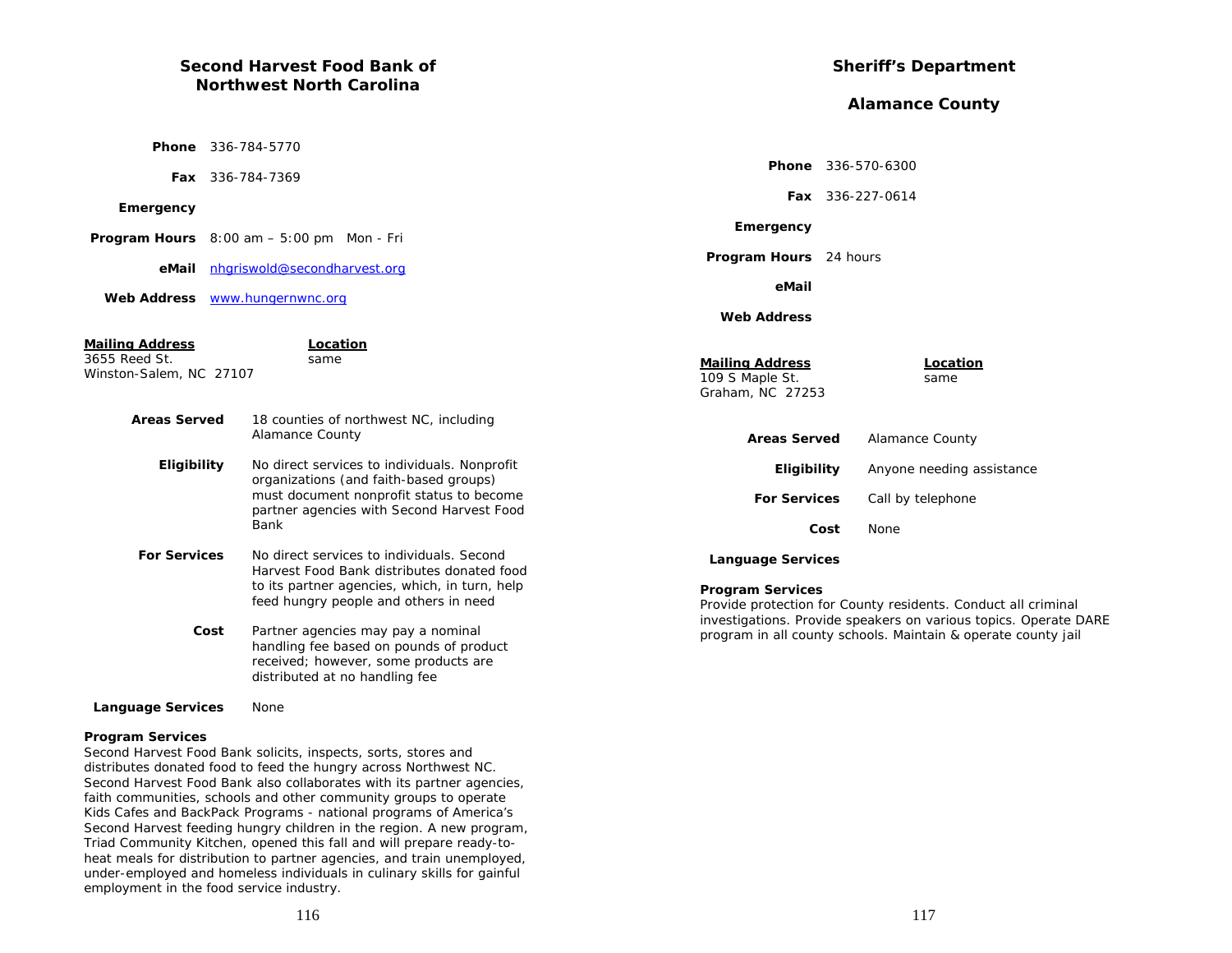# **Second Harvest Food Bank of Northwest North Carolina**

|                                                                                         | <b>Phone</b> 336-784-5770 |                                                                                                                                                                                                |  |  |
|-----------------------------------------------------------------------------------------|---------------------------|------------------------------------------------------------------------------------------------------------------------------------------------------------------------------------------------|--|--|
|                                                                                         | <b>Fax</b> 336-784-7369   |                                                                                                                                                                                                |  |  |
| Emergency                                                                               |                           |                                                                                                                                                                                                |  |  |
|                                                                                         |                           | <b>Program Hours</b> $8:00 \text{ am} - 5:00 \text{ pm}$ Mon - Fri                                                                                                                             |  |  |
| eMail                                                                                   |                           | nhariswold@secondharvest.org                                                                                                                                                                   |  |  |
| <b>Web Address</b>                                                                      |                           | www.hungernwnc.org                                                                                                                                                                             |  |  |
| <u>Mailing Address</u><br>3655 Reed St.<br>Winston-Salem, NC 27107                      | Location<br>same          |                                                                                                                                                                                                |  |  |
| <b>Areas Served</b><br>18 counties of northwest NC, including<br><b>Alamance County</b> |                           |                                                                                                                                                                                                |  |  |
| Eligibility                                                                             |                           | No direct services to individuals. Nonprofit<br>organizations (and faith-based groups)<br>must document nonprofit status to become<br>partner agencies with Second Harvest Food<br><b>Bank</b> |  |  |
| <b>For Services</b>                                                                     |                           | No direct services to individuals. Second<br>Harvest Food Bank distributes donated food<br>to its partner agencies, which, in turn, help<br>feed hungry people and others in need              |  |  |
|                                                                                         | Cost                      | Partner agencies may pay a nominal<br>handling fee based on pounds of product<br>received; however, some products are<br>distributed at no handling fee                                        |  |  |
| <b>Language Services</b>                                                                |                           | None                                                                                                                                                                                           |  |  |

## **Program Services**

Second Harvest Food Bank solicits, inspects, sorts, stores and distributes donated food to feed the hungry across Northwest NC. Second Harvest Food Bank also collaborates with its partner agencies, faith communities, schools and other community groups to operate Kids Cafes and BackPack Programs - national programs of America's Second Harvest feeding hungry children in the region. A new program, Triad Community Kitchen, opened this fall and will prepare ready-toheat meals for distribution to partner agencies, and train unemployed, under-employed and homeless individuals in culinary skills for gainful employment in the food service industry.

# **Sheriff's Department**

# **Alamance County**

|                                                               | <b>Phone</b> 336-570-6300                                                                                                                                                                          |
|---------------------------------------------------------------|----------------------------------------------------------------------------------------------------------------------------------------------------------------------------------------------------|
|                                                               | Fax 336-227-0614                                                                                                                                                                                   |
| Emergency                                                     |                                                                                                                                                                                                    |
| <b>Program Hours</b> 24 hours                                 |                                                                                                                                                                                                    |
| eMail                                                         |                                                                                                                                                                                                    |
| <b>Web Address</b>                                            |                                                                                                                                                                                                    |
| <b>Mailing Address</b><br>109 S Maple St.<br>Graham, NC 27253 | Location<br>same                                                                                                                                                                                   |
| <b>Areas Served</b>                                           | <b>Alamance County</b>                                                                                                                                                                             |
| Eligibility                                                   | Anyone needing assistance                                                                                                                                                                          |
| <b>For Services</b>                                           | Call by telephone                                                                                                                                                                                  |
|                                                               | Cost<br><b>None</b>                                                                                                                                                                                |
| <b>Language Services</b>                                      |                                                                                                                                                                                                    |
| <b>Program Services</b>                                       | Provide protection for County residents. Conduct all criminal<br>investigations. Provide speakers on various topics. Operate DARE<br>program in all county schools. Maintain & operate county jail |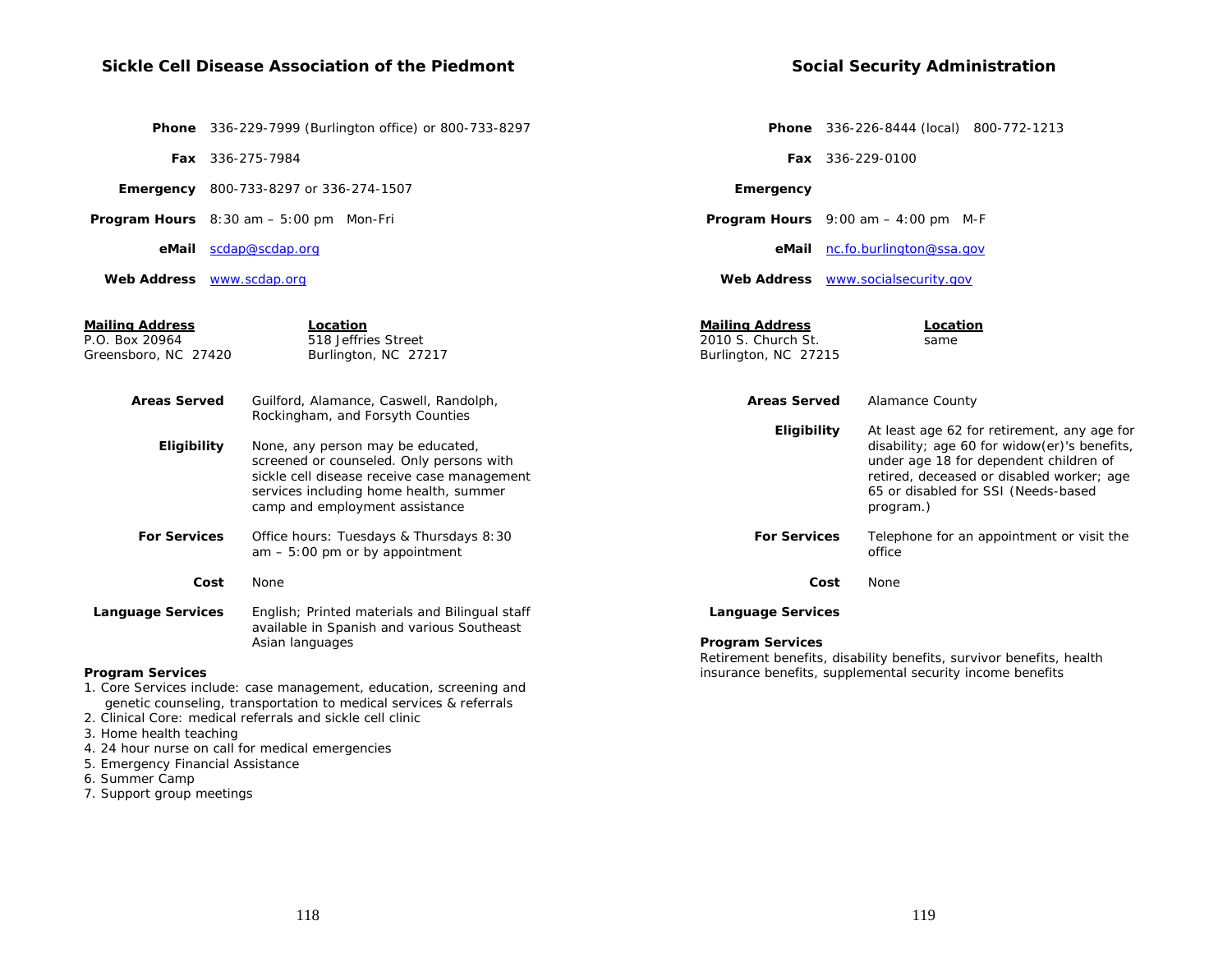# **Sickle Cell Disease Association of the Piedmont**

|  | <b>Social Security Administration</b> |
|--|---------------------------------------|
|  |                                       |

|                                                                  |      | Phone 336-229-7999 (Burlington office) or 800-733-8297                                                                                                                                                   |                                                                      |      | <b>Phone</b> 336-226-8444 (local) 800-772-1213                                                                                                                                                                                         |
|------------------------------------------------------------------|------|----------------------------------------------------------------------------------------------------------------------------------------------------------------------------------------------------------|----------------------------------------------------------------------|------|----------------------------------------------------------------------------------------------------------------------------------------------------------------------------------------------------------------------------------------|
|                                                                  |      | Fax 336-275-7984                                                                                                                                                                                         |                                                                      |      | Fax 336-229-0100                                                                                                                                                                                                                       |
|                                                                  |      | <b>Emergency</b> 800-733-8297 or 336-274-1507                                                                                                                                                            | Emergency                                                            |      |                                                                                                                                                                                                                                        |
|                                                                  |      | <b>Program Hours</b> $8:30$ am $-5:00$ pm Mon-Fri                                                                                                                                                        |                                                                      |      | <b>Program Hours</b> $9:00$ am $-4:00$ pm M-F                                                                                                                                                                                          |
|                                                                  |      | eMail scdap@scdap.org                                                                                                                                                                                    | eMail                                                                |      | nc.fo.burlington@ssa.gov                                                                                                                                                                                                               |
| Web Address <b>WWW.scdap.org</b>                                 |      |                                                                                                                                                                                                          |                                                                      |      | Web Address www.socialsecurity.gov                                                                                                                                                                                                     |
| <b>Mailing Address</b><br>P.O. Box 20964<br>Greensboro, NC 27420 |      | Location<br>518 Jeffries Street<br>Burlington, NC 27217                                                                                                                                                  | <b>Mailing Address</b><br>2010 S. Church St.<br>Burlington, NC 27215 |      | Location<br>same                                                                                                                                                                                                                       |
| <b>Areas Served</b>                                              |      | Guilford, Alamance, Caswell, Randolph,<br>Rockingham, and Forsyth Counties                                                                                                                               | <b>Areas Served</b>                                                  |      | <b>Alamance County</b>                                                                                                                                                                                                                 |
| Eligibility                                                      |      | None, any person may be educated,<br>screened or counseled. Only persons with<br>sickle cell disease receive case management<br>services including home health, summer<br>camp and employment assistance | Eligibility                                                          |      | At least age 62 for retirement, any age for<br>disability; age 60 for widow(er)'s benefits,<br>under age 18 for dependent children of<br>retired, deceased or disabled worker; age<br>65 or disabled for SSI (Needs-based<br>program.) |
| <b>For Services</b>                                              |      | Office hours: Tuesdays & Thursdays 8:30<br>$am - 5:00$ pm or by appointment                                                                                                                              | <b>For Services</b>                                                  |      | Telephone for an appointment or visit the<br>office                                                                                                                                                                                    |
|                                                                  | Cost | None                                                                                                                                                                                                     |                                                                      | Cost | None                                                                                                                                                                                                                                   |
| <b>Language Services</b>                                         |      | English; Printed materials and Bilingual staff<br>available in Spanish and various Southeast<br>Asian languages                                                                                          | <b>Language Services</b><br><b>Program Services</b>                  |      |                                                                                                                                                                                                                                        |
|                                                                  |      |                                                                                                                                                                                                          |                                                                      |      | Retirement benefits, disability benefits, survivor benefits, health                                                                                                                                                                    |

## **Program Services**

1. Core Services include: case management, education, screening and

- genetic counseling, transportation to medical services & referrals 2. Clinical Core: medical referrals and sickle cell clinic
- 3. Home health teaching
- 4. 24 hour nurse on call for medical emergencies
- 5. Emergency Financial Assistance
- 6. Summer Camp
- 7. Support group meetings

insurance benefits, supplemental security income benefits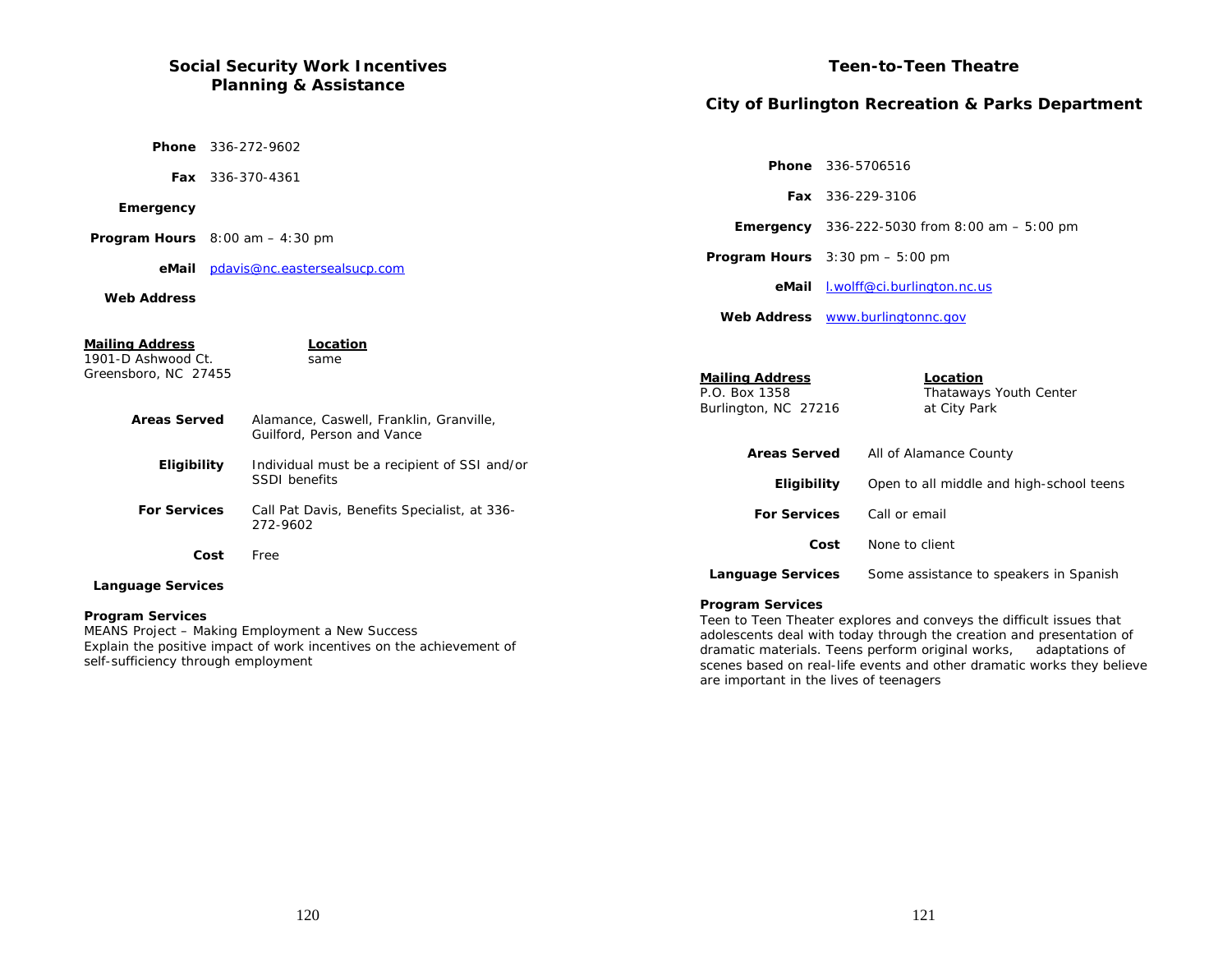# **Social Security Work Incentives Planning & Assistance**

# **Teen-to-Teen Theatre**

# **City of Burlington Recreation & Parks Department**

|                                                                                             |                              | <b>Phone</b> 336-272-9602                                                                 |                                                                                                |                                                          |                                                        |
|---------------------------------------------------------------------------------------------|------------------------------|-------------------------------------------------------------------------------------------|------------------------------------------------------------------------------------------------|----------------------------------------------------------|--------------------------------------------------------|
|                                                                                             | Fax 336-370-4361             |                                                                                           |                                                                                                | Phone 336-5706516                                        |                                                        |
|                                                                                             |                              |                                                                                           |                                                                                                |                                                          | <b>Fax</b> 336-229-3106                                |
| Emergency                                                                                   |                              |                                                                                           |                                                                                                |                                                          | <b>Emergency</b> 336-222-5030 from 8:00 am $-$ 5:00 pm |
| <b>Program Hours</b> $8:00$ am $-4:30$ pm                                                   |                              |                                                                                           |                                                                                                |                                                          |                                                        |
| eMail                                                                                       | pdavis@nc.eastersealsucp.com |                                                                                           |                                                                                                | <b>Program Hours</b> $3:30 \text{ pm} - 5:00 \text{ pm}$ |                                                        |
| <b>Web Address</b>                                                                          |                              |                                                                                           | eMail                                                                                          |                                                          | I.wolff@ci.burlington.nc.us                            |
|                                                                                             |                              |                                                                                           |                                                                                                |                                                          | Web Address www.burlingtonnc.gov                       |
| <b>Mailing Address</b><br>1901-D Ashwood Ct.<br>Greensboro, NC 27455<br><b>Areas Served</b> |                              | Location<br>same<br>Alamance, Caswell, Franklin, Granville,<br>Guilford, Person and Vance | <b>Mailing Address</b><br>P.O. Box 1358<br>Burlington, NC 27216                                |                                                          | Location<br>Thataways Youth Center<br>at City Park     |
| Eligibility                                                                                 |                              | Individual must be a recipient of SSI and/or                                              | <b>Areas Served</b>                                                                            |                                                          | All of Alamance County                                 |
|                                                                                             |                              | <b>SSDI</b> benefits                                                                      | Eligibility                                                                                    |                                                          | Open to all middle and high-school teens               |
| <b>For Services</b>                                                                         |                              | Call Pat Davis, Benefits Specialist, at 336-<br>272-9602                                  | <b>For Services</b>                                                                            |                                                          | Call or email                                          |
| Cost                                                                                        |                              | Free                                                                                      | Cost                                                                                           |                                                          | None to client                                         |
| <b>Language Services</b>                                                                    |                              |                                                                                           | <b>Language Services</b>                                                                       |                                                          | Some assistance to speakers in Spanish                 |
| <b>Program Services</b>                                                                     |                              |                                                                                           | <b>Program Services</b><br>Teen to Teen Theater explores and conveys the difficult issues that |                                                          |                                                        |

MEANS Project – Making Employment a New Success Explain the positive impact of work incentives on the achievement of self-sufficiency through employment

Teen to Teen Theater explores and conveys the difficult issues that adolescents deal with today through the creation and presentation of dramatic materials. Teens perform original works, adaptations of scenes based on real-life events and other dramatic works they believe are important in the lives of teenagers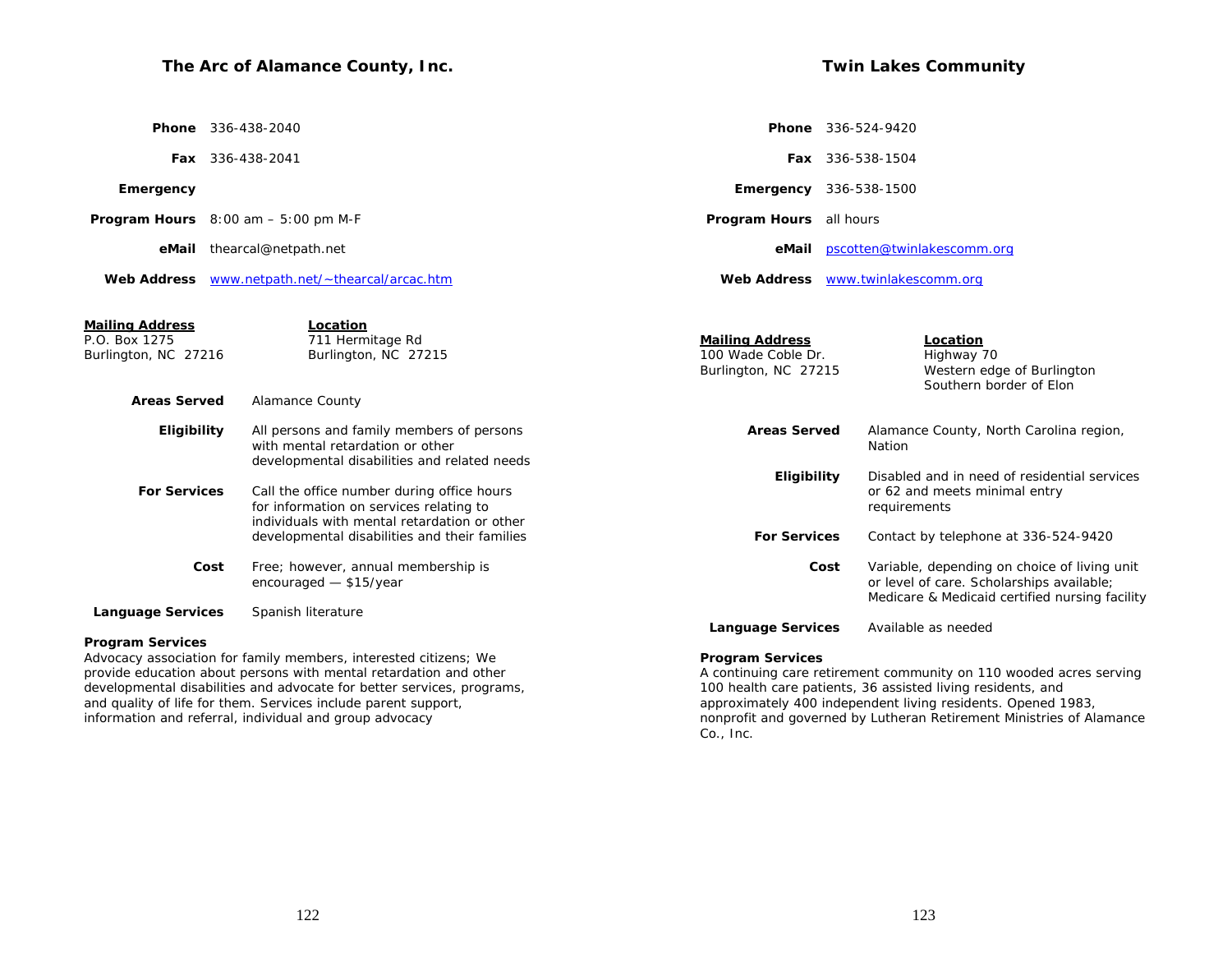# **The Arc of Alamance County, Inc.**

|  |  | <b>Twin Lakes Community</b> |
|--|--|-----------------------------|
|--|--|-----------------------------|

|                                                                                        | <b>Phone</b> 336-438-2040                                                                                                                                                                                       |                                                                      | <b>Phone</b> 336-524-9420                                                                                                                   |
|----------------------------------------------------------------------------------------|-----------------------------------------------------------------------------------------------------------------------------------------------------------------------------------------------------------------|----------------------------------------------------------------------|---------------------------------------------------------------------------------------------------------------------------------------------|
|                                                                                        | Fax 336-438-2041                                                                                                                                                                                                |                                                                      | Fax 336-538-1504                                                                                                                            |
| Emergency                                                                              |                                                                                                                                                                                                                 | <b>Emergency</b> 336-538-1500                                        |                                                                                                                                             |
|                                                                                        | <b>Program Hours</b> $8:00 \text{ am} - 5:00 \text{ pm } \text{M-F}$                                                                                                                                            | Program Hours all hours                                              |                                                                                                                                             |
|                                                                                        | eMail thearcal@netpath.net                                                                                                                                                                                      |                                                                      | eMail pscotten@twinlakescomm.org                                                                                                            |
|                                                                                        | Web Address www.netpath.net/~thearcal/arcac.htm                                                                                                                                                                 |                                                                      | Web Address www.twinlakescomm.org                                                                                                           |
| <u>Mailing Address</u><br>P.O. Box 1275<br>Burlington, NC 27216<br><b>Areas Served</b> | Location<br>711 Hermitage Rd<br>Burlington, NC 27215<br><b>Alamance County</b>                                                                                                                                  | <b>Mailing Address</b><br>100 Wade Coble Dr.<br>Burlington, NC 27215 | Location<br>Highway 70<br>Western edge of Burlington<br>Southern border of Elon                                                             |
| Eligibility                                                                            | All persons and family members of persons                                                                                                                                                                       | <b>Areas Served</b>                                                  | Alamance County, North Carolina region,                                                                                                     |
| <b>For Services</b>                                                                    | with mental retardation or other<br>developmental disabilities and related needs<br>Call the office number during office hours                                                                                  | Eligibility                                                          | Nation<br>Disabled and in need of residential services<br>or 62 and meets minimal entry                                                     |
|                                                                                        | for information on services relating to<br>individuals with mental retardation or other<br>developmental disabilities and their families                                                                        | <b>For Services</b>                                                  | requirements<br>Contact by telephone at 336-524-9420                                                                                        |
|                                                                                        | Free; however, annual membership is<br>Cost<br>encouraged - \$15/year                                                                                                                                           | Cost                                                                 | Variable, depending on choice of living unit<br>or level of care. Scholarships available;<br>Medicare & Medicaid certified nursing facility |
| <b>Language Services</b>                                                               | Spanish literature                                                                                                                                                                                              | <b>Language Services</b>                                             | Available as needed                                                                                                                         |
| <b>Program Services</b>                                                                | Advocacy association for family members, interested citizens; We<br>provide education about persons with mental retardation and other<br>developmental disabilities and advocate for better services, programs, | <b>Program Services</b>                                              | A continuing care retirement community on 110 wooded acres serving<br>100 health care patients, 36 assisted living residents, and           |

and quality of life for them. Services include parent support, information and referral, individual and group advocacy

#### approximately 400 independent living residents. Opened 1983, nonprofit and governed by Lutheran Retirement Ministries of Alamance Co., Inc.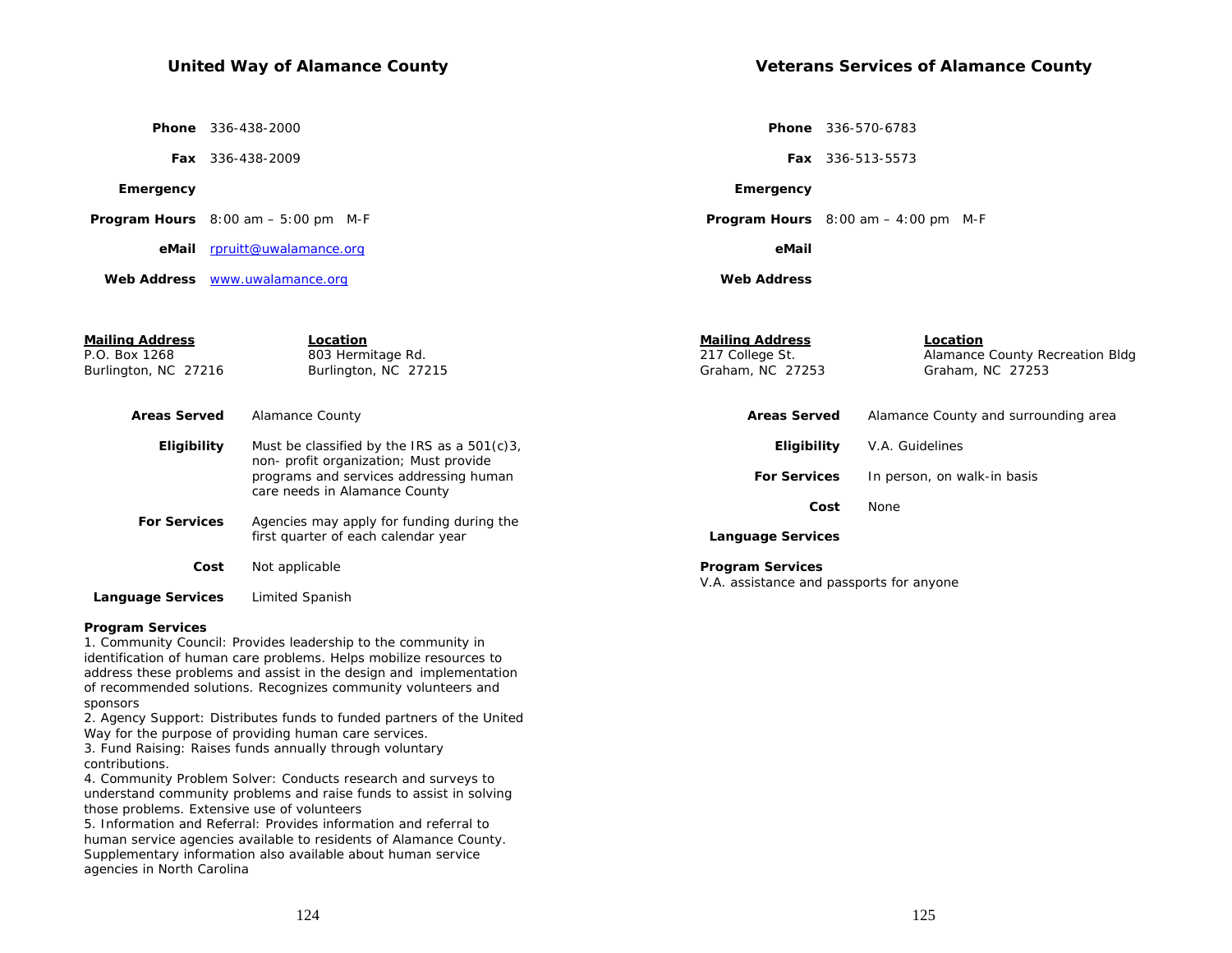**Veterans Services of Alamance County** 

 **Phone** 336-438-2000

 **Fax** 336-438-2009

## **Emergency**

 **Program Hours** 8:00 am – 5:00 pm M-F

 **eMail** rpruitt@uwalamance.org

 **Web Address** www.uwalamance.org

 **Phone** 336-570-6783

 **Fax** 336-513-5573

#### **Emergency**

 **Program Hours** 8:00 am – 4:00 pm M-F

 **eMail**

 **Web Address**

| Mailing Address<br>P.O. Box 1268<br>Burlington, NC 27216 | Location<br>803 Hermitage Rd.<br>Burlington, NC 27215                                    | <b>Mailing Address</b><br>217 College St.<br>Graham, NC 27253       | Location<br>Alamance County Recreation Bldg<br>Graham, NC 27253 |
|----------------------------------------------------------|------------------------------------------------------------------------------------------|---------------------------------------------------------------------|-----------------------------------------------------------------|
| <b>Areas Served</b>                                      | Alamance County                                                                          | <b>Areas Served</b>                                                 | Alamance County and surrounding area                            |
| Eligibility                                              | Must be classified by the IRS as a $501(c)3$ ,<br>non- profit organization; Must provide | Eligibility                                                         | V.A. Guidelines                                                 |
|                                                          | programs and services addressing human<br>care needs in Alamance County                  | <b>For Services</b>                                                 | In person, on walk-in basis                                     |
|                                                          |                                                                                          | Cost                                                                | None                                                            |
| <b>For Services</b>                                      | Agencies may apply for funding during the<br>first quarter of each calendar year         | <b>Language Services</b>                                            |                                                                 |
| Cost                                                     | Not applicable                                                                           | <b>Program Services</b><br>V.A. assistance and passports for anyone |                                                                 |
| <b>Language Services</b>                                 | Limited Spanish                                                                          |                                                                     |                                                                 |

## **Program Services**

1. Community Council: Provides leadership to the community in identification of human care problems. Helps mobilize resources to address these problems and assist in the design and implementation of recommended solutions. Recognizes community volunteers and sponsors

2. Agency Support: Distributes funds to funded partners of the United Way for the purpose of providing human care services.

3. Fund Raising: Raises funds annually through voluntary contributions.

4. Community Problem Solver: Conducts research and surveys to understand community problems and raise funds to assist in solving those problems. Extensive use of volunteers

5. Information and Referral: Provides information and referral to human service agencies available to residents of Alamance County. Supplementary information also available about human service agencies in North Carolina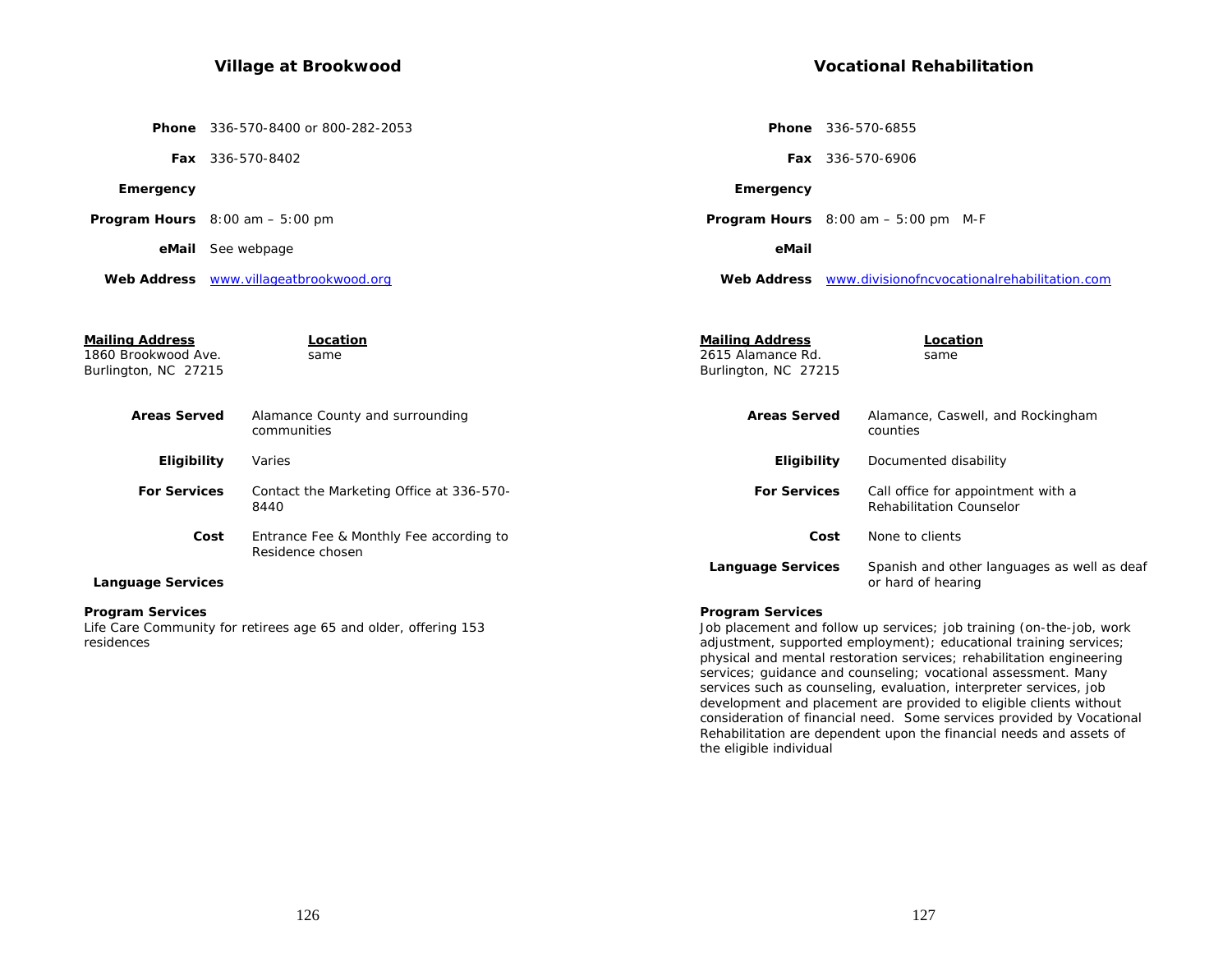# **Village at Brookwood**

**Vocational Rehabilitation** 

|                                                                       | Phone 336-570-8400 or 800-282-2053                                  |                                                                     | <b>Phone</b> 336-570-6855                                             |
|-----------------------------------------------------------------------|---------------------------------------------------------------------|---------------------------------------------------------------------|-----------------------------------------------------------------------|
|                                                                       | Fax 336-570-8402                                                    |                                                                     | <b>Fax</b> 336-570-6906                                               |
| Emergency                                                             |                                                                     | Emergency                                                           |                                                                       |
|                                                                       | <b>Program Hours</b> $8:00$ am $-5:00$ pm                           |                                                                     | <b>Program Hours</b> $8:00$ am $-5:00$ pm M-F                         |
|                                                                       | eMail See webpage                                                   | eMail                                                               |                                                                       |
|                                                                       | Web Address www.villageatbrookwood.org                              |                                                                     | Web Address www.divisionofncyocationalrehabilitation.com              |
|                                                                       |                                                                     |                                                                     |                                                                       |
| <b>Mailing Address</b><br>1860 Brookwood Ave.<br>Burlington, NC 27215 | Location<br>same                                                    | <b>Mailing Address</b><br>2615 Alamance Rd.<br>Burlington, NC 27215 | Location<br>same                                                      |
| <b>Areas Served</b>                                                   | Alamance County and surrounding<br>communities                      | <b>Areas Served</b>                                                 | Alamance, Caswell, and Rockingham<br>counties                         |
| Eligibility                                                           | Varies                                                              | Eligibility                                                         | Documented disability                                                 |
| <b>For Services</b>                                                   | Contact the Marketing Office at 336-570-<br>8440                    | <b>For Services</b>                                                 | Call office for appointment with a<br><b>Rehabilitation Counselor</b> |
|                                                                       | Cost<br>Entrance Fee & Monthly Fee according to<br>Residence chosen |                                                                     | Cost<br>None to clients                                               |
| <b>Language Services</b>                                              |                                                                     | <b>Language Services</b>                                            | Spanish and other languages as well as deaf<br>or hard of hearing     |
| <b>Program Services</b>                                               |                                                                     | <b>Program Services</b>                                             |                                                                       |

Life Care Community for retirees age 65 and older, offering 153 residences

## **Program Services**

Job placement and follow up services; job training (on-the-job, work adjustment, supported employment); educational training services; physical and mental restoration services; rehabilitation engineering services; guidance and counseling; vocational assessment. Many services such as counseling, evaluation, interpreter services, job development and placement are provided to eligible clients without consideration of financial need. Some services provided by Vocational Rehabilitation are dependent upon the financial needs and assets of the eligible individual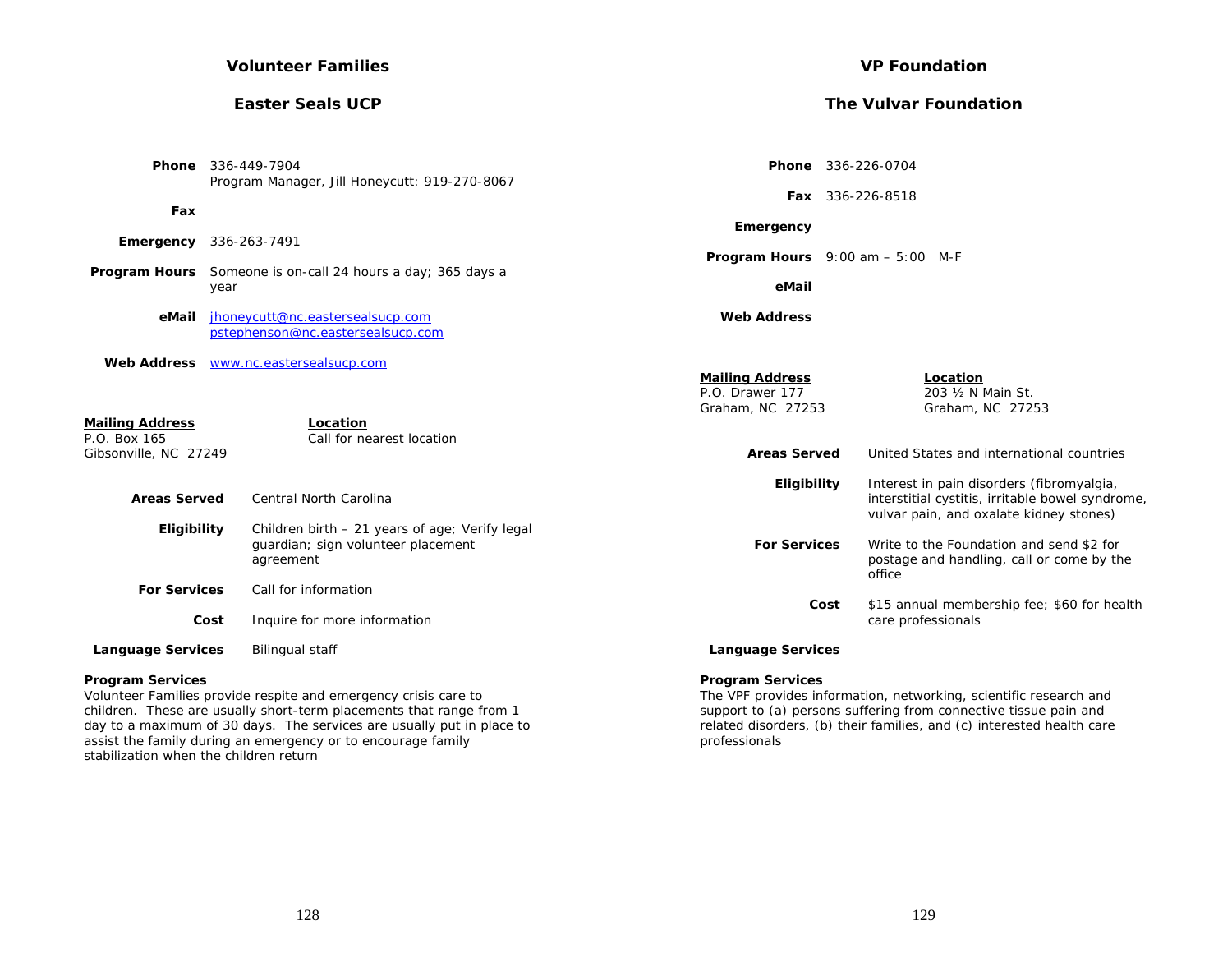## **Volunteer Families**

## **Easter Seals UCP**

| <b>VP Foundation</b> |
|----------------------|
|----------------------|

# **The Vulvar Foundation**

|                                                                 | <b>Phone</b> 336-449-7904<br>Program Manager, Jill Honeycutt: 919-270-8067                        | Phone 336-226-0704                                            |                                                                                                                                          |
|-----------------------------------------------------------------|---------------------------------------------------------------------------------------------------|---------------------------------------------------------------|------------------------------------------------------------------------------------------------------------------------------------------|
| Fax                                                             |                                                                                                   |                                                               | Fax 336-226-8518                                                                                                                         |
| Emergency                                                       | 336-263-7491                                                                                      | Emergency<br><b>Program Hours</b> $9:00$ am $-5:00$ M-F       |                                                                                                                                          |
|                                                                 | <b>Program Hours</b> Someone is on-call 24 hours a day; 365 days a<br>year                        | eMail                                                         |                                                                                                                                          |
| eMail                                                           | jhoneycutt@nc.eastersealsucp.com<br>pstephenson@nc.eastersealsucp.com                             | <b>Web Address</b>                                            |                                                                                                                                          |
| <b>Web Address</b>                                              | www.nc.eastersealsucp.com                                                                         | <b>Mailing Address</b><br>P.O. Drawer 177<br>Graham, NC 27253 | Location<br>203 1/2 N Main St.<br>Graham, NC 27253                                                                                       |
| <b>Mailing Address</b><br>P.O. Box 165<br>Gibsonville, NC 27249 | Location<br>Call for nearest location                                                             | <b>Areas Served</b>                                           | United States and international countries                                                                                                |
| <b>Areas Served</b>                                             | <b>Central North Carolina</b>                                                                     | Eligibility                                                   | Interest in pain disorders (fibromyalgia,<br>interstitial cystitis, irritable bowel syndrome,<br>vulvar pain, and oxalate kidney stones) |
| Eligibility                                                     | Children birth - 21 years of age; Verify legal<br>quardian; sign volunteer placement<br>agreement | <b>For Services</b>                                           | Write to the Foundation and send \$2 for<br>postage and handling, call or come by the<br>office                                          |
| <b>For Services</b>                                             | Call for information                                                                              | Cost                                                          | \$15 annual membership fee; \$60 for health                                                                                              |
|                                                                 | Inquire for more information<br>Cost                                                              |                                                               | care professionals                                                                                                                       |
| <b>Language Services</b>                                        | <b>Bilingual staff</b>                                                                            | <b>Language Services</b>                                      |                                                                                                                                          |
| <b>Program Services</b>                                         | Valueteen Fenellise noordale noordte enal encourager ontele sene te                               | <b>Program Services</b>                                       | The MDE provided before other potentials and coloratific proposals and                                                                   |

Volunteer Families provide respite and emergency crisis care to children. These are usually short-term placements that range from 1 day to a maximum of 30 days. The services are usually put in place to assist the family during an emergency or to encourage family stabilization when the children return

The VPF provides information, networking, scientific research and support to (a) persons suffering from connective tissue pain and related disorders, (b) their families, and (c) interested health care professionals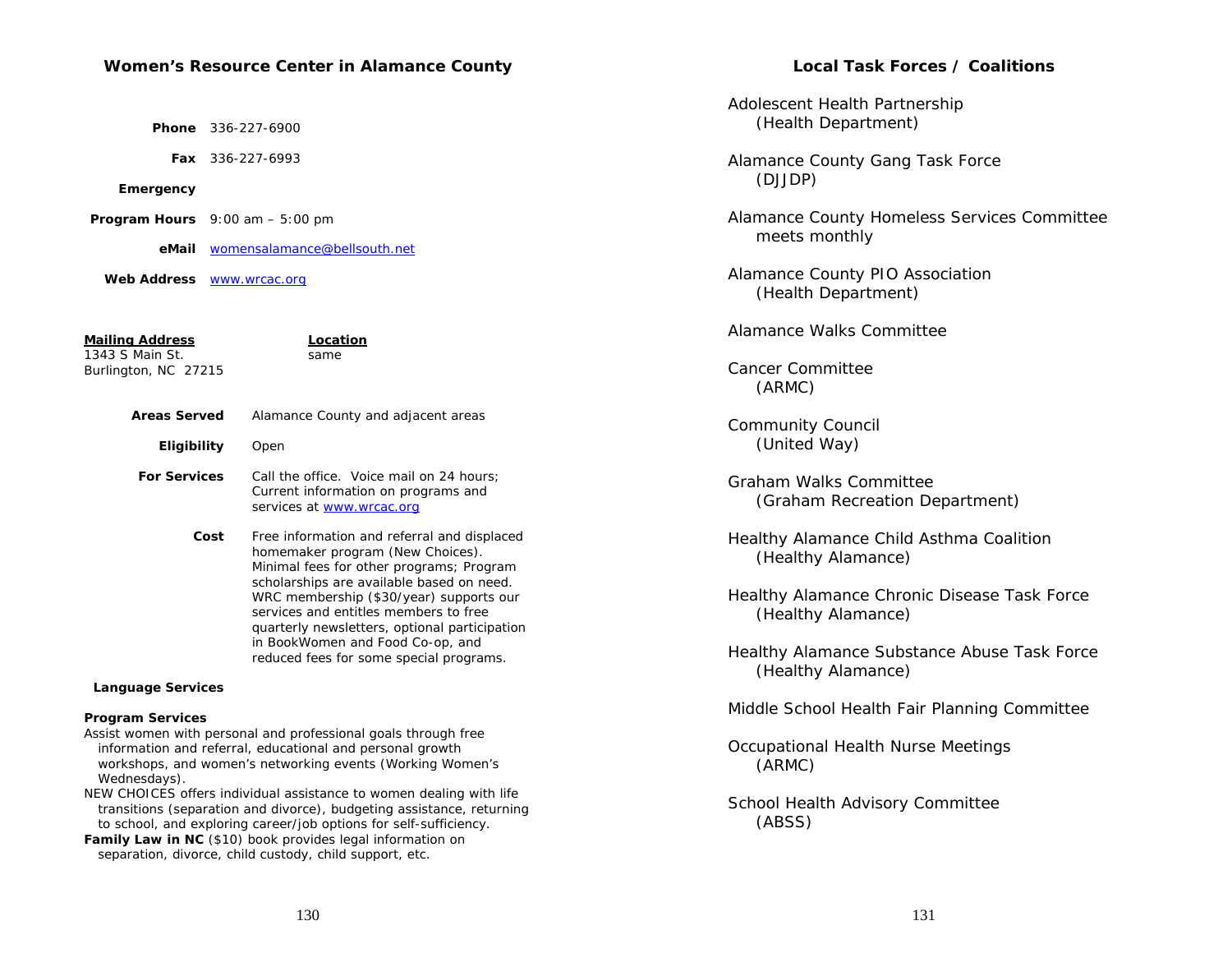## **Women's Resource Center in Alamance County**

 **Phone** 336-227-6900

 **Fax** 336-227-6993

## **Emergency**

 **Program Hours** 9:00 am – 5:00 pm

 **eMail** womensalamance@bellsouth.net

 **Web Address** www.wrcac.org

| <b>Mailing Address</b><br>1343 S Main St.<br>Burlington, NC 27215 | Location<br>same                                                                                                                                                                                                                                                                                                                                                                             |
|-------------------------------------------------------------------|----------------------------------------------------------------------------------------------------------------------------------------------------------------------------------------------------------------------------------------------------------------------------------------------------------------------------------------------------------------------------------------------|
| <b>Areas Served</b>                                               | Alamance County and adjacent areas                                                                                                                                                                                                                                                                                                                                                           |
| <b>Eligibility</b>                                                | Open                                                                                                                                                                                                                                                                                                                                                                                         |
| <b>For Services</b>                                               | Call the office. Voice mail on 24 hours;<br>Current information on programs and<br>services at www.wrcac.org                                                                                                                                                                                                                                                                                 |
| Cost                                                              | Free information and referral and displaced<br>homemaker program (New Choices).<br>Minimal fees for other programs; Program<br>scholarships are available based on need.<br>WRC membership (\$30/year) supports our<br>services and entitles members to free<br>quarterly newsletters, optional participation<br>in BookWomen and Food Co-op, and<br>reduced fees for some special programs. |
| Language Services                                                 |                                                                                                                                                                                                                                                                                                                                                                                              |

## **Program Services**

Assist women with personal and professional goals through free information and referral, educational and personal growth workshops, and women's networking events (Working Women's Wednesdays).

NEW CHOICES offers individual assistance to women dealing with life transitions (separation and divorce), budgeting assistance, returning to school, and exploring career/job options for self-sufficiency.

*Family Law in NC* (\$10) book provides legal information on separation, divorce, child custody, child support, etc.

## **Local Task Forces / Coalitions**

Adolescent Health Partnership (Health Department)

Alamance County Gang Task Force (DJJDP)

Alamance County Homeless Services Committee meets monthly

Alamance County PIO Association (Health Department)

Alamance Walks Committee

Cancer Committee (ARMC)

Community Council (United Way)

Graham Walks Committee (Graham Recreation Department)

Healthy Alamance Child Asthma Coalition (Healthy Alamance)

Healthy Alamance Chronic Disease Task Force (Healthy Alamance)

Healthy Alamance Substance Abuse Task Force (Healthy Alamance)

Middle School Health Fair Planning Committee

Occupational Health Nurse Meetings (ARMC)

School Health Advisory Committee (ABSS)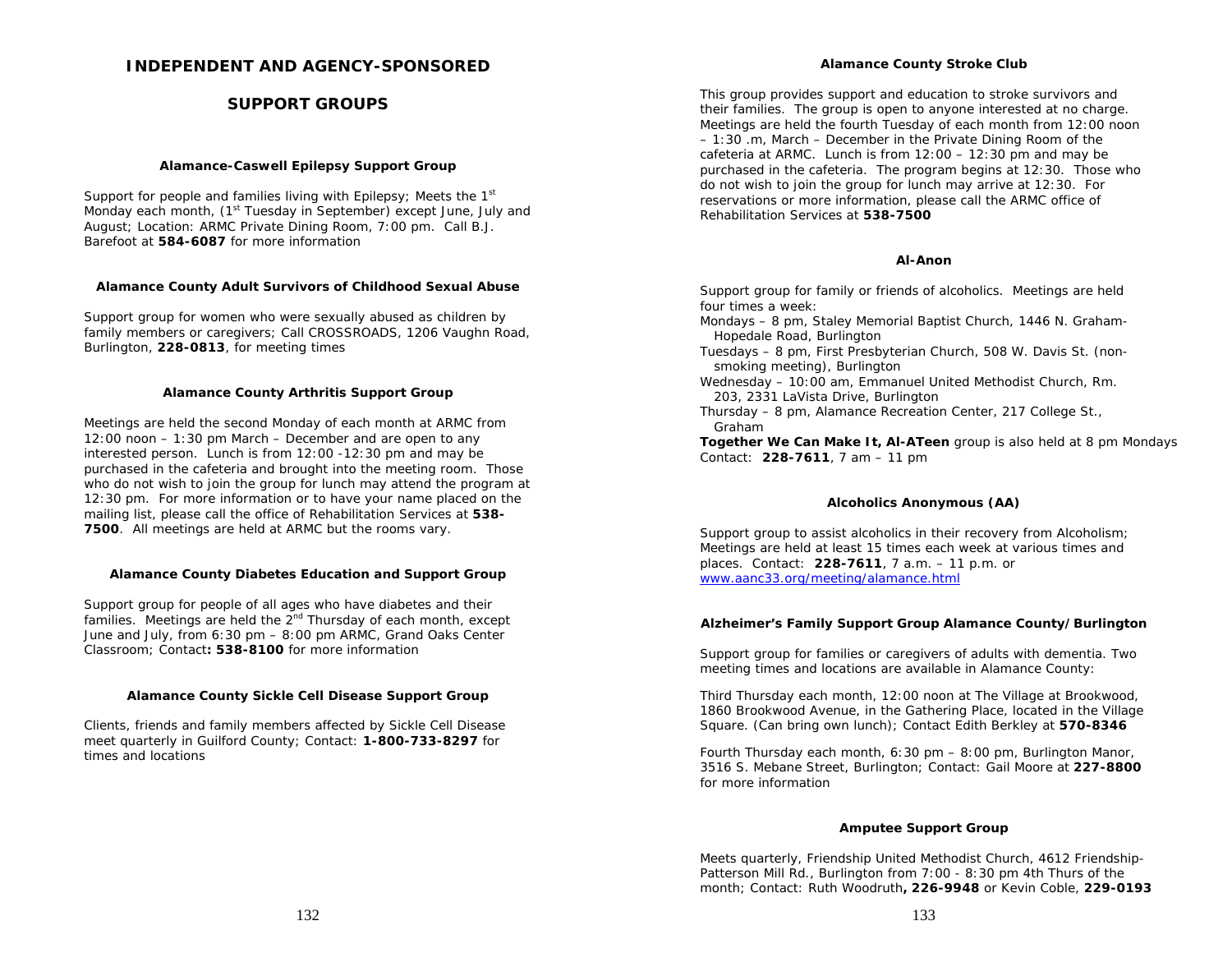## **INDEPENDENT AND AGENCY-SPONSORED**

## **SUPPORT GROUPS**

## **Alamance-Caswell Epilepsy Support Group**

Support for people and families living with Epilepsy; Meets the 1<sup>st</sup> Monday each month, (1<sup>st</sup> Tuesday in September) except June, July and August; Location: ARMC Private Dining Room, 7:00 pm. Call B.J. Barefoot at **584-6087** for more information

## **Alamance County Adult Survivors of Childhood Sexual Abuse**

Support group for women who were sexually abused as children by family members or caregivers; Call CROSSROADS, 1206 Vaughn Road, Burlington, **228-0813**, for meeting times

#### **Alamance County Arthritis Support Group**

Meetings are held the second Monday of each month at ARMC from 12:00 noon – 1:30 pm March – December and are open to any interested person. Lunch is from 12:00 -12:30 pm and may be purchased in the cafeteria and brought into the meeting room. Those who do not wish to join the group for lunch may attend the program at 12:30 pm. For more information or to have your name placed on the mailing list, please call the office of Rehabilitation Services at **538- 7500**. All meetings are held at ARMC but the rooms vary.

## **Alamance County Diabetes Education and Support Group**

Support group for people of all ages who have diabetes and their families. Meetings are held the 2<sup>nd</sup> Thursday of each month, except June and July, from 6:30 pm – 8:00 pm ARMC, Grand Oaks Center Classroom; Contact**: 538-8100** for more information

## **Alamance County Sickle Cell Disease Support Group**

Clients, friends and family members affected by Sickle Cell Disease meet quarterly in Guilford County; Contact: **1-800-733-8297** for times and locations

#### **Alamance County Stroke Club**

This group provides support and education to stroke survivors and their families. The group is open to anyone interested at no charge. Meetings are held the fourth Tuesday of each month from 12:00 noon – 1:30 .m, March – December in the Private Dining Room of the cafeteria at ARMC. Lunch is from 12:00 – 12:30 pm and may be purchased in the cafeteria. The program begins at 12:30. Those who do not wish to join the group for lunch may arrive at 12:30. For reservations or more information, please call the ARMC office of Rehabilitation Services at **538-7500**

#### **Al-Anon**

Support group for family or friends of alcoholics. Meetings are held four times a week:

- Mondays 8 pm, Staley Memorial Baptist Church, 1446 N. Graham-Hopedale Road, Burlington
- Tuesdays 8 pm, First Presbyterian Church, 508 W. Davis St. (nonsmoking meeting), Burlington
- Wednesday 10:00 am, Emmanuel United Methodist Church, Rm. 203, 2331 LaVista Drive, Burlington
- Thursday 8 pm, Alamance Recreation Center, 217 College St., Graham

**Together We Can Make It, Al-ATeen** group is also held at 8 pm Mondays Contact: **228-7611**, 7 am – 11 pm

## **Alcoholics Anonymous (AA)**

Support group to assist alcoholics in their recovery from Alcoholism; Meetings are held at least 15 times each week at various times and places. Contact: **228-7611**, 7 a.m. – 11 p.m. or www.aanc33.org/meeting/alamance.html

## **Alzheimer's Family Support Group Alamance County/Burlington**

Support group for families or caregivers of adults with dementia. Two meeting times and locations are available in Alamance County:

Third Thursday each month, 12:00 noon at The Village at Brookwood, 1860 Brookwood Avenue, in the Gathering Place, located in the Village Square. (Can bring own lunch); Contact Edith Berkley at **570-8346**

Fourth Thursday each month, 6:30 pm – 8:00 pm, Burlington Manor, 3516 S. Mebane Street, Burlington; Contact: Gail Moore at **227-8800** for more information

## **Amputee Support Group**

Meets quarterly, Friendship United Methodist Church, 4612 Friendship-Patterson Mill Rd., Burlington from 7:00 - 8:30 pm 4th Thurs of the month; Contact: Ruth Woodruth**, 226-9948** or Kevin Coble, **229-0193**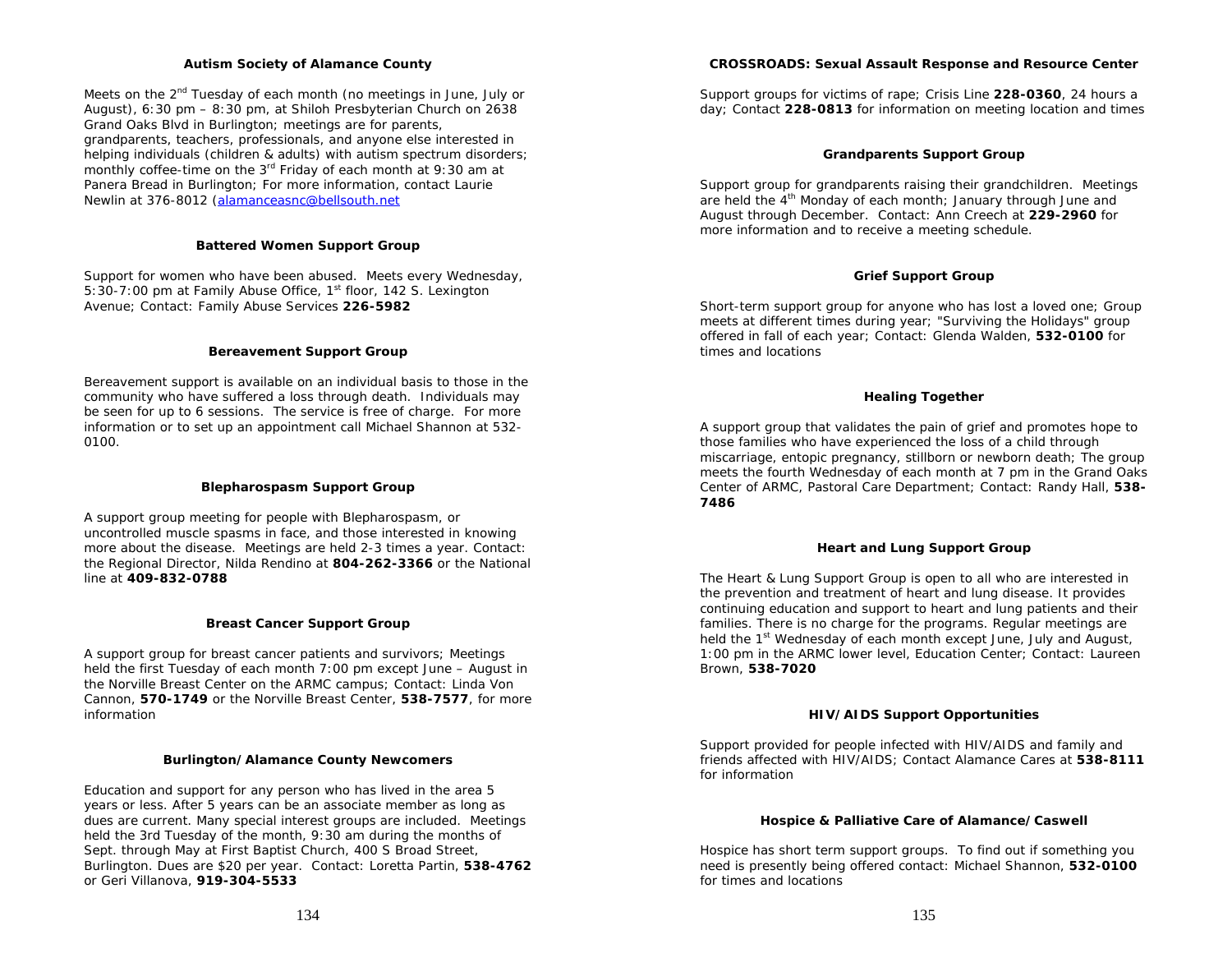#### **Autism Society of Alamance County**

Meets on the 2<sup>nd</sup> Tuesday of each month (no meetings in June, July or August), 6:30 pm – 8:30 pm, at Shiloh Presbyterian Church on 2638 Grand Oaks Blvd in Burlington; meetings are for parents, grandparents, teachers, professionals, and anyone else interested in helping individuals (children & adults) with autism spectrum disorders; monthly coffee-time on the 3<sup>rd</sup> Friday of each month at 9:30 am at Panera Bread in Burlington; For more information, contact Laurie Newlin at 376-8012 (alamanceasnc@bellsouth.net

## **Battered Women Support Group**

Support for women who have been abused. Meets every Wednesday, 5:30-7:00 pm at Family Abuse Office, 1<sup>st</sup> floor, 142 S. Lexington Avenue; Contact: Family Abuse Services **226-5982** 

## **Bereavement Support Group**

Bereavement support is available on an individual basis to those in the community who have suffered a loss through death. Individuals may be seen for up to 6 sessions. The service is free of charge. For more information or to set up an appointment call Michael Shannon at 532- 0100.

## **Blepharospasm Support Group**

A support group meeting for people with Blepharospasm, or uncontrolled muscle spasms in face, and those interested in knowing more about the disease. Meetings are held 2-3 times a year. Contact: the Regional Director, Nilda Rendino at **804-262-3366** or the National line at **409-832-0788** 

## **Breast Cancer Support Group**

A support group for breast cancer patients and survivors; Meetings held the first Tuesday of each month 7:00 pm except June – August in the Norville Breast Center on the ARMC campus; Contact: Linda Von Cannon, **570-1749** or the Norville Breast Center, **538-7577**, for more information

## **Burlington/Alamance County Newcomers**

Education and support for any person who has lived in the area 5 years or less. After 5 years can be an associate member as long as dues are current. Many special interest groups are included. Meetings held the 3rd Tuesday of the month, 9:30 am during the months of Sept. through May at First Baptist Church, 400 S Broad Street, Burlington. Dues are \$20 per year. Contact: Loretta Partin, **538-4762** or Geri Villanova, **919-304-5533** 

## **CROSSROADS: Sexual Assault Response and Resource Center**

Support groups for victims of rape; Crisis Line **228-0360**, 24 hours a day; Contact **228-0813** for information on meeting location and times

## **Grandparents Support Group**

Support group for grandparents raising their grandchildren. Meetings are held the 4<sup>th</sup> Monday of each month; January through June and August through December. Contact: Ann Creech at **229-2960** for more information and to receive a meeting schedule.

## **Grief Support Group**

Short-term support group for anyone who has lost a loved one; Group meets at different times during year; "Surviving the Holidays" group offered in fall of each year; Contact: Glenda Walden, **532-0100** for times and locations

## **Healing Together**

A support group that validates the pain of grief and promotes hope to those families who have experienced the loss of a child through miscarriage, entopic pregnancy, stillborn or newborn death; The group meets the fourth Wednesday of each month at 7 pm in the Grand Oaks Center of ARMC, Pastoral Care Department; Contact: Randy Hall, **538- 7486** 

## **Heart and Lung Support Group**

The Heart & Lung Support Group is open to all who are interested in the prevention and treatment of heart and lung disease. It provides continuing education and support to heart and lung patients and their families. There is no charge for the programs. Regular meetings are held the 1<sup>st</sup> Wednesday of each month except June, July and August, 1:00 pm in the ARMC lower level, Education Center; Contact: Laureen Brown, **538-7020** 

## **HIV/AIDS Support Opportunities**

Support provided for people infected with HIV/AIDS and family and friends affected with HIV/AIDS; Contact Alamance Cares at **538-8111**  for information

## **Hospice & Palliative Care of Alamance/Caswell**

Hospice has short term support groups. To find out if something you need is presently being offered contact: Michael Shannon, **532-0100** for times and locations